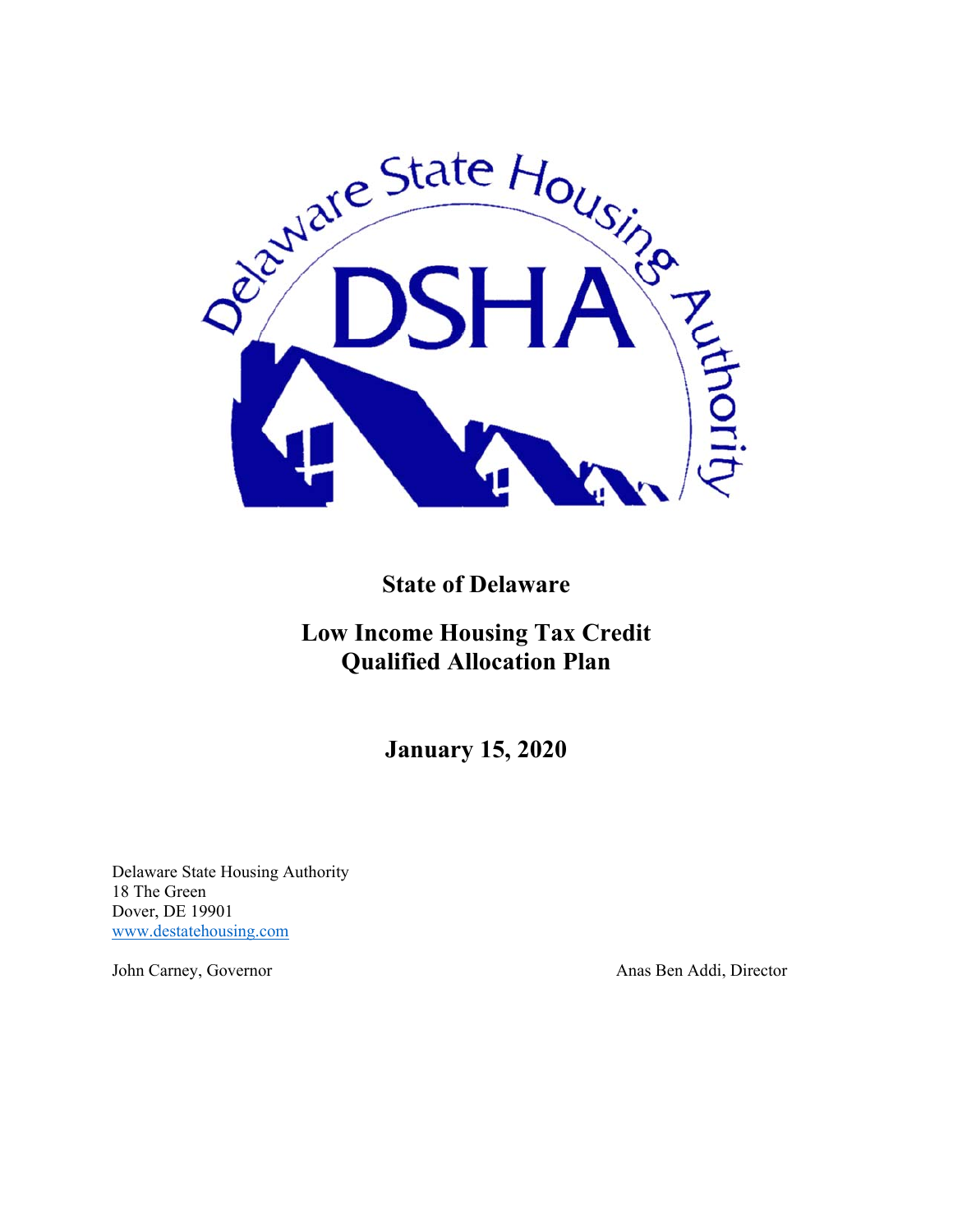

**State of Delaware** 

**Low Income Housing Tax Credit Qualified Allocation Plan** 

**January 15, 2020**

Delaware State Housing Authority 18 The Green Dover, DE 19901 www.destatehousing.com

John Carney, Governor Anas Ben Addi, Director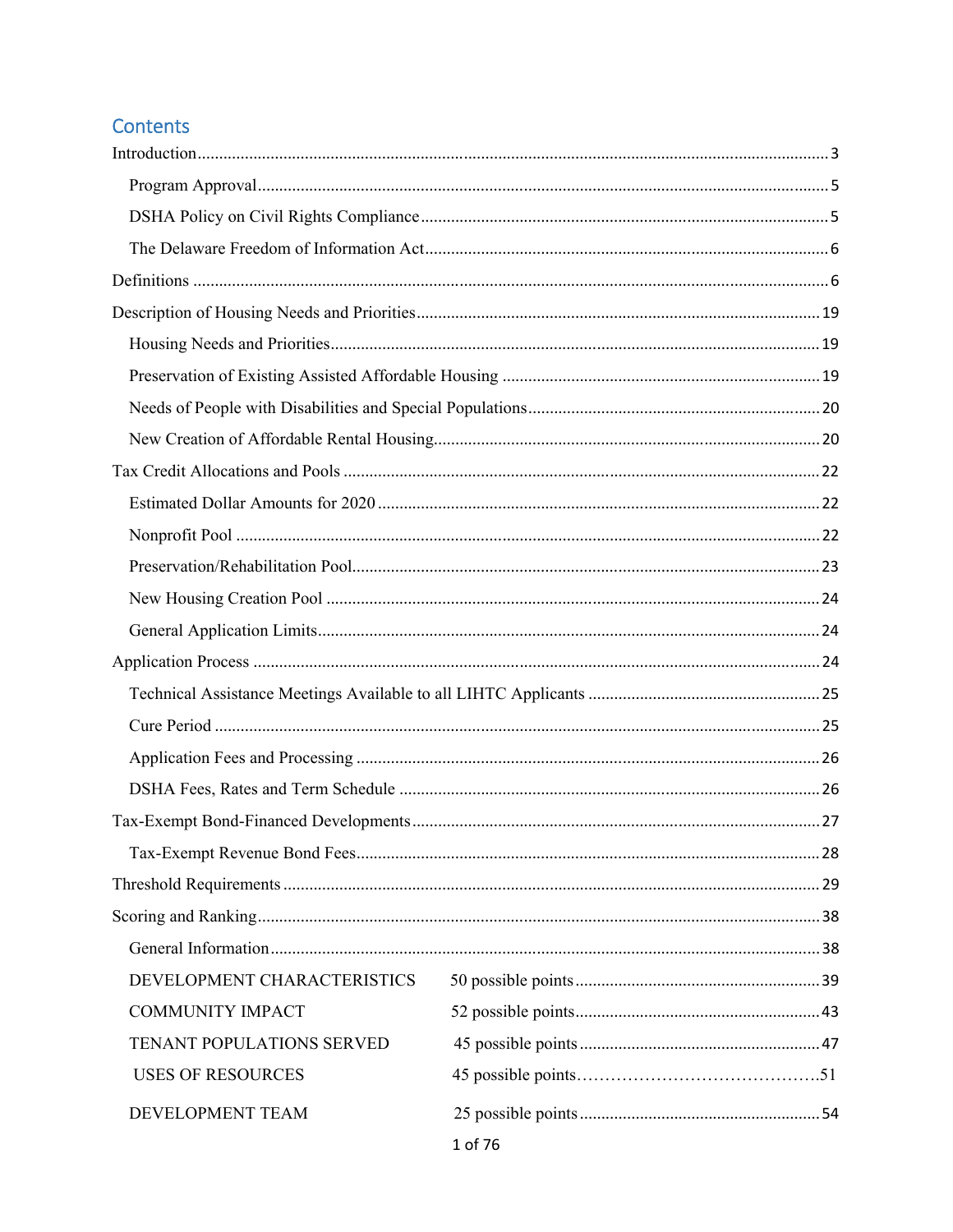# Contents

| DEVELOPMENT CHARACTERISTICS |         |  |
|-----------------------------|---------|--|
| <b>COMMUNITY IMPACT</b>     |         |  |
| TENANT POPULATIONS SERVED   |         |  |
| <b>USES OF RESOURCES</b>    |         |  |
| DEVELOPMENT TEAM            | 1 of 76 |  |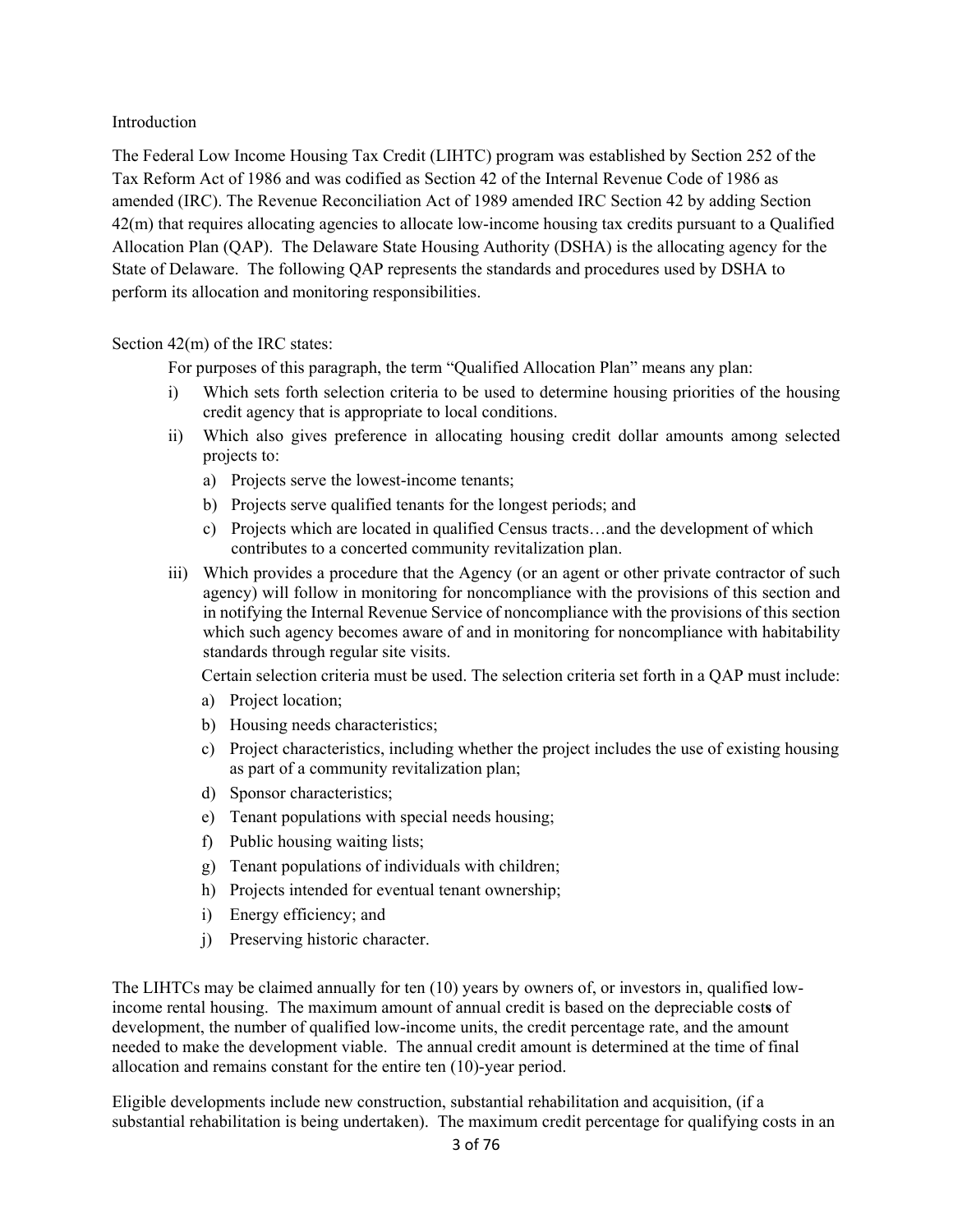#### Introduction

The Federal Low Income Housing Tax Credit (LIHTC) program was established by Section 252 of the Tax Reform Act of 1986 and was codified as Section 42 of the Internal Revenue Code of 1986 as amended (IRC). The Revenue Reconciliation Act of 1989 amended IRC Section 42 by adding Section 42(m) that requires allocating agencies to allocate low-income housing tax credits pursuant to a Qualified Allocation Plan (QAP). The Delaware State Housing Authority (DSHA) is the allocating agency for the State of Delaware. The following QAP represents the standards and procedures used by DSHA to perform its allocation and monitoring responsibilities.

#### Section 42(m) of the IRC states:

For purposes of this paragraph, the term "Qualified Allocation Plan" means any plan:

- i) Which sets forth selection criteria to be used to determine housing priorities of the housing credit agency that is appropriate to local conditions.
- ii) Which also gives preference in allocating housing credit dollar amounts among selected projects to:
	- a) Projects serve the lowest-income tenants;
	- b) Projects serve qualified tenants for the longest periods; and
	- c) Projects which are located in qualified Census tracts…and the development of which contributes to a concerted community revitalization plan.
- iii) Which provides a procedure that the Agency (or an agent or other private contractor of such agency) will follow in monitoring for noncompliance with the provisions of this section and in notifying the Internal Revenue Service of noncompliance with the provisions of this section which such agency becomes aware of and in monitoring for noncompliance with habitability standards through regular site visits.

Certain selection criteria must be used. The selection criteria set forth in a QAP must include:

- a) Project location;
- b) Housing needs characteristics;
- c) Project characteristics, including whether the project includes the use of existing housing as part of a community revitalization plan;
- d) Sponsor characteristics;
- e) Tenant populations with special needs housing;
- f) Public housing waiting lists;
- g) Tenant populations of individuals with children;
- h) Projects intended for eventual tenant ownership;
- i) Energy efficiency; and
- j) Preserving historic character.

The LIHTCs may be claimed annually for ten (10) years by owners of, or investors in, qualified lowincome rental housing. The maximum amount of annual credit is based on the depreciable cost**s** of development, the number of qualified low-income units, the credit percentage rate, and the amount needed to make the development viable. The annual credit amount is determined at the time of final allocation and remains constant for the entire ten (10)-year period.

Eligible developments include new construction, substantial rehabilitation and acquisition, (if a substantial rehabilitation is being undertaken).The maximum credit percentage for qualifying costs in an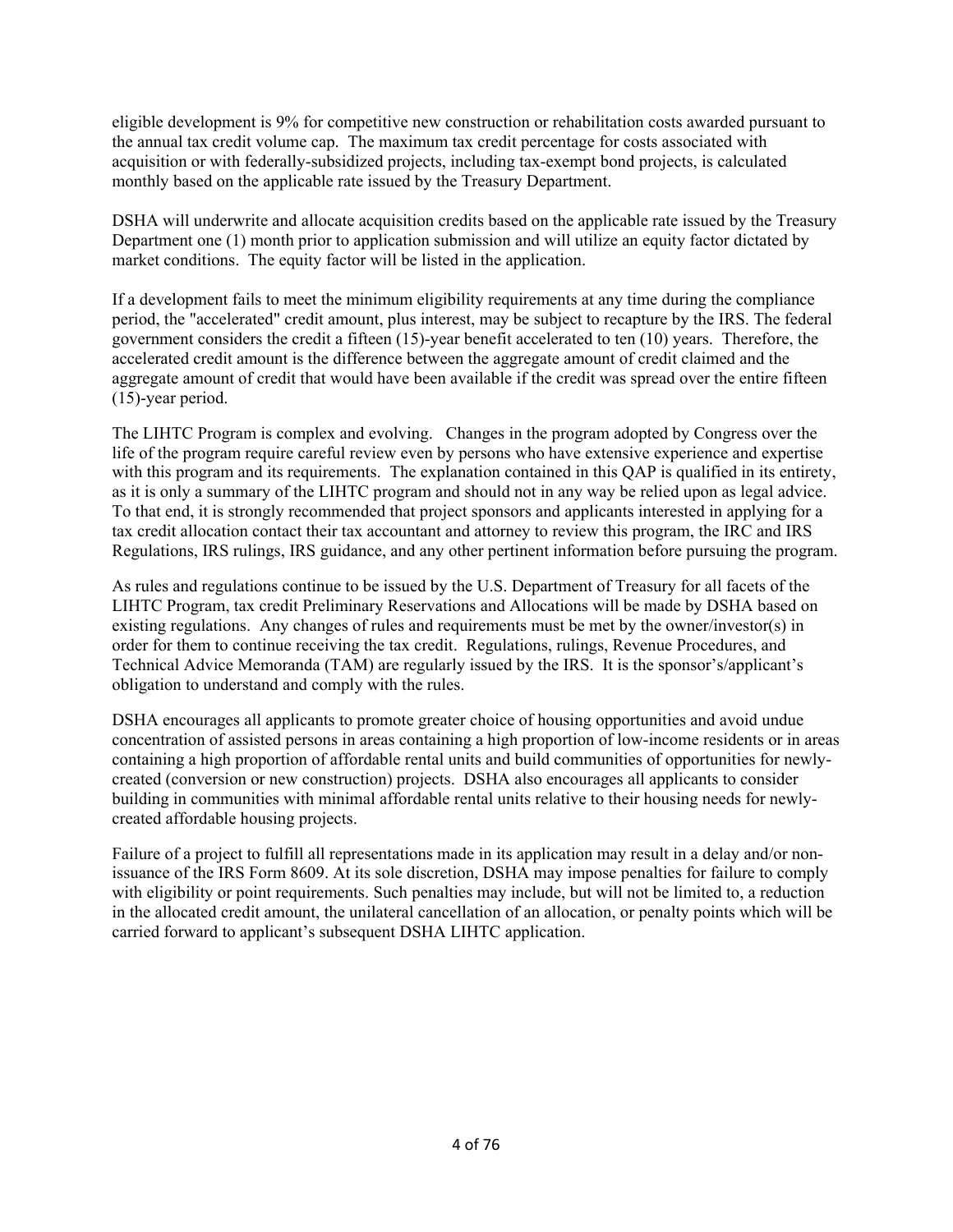eligible development is 9% for competitive new construction or rehabilitation costs awarded pursuant to the annual tax credit volume cap. The maximum tax credit percentage for costs associated with acquisition or with federally-subsidized projects, including tax-exempt bond projects, is calculated monthly based on the applicable rate issued by the Treasury Department.

DSHA will underwrite and allocate acquisition credits based on the applicable rate issued by the Treasury Department one (1) month prior to application submission and will utilize an equity factor dictated by market conditions. The equity factor will be listed in the application.

If a development fails to meet the minimum eligibility requirements at any time during the compliance period, the "accelerated" credit amount, plus interest, may be subject to recapture by the IRS. The federal government considers the credit a fifteen (15)-year benefit accelerated to ten (10) years. Therefore, the accelerated credit amount is the difference between the aggregate amount of credit claimed and the aggregate amount of credit that would have been available if the credit was spread over the entire fifteen (15)-year period.

The LIHTC Program is complex and evolving. Changes in the program adopted by Congress over the life of the program require careful review even by persons who have extensive experience and expertise with this program and its requirements. The explanation contained in this OAP is qualified in its entirety, as it is only a summary of the LIHTC program and should not in any way be relied upon as legal advice. To that end, it is strongly recommended that project sponsors and applicants interested in applying for a tax credit allocation contact their tax accountant and attorney to review this program, the IRC and IRS Regulations, IRS rulings, IRS guidance, and any other pertinent information before pursuing the program.

As rules and regulations continue to be issued by the U.S. Department of Treasury for all facets of the LIHTC Program, tax credit Preliminary Reservations and Allocations will be made by DSHA based on existing regulations. Any changes of rules and requirements must be met by the owner/investor(s) in order for them to continue receiving the tax credit. Regulations, rulings, Revenue Procedures, and Technical Advice Memoranda (TAM) are regularly issued by the IRS. It is the sponsor's/applicant's obligation to understand and comply with the rules.

DSHA encourages all applicants to promote greater choice of housing opportunities and avoid undue concentration of assisted persons in areas containing a high proportion of low-income residents or in areas containing a high proportion of affordable rental units and build communities of opportunities for newlycreated (conversion or new construction) projects. DSHA also encourages all applicants to consider building in communities with minimal affordable rental units relative to their housing needs for newlycreated affordable housing projects.

Failure of a project to fulfill all representations made in its application may result in a delay and/or nonissuance of the IRS Form 8609. At its sole discretion, DSHA may impose penalties for failure to comply with eligibility or point requirements. Such penalties may include, but will not be limited to, a reduction in the allocated credit amount, the unilateral cancellation of an allocation, or penalty points which will be carried forward to applicant's subsequent DSHA LIHTC application.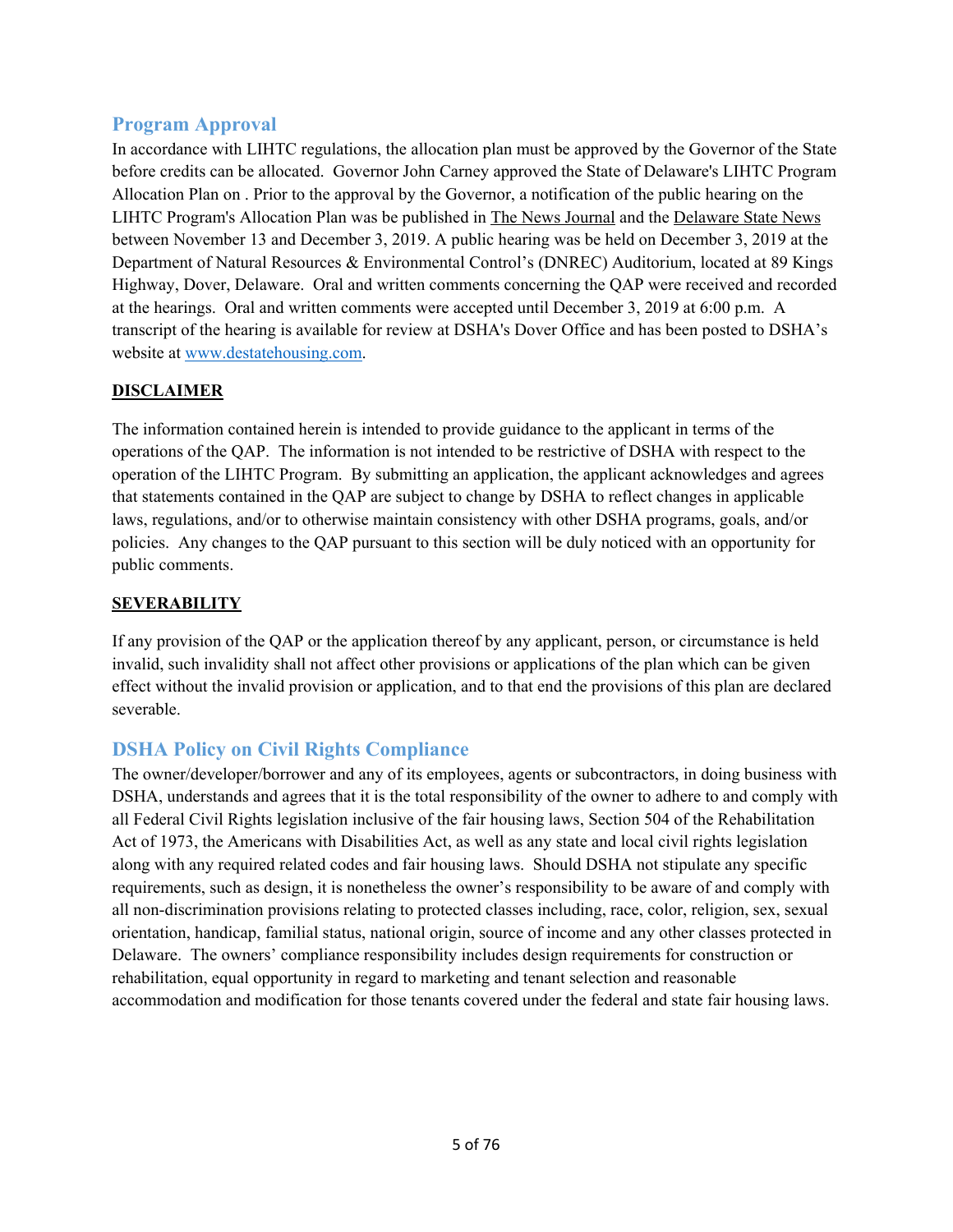# **Program Approval**

In accordance with LIHTC regulations, the allocation plan must be approved by the Governor of the State before credits can be allocated. Governor John Carney approved the State of Delaware's LIHTC Program Allocation Plan on . Prior to the approval by the Governor, a notification of the public hearing on the LIHTC Program's Allocation Plan was be published in The News Journal and the Delaware State News between November 13 and December 3, 2019. A public hearing was be held on December 3, 2019 at the Department of Natural Resources & Environmental Control's (DNREC) Auditorium, located at 89 Kings Highway, Dover, Delaware. Oral and written comments concerning the QAP were received and recorded at the hearings. Oral and written comments were accepted until December 3, 2019 at 6:00 p.m. A transcript of the hearing is available for review at DSHA's Dover Office and has been posted to DSHA's website at www.destatehousing.com.

# **DISCLAIMER**

The information contained herein is intended to provide guidance to the applicant in terms of the operations of the QAP. The information is not intended to be restrictive of DSHA with respect to the operation of the LIHTC Program. By submitting an application, the applicant acknowledges and agrees that statements contained in the QAP are subject to change by DSHA to reflect changes in applicable laws, regulations, and/or to otherwise maintain consistency with other DSHA programs, goals, and/or policies. Any changes to the QAP pursuant to this section will be duly noticed with an opportunity for public comments.

# **SEVERABILITY**

If any provision of the QAP or the application thereof by any applicant, person, or circumstance is held invalid, such invalidity shall not affect other provisions or applications of the plan which can be given effect without the invalid provision or application, and to that end the provisions of this plan are declared severable.

# **DSHA Policy on Civil Rights Compliance**

The owner/developer/borrower and any of its employees, agents or subcontractors, in doing business with DSHA, understands and agrees that it is the total responsibility of the owner to adhere to and comply with all Federal Civil Rights legislation inclusive of the fair housing laws, Section 504 of the Rehabilitation Act of 1973, the Americans with Disabilities Act, as well as any state and local civil rights legislation along with any required related codes and fair housing laws. Should DSHA not stipulate any specific requirements, such as design, it is nonetheless the owner's responsibility to be aware of and comply with all non-discrimination provisions relating to protected classes including, race, color, religion, sex, sexual orientation, handicap, familial status, national origin, source of income and any other classes protected in Delaware. The owners' compliance responsibility includes design requirements for construction or rehabilitation, equal opportunity in regard to marketing and tenant selection and reasonable accommodation and modification for those tenants covered under the federal and state fair housing laws.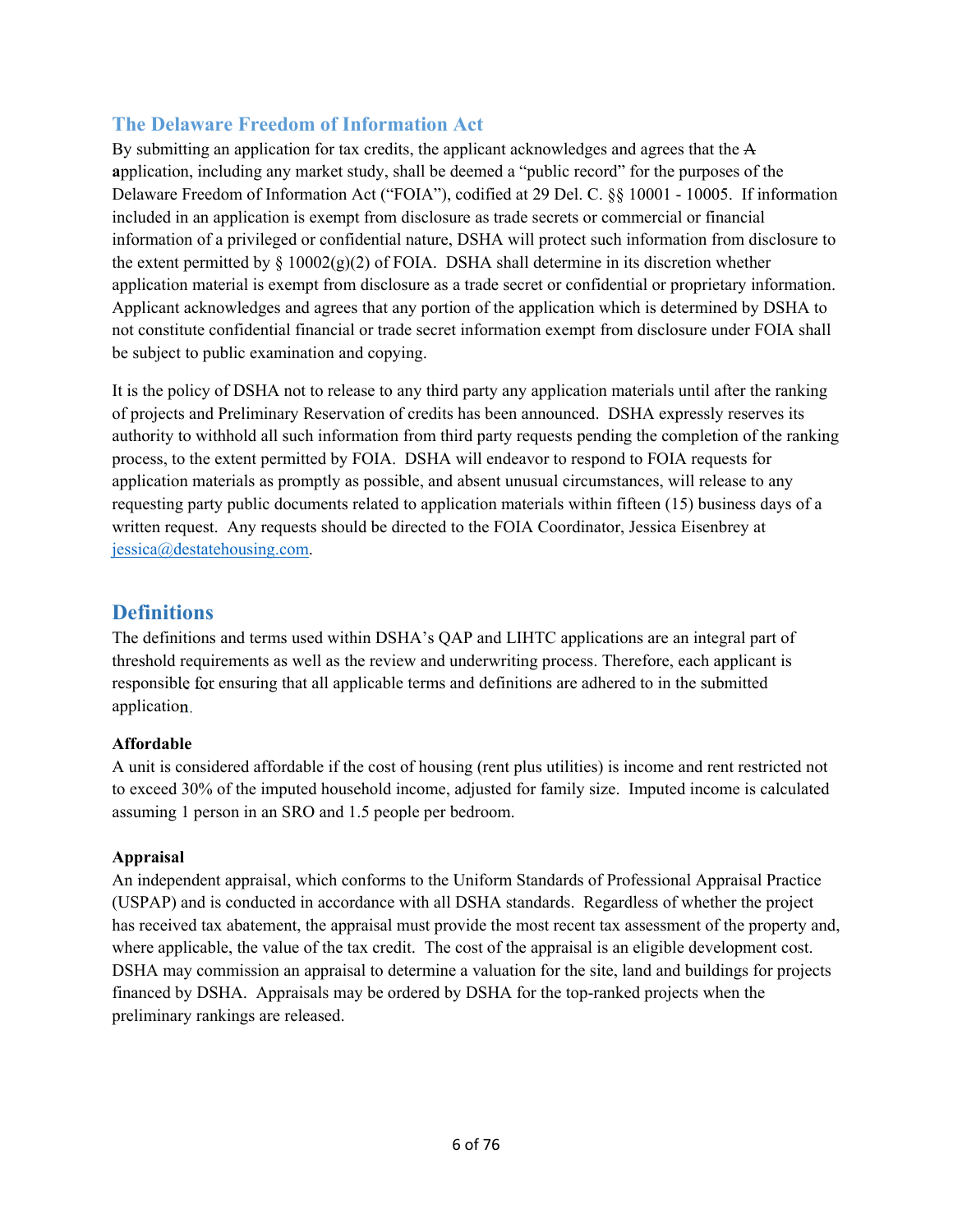# **The Delaware Freedom of Information Act**

By submitting an application for tax credits, the applicant acknowledges and agrees that the A **a**pplication, including any market study, shall be deemed a "public record" for the purposes of the Delaware Freedom of Information Act ("FOIA"), codified at 29 Del. C. §§ 10001 - 10005. If information included in an application is exempt from disclosure as trade secrets or commercial or financial information of a privileged or confidential nature, DSHA will protect such information from disclosure to the extent permitted by  $\S 10002(g)(2)$  of FOIA. DSHA shall determine in its discretion whether application material is exempt from disclosure as a trade secret or confidential or proprietary information. Applicant acknowledges and agrees that any portion of the application which is determined by DSHA to not constitute confidential financial or trade secret information exempt from disclosure under FOIA shall be subject to public examination and copying.

It is the policy of DSHA not to release to any third party any application materials until after the ranking of projects and Preliminary Reservation of credits has been announced. DSHA expressly reserves its authority to withhold all such information from third party requests pending the completion of the ranking process, to the extent permitted by FOIA. DSHA will endeavor to respond to FOIA requests for application materials as promptly as possible, and absent unusual circumstances, will release to any requesting party public documents related to application materials within fifteen (15) business days of a written request. Any requests should be directed to the FOIA Coordinator, Jessica Eisenbrey at jessica@destatehousing.com.

# **Definitions**

The definitions and terms used within DSHA's QAP and LIHTC applications are an integral part of threshold requirements as well as the review and underwriting process. Therefore, each applicant is responsible for ensuring that all applicable terms and definitions are adhered to in the submitted application.

# **Affordable**

A unit is considered affordable if the cost of housing (rent plus utilities) is income and rent restricted not to exceed 30% of the imputed household income, adjusted for family size. Imputed income is calculated assuming 1 person in an SRO and 1.5 people per bedroom.

## **Appraisal**

An independent appraisal, which conforms to the Uniform Standards of Professional Appraisal Practice (USPAP) and is conducted in accordance with all DSHA standards. Regardless of whether the project has received tax abatement, the appraisal must provide the most recent tax assessment of the property and, where applicable, the value of the tax credit. The cost of the appraisal is an eligible development cost. DSHA may commission an appraisal to determine a valuation for the site, land and buildings for projects financed by DSHA. Appraisals may be ordered by DSHA for the top-ranked projects when the preliminary rankings are released.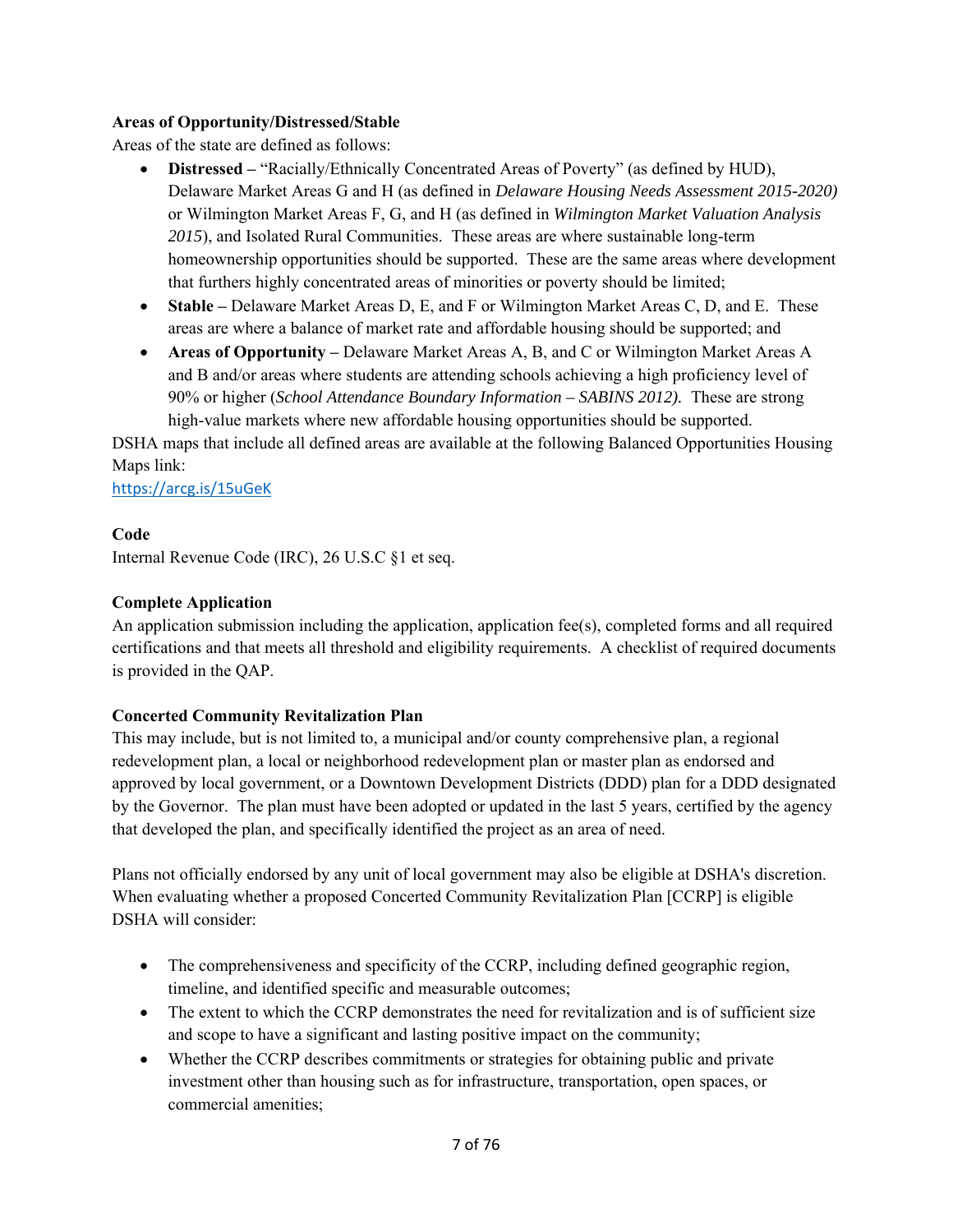## **Areas of Opportunity/Distressed/Stable**

Areas of the state are defined as follows:

- **Distressed** "Racially/Ethnically Concentrated Areas of Poverty" (as defined by HUD), Delaware Market Areas G and H (as defined in *Delaware Housing Needs Assessment 2015-2020)*  or Wilmington Market Areas F, G, and H (as defined in *Wilmington Market Valuation Analysis 2015*), and Isolated Rural Communities. These areas are where sustainable long-term homeownership opportunities should be supported. These are the same areas where development that furthers highly concentrated areas of minorities or poverty should be limited;
- **Stable –** Delaware Market Areas D, E, and F or Wilmington Market Areas C, D, and E. These areas are where a balance of market rate and affordable housing should be supported; and
- **Areas of Opportunity –** Delaware Market Areas A, B, and C or Wilmington Market Areas A and B and/or areas where students are attending schools achieving a high proficiency level of 90% or higher (*School Attendance Boundary Information – SABINS 2012).* These are strong high-value markets where new affordable housing opportunities should be supported.

DSHA maps that include all defined areas are available at the following Balanced Opportunities Housing Maps link:

https://arcg.is/15uGeK

## **Code**

Internal Revenue Code (IRC), 26 U.S.C §1 et seq.

## **Complete Application**

An application submission including the application, application fee(s), completed forms and all required certifications and that meets all threshold and eligibility requirements. A checklist of required documents is provided in the QAP.

## **Concerted Community Revitalization Plan**

This may include, but is not limited to, a municipal and/or county comprehensive plan, a regional redevelopment plan, a local or neighborhood redevelopment plan or master plan as endorsed and approved by local government, or a Downtown Development Districts (DDD) plan for a DDD designated by the Governor. The plan must have been adopted or updated in the last 5 years, certified by the agency that developed the plan, and specifically identified the project as an area of need.

Plans not officially endorsed by any unit of local government may also be eligible at DSHA's discretion. When evaluating whether a proposed Concerted Community Revitalization Plan [CCRP] is eligible DSHA will consider:

- The comprehensiveness and specificity of the CCRP, including defined geographic region, timeline, and identified specific and measurable outcomes;
- The extent to which the CCRP demonstrates the need for revitalization and is of sufficient size and scope to have a significant and lasting positive impact on the community;
- Whether the CCRP describes commitments or strategies for obtaining public and private investment other than housing such as for infrastructure, transportation, open spaces, or commercial amenities;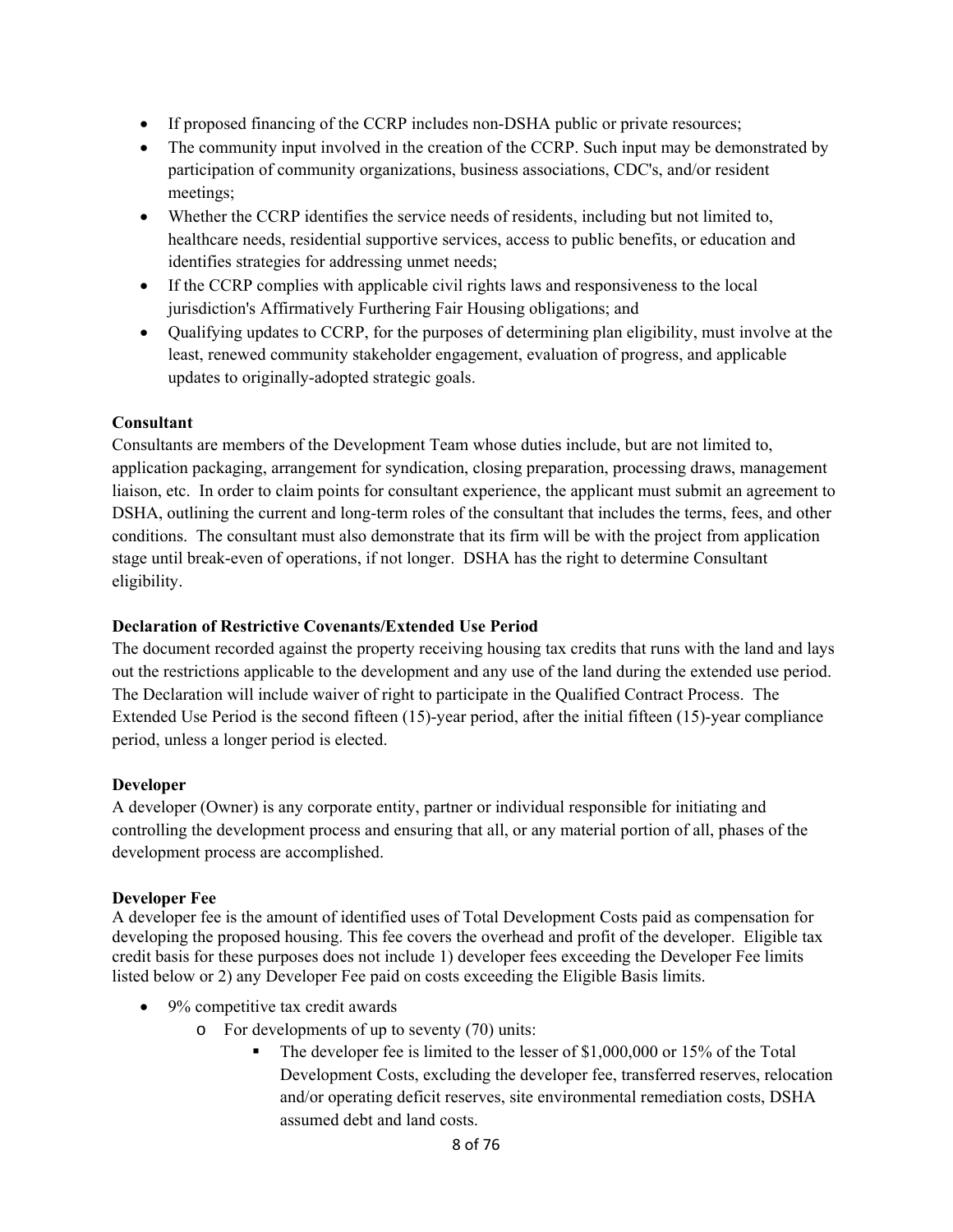- If proposed financing of the CCRP includes non-DSHA public or private resources;
- The community input involved in the creation of the CCRP. Such input may be demonstrated by participation of community organizations, business associations, CDC's, and/or resident meetings;
- Whether the CCRP identifies the service needs of residents, including but not limited to, healthcare needs, residential supportive services, access to public benefits, or education and identifies strategies for addressing unmet needs;
- If the CCRP complies with applicable civil rights laws and responsiveness to the local jurisdiction's Affirmatively Furthering Fair Housing obligations; and
- Qualifying updates to CCRP, for the purposes of determining plan eligibility, must involve at the least, renewed community stakeholder engagement, evaluation of progress, and applicable updates to originally-adopted strategic goals.

# **Consultant**

Consultants are members of the Development Team whose duties include, but are not limited to, application packaging, arrangement for syndication, closing preparation, processing draws, management liaison, etc. In order to claim points for consultant experience, the applicant must submit an agreement to DSHA, outlining the current and long-term roles of the consultant that includes the terms, fees, and other conditions. The consultant must also demonstrate that its firm will be with the project from application stage until break-even of operations, if not longer. DSHA has the right to determine Consultant eligibility.

## **Declaration of Restrictive Covenants/Extended Use Period**

The document recorded against the property receiving housing tax credits that runs with the land and lays out the restrictions applicable to the development and any use of the land during the extended use period. The Declaration will include waiver of right to participate in the Qualified Contract Process. The Extended Use Period is the second fifteen (15)-year period, after the initial fifteen (15)-year compliance period, unless a longer period is elected.

## **Developer**

A developer (Owner) is any corporate entity, partner or individual responsible for initiating and controlling the development process and ensuring that all, or any material portion of all, phases of the development process are accomplished.

## **Developer Fee**

A developer fee is the amount of identified uses of Total Development Costs paid as compensation for developing the proposed housing. This fee covers the overhead and profit of the developer. Eligible tax credit basis for these purposes does not include 1) developer fees exceeding the Developer Fee limits listed below or 2) any Developer Fee paid on costs exceeding the Eligible Basis limits.

- 9% competitive tax credit awards
	- o For developments of up to seventy (70) units:
		- The developer fee is limited to the lesser of \$1,000,000 or 15% of the Total Development Costs, excluding the developer fee, transferred reserves, relocation and/or operating deficit reserves, site environmental remediation costs, DSHA assumed debt and land costs.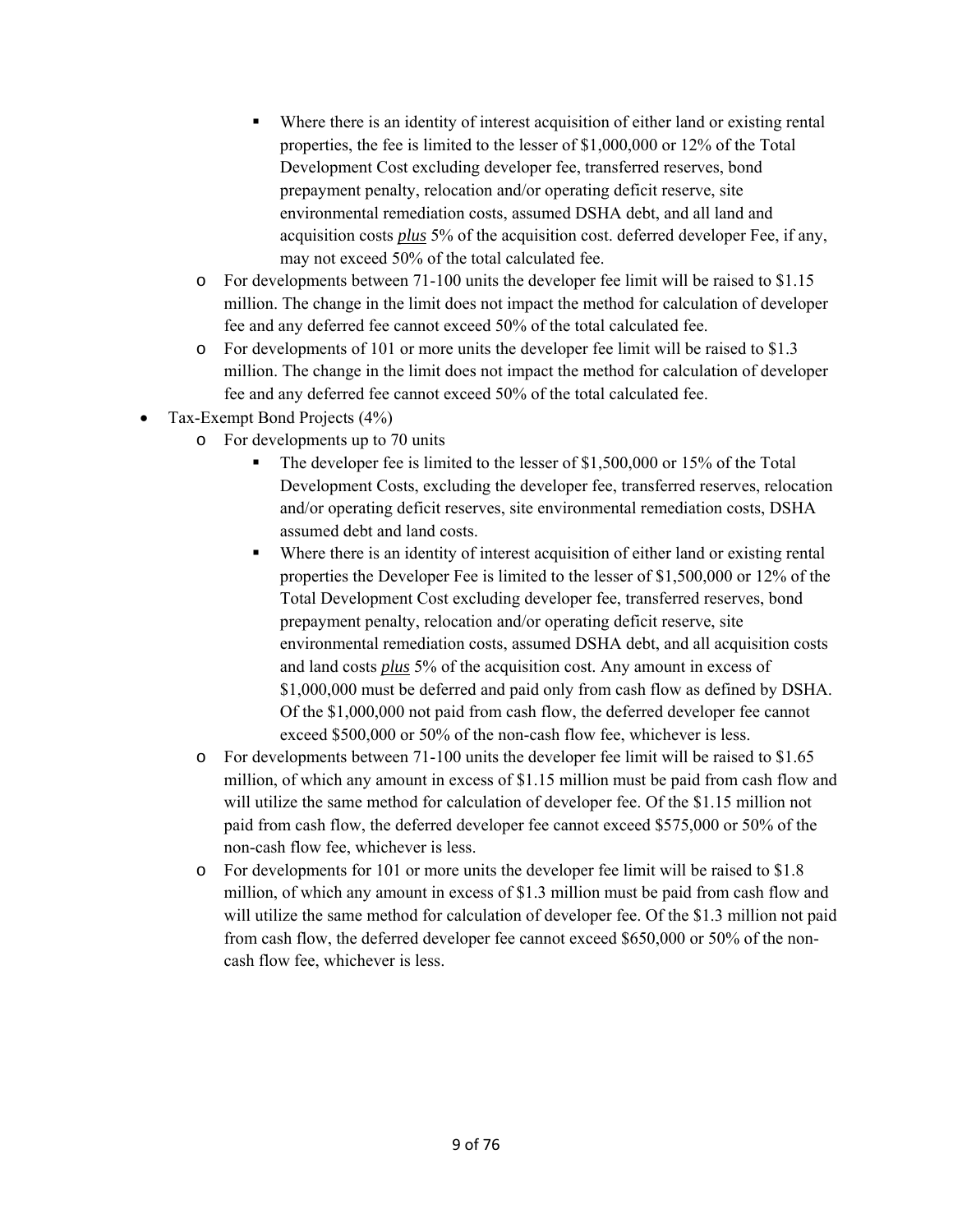- Where there is an identity of interest acquisition of either land or existing rental properties, the fee is limited to the lesser of \$1,000,000 or 12% of the Total Development Cost excluding developer fee, transferred reserves, bond prepayment penalty, relocation and/or operating deficit reserve, site environmental remediation costs, assumed DSHA debt, and all land and acquisition costs *plus* 5% of the acquisition cost. deferred developer Fee, if any, may not exceed 50% of the total calculated fee.
- o For developments between 71-100 units the developer fee limit will be raised to \$1.15 million. The change in the limit does not impact the method for calculation of developer fee and any deferred fee cannot exceed 50% of the total calculated fee.
- o For developments of 101 or more units the developer fee limit will be raised to \$1.3 million. The change in the limit does not impact the method for calculation of developer fee and any deferred fee cannot exceed 50% of the total calculated fee.
- Tax-Exempt Bond Projects (4%)
	- o For developments up to 70 units
		- The developer fee is limited to the lesser of \$1,500,000 or 15% of the Total Development Costs, excluding the developer fee, transferred reserves, relocation and/or operating deficit reserves, site environmental remediation costs, DSHA assumed debt and land costs.
		- Where there is an identity of interest acquisition of either land or existing rental properties the Developer Fee is limited to the lesser of \$1,500,000 or 12% of the Total Development Cost excluding developer fee, transferred reserves, bond prepayment penalty, relocation and/or operating deficit reserve, site environmental remediation costs, assumed DSHA debt, and all acquisition costs and land costs *plus* 5% of the acquisition cost. Any amount in excess of \$1,000,000 must be deferred and paid only from cash flow as defined by DSHA. Of the \$1,000,000 not paid from cash flow, the deferred developer fee cannot exceed \$500,000 or 50% of the non-cash flow fee, whichever is less.
	- o For developments between 71-100 units the developer fee limit will be raised to \$1.65 million, of which any amount in excess of \$1.15 million must be paid from cash flow and will utilize the same method for calculation of developer fee. Of the \$1.15 million not paid from cash flow, the deferred developer fee cannot exceed \$575,000 or 50% of the non-cash flow fee, whichever is less.
	- o For developments for 101 or more units the developer fee limit will be raised to \$1.8 million, of which any amount in excess of \$1.3 million must be paid from cash flow and will utilize the same method for calculation of developer fee. Of the \$1.3 million not paid from cash flow, the deferred developer fee cannot exceed \$650,000 or 50% of the noncash flow fee, whichever is less.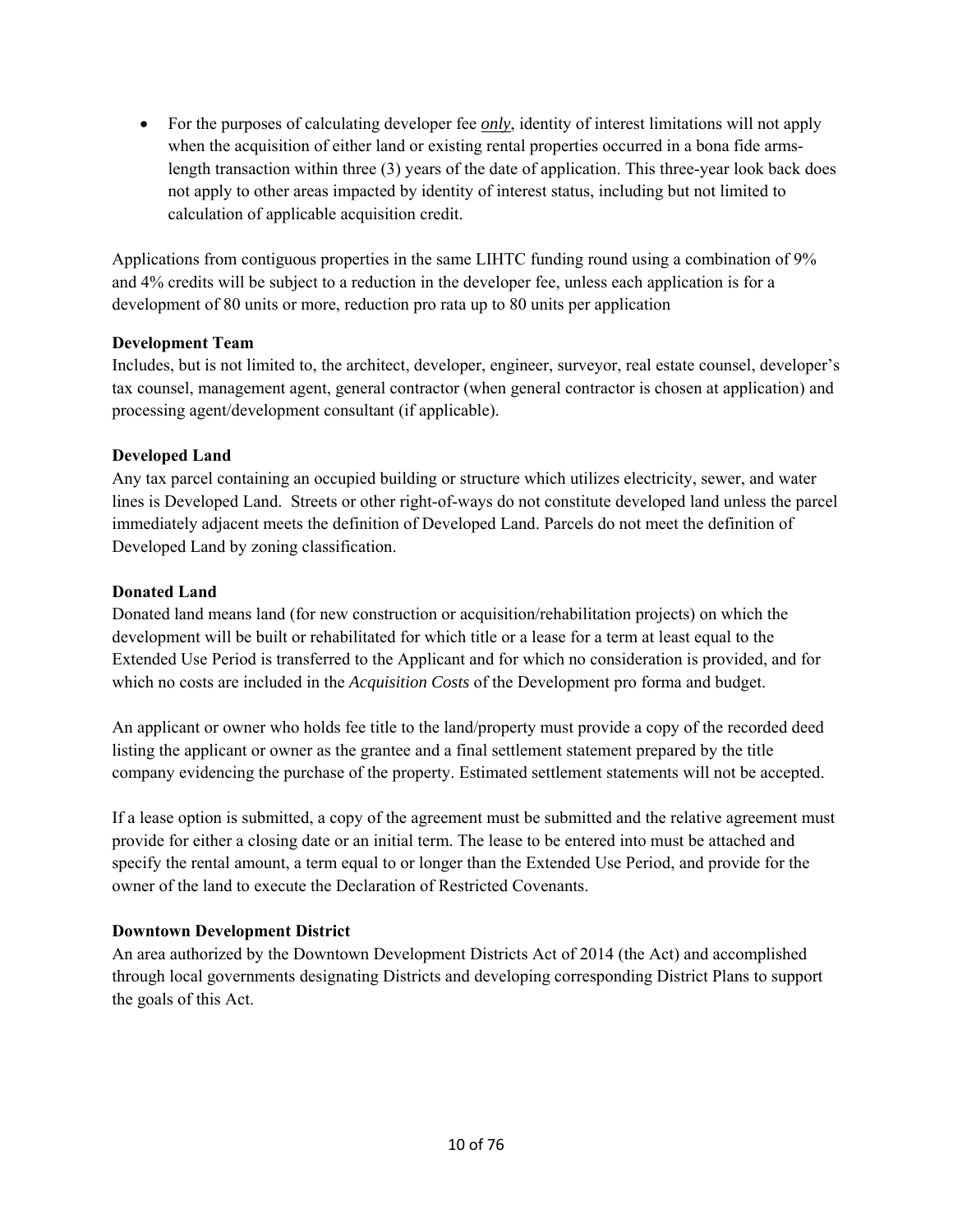For the purposes of calculating developer fee *only*, identity of interest limitations will not apply when the acquisition of either land or existing rental properties occurred in a bona fide armslength transaction within three (3) years of the date of application. This three-year look back does not apply to other areas impacted by identity of interest status, including but not limited to calculation of applicable acquisition credit.

Applications from contiguous properties in the same LIHTC funding round using a combination of 9% and 4% credits will be subject to a reduction in the developer fee, unless each application is for a development of 80 units or more, reduction pro rata up to 80 units per application

#### **Development Team**

Includes, but is not limited to, the architect, developer, engineer, surveyor, real estate counsel, developer's tax counsel, management agent, general contractor (when general contractor is chosen at application) and processing agent/development consultant (if applicable).

#### **Developed Land**

Any tax parcel containing an occupied building or structure which utilizes electricity, sewer, and water lines is Developed Land. Streets or other right-of-ways do not constitute developed land unless the parcel immediately adjacent meets the definition of Developed Land. Parcels do not meet the definition of Developed Land by zoning classification.

#### **Donated Land**

Donated land means land (for new construction or acquisition/rehabilitation projects) on which the development will be built or rehabilitated for which title or a lease for a term at least equal to the Extended Use Period is transferred to the Applicant and for which no consideration is provided, and for which no costs are included in the *Acquisition Costs* of the Development pro forma and budget.

An applicant or owner who holds fee title to the land/property must provide a copy of the recorded deed listing the applicant or owner as the grantee and a final settlement statement prepared by the title company evidencing the purchase of the property. Estimated settlement statements will not be accepted.

If a lease option is submitted, a copy of the agreement must be submitted and the relative agreement must provide for either a closing date or an initial term. The lease to be entered into must be attached and specify the rental amount, a term equal to or longer than the Extended Use Period, and provide for the owner of the land to execute the Declaration of Restricted Covenants.

## **Downtown Development District**

An area authorized by the Downtown Development Districts Act of 2014 (the Act) and accomplished through local governments designating Districts and developing corresponding District Plans to support the goals of this Act.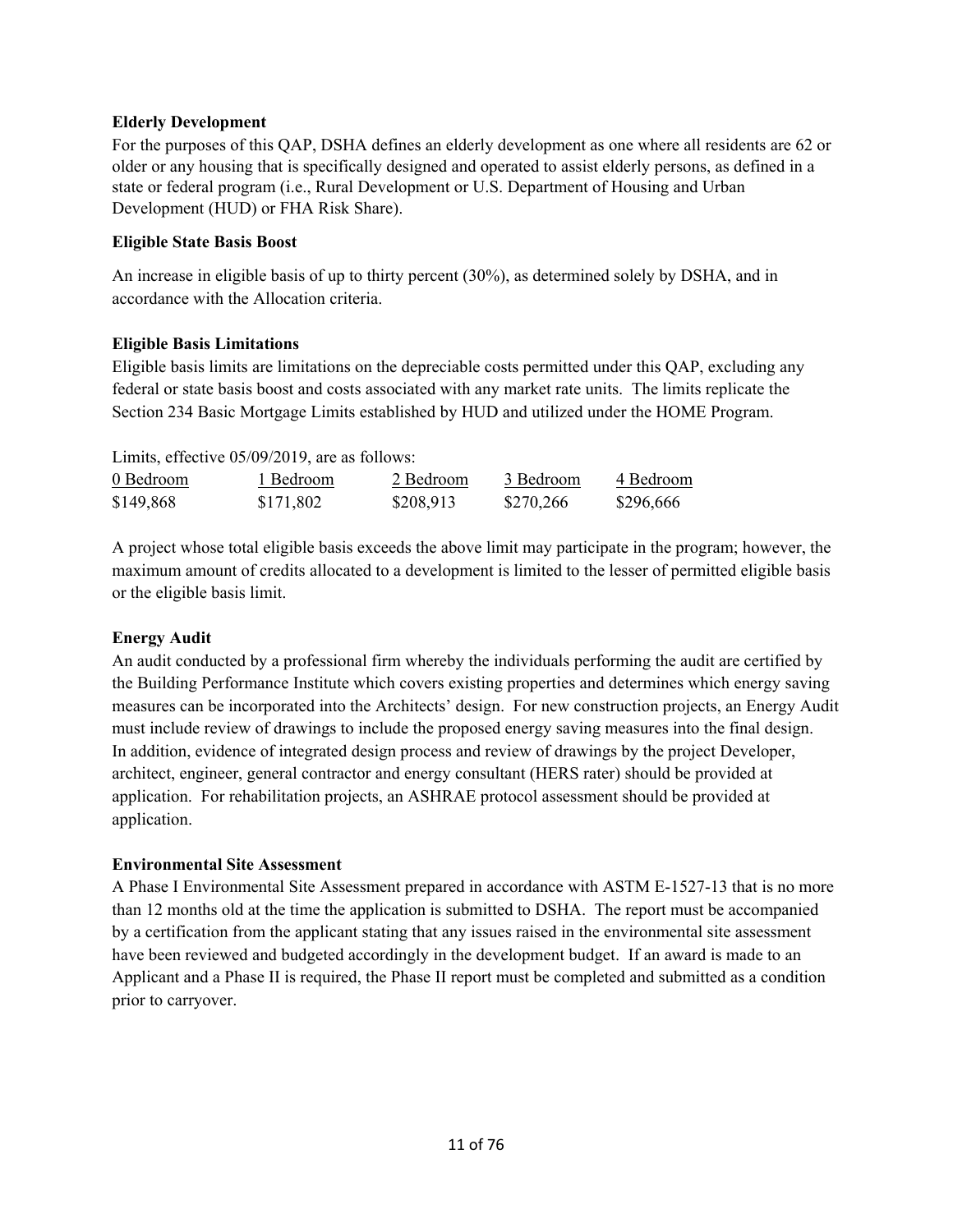#### **Elderly Development**

For the purposes of this QAP, DSHA defines an elderly development as one where all residents are 62 or older or any housing that is specifically designed and operated to assist elderly persons, as defined in a state or federal program (i.e., Rural Development or U.S. Department of Housing and Urban Development (HUD) or FHA Risk Share).

#### **Eligible State Basis Boost**

An increase in eligible basis of up to thirty percent (30%), as determined solely by DSHA, and in accordance with the Allocation criteria.

#### **Eligible Basis Limitations**

Eligible basis limits are limitations on the depreciable costs permitted under this QAP, excluding any federal or state basis boost and costs associated with any market rate units. The limits replicate the Section 234 Basic Mortgage Limits established by HUD and utilized under the HOME Program.

| Limits, effective 05/09/2019, are as follows: |           |           |           |           |
|-----------------------------------------------|-----------|-----------|-----------|-----------|
| 0 Bedroom                                     | 1 Bedroom | 2 Bedroom | 3 Bedroom | 4 Bedroom |
| \$149,868                                     | \$171,802 | \$208,913 | \$270.266 | \$296,666 |

A project whose total eligible basis exceeds the above limit may participate in the program; however, the maximum amount of credits allocated to a development is limited to the lesser of permitted eligible basis or the eligible basis limit.

## **Energy Audit**

An audit conducted by a professional firm whereby the individuals performing the audit are certified by the Building Performance Institute which covers existing properties and determines which energy saving measures can be incorporated into the Architects' design. For new construction projects, an Energy Audit must include review of drawings to include the proposed energy saving measures into the final design. In addition, evidence of integrated design process and review of drawings by the project Developer, architect, engineer, general contractor and energy consultant (HERS rater) should be provided at application. For rehabilitation projects, an ASHRAE protocol assessment should be provided at application.

#### **Environmental Site Assessment**

A Phase I Environmental Site Assessment prepared in accordance with ASTM E-1527-13 that is no more than 12 months old at the time the application is submitted to DSHA. The report must be accompanied by a certification from the applicant stating that any issues raised in the environmental site assessment have been reviewed and budgeted accordingly in the development budget. If an award is made to an Applicant and a Phase II is required, the Phase II report must be completed and submitted as a condition prior to carryover.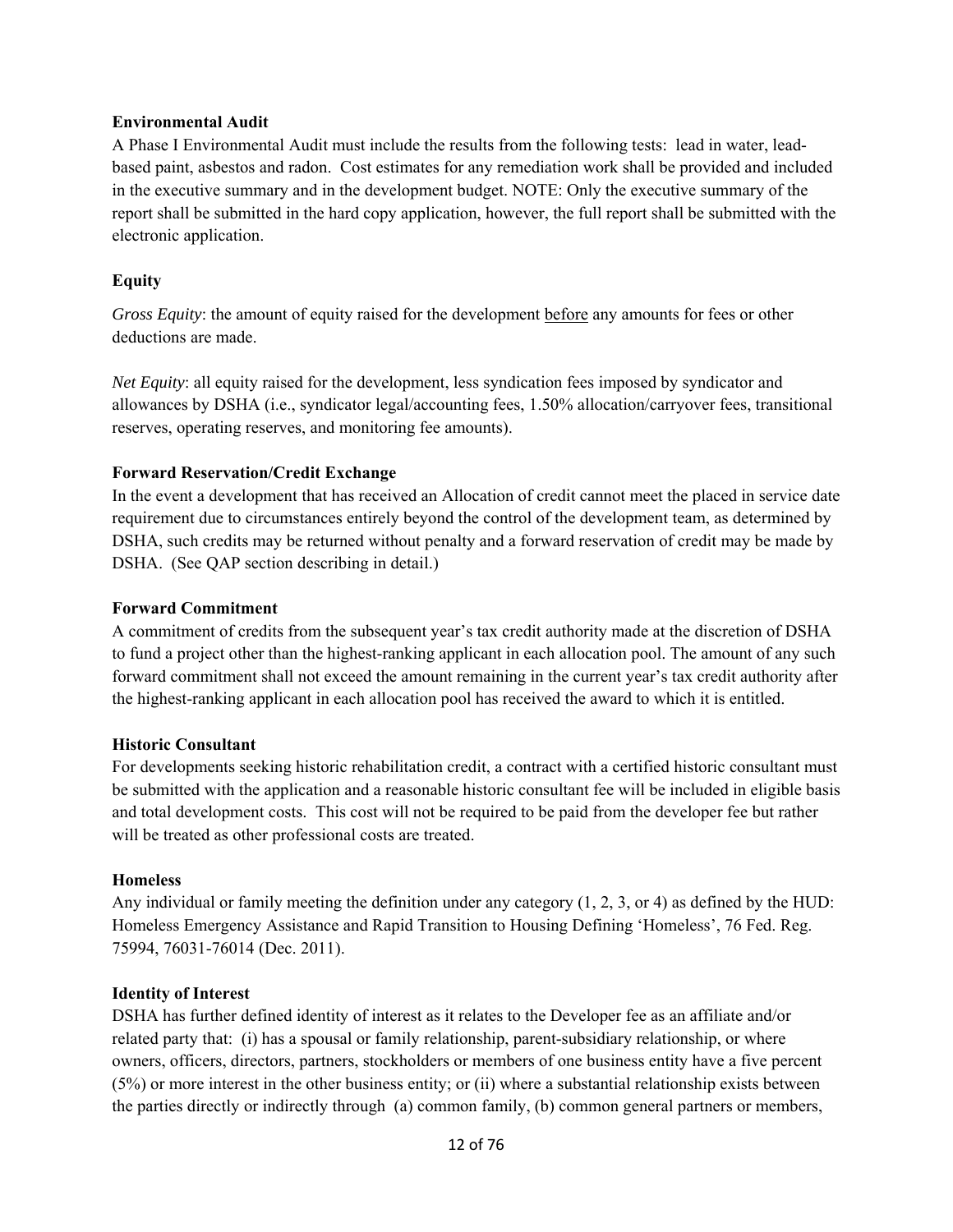#### **Environmental Audit**

A Phase I Environmental Audit must include the results from the following tests: lead in water, leadbased paint, asbestos and radon. Cost estimates for any remediation work shall be provided and included in the executive summary and in the development budget. NOTE: Only the executive summary of the report shall be submitted in the hard copy application, however, the full report shall be submitted with the electronic application.

## **Equity**

*Gross Equity*: the amount of equity raised for the development before any amounts for fees or other deductions are made.

*Net Equity*: all equity raised for the development, less syndication fees imposed by syndicator and allowances by DSHA (i.e., syndicator legal/accounting fees, 1.50% allocation/carryover fees, transitional reserves, operating reserves, and monitoring fee amounts).

## **Forward Reservation/Credit Exchange**

In the event a development that has received an Allocation of credit cannot meet the placed in service date requirement due to circumstances entirely beyond the control of the development team, as determined by DSHA, such credits may be returned without penalty and a forward reservation of credit may be made by DSHA. (See QAP section describing in detail.)

#### **Forward Commitment**

A commitment of credits from the subsequent year's tax credit authority made at the discretion of DSHA to fund a project other than the highest-ranking applicant in each allocation pool. The amount of any such forward commitment shall not exceed the amount remaining in the current year's tax credit authority after the highest-ranking applicant in each allocation pool has received the award to which it is entitled.

#### **Historic Consultant**

For developments seeking historic rehabilitation credit, a contract with a certified historic consultant must be submitted with the application and a reasonable historic consultant fee will be included in eligible basis and total development costs. This cost will not be required to be paid from the developer fee but rather will be treated as other professional costs are treated.

#### **Homeless**

Any individual or family meeting the definition under any category (1, 2, 3, or 4) as defined by the HUD: Homeless Emergency Assistance and Rapid Transition to Housing Defining 'Homeless', 76 Fed. Reg. 75994, 76031-76014 (Dec. 2011).

#### **Identity of Interest**

DSHA has further defined identity of interest as it relates to the Developer fee as an affiliate and/or related party that: (i) has a spousal or family relationship, parent-subsidiary relationship, or where owners, officers, directors, partners, stockholders or members of one business entity have a five percent (5%) or more interest in the other business entity; or (ii) where a substantial relationship exists between the parties directly or indirectly through (a) common family, (b) common general partners or members,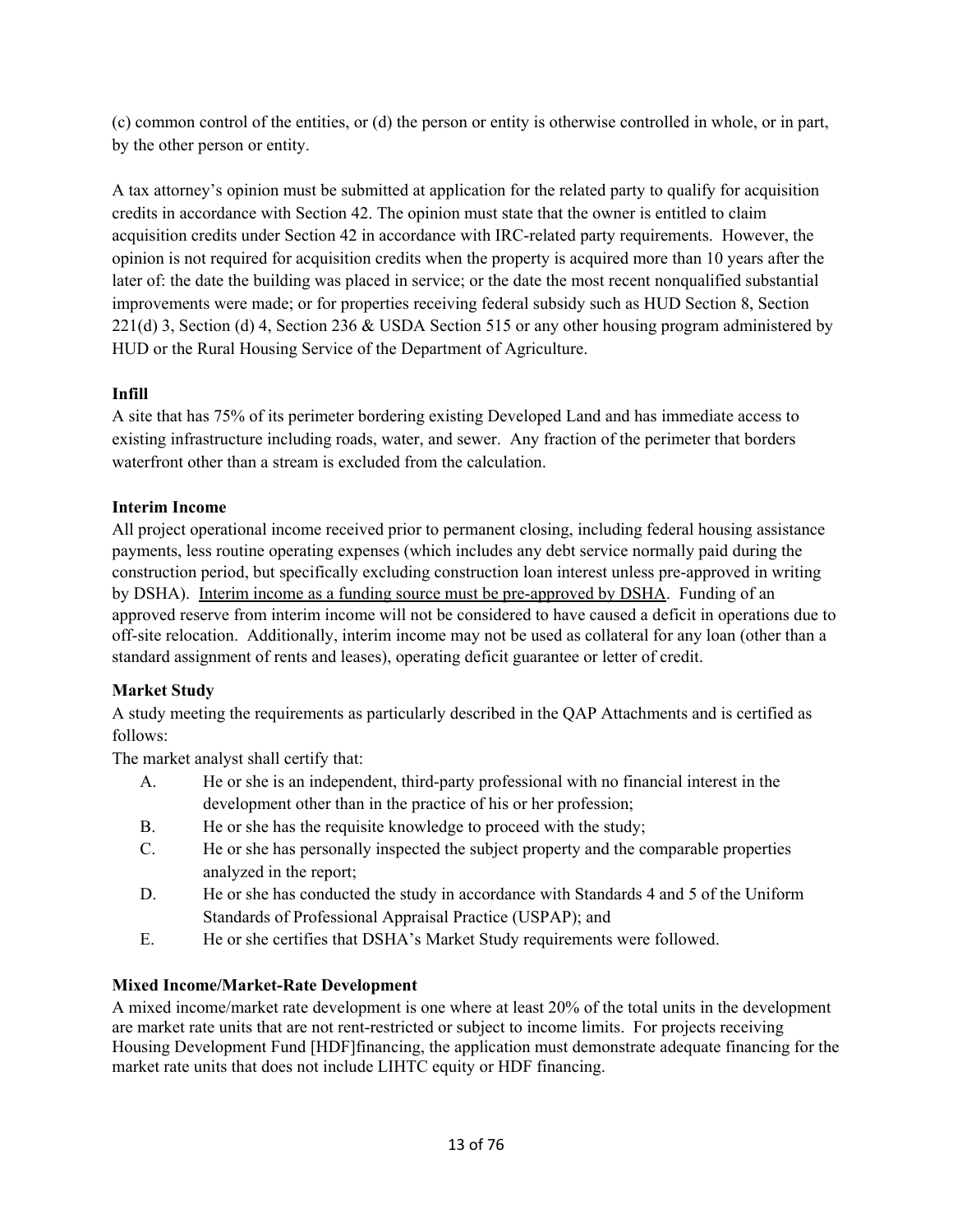(c) common control of the entities, or (d) the person or entity is otherwise controlled in whole, or in part, by the other person or entity.

A tax attorney's opinion must be submitted at application for the related party to qualify for acquisition credits in accordance with Section 42. The opinion must state that the owner is entitled to claim acquisition credits under Section 42 in accordance with IRC-related party requirements. However, the opinion is not required for acquisition credits when the property is acquired more than 10 years after the later of: the date the building was placed in service; or the date the most recent nonqualified substantial improvements were made; or for properties receiving federal subsidy such as HUD Section 8, Section 221(d) 3, Section (d) 4, Section 236 & USDA Section 515 or any other housing program administered by HUD or the Rural Housing Service of the Department of Agriculture.

# **Infill**

A site that has 75% of its perimeter bordering existing Developed Land and has immediate access to existing infrastructure including roads, water, and sewer. Any fraction of the perimeter that borders waterfront other than a stream is excluded from the calculation.

## **Interim Income**

All project operational income received prior to permanent closing, including federal housing assistance payments, less routine operating expenses (which includes any debt service normally paid during the construction period, but specifically excluding construction loan interest unless pre-approved in writing by DSHA). Interim income as a funding source must be pre-approved by DSHA. Funding of an approved reserve from interim income will not be considered to have caused a deficit in operations due to off-site relocation. Additionally, interim income may not be used as collateral for any loan (other than a standard assignment of rents and leases), operating deficit guarantee or letter of credit.

# **Market Study**

A study meeting the requirements as particularly described in the QAP Attachments and is certified as follows:

The market analyst shall certify that:

- A. He or she is an independent, third-party professional with no financial interest in the development other than in the practice of his or her profession;
- B. He or she has the requisite knowledge to proceed with the study;
- C. He or she has personally inspected the subject property and the comparable properties analyzed in the report;
- D. He or she has conducted the study in accordance with Standards 4 and 5 of the Uniform Standards of Professional Appraisal Practice (USPAP); and
- E. He or she certifies that DSHA's Market Study requirements were followed.

# **Mixed Income/Market-Rate Development**

A mixed income/market rate development is one where at least 20% of the total units in the development are market rate units that are not rent-restricted or subject to income limits. For projects receiving Housing Development Fund [HDF]financing, the application must demonstrate adequate financing for the market rate units that does not include LIHTC equity or HDF financing.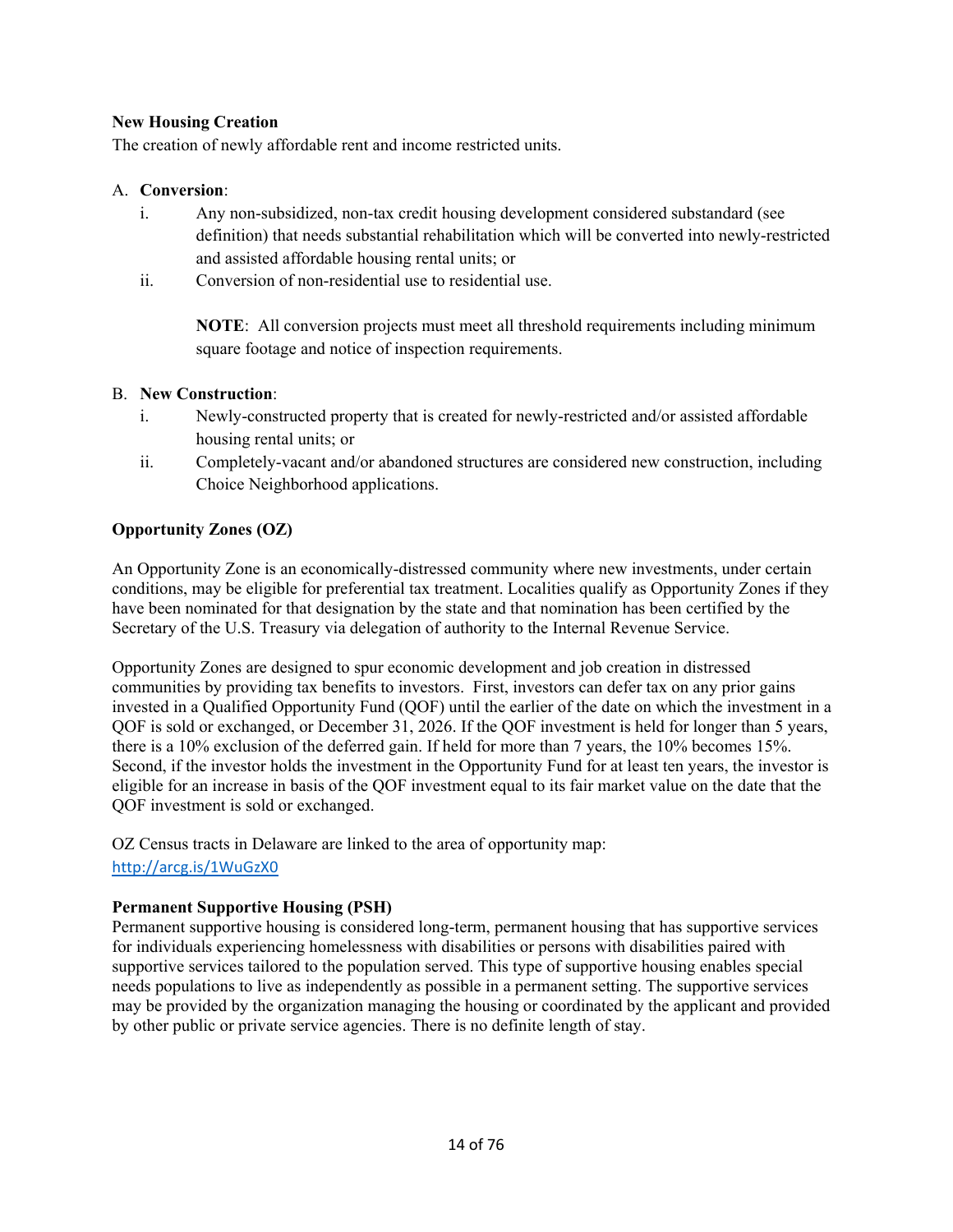## **New Housing Creation**

The creation of newly affordable rent and income restricted units.

#### A. **Conversion**:

- i. Any non-subsidized, non-tax credit housing development considered substandard (see definition) that needs substantial rehabilitation which will be converted into newly-restricted and assisted affordable housing rental units; or
- ii. Conversion of non-residential use to residential use.

**NOTE**: All conversion projects must meet all threshold requirements including minimum square footage and notice of inspection requirements.

## B. **New Construction**:

- i. Newly-constructed property that is created for newly-restricted and/or assisted affordable housing rental units; or
- ii. Completely-vacant and/or abandoned structures are considered new construction, including Choice Neighborhood applications.

## **Opportunity Zones (OZ)**

An Opportunity Zone is an economically-distressed community where new investments, under certain conditions, may be eligible for preferential tax treatment. Localities qualify as Opportunity Zones if they have been nominated for that designation by the state and that nomination has been certified by the Secretary of the U.S. Treasury via delegation of authority to the Internal Revenue Service.

Opportunity Zones are designed to spur economic development and job creation in distressed communities by providing tax benefits to investors. First, investors can defer tax on any prior gains invested in a Qualified Opportunity Fund (QOF) until the earlier of the date on which the investment in a QOF is sold or exchanged, or December 31, 2026. If the QOF investment is held for longer than 5 years, there is a 10% exclusion of the deferred gain. If held for more than 7 years, the 10% becomes 15%. Second, if the investor holds the investment in the Opportunity Fund for at least ten years, the investor is eligible for an increase in basis of the QOF investment equal to its fair market value on the date that the QOF investment is sold or exchanged.

OZ Census tracts in Delaware are linked to the area of opportunity map: http://arcg.is/1WuGzX0

## **Permanent Supportive Housing (PSH)**

Permanent supportive housing is considered long-term, permanent housing that has supportive services for individuals experiencing homelessness with disabilities or persons with disabilities paired with supportive services tailored to the population served. This type of supportive housing enables special needs populations to live as independently as possible in a permanent setting. The supportive services may be provided by the organization managing the housing or coordinated by the applicant and provided by other public or private service agencies. There is no definite length of stay.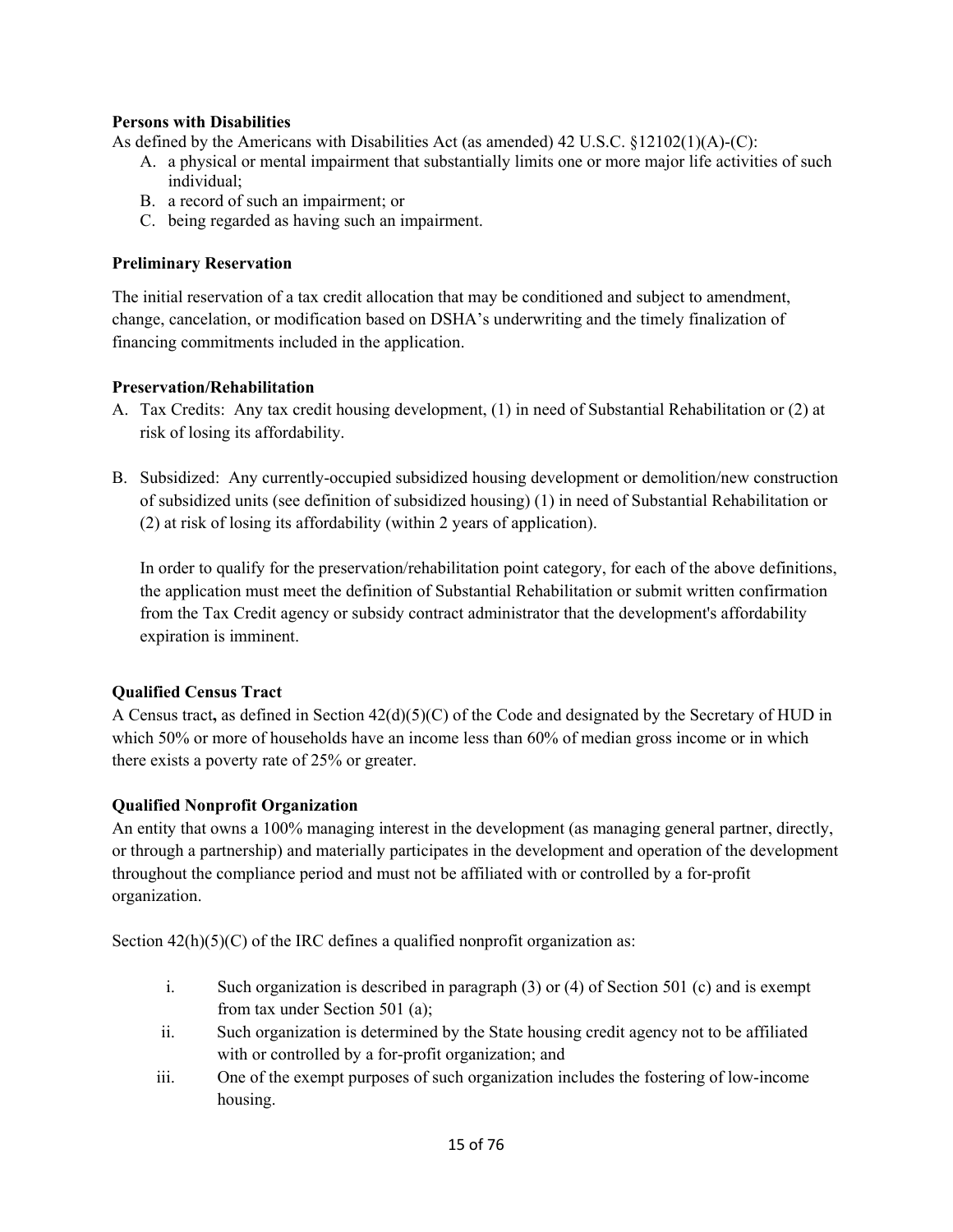## **Persons with Disabilities**

As defined by the Americans with Disabilities Act (as amended) 42 U.S.C. §12102(1)(A)-(C):

- A. a physical or mental impairment that substantially limits one or more major life activities of such individual;
- B. a record of such an impairment; or
- C. being regarded as having such an impairment.

#### **Preliminary Reservation**

The initial reservation of a tax credit allocation that may be conditioned and subject to amendment, change, cancelation, or modification based on DSHA's underwriting and the timely finalization of financing commitments included in the application.

#### **Preservation/Rehabilitation**

- A. Tax Credits: Any tax credit housing development, (1) in need of Substantial Rehabilitation or (2) at risk of losing its affordability.
- B. Subsidized: Any currently-occupied subsidized housing development or demolition/new construction of subsidized units (see definition of subsidized housing) (1) in need of Substantial Rehabilitation or (2) at risk of losing its affordability (within 2 years of application).

In order to qualify for the preservation/rehabilitation point category, for each of the above definitions, the application must meet the definition of Substantial Rehabilitation or submit written confirmation from the Tax Credit agency or subsidy contract administrator that the development's affordability expiration is imminent.

## **Qualified Census Tract**

A Census tract**,** as defined in Section 42(d)(5)(C) of the Code and designated by the Secretary of HUD in which 50% or more of households have an income less than 60% of median gross income or in which there exists a poverty rate of 25% or greater.

## **Qualified Nonprofit Organization**

An entity that owns a 100% managing interest in the development (as managing general partner, directly, or through a partnership) and materially participates in the development and operation of the development throughout the compliance period and must not be affiliated with or controlled by a for-profit organization.

Section  $42(h)(5)(C)$  of the IRC defines a qualified nonprofit organization as:

- i. Such organization is described in paragraph (3) or (4) of Section 501 (c) and is exempt from tax under Section 501 (a);
- ii. Such organization is determined by the State housing credit agency not to be affiliated with or controlled by a for-profit organization; and
- iii. One of the exempt purposes of such organization includes the fostering of low-income housing.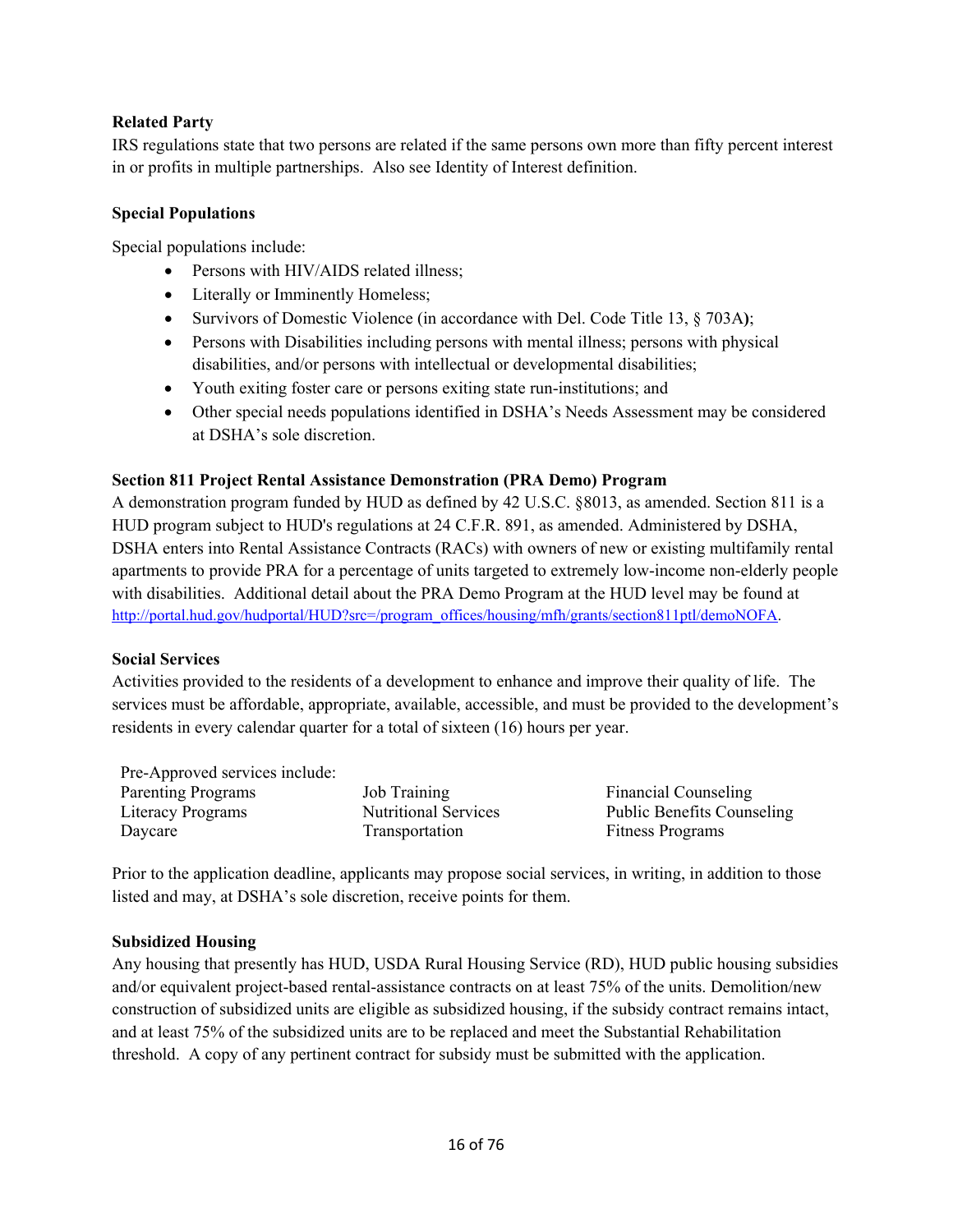## **Related Party**

IRS regulations state that two persons are related if the same persons own more than fifty percent interest in or profits in multiple partnerships. Also see Identity of Interest definition.

#### **Special Populations**

Special populations include:

- Persons with HIV/AIDS related illness;
- Literally or Imminently Homeless;
- Survivors of Domestic Violence (in accordance with Del. Code Title 13, § 703A**)**;
- Persons with Disabilities including persons with mental illness; persons with physical disabilities, and/or persons with intellectual or developmental disabilities;
- Youth exiting foster care or persons exiting state run-institutions; and
- Other special needs populations identified in DSHA's Needs Assessment may be considered at DSHA's sole discretion.

## **Section 811 Project Rental Assistance Demonstration (PRA Demo) Program**

A demonstration program funded by HUD as defined by 42 U.S.C. §8013, as amended. Section 811 is a HUD program subject to HUD's regulations at 24 C.F.R. 891, as amended. Administered by DSHA, DSHA enters into Rental Assistance Contracts (RACs) with owners of new or existing multifamily rental apartments to provide PRA for a percentage of units targeted to extremely low-income non-elderly people with disabilities. Additional detail about the PRA Demo Program at the HUD level may be found at http://portal.hud.gov/hudportal/HUD?src=/program\_offices/housing/mfh/grants/section811ptl/demoNOFA.

## **Social Services**

Activities provided to the residents of a development to enhance and improve their quality of life. The services must be affordable, appropriate, available, accessible, and must be provided to the development's residents in every calendar quarter for a total of sixteen (16) hours per year.

Pre-Approved services include: Parenting Programs 5 and Job Training Training Financial Counseling Literacy Programs Nutritional Services Public Benefits Counseling Daycare Transportation Fitness Programs

Prior to the application deadline, applicants may propose social services, in writing, in addition to those listed and may, at DSHA's sole discretion, receive points for them.

## **Subsidized Housing**

Any housing that presently has HUD, USDA Rural Housing Service (RD), HUD public housing subsidies and/or equivalent project-based rental-assistance contracts on at least 75% of the units. Demolition/new construction of subsidized units are eligible as subsidized housing, if the subsidy contract remains intact, and at least 75% of the subsidized units are to be replaced and meet the Substantial Rehabilitation threshold. A copy of any pertinent contract for subsidy must be submitted with the application.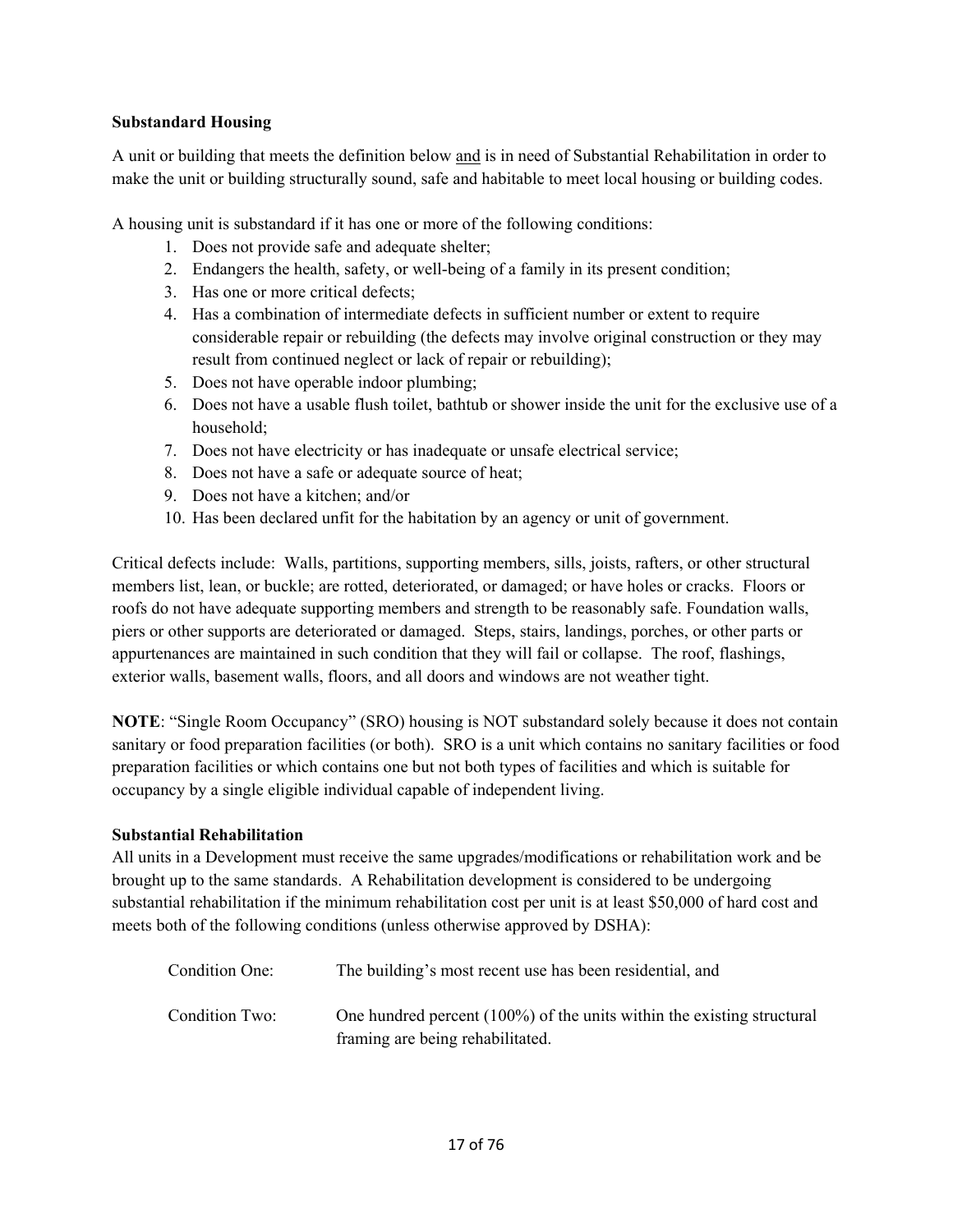#### **Substandard Housing**

A unit or building that meets the definition below and is in need of Substantial Rehabilitation in order to make the unit or building structurally sound, safe and habitable to meet local housing or building codes.

A housing unit is substandard if it has one or more of the following conditions:

- 1. Does not provide safe and adequate shelter;
- 2. Endangers the health, safety, or well-being of a family in its present condition;
- 3. Has one or more critical defects;
- 4. Has a combination of intermediate defects in sufficient number or extent to require considerable repair or rebuilding (the defects may involve original construction or they may result from continued neglect or lack of repair or rebuilding);
- 5. Does not have operable indoor plumbing;
- 6. Does not have a usable flush toilet, bathtub or shower inside the unit for the exclusive use of a household;
- 7. Does not have electricity or has inadequate or unsafe electrical service;
- 8. Does not have a safe or adequate source of heat;
- 9. Does not have a kitchen; and/or
- 10. Has been declared unfit for the habitation by an agency or unit of government.

Critical defects include: Walls, partitions, supporting members, sills, joists, rafters, or other structural members list, lean, or buckle; are rotted, deteriorated, or damaged; or have holes or cracks. Floors or roofs do not have adequate supporting members and strength to be reasonably safe. Foundation walls, piers or other supports are deteriorated or damaged. Steps, stairs, landings, porches, or other parts or appurtenances are maintained in such condition that they will fail or collapse. The roof, flashings, exterior walls, basement walls, floors, and all doors and windows are not weather tight.

**NOTE**: "Single Room Occupancy" (SRO) housing is NOT substandard solely because it does not contain sanitary or food preparation facilities (or both). SRO is a unit which contains no sanitary facilities or food preparation facilities or which contains one but not both types of facilities and which is suitable for occupancy by a single eligible individual capable of independent living.

## **Substantial Rehabilitation**

All units in a Development must receive the same upgrades/modifications or rehabilitation work and be brought up to the same standards. A Rehabilitation development is considered to be undergoing substantial rehabilitation if the minimum rehabilitation cost per unit is at least \$50,000 of hard cost and meets both of the following conditions (unless otherwise approved by DSHA):

| Condition One: | The building's most recent use has been residential, and                                                      |
|----------------|---------------------------------------------------------------------------------------------------------------|
| Condition Two: | One hundred percent $(100\%)$ of the units within the existing structural<br>framing are being rehabilitated. |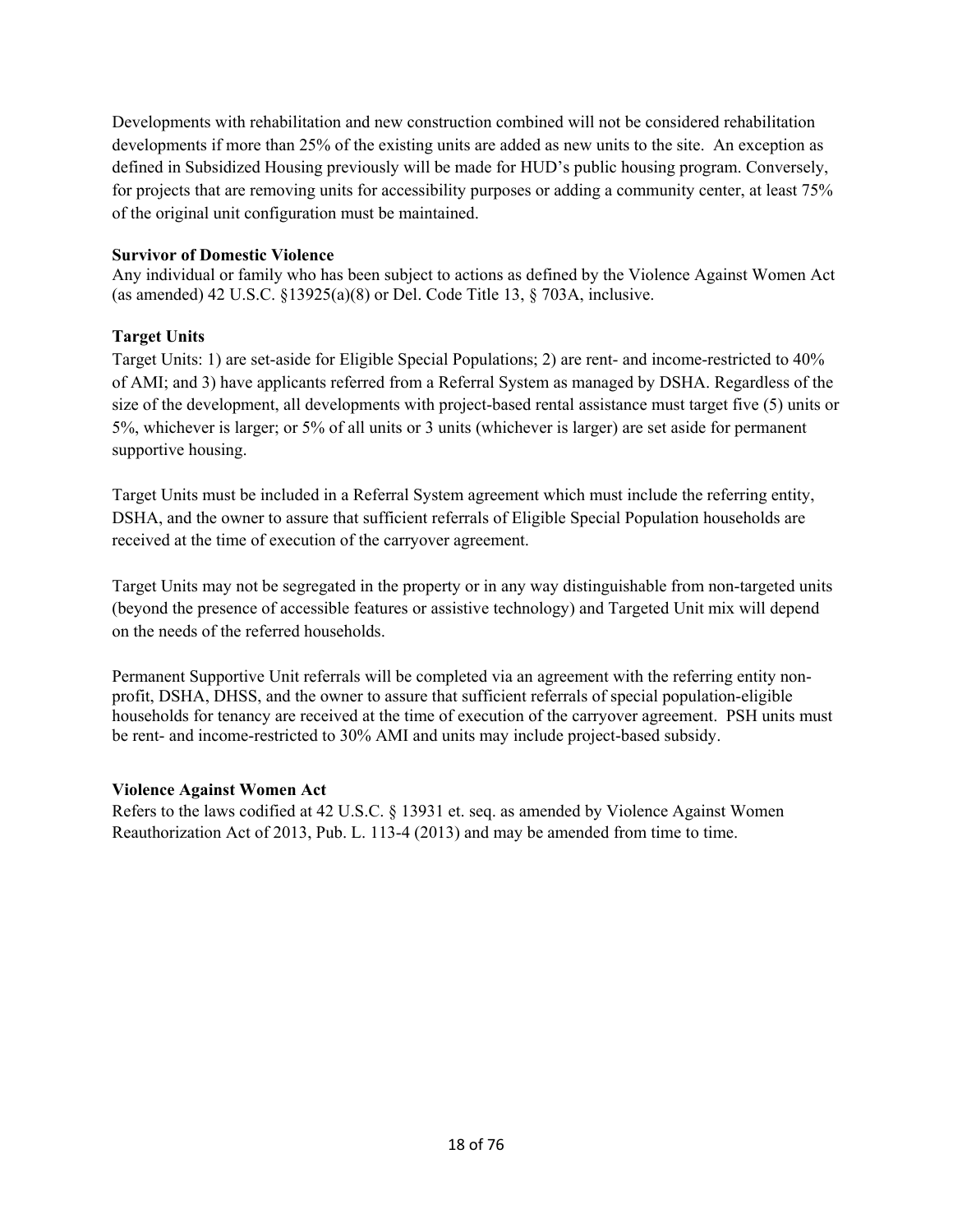Developments with rehabilitation and new construction combined will not be considered rehabilitation developments if more than 25% of the existing units are added as new units to the site. An exception as defined in Subsidized Housing previously will be made for HUD's public housing program. Conversely, for projects that are removing units for accessibility purposes or adding a community center, at least 75% of the original unit configuration must be maintained.

#### **Survivor of Domestic Violence**

Any individual or family who has been subject to actions as defined by the Violence Against Women Act (as amended) 42 U.S.C. §13925(a)(8) or Del. Code Title 13, § 703A, inclusive.

#### **Target Units**

Target Units: 1) are set-aside for Eligible Special Populations; 2) are rent- and income-restricted to 40% of AMI; and 3) have applicants referred from a Referral System as managed by DSHA. Regardless of the size of the development, all developments with project-based rental assistance must target five (5) units or 5%, whichever is larger; or 5% of all units or 3 units (whichever is larger) are set aside for permanent supportive housing.

Target Units must be included in a Referral System agreement which must include the referring entity, DSHA, and the owner to assure that sufficient referrals of Eligible Special Population households are received at the time of execution of the carryover agreement.

Target Units may not be segregated in the property or in any way distinguishable from non-targeted units (beyond the presence of accessible features or assistive technology) and Targeted Unit mix will depend on the needs of the referred households.

Permanent Supportive Unit referrals will be completed via an agreement with the referring entity nonprofit, DSHA, DHSS, and the owner to assure that sufficient referrals of special population-eligible households for tenancy are received at the time of execution of the carryover agreement. PSH units must be rent- and income-restricted to 30% AMI and units may include project-based subsidy.

#### **Violence Against Women Act**

Refers to the laws codified at 42 U.S.C. § 13931 et. seq. as amended by Violence Against Women Reauthorization Act of 2013, Pub. L. 113-4 (2013) and may be amended from time to time.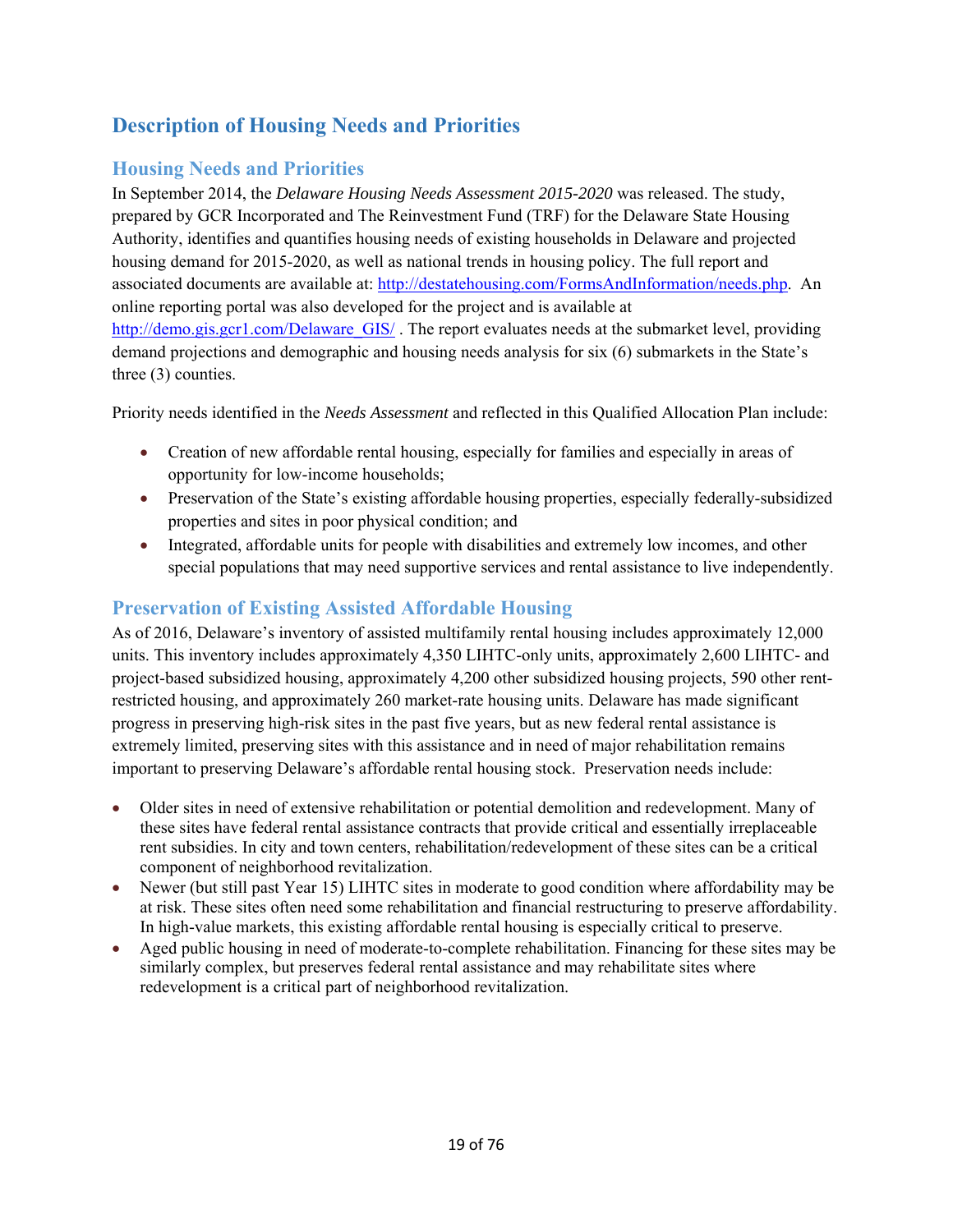# **Description of Housing Needs and Priorities**

# **Housing Needs and Priorities**

In September 2014, the *Delaware Housing Needs Assessment 2015-2020* was released. The study, prepared by GCR Incorporated and The Reinvestment Fund (TRF) for the Delaware State Housing Authority, identifies and quantifies housing needs of existing households in Delaware and projected housing demand for 2015-2020, as well as national trends in housing policy. The full report and associated documents are available at: http://destatehousing.com/FormsAndInformation/needs.php. An online reporting portal was also developed for the project and is available at http://demo.gis.gcr1.com/Delaware\_GIS/. The report evaluates needs at the submarket level, providing demand projections and demographic and housing needs analysis for six (6) submarkets in the State's three (3) counties.

Priority needs identified in the *Needs Assessment* and reflected in this Qualified Allocation Plan include:

- Creation of new affordable rental housing, especially for families and especially in areas of opportunity for low-income households;
- Preservation of the State's existing affordable housing properties, especially federally-subsidized properties and sites in poor physical condition; and
- Integrated, affordable units for people with disabilities and extremely low incomes, and other special populations that may need supportive services and rental assistance to live independently.

# **Preservation of Existing Assisted Affordable Housing**

As of 2016, Delaware's inventory of assisted multifamily rental housing includes approximately 12,000 units. This inventory includes approximately 4,350 LIHTC-only units, approximately 2,600 LIHTC- and project-based subsidized housing, approximately 4,200 other subsidized housing projects, 590 other rentrestricted housing, and approximately 260 market-rate housing units. Delaware has made significant progress in preserving high-risk sites in the past five years, but as new federal rental assistance is extremely limited, preserving sites with this assistance and in need of major rehabilitation remains important to preserving Delaware's affordable rental housing stock. Preservation needs include:

- Older sites in need of extensive rehabilitation or potential demolition and redevelopment. Many of these sites have federal rental assistance contracts that provide critical and essentially irreplaceable rent subsidies. In city and town centers, rehabilitation/redevelopment of these sites can be a critical component of neighborhood revitalization.
- Newer (but still past Year 15) LIHTC sites in moderate to good condition where affordability may be at risk. These sites often need some rehabilitation and financial restructuring to preserve affordability. In high-value markets, this existing affordable rental housing is especially critical to preserve.
- Aged public housing in need of moderate-to-complete rehabilitation. Financing for these sites may be similarly complex, but preserves federal rental assistance and may rehabilitate sites where redevelopment is a critical part of neighborhood revitalization.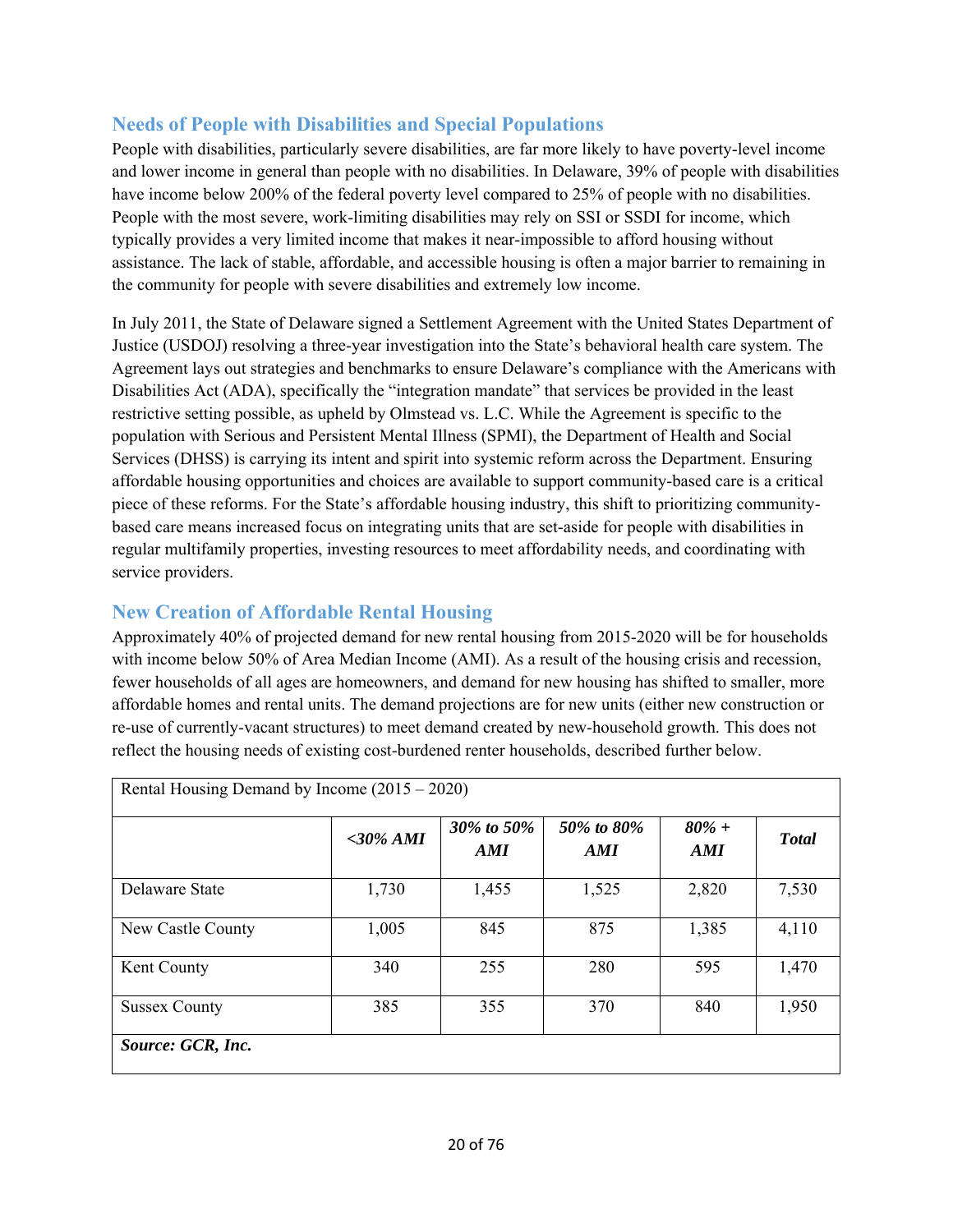# **Needs of People with Disabilities and Special Populations**

People with disabilities, particularly severe disabilities, are far more likely to have poverty-level income and lower income in general than people with no disabilities. In Delaware, 39% of people with disabilities have income below 200% of the federal poverty level compared to 25% of people with no disabilities. People with the most severe, work-limiting disabilities may rely on SSI or SSDI for income, which typically provides a very limited income that makes it near-impossible to afford housing without assistance. The lack of stable, affordable, and accessible housing is often a major barrier to remaining in the community for people with severe disabilities and extremely low income.

In July 2011, the State of Delaware signed a Settlement Agreement with the United States Department of Justice (USDOJ) resolving a three-year investigation into the State's behavioral health care system. The Agreement lays out strategies and benchmarks to ensure Delaware's compliance with the Americans with Disabilities Act (ADA), specifically the "integration mandate" that services be provided in the least restrictive setting possible, as upheld by Olmstead vs. L.C. While the Agreement is specific to the population with Serious and Persistent Mental Illness (SPMI), the Department of Health and Social Services (DHSS) is carrying its intent and spirit into systemic reform across the Department. Ensuring affordable housing opportunities and choices are available to support community-based care is a critical piece of these reforms. For the State's affordable housing industry, this shift to prioritizing communitybased care means increased focus on integrating units that are set-aside for people with disabilities in regular multifamily properties, investing resources to meet affordability needs, and coordinating with service providers.

# **New Creation of Affordable Rental Housing**

Approximately 40% of projected demand for new rental housing from 2015-2020 will be for households with income below 50% of Area Median Income (AMI). As a result of the housing crisis and recession, fewer households of all ages are homeowners, and demand for new housing has shifted to smaller, more affordable homes and rental units. The demand projections are for new units (either new construction or re-use of currently-vacant structures) to meet demand created by new-household growth. This does not reflect the housing needs of existing cost-burdened renter households, described further below.

| Rental Housing Demand by Income $(2015 - 2020)$ |             |                     |                     |                 |              |
|-------------------------------------------------|-------------|---------------------|---------------------|-----------------|--------------|
|                                                 | $<$ 30% AMI | 30\% to 50\%<br>AMI | 50\% to 80\%<br>AMI | $80\% +$<br>AMI | <b>Total</b> |
| Delaware State                                  | 1,730       | 1,455               | 1,525               | 2,820           | 7,530        |
| New Castle County                               | 1,005       | 845                 | 875                 | 1,385           | 4,110        |
| Kent County                                     | 340         | 255                 | 280                 | 595             | 1,470        |
| <b>Sussex County</b>                            | 385         | 355                 | 370                 | 840             | 1,950        |
| Source: GCR, Inc.                               |             |                     |                     |                 |              |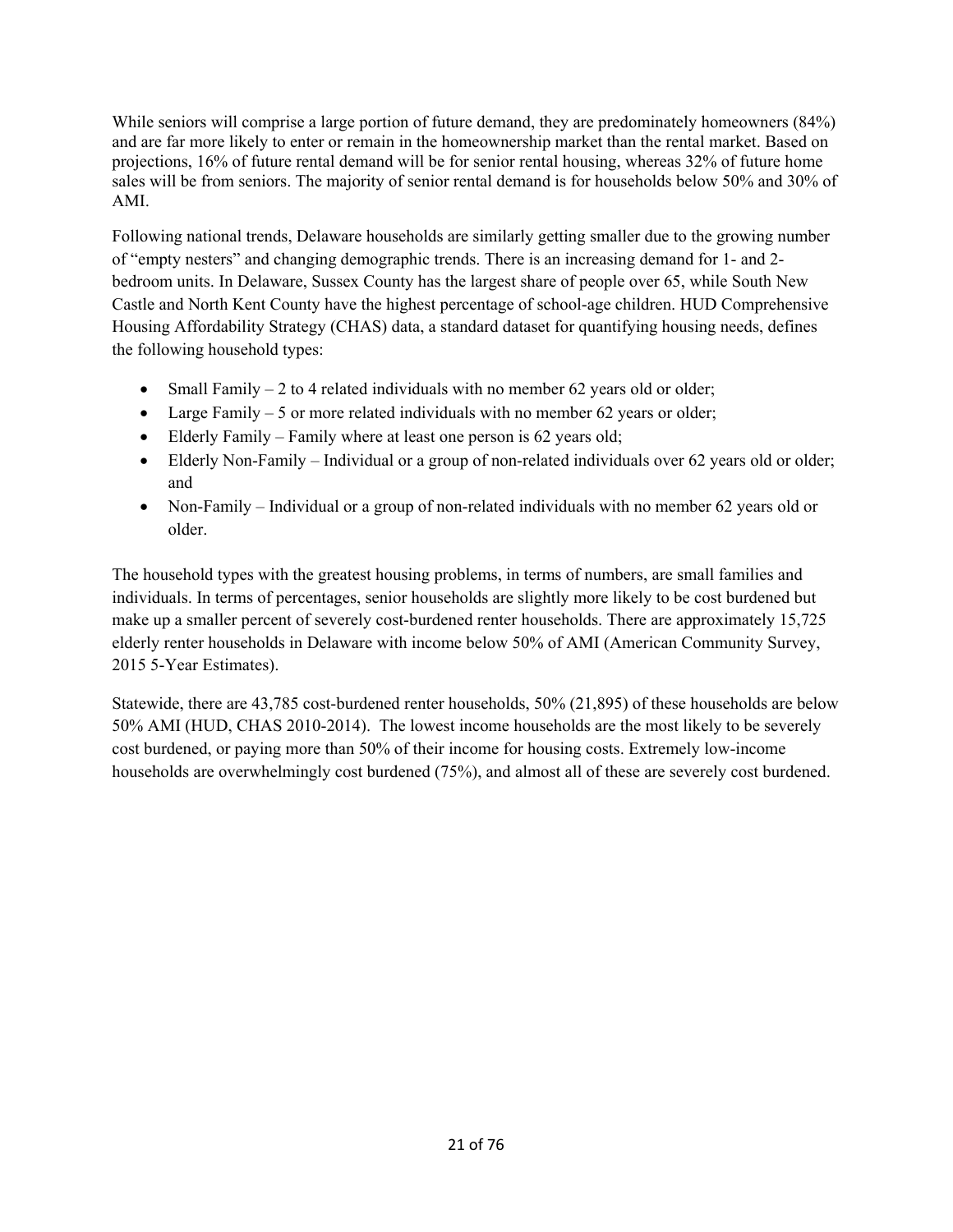While seniors will comprise a large portion of future demand, they are predominately homeowners  $(84%)$ and are far more likely to enter or remain in the homeownership market than the rental market. Based on projections, 16% of future rental demand will be for senior rental housing, whereas 32% of future home sales will be from seniors. The majority of senior rental demand is for households below 50% and 30% of AMI.

Following national trends, Delaware households are similarly getting smaller due to the growing number of "empty nesters" and changing demographic trends. There is an increasing demand for 1- and 2 bedroom units. In Delaware, Sussex County has the largest share of people over 65, while South New Castle and North Kent County have the highest percentage of school-age children. HUD Comprehensive Housing Affordability Strategy (CHAS) data, a standard dataset for quantifying housing needs, defines the following household types:

- Small Family  $-2$  to 4 related individuals with no member 62 years old or older;
- Large Family  $-5$  or more related individuals with no member 62 years or older;
- Elderly Family Family where at least one person is 62 years old;
- Elderly Non-Family Individual or a group of non-related individuals over 62 years old or older; and
- Non-Family Individual or a group of non-related individuals with no member 62 years old or older.

The household types with the greatest housing problems, in terms of numbers, are small families and individuals. In terms of percentages, senior households are slightly more likely to be cost burdened but make up a smaller percent of severely cost-burdened renter households. There are approximately 15,725 elderly renter households in Delaware with income below 50% of AMI (American Community Survey, 2015 5-Year Estimates).

Statewide, there are 43,785 cost-burdened renter households, 50% (21,895) of these households are below 50% AMI (HUD, CHAS 2010-2014). The lowest income households are the most likely to be severely cost burdened, or paying more than 50% of their income for housing costs. Extremely low-income households are overwhelmingly cost burdened (75%), and almost all of these are severely cost burdened.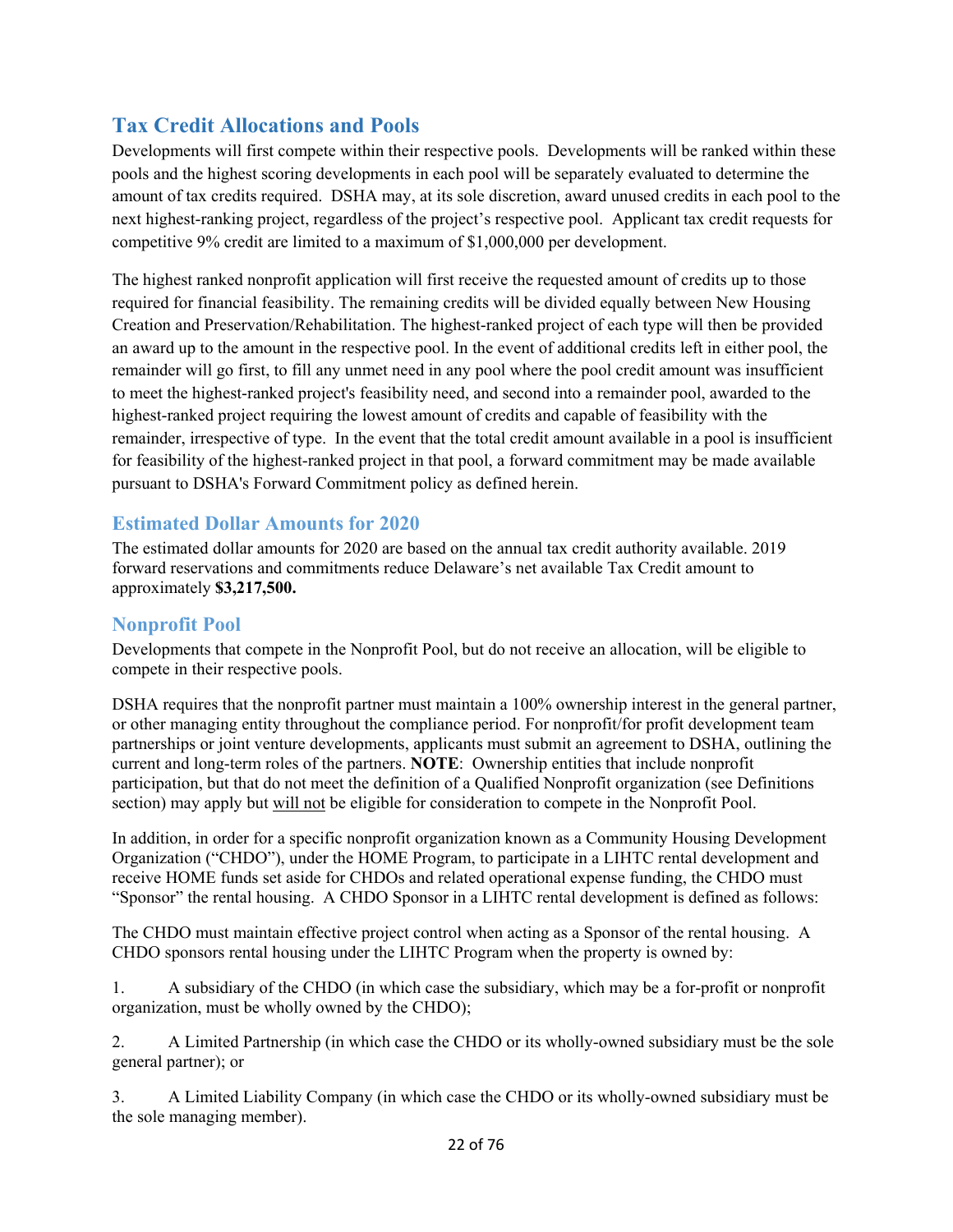# **Tax Credit Allocations and Pools**

Developments will first compete within their respective pools. Developments will be ranked within these pools and the highest scoring developments in each pool will be separately evaluated to determine the amount of tax credits required. DSHA may, at its sole discretion, award unused credits in each pool to the next highest-ranking project, regardless of the project's respective pool. Applicant tax credit requests for competitive 9% credit are limited to a maximum of \$1,000,000 per development.

The highest ranked nonprofit application will first receive the requested amount of credits up to those required for financial feasibility. The remaining credits will be divided equally between New Housing Creation and Preservation/Rehabilitation. The highest-ranked project of each type will then be provided an award up to the amount in the respective pool. In the event of additional credits left in either pool, the remainder will go first, to fill any unmet need in any pool where the pool credit amount was insufficient to meet the highest-ranked project's feasibility need, and second into a remainder pool, awarded to the highest-ranked project requiring the lowest amount of credits and capable of feasibility with the remainder, irrespective of type. In the event that the total credit amount available in a pool is insufficient for feasibility of the highest-ranked project in that pool, a forward commitment may be made available pursuant to DSHA's Forward Commitment policy as defined herein.

# **Estimated Dollar Amounts for 2020**

The estimated dollar amounts for 2020 are based on the annual tax credit authority available. 2019 forward reservations and commitments reduce Delaware's net available Tax Credit amount to approximately **\$3,217,500.** 

# **Nonprofit Pool**

Developments that compete in the Nonprofit Pool, but do not receive an allocation, will be eligible to compete in their respective pools.

DSHA requires that the nonprofit partner must maintain a 100% ownership interest in the general partner, or other managing entity throughout the compliance period. For nonprofit/for profit development team partnerships or joint venture developments, applicants must submit an agreement to DSHA, outlining the current and long-term roles of the partners. **NOTE**: Ownership entities that include nonprofit participation, but that do not meet the definition of a Qualified Nonprofit organization (see Definitions section) may apply but will not be eligible for consideration to compete in the Nonprofit Pool.

In addition, in order for a specific nonprofit organization known as a Community Housing Development Organization ("CHDO"), under the HOME Program, to participate in a LIHTC rental development and receive HOME funds set aside for CHDOs and related operational expense funding, the CHDO must "Sponsor" the rental housing. A CHDO Sponsor in a LIHTC rental development is defined as follows:

The CHDO must maintain effective project control when acting as a Sponsor of the rental housing. A CHDO sponsors rental housing under the LIHTC Program when the property is owned by:

1. A subsidiary of the CHDO (in which case the subsidiary, which may be a for-profit or nonprofit organization, must be wholly owned by the CHDO);

2. A Limited Partnership (in which case the CHDO or its wholly-owned subsidiary must be the sole general partner); or

3. A Limited Liability Company (in which case the CHDO or its wholly-owned subsidiary must be the sole managing member).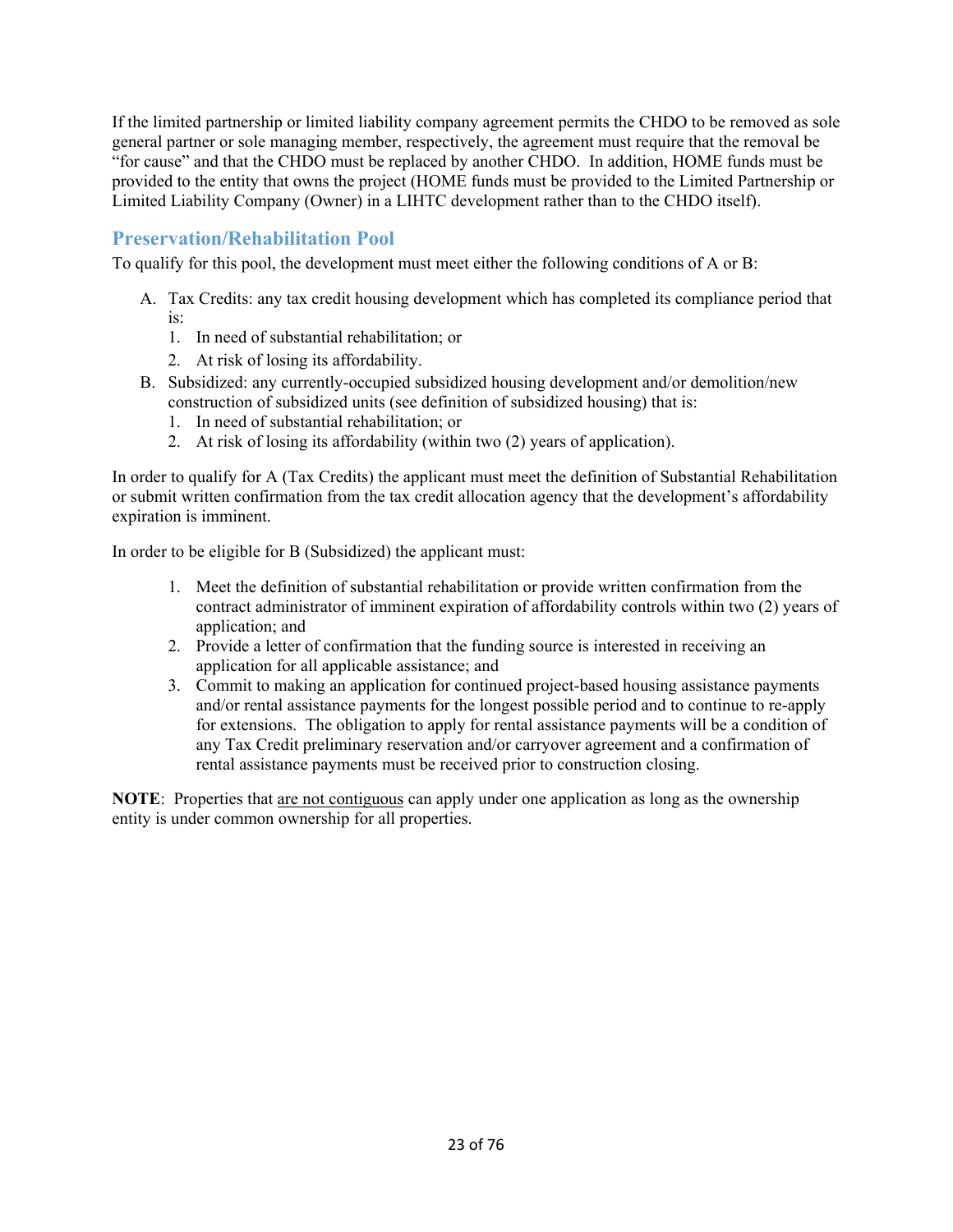If the limited partnership or limited liability company agreement permits the CHDO to be removed as sole general partner or sole managing member, respectively, the agreement must require that the removal be "for cause" and that the CHDO must be replaced by another CHDO. In addition, HOME funds must be provided to the entity that owns the project (HOME funds must be provided to the Limited Partnership or Limited Liability Company (Owner) in a LIHTC development rather than to the CHDO itself).

# **Preservation/Rehabilitation Pool**

To qualify for this pool, the development must meet either the following conditions of A or B:

- A. Tax Credits: any tax credit housing development which has completed its compliance period that is:
	- 1. In need of substantial rehabilitation; or
	- 2. At risk of losing its affordability.
- B. Subsidized: any currently-occupied subsidized housing development and/or demolition/new construction of subsidized units (see definition of subsidized housing) that is:
	- 1. In need of substantial rehabilitation; or
	- 2. At risk of losing its affordability (within two (2) years of application).

In order to qualify for A (Tax Credits) the applicant must meet the definition of Substantial Rehabilitation or submit written confirmation from the tax credit allocation agency that the development's affordability expiration is imminent.

In order to be eligible for B (Subsidized) the applicant must:

- 1. Meet the definition of substantial rehabilitation or provide written confirmation from the contract administrator of imminent expiration of affordability controls within two (2) years of application; and
- 2. Provide a letter of confirmation that the funding source is interested in receiving an application for all applicable assistance; and
- 3. Commit to making an application for continued project-based housing assistance payments and/or rental assistance payments for the longest possible period and to continue to re-apply for extensions. The obligation to apply for rental assistance payments will be a condition of any Tax Credit preliminary reservation and/or carryover agreement and a confirmation of rental assistance payments must be received prior to construction closing.

**NOTE**: Properties that are not contiguous can apply under one application as long as the ownership entity is under common ownership for all properties.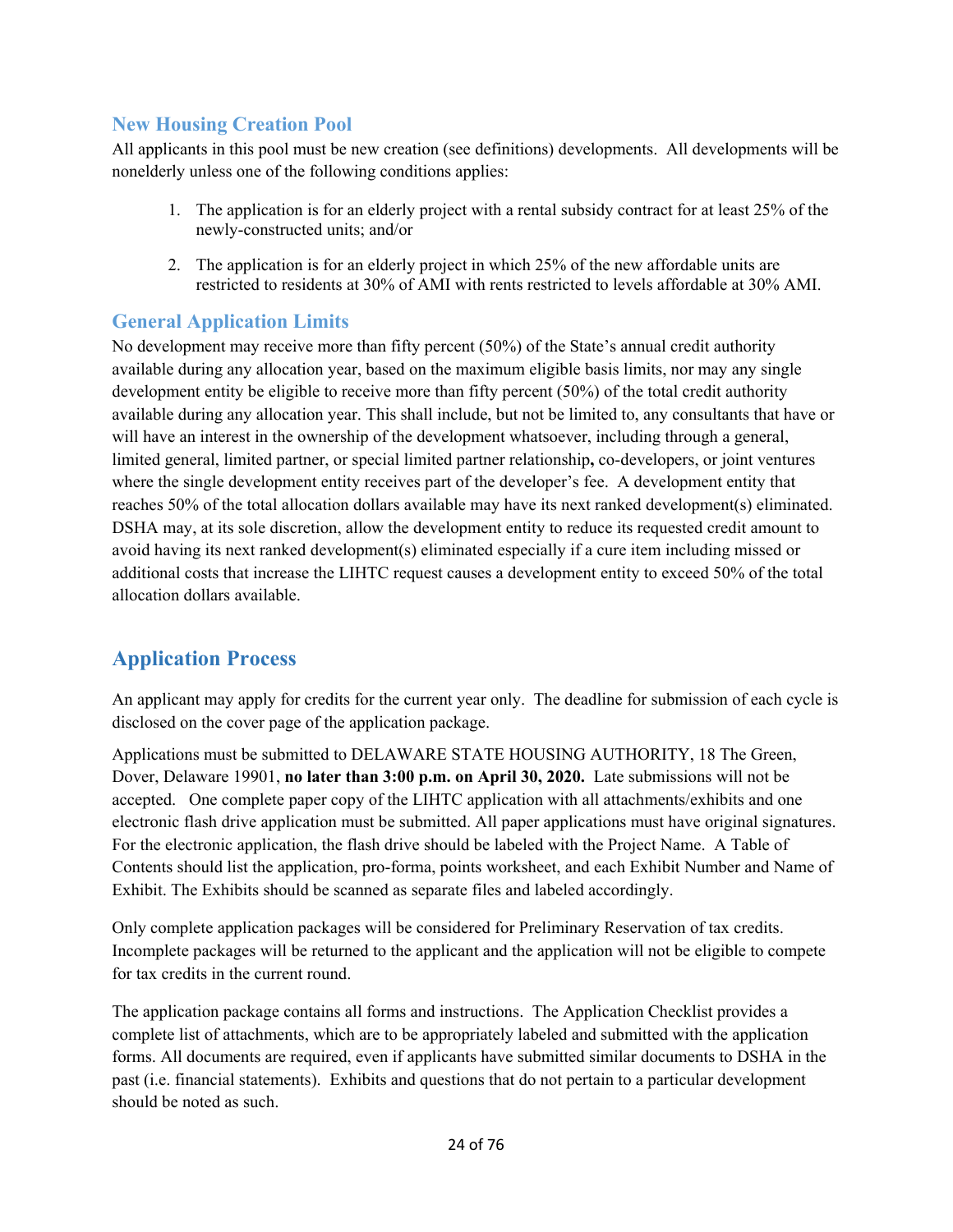# **New Housing Creation Pool**

All applicants in this pool must be new creation (see definitions) developments. All developments will be nonelderly unless one of the following conditions applies:

- 1. The application is for an elderly project with a rental subsidy contract for at least 25% of the newly-constructed units; and/or
- 2. The application is for an elderly project in which 25% of the new affordable units are restricted to residents at 30% of AMI with rents restricted to levels affordable at 30% AMI.

# **General Application Limits**

No development may receive more than fifty percent (50%) of the State's annual credit authority available during any allocation year, based on the maximum eligible basis limits, nor may any single development entity be eligible to receive more than fifty percent (50%) of the total credit authority available during any allocation year. This shall include, but not be limited to, any consultants that have or will have an interest in the ownership of the development whatsoever, including through a general, limited general, limited partner, or special limited partner relationship**,** co-developers, or joint ventures where the single development entity receives part of the developer's fee. A development entity that reaches 50% of the total allocation dollars available may have its next ranked development(s) eliminated. DSHA may, at its sole discretion, allow the development entity to reduce its requested credit amount to avoid having its next ranked development(s) eliminated especially if a cure item including missed or additional costs that increase the LIHTC request causes a development entity to exceed 50% of the total allocation dollars available.

# **Application Process**

An applicant may apply for credits for the current year only. The deadline for submission of each cycle is disclosed on the cover page of the application package.

Applications must be submitted to DELAWARE STATE HOUSING AUTHORITY, 18 The Green, Dover, Delaware 19901, **no later than 3:00 p.m. on April 30, 2020.** Late submissions will not be accepted. One complete paper copy of the LIHTC application with all attachments/exhibits and one electronic flash drive application must be submitted. All paper applications must have original signatures. For the electronic application, the flash drive should be labeled with the Project Name. A Table of Contents should list the application, pro-forma, points worksheet, and each Exhibit Number and Name of Exhibit. The Exhibits should be scanned as separate files and labeled accordingly.

Only complete application packages will be considered for Preliminary Reservation of tax credits. Incomplete packages will be returned to the applicant and the application will not be eligible to compete for tax credits in the current round.

The application package contains all forms and instructions. The Application Checklist provides a complete list of attachments, which are to be appropriately labeled and submitted with the application forms. All documents are required, even if applicants have submitted similar documents to DSHA in the past (i.e. financial statements). Exhibits and questions that do not pertain to a particular development should be noted as such.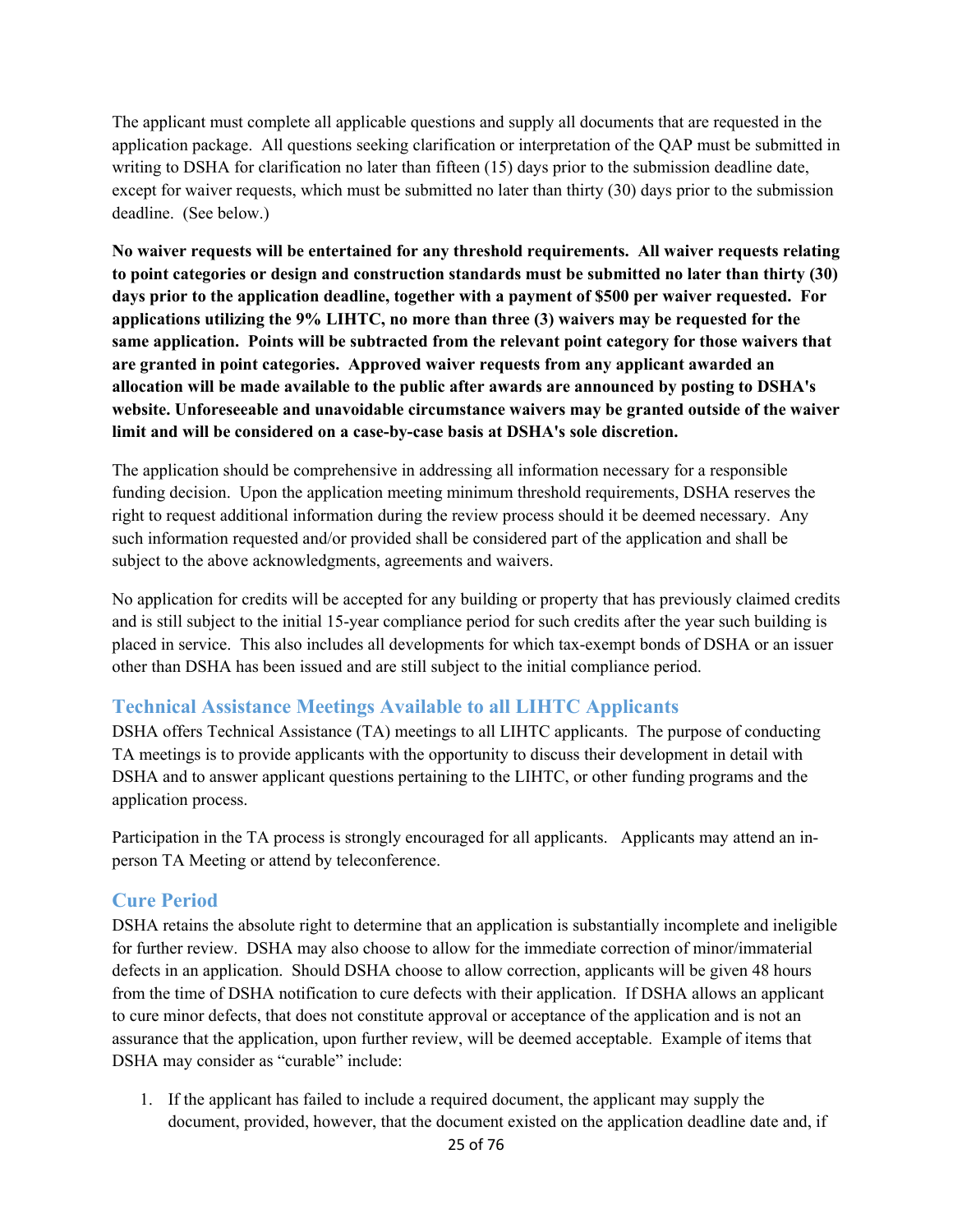The applicant must complete all applicable questions and supply all documents that are requested in the application package. All questions seeking clarification or interpretation of the QAP must be submitted in writing to DSHA for clarification no later than fifteen (15) days prior to the submission deadline date, except for waiver requests, which must be submitted no later than thirty (30) days prior to the submission deadline. (See below.)

**No waiver requests will be entertained for any threshold requirements. All waiver requests relating to point categories or design and construction standards must be submitted no later than thirty (30) days prior to the application deadline, together with a payment of \$500 per waiver requested. For applications utilizing the 9% LIHTC, no more than three (3) waivers may be requested for the same application. Points will be subtracted from the relevant point category for those waivers that are granted in point categories. Approved waiver requests from any applicant awarded an allocation will be made available to the public after awards are announced by posting to DSHA's website. Unforeseeable and unavoidable circumstance waivers may be granted outside of the waiver limit and will be considered on a case-by-case basis at DSHA's sole discretion.** 

The application should be comprehensive in addressing all information necessary for a responsible funding decision. Upon the application meeting minimum threshold requirements, DSHA reserves the right to request additional information during the review process should it be deemed necessary. Any such information requested and/or provided shall be considered part of the application and shall be subject to the above acknowledgments, agreements and waivers.

No application for credits will be accepted for any building or property that has previously claimed credits and is still subject to the initial 15-year compliance period for such credits after the year such building is placed in service. This also includes all developments for which tax-exempt bonds of DSHA or an issuer other than DSHA has been issued and are still subject to the initial compliance period.

# **Technical Assistance Meetings Available to all LIHTC Applicants**

DSHA offers Technical Assistance (TA) meetings to all LIHTC applicants. The purpose of conducting TA meetings is to provide applicants with the opportunity to discuss their development in detail with DSHA and to answer applicant questions pertaining to the LIHTC, or other funding programs and the application process.

Participation in the TA process is strongly encouraged for all applicants. Applicants may attend an inperson TA Meeting or attend by teleconference.

# **Cure Period**

DSHA retains the absolute right to determine that an application is substantially incomplete and ineligible for further review. DSHA may also choose to allow for the immediate correction of minor/immaterial defects in an application. Should DSHA choose to allow correction, applicants will be given 48 hours from the time of DSHA notification to cure defects with their application. If DSHA allows an applicant to cure minor defects, that does not constitute approval or acceptance of the application and is not an assurance that the application, upon further review, will be deemed acceptable. Example of items that DSHA may consider as "curable" include:

1. If the applicant has failed to include a required document, the applicant may supply the document, provided, however, that the document existed on the application deadline date and, if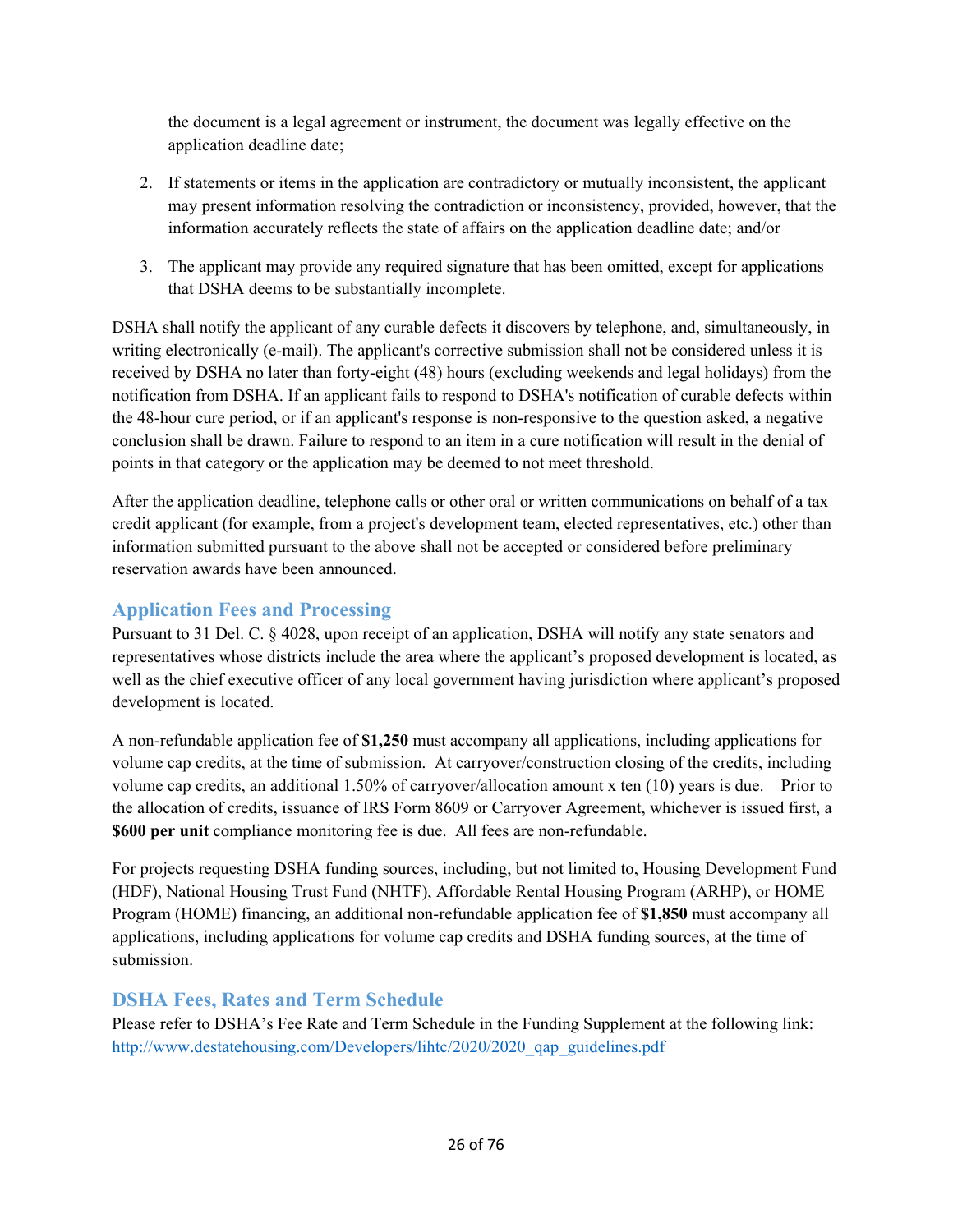the document is a legal agreement or instrument, the document was legally effective on the application deadline date;

- 2. If statements or items in the application are contradictory or mutually inconsistent, the applicant may present information resolving the contradiction or inconsistency, provided, however, that the information accurately reflects the state of affairs on the application deadline date; and/or
- 3. The applicant may provide any required signature that has been omitted, except for applications that DSHA deems to be substantially incomplete.

DSHA shall notify the applicant of any curable defects it discovers by telephone, and, simultaneously, in writing electronically (e-mail). The applicant's corrective submission shall not be considered unless it is received by DSHA no later than forty-eight (48) hours (excluding weekends and legal holidays) from the notification from DSHA. If an applicant fails to respond to DSHA's notification of curable defects within the 48-hour cure period, or if an applicant's response is non-responsive to the question asked, a negative conclusion shall be drawn. Failure to respond to an item in a cure notification will result in the denial of points in that category or the application may be deemed to not meet threshold.

After the application deadline, telephone calls or other oral or written communications on behalf of a tax credit applicant (for example, from a project's development team, elected representatives, etc.) other than information submitted pursuant to the above shall not be accepted or considered before preliminary reservation awards have been announced.

# **Application Fees and Processing**

Pursuant to 31 Del. C. § 4028, upon receipt of an application, DSHA will notify any state senators and representatives whose districts include the area where the applicant's proposed development is located, as well as the chief executive officer of any local government having jurisdiction where applicant's proposed development is located.

A non-refundable application fee of **\$1,250** must accompany all applications, including applications for volume cap credits, at the time of submission. At carryover/construction closing of the credits, including volume cap credits, an additional 1.50% of carryover/allocation amount x ten (10) years is due. Prior to the allocation of credits, issuance of IRS Form 8609 or Carryover Agreement, whichever is issued first, a **\$600 per unit** compliance monitoring fee is due. All fees are non-refundable.

For projects requesting DSHA funding sources, including, but not limited to, Housing Development Fund (HDF), National Housing Trust Fund (NHTF), Affordable Rental Housing Program (ARHP), or HOME Program (HOME) financing, an additional non-refundable application fee of **\$1,850** must accompany all applications, including applications for volume cap credits and DSHA funding sources, at the time of submission.

# **DSHA Fees, Rates and Term Schedule**

Please refer to DSHA's Fee Rate and Term Schedule in the Funding Supplement at the following link: http://www.destatehousing.com/Developers/lihtc/2020/2020\_qap\_guidelines.pdf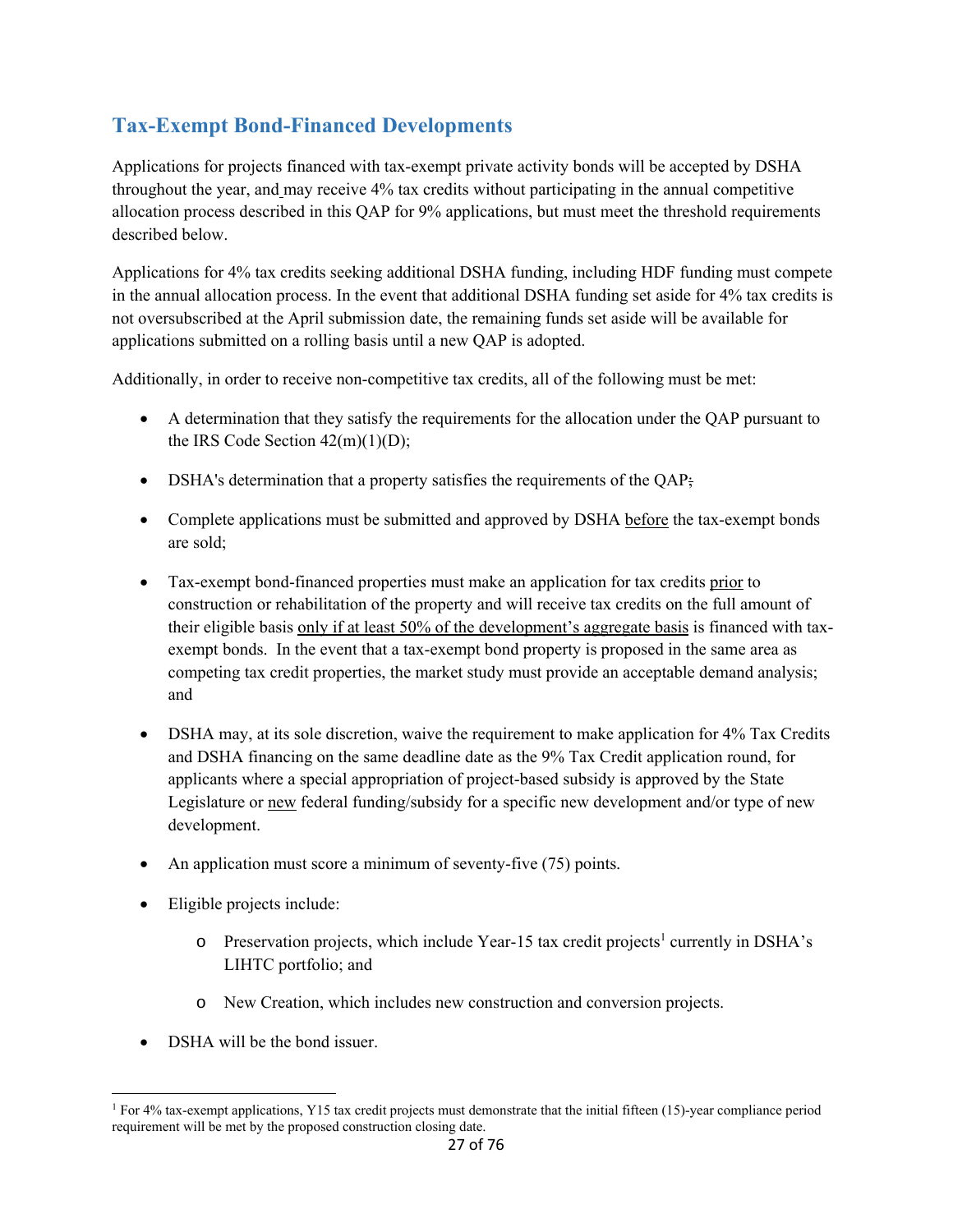# **Tax-Exempt Bond-Financed Developments**

Applications for projects financed with tax-exempt private activity bonds will be accepted by DSHA throughout the year, and may receive 4% tax credits without participating in the annual competitive allocation process described in this QAP for 9% applications, but must meet the threshold requirements described below.

Applications for 4% tax credits seeking additional DSHA funding, including HDF funding must compete in the annual allocation process. In the event that additional DSHA funding set aside for 4% tax credits is not oversubscribed at the April submission date, the remaining funds set aside will be available for applications submitted on a rolling basis until a new QAP is adopted.

Additionally, in order to receive non-competitive tax credits, all of the following must be met:

- A determination that they satisfy the requirements for the allocation under the QAP pursuant to the IRS Code Section  $42(m)(1)(D)$ ;
- DSHA's determination that a property satisfies the requirements of the QAP;
- Complete applications must be submitted and approved by DSHA before the tax-exempt bonds are sold;
- Tax-exempt bond-financed properties must make an application for tax credits prior to construction or rehabilitation of the property and will receive tax credits on the full amount of their eligible basis only if at least 50% of the development's aggregate basis is financed with taxexempt bonds. In the event that a tax-exempt bond property is proposed in the same area as competing tax credit properties, the market study must provide an acceptable demand analysis; and
- DSHA may, at its sole discretion, waive the requirement to make application for 4% Tax Credits and DSHA financing on the same deadline date as the 9% Tax Credit application round, for applicants where a special appropriation of project-based subsidy is approved by the State Legislature or new federal funding/subsidy for a specific new development and/or type of new development.
- An application must score a minimum of seventy-five (75) points.
- Eligible projects include:
	- o Preservation projects, which include Year-15 tax credit projects<sup>1</sup> currently in DSHA's LIHTC portfolio; and
	- o New Creation, which includes new construction and conversion projects.
- DSHA will be the bond issuer.

<sup>1</sup> For 4% tax-exempt applications, Y15 tax credit projects must demonstrate that the initial fifteen (15)-year compliance period requirement will be met by the proposed construction closing date.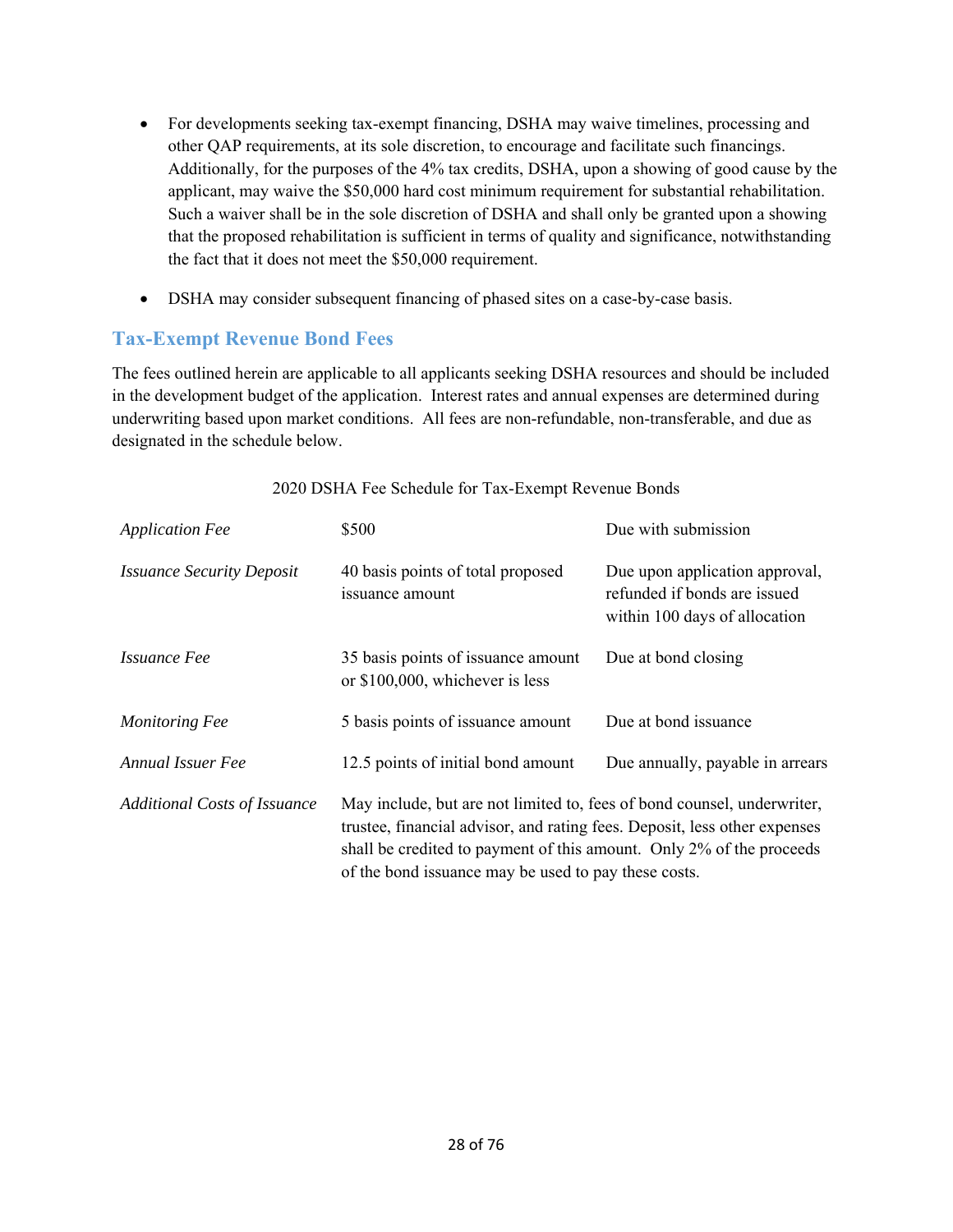- For developments seeking tax-exempt financing, DSHA may waive timelines, processing and other QAP requirements, at its sole discretion, to encourage and facilitate such financings. Additionally, for the purposes of the 4% tax credits, DSHA, upon a showing of good cause by the applicant, may waive the \$50,000 hard cost minimum requirement for substantial rehabilitation. Such a waiver shall be in the sole discretion of DSHA and shall only be granted upon a showing that the proposed rehabilitation is sufficient in terms of quality and significance, notwithstanding the fact that it does not meet the \$50,000 requirement.
- DSHA may consider subsequent financing of phased sites on a case-by-case basis.

# **Tax-Exempt Revenue Bond Fees**

The fees outlined herein are applicable to all applicants seeking DSHA resources and should be included in the development budget of the application. Interest rates and annual expenses are determined during underwriting based upon market conditions. All fees are non-refundable, non-transferable, and due as designated in the schedule below.

| <b>Application Fee</b>              | \$500                                                                                                                                                                                                                                                                                | Due with submission                                                                             |
|-------------------------------------|--------------------------------------------------------------------------------------------------------------------------------------------------------------------------------------------------------------------------------------------------------------------------------------|-------------------------------------------------------------------------------------------------|
| <b>Issuance Security Deposit</b>    | 40 basis points of total proposed<br>issuance amount                                                                                                                                                                                                                                 | Due upon application approval,<br>refunded if bonds are issued<br>within 100 days of allocation |
| <i><b>Issuance Fee</b></i>          | 35 basis points of issuance amount<br>or \$100,000, whichever is less                                                                                                                                                                                                                | Due at bond closing                                                                             |
| <b>Monitoring Fee</b>               | 5 basis points of issuance amount                                                                                                                                                                                                                                                    | Due at bond issuance                                                                            |
| Annual Issuer Fee                   | 12.5 points of initial bond amount                                                                                                                                                                                                                                                   | Due annually, payable in arrears                                                                |
| <b>Additional Costs of Issuance</b> | May include, but are not limited to, fees of bond counsel, underwriter,<br>trustee, financial advisor, and rating fees. Deposit, less other expenses<br>shall be credited to payment of this amount. Only 2% of the proceeds<br>of the bond issuance may be used to pay these costs. |                                                                                                 |

#### 2020 DSHA Fee Schedule for Tax-Exempt Revenue Bonds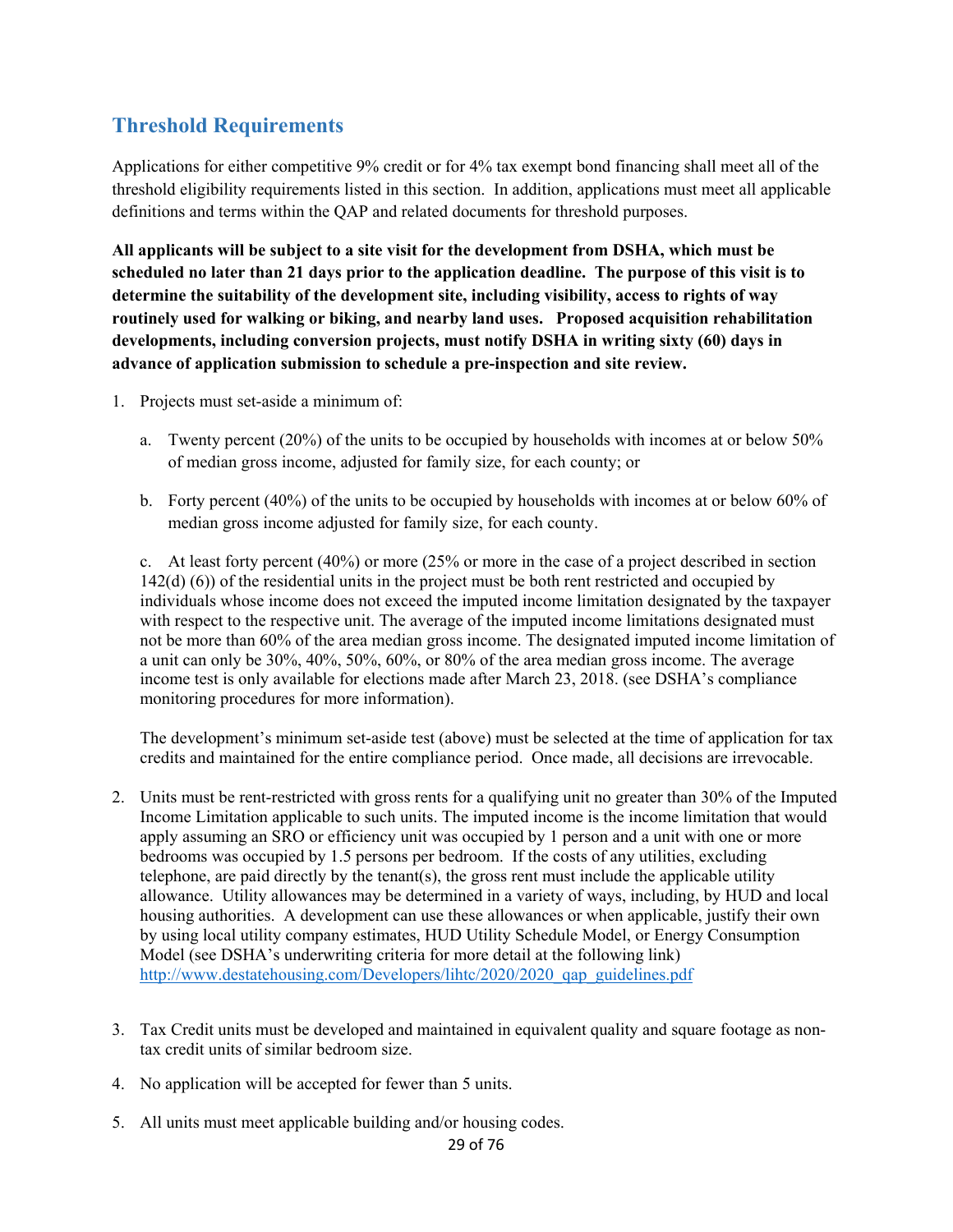# **Threshold Requirements**

Applications for either competitive 9% credit or for 4% tax exempt bond financing shall meet all of the threshold eligibility requirements listed in this section. In addition, applications must meet all applicable definitions and terms within the QAP and related documents for threshold purposes.

**All applicants will be subject to a site visit for the development from DSHA, which must be scheduled no later than 21 days prior to the application deadline. The purpose of this visit is to determine the suitability of the development site, including visibility, access to rights of way routinely used for walking or biking, and nearby land uses. Proposed acquisition rehabilitation developments, including conversion projects, must notify DSHA in writing sixty (60) days in advance of application submission to schedule a pre-inspection and site review.** 

- 1. Projects must set-aside a minimum of:
	- a. Twenty percent (20%) of the units to be occupied by households with incomes at or below 50% of median gross income, adjusted for family size, for each county; or
	- b. Forty percent (40%) of the units to be occupied by households with incomes at or below 60% of median gross income adjusted for family size, for each county.

c. At least forty percent (40%) or more (25% or more in the case of a project described in section 142(d) (6)) of the residential units in the project must be both rent restricted and occupied by individuals whose income does not exceed the imputed income limitation designated by the taxpayer with respect to the respective unit. The average of the imputed income limitations designated must not be more than 60% of the area median gross income. The designated imputed income limitation of a unit can only be 30%, 40%, 50%, 60%, or 80% of the area median gross income. The average income test is only available for elections made after March 23, 2018. (see DSHA's compliance monitoring procedures for more information).

The development's minimum set-aside test (above) must be selected at the time of application for tax credits and maintained for the entire compliance period. Once made, all decisions are irrevocable.

- 2. Units must be rent-restricted with gross rents for a qualifying unit no greater than 30% of the Imputed Income Limitation applicable to such units. The imputed income is the income limitation that would apply assuming an SRO or efficiency unit was occupied by 1 person and a unit with one or more bedrooms was occupied by 1.5 persons per bedroom. If the costs of any utilities, excluding telephone, are paid directly by the tenant(s), the gross rent must include the applicable utility allowance. Utility allowances may be determined in a variety of ways, including, by HUD and local housing authorities. A development can use these allowances or when applicable, justify their own by using local utility company estimates, HUD Utility Schedule Model, or Energy Consumption Model (see DSHA's underwriting criteria for more detail at the following link) http://www.destatehousing.com/Developers/lihtc/2020/2020\_qap\_guidelines.pdf
- 3. Tax Credit units must be developed and maintained in equivalent quality and square footage as nontax credit units of similar bedroom size.
- 4. No application will be accepted for fewer than 5 units.
- 5. All units must meet applicable building and/or housing codes.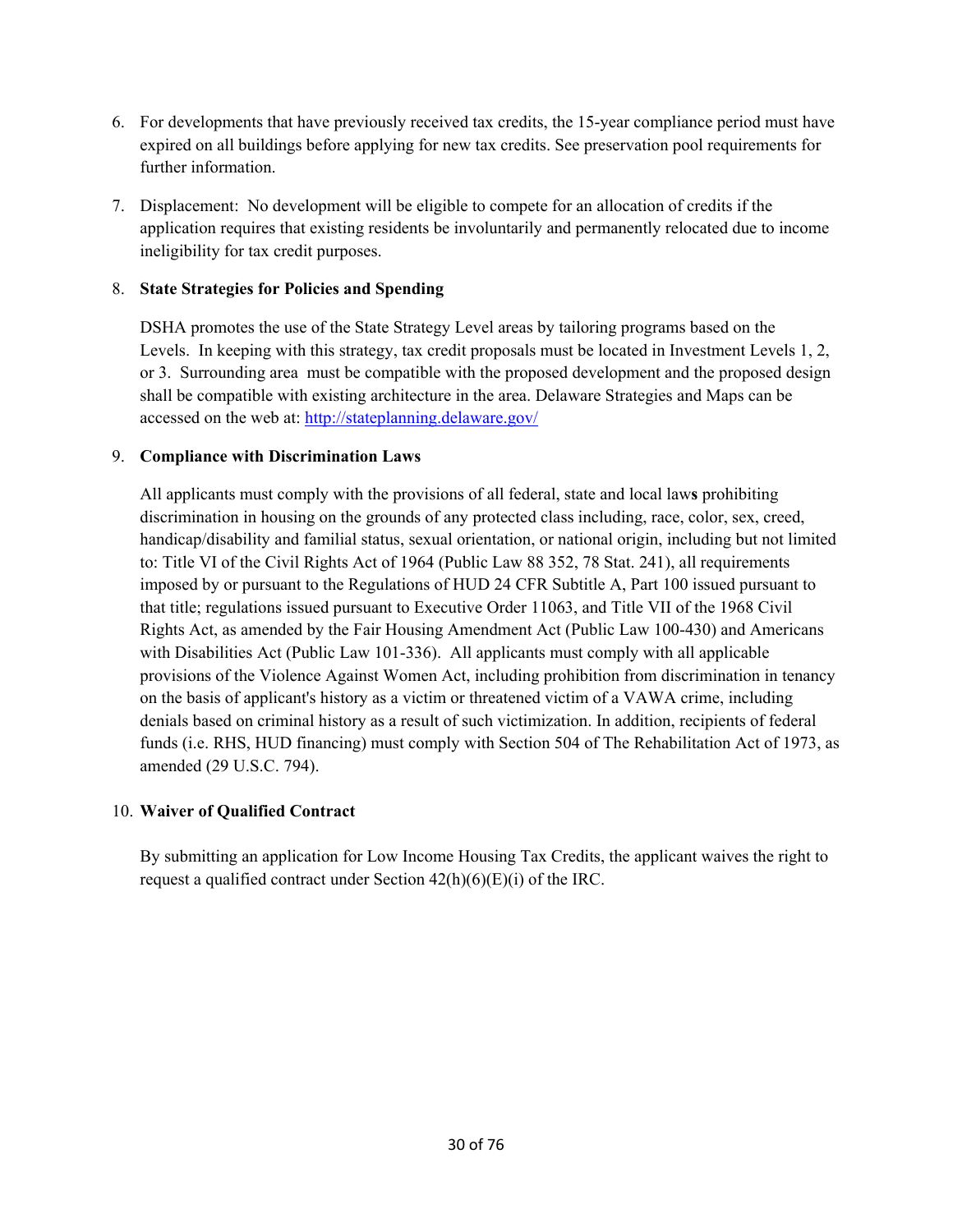- 6. For developments that have previously received tax credits, the 15-year compliance period must have expired on all buildings before applying for new tax credits. See preservation pool requirements for further information.
- 7. Displacement: No development will be eligible to compete for an allocation of credits if the application requires that existing residents be involuntarily and permanently relocated due to income ineligibility for tax credit purposes.

## 8. **State Strategies for Policies and Spending**

DSHA promotes the use of the State Strategy Level areas by tailoring programs based on the Levels. In keeping with this strategy, tax credit proposals must be located in Investment Levels 1, 2, or 3. Surrounding area must be compatible with the proposed development and the proposed design shall be compatible with existing architecture in the area. Delaware Strategies and Maps can be accessed on the web at: http://stateplanning.delaware.gov/

## 9. **Compliance with Discrimination Laws**

All applicants must comply with the provisions of all federal, state and local law**s** prohibiting discrimination in housing on the grounds of any protected class including, race, color, sex, creed, handicap/disability and familial status, sexual orientation, or national origin, including but not limited to: Title VI of the Civil Rights Act of 1964 (Public Law 88 352, 78 Stat. 241), all requirements imposed by or pursuant to the Regulations of HUD 24 CFR Subtitle A, Part 100 issued pursuant to that title; regulations issued pursuant to Executive Order 11063, and Title VII of the 1968 Civil Rights Act, as amended by the Fair Housing Amendment Act (Public Law 100-430) and Americans with Disabilities Act (Public Law 101-336). All applicants must comply with all applicable provisions of the Violence Against Women Act, including prohibition from discrimination in tenancy on the basis of applicant's history as a victim or threatened victim of a VAWA crime, including denials based on criminal history as a result of such victimization. In addition, recipients of federal funds (i.e. RHS, HUD financing) must comply with Section 504 of The Rehabilitation Act of 1973, as amended (29 U.S.C. 794).

## 10. **Waiver of Qualified Contract**

 By submitting an application for Low Income Housing Tax Credits, the applicant waives the right to request a qualified contract under Section  $42(h)(6)(E)(i)$  of the IRC.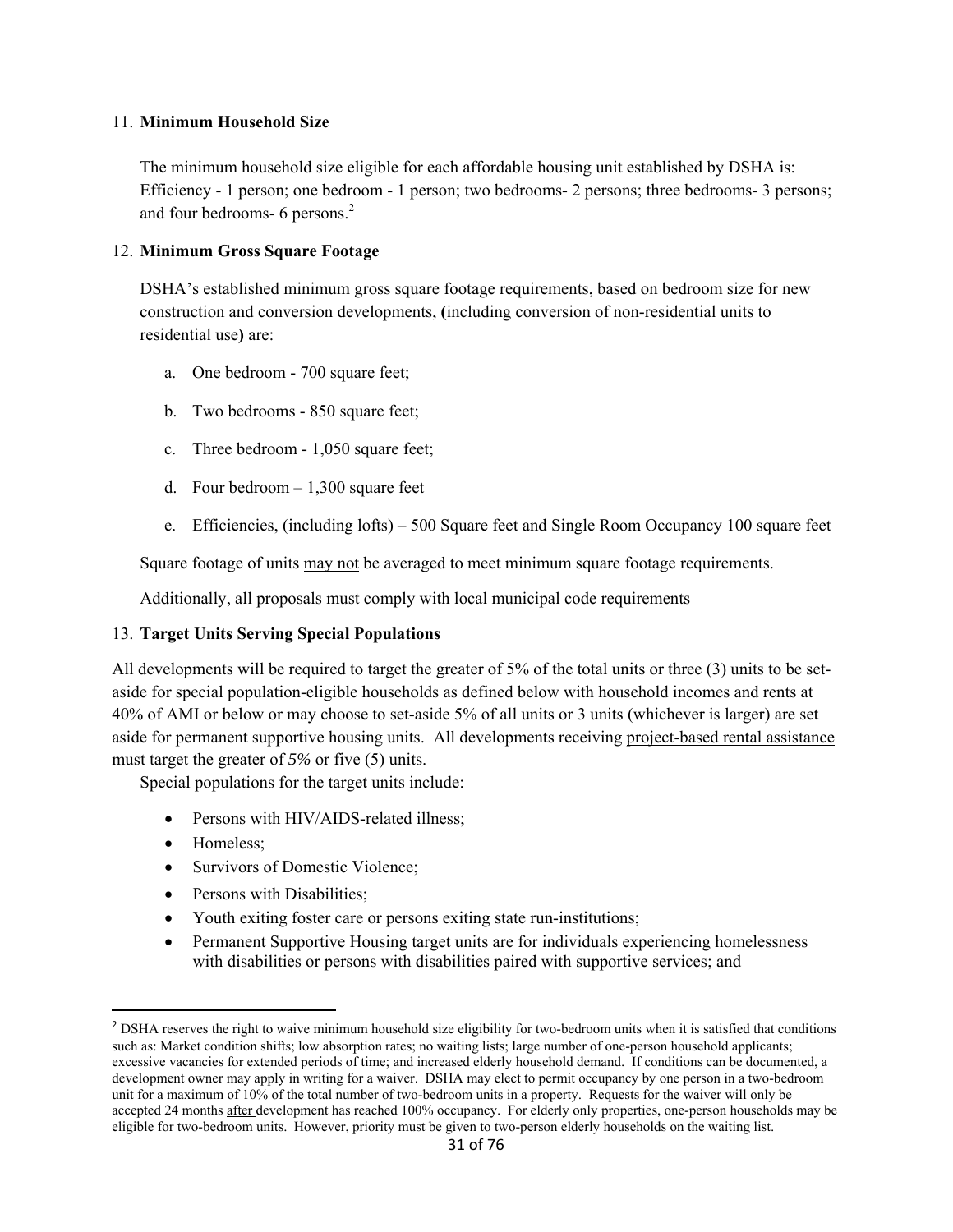#### 11. **Minimum Household Size**

 The minimum household size eligible for each affordable housing unit established by DSHA is: Efficiency - 1 person; one bedroom - 1 person; two bedrooms- 2 persons; three bedrooms- 3 persons; and four bedrooms- 6 persons.<sup>2</sup>

#### 12. **Minimum Gross Square Footage**

DSHA's established minimum gross square footage requirements, based on bedroom size for new construction and conversion developments, **(**including conversion of non-residential units to residential use**)** are:

- a. One bedroom 700 square feet;
- b. Two bedrooms 850 square feet;
- c. Three bedroom 1,050 square feet;
- d. Four bedroom  $-1,300$  square feet
- e. Efficiencies, (including lofts) 500 Square feet and Single Room Occupancy 100 square feet

Square footage of units may not be averaged to meet minimum square footage requirements.

Additionally, all proposals must comply with local municipal code requirements

#### 13. **Target Units Serving Special Populations**

All developments will be required to target the greater of 5% of the total units or three (3) units to be setaside for special population-eligible households as defined below with household incomes and rents at 40% of AMI or below or may choose to set-aside 5% of all units or 3 units (whichever is larger) are set aside for permanent supportive housing units. All developments receiving project-based rental assistance must target the greater of *5%* or five (5) units.

Special populations for the target units include:

- Persons with HIV/AIDS-related illness;
- Homeless:

- Survivors of Domestic Violence:
- Persons with Disabilities:
- Youth exiting foster care or persons exiting state run-institutions;
- Permanent Supportive Housing target units are for individuals experiencing homelessness with disabilities or persons with disabilities paired with supportive services; and

<sup>&</sup>lt;sup>2</sup> DSHA reserves the right to waive minimum household size eligibility for two-bedroom units when it is satisfied that conditions such as: Market condition shifts; low absorption rates; no waiting lists; large number of one-person household applicants; excessive vacancies for extended periods of time; and increased elderly household demand. If conditions can be documented, a development owner may apply in writing for a waiver. DSHA may elect to permit occupancy by one person in a two-bedroom unit for a maximum of 10% of the total number of two-bedroom units in a property. Requests for the waiver will only be accepted 24 months after development has reached 100% occupancy. For elderly only properties, one-person households may be eligible for two-bedroom units. However, priority must be given to two-person elderly households on the waiting list.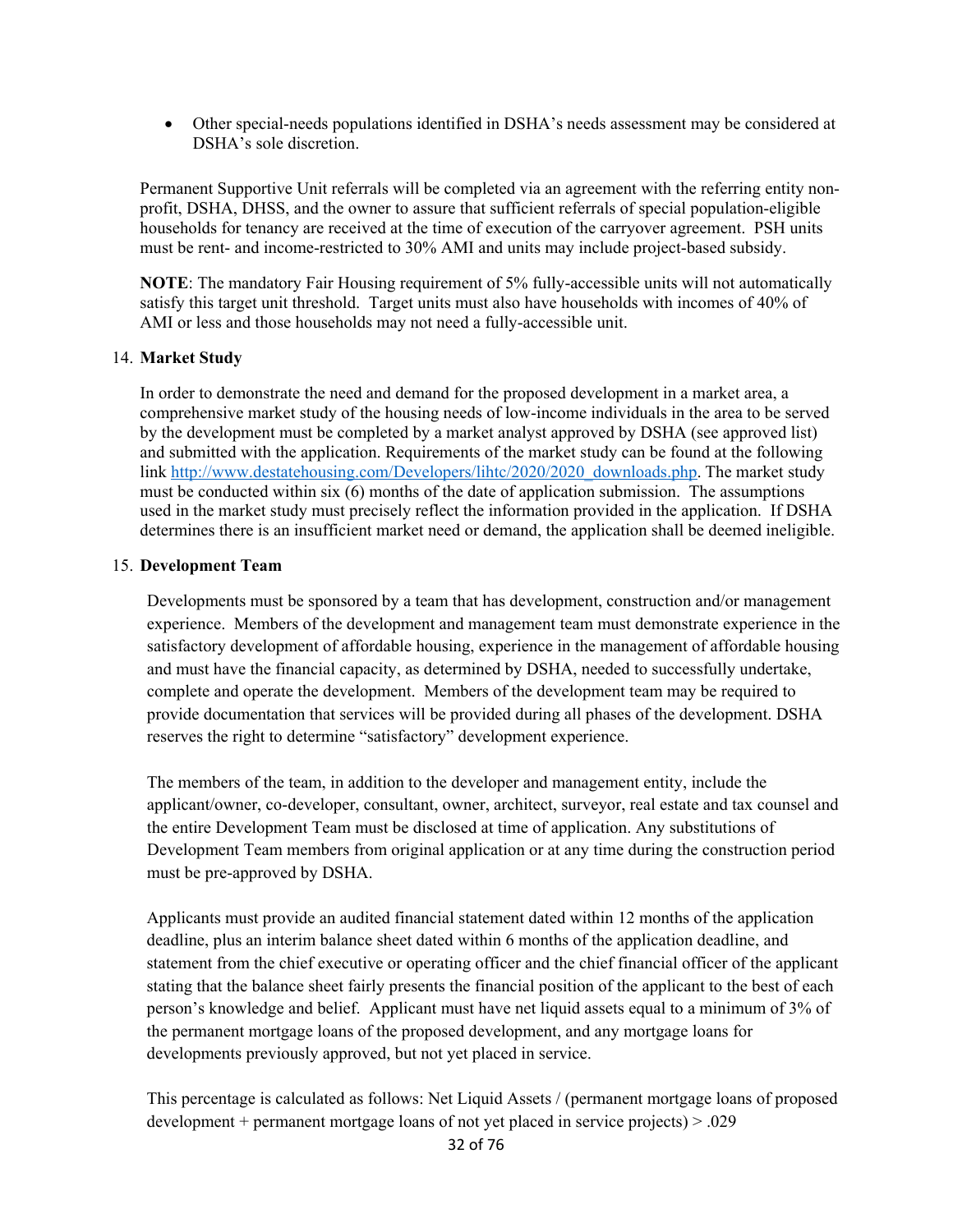Other special-needs populations identified in DSHA's needs assessment may be considered at DSHA's sole discretion.

Permanent Supportive Unit referrals will be completed via an agreement with the referring entity nonprofit, DSHA, DHSS, and the owner to assure that sufficient referrals of special population-eligible households for tenancy are received at the time of execution of the carryover agreement. PSH units must be rent- and income-restricted to 30% AMI and units may include project-based subsidy.

**NOTE**: The mandatory Fair Housing requirement of 5% fully-accessible units will not automatically satisfy this target unit threshold. Target units must also have households with incomes of 40% of AMI or less and those households may not need a fully-accessible unit.

#### 14. **Market Study**

In order to demonstrate the need and demand for the proposed development in a market area, a comprehensive market study of the housing needs of low-income individuals in the area to be served by the development must be completed by a market analyst approved by DSHA (see approved list) and submitted with the application. Requirements of the market study can be found at the following link http://www.destatehousing.com/Developers/lihtc/2020/2020\_downloads.php. The market study must be conducted within six (6) months of the date of application submission. The assumptions used in the market study must precisely reflect the information provided in the application. If DSHA determines there is an insufficient market need or demand, the application shall be deemed ineligible.

#### 15. **Development Team**

Developments must be sponsored by a team that has development, construction and/or management experience. Members of the development and management team must demonstrate experience in the satisfactory development of affordable housing, experience in the management of affordable housing and must have the financial capacity, as determined by DSHA, needed to successfully undertake, complete and operate the development. Members of the development team may be required to provide documentation that services will be provided during all phases of the development. DSHA reserves the right to determine "satisfactory" development experience.

The members of the team, in addition to the developer and management entity, include the applicant/owner, co-developer, consultant, owner, architect, surveyor, real estate and tax counsel and the entire Development Team must be disclosed at time of application. Any substitutions of Development Team members from original application or at any time during the construction period must be pre-approved by DSHA.

Applicants must provide an audited financial statement dated within 12 months of the application deadline, plus an interim balance sheet dated within 6 months of the application deadline, and statement from the chief executive or operating officer and the chief financial officer of the applicant stating that the balance sheet fairly presents the financial position of the applicant to the best of each person's knowledge and belief. Applicant must have net liquid assets equal to a minimum of 3% of the permanent mortgage loans of the proposed development, and any mortgage loans for developments previously approved, but not yet placed in service.

This percentage is calculated as follows: Net Liquid Assets / (permanent mortgage loans of proposed development + permanent mortgage loans of not yet placed in service projects) > .029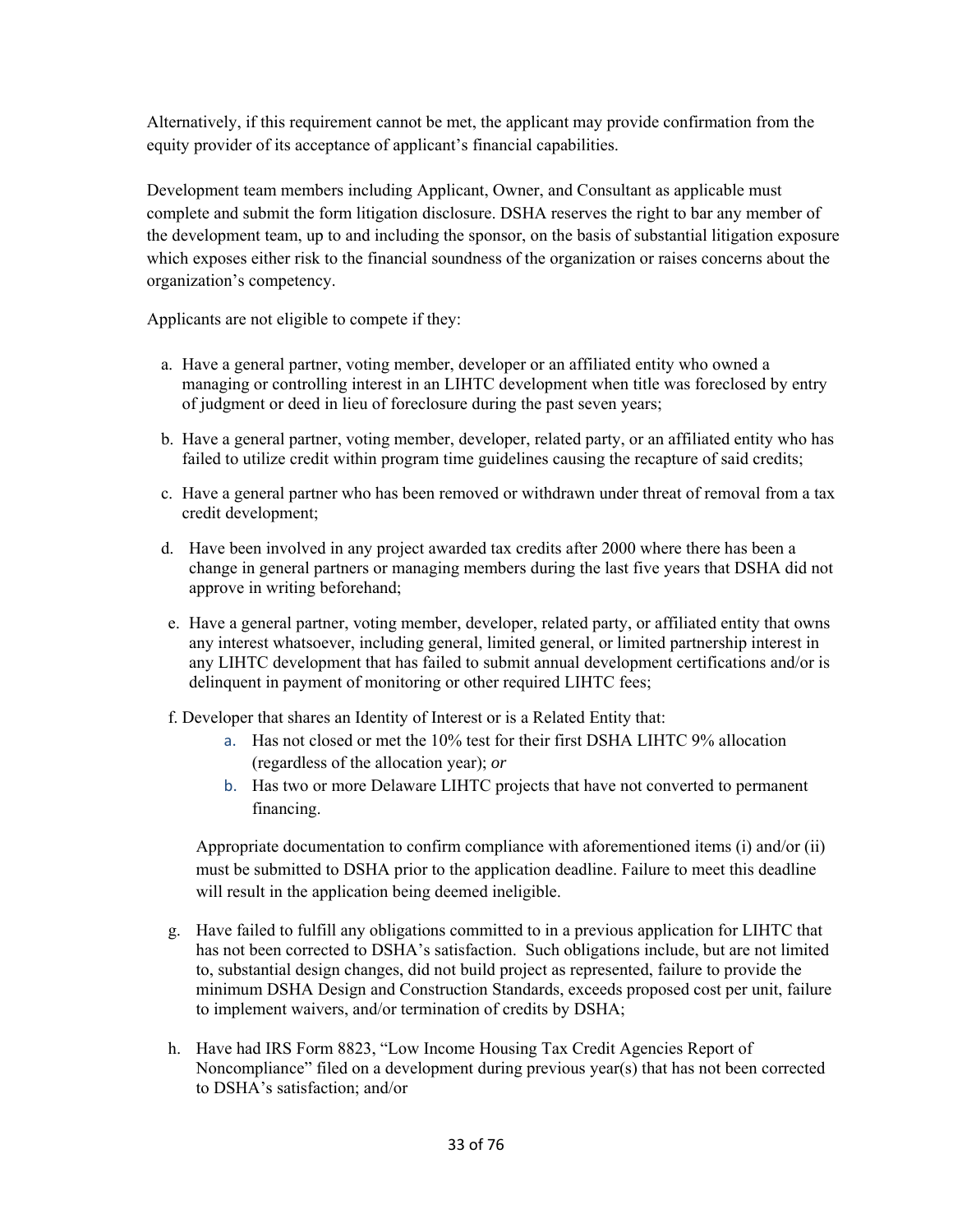Alternatively, if this requirement cannot be met, the applicant may provide confirmation from the equity provider of its acceptance of applicant's financial capabilities.

Development team members including Applicant, Owner, and Consultant as applicable must complete and submit the form litigation disclosure. DSHA reserves the right to bar any member of the development team, up to and including the sponsor, on the basis of substantial litigation exposure which exposes either risk to the financial soundness of the organization or raises concerns about the organization's competency.

Applicants are not eligible to compete if they:

- a. Have a general partner, voting member, developer or an affiliated entity who owned a managing or controlling interest in an LIHTC development when title was foreclosed by entry of judgment or deed in lieu of foreclosure during the past seven years;
- b. Have a general partner, voting member, developer, related party, or an affiliated entity who has failed to utilize credit within program time guidelines causing the recapture of said credits;
- c. Have a general partner who has been removed or withdrawn under threat of removal from a tax credit development;
- d. Have been involved in any project awarded tax credits after 2000 where there has been a change in general partners or managing members during the last five years that DSHA did not approve in writing beforehand;
- e. Have a general partner, voting member, developer, related party, or affiliated entity that owns any interest whatsoever, including general, limited general, or limited partnership interest in any LIHTC development that has failed to submit annual development certifications and/or is delinquent in payment of monitoring or other required LIHTC fees;
- f. Developer that shares an Identity of Interest or is a Related Entity that:
	- a. Has not closed or met the 10% test for their first DSHA LIHTC 9% allocation (regardless of the allocation year); *or*
	- b. Has two or more Delaware LIHTC projects that have not converted to permanent financing.

Appropriate documentation to confirm compliance with aforementioned items (i) and/or (ii) must be submitted to DSHA prior to the application deadline. Failure to meet this deadline will result in the application being deemed ineligible.

- g. Have failed to fulfill any obligations committed to in a previous application for LIHTC that has not been corrected to DSHA's satisfaction. Such obligations include, but are not limited to, substantial design changes, did not build project as represented, failure to provide the minimum DSHA Design and Construction Standards, exceeds proposed cost per unit, failure to implement waivers, and/or termination of credits by DSHA;
- h. Have had IRS Form 8823, "Low Income Housing Tax Credit Agencies Report of Noncompliance" filed on a development during previous year(s) that has not been corrected to DSHA's satisfaction; and/or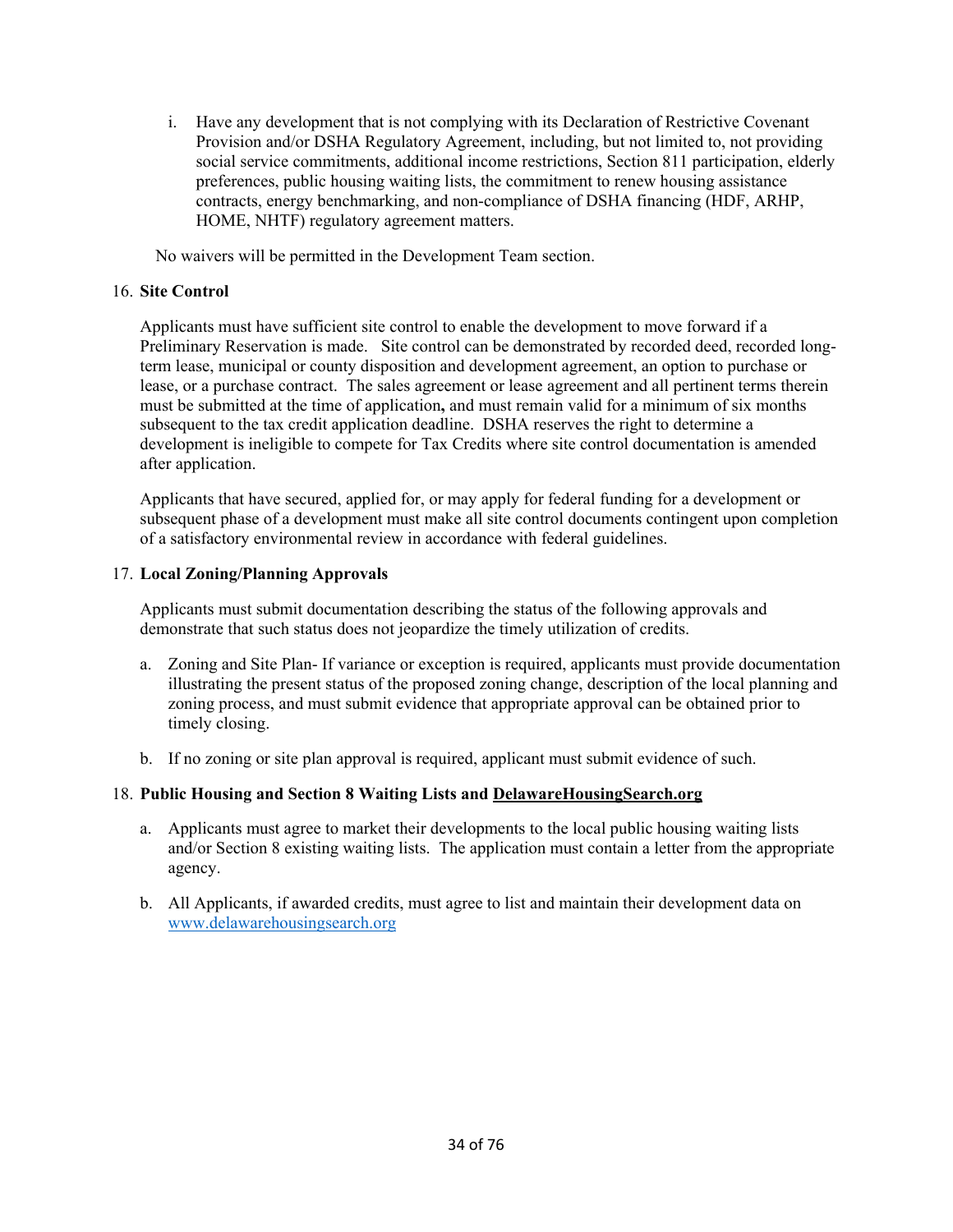i. Have any development that is not complying with its Declaration of Restrictive Covenant Provision and/or DSHA Regulatory Agreement, including, but not limited to, not providing social service commitments, additional income restrictions, Section 811 participation, elderly preferences, public housing waiting lists, the commitment to renew housing assistance contracts, energy benchmarking, and non-compliance of DSHA financing (HDF, ARHP, HOME, NHTF) regulatory agreement matters.

No waivers will be permitted in the Development Team section.

#### 16. **Site Control**

Applicants must have sufficient site control to enable the development to move forward if a Preliminary Reservation is made. Site control can be demonstrated by recorded deed, recorded longterm lease, municipal or county disposition and development agreement, an option to purchase or lease, or a purchase contract. The sales agreement or lease agreement and all pertinent terms therein must be submitted at the time of application**,** and must remain valid for a minimum of six months subsequent to the tax credit application deadline.DSHA reserves the right to determine a development is ineligible to compete for Tax Credits where site control documentation is amended after application.

Applicants that have secured, applied for, or may apply for federal funding for a development or subsequent phase of a development must make all site control documents contingent upon completion of a satisfactory environmental review in accordance with federal guidelines.

#### 17. **Local Zoning/Planning Approvals**

Applicants must submit documentation describing the status of the following approvals and demonstrate that such status does not jeopardize the timely utilization of credits.

- a. Zoning and Site Plan- If variance or exception is required, applicants must provide documentation illustrating the present status of the proposed zoning change, description of the local planning and zoning process, and must submit evidence that appropriate approval can be obtained prior to timely closing.
- b. If no zoning or site plan approval is required, applicant must submit evidence of such.

## 18. **Public Housing and Section 8 Waiting Lists and DelawareHousingSearch.org**

- a. Applicants must agree to market their developments to the local public housing waiting lists and/or Section 8 existing waiting lists. The application must contain a letter from the appropriate agency.
- b. All Applicants, if awarded credits, must agree to list and maintain their development data on www.delawarehousingsearch.org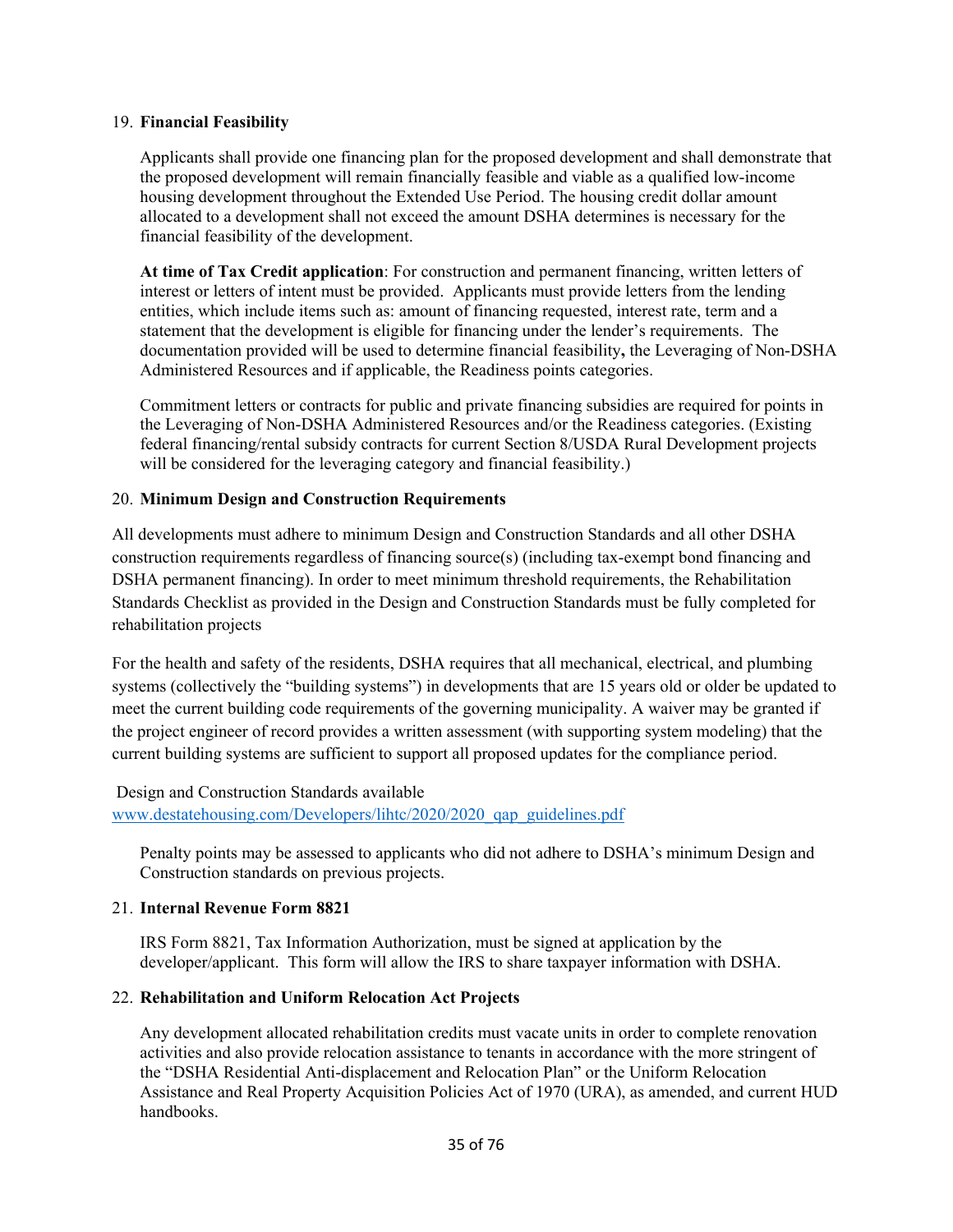#### 19. **Financial Feasibility**

Applicants shall provide one financing plan for the proposed development and shall demonstrate that the proposed development will remain financially feasible and viable as a qualified low-income housing development throughout the Extended Use Period. The housing credit dollar amount allocated to a development shall not exceed the amount DSHA determines is necessary for the financial feasibility of the development.

**At time of Tax Credit application**: For construction and permanent financing, written letters of interest or letters of intent must be provided. Applicants must provide letters from the lending entities, which include items such as: amount of financing requested, interest rate, term and a statement that the development is eligible for financing under the lender's requirements. The documentation provided will be used to determine financial feasibility**,** the Leveraging of Non-DSHA Administered Resources and if applicable, the Readiness points categories.

Commitment letters or contracts for public and private financing subsidies are required for points in the Leveraging of Non-DSHA Administered Resources and/or the Readiness categories. (Existing federal financing/rental subsidy contracts for current Section 8/USDA Rural Development projects will be considered for the leveraging category and financial feasibility.)

#### 20. **Minimum Design and Construction Requirements**

All developments must adhere to minimum Design and Construction Standards and all other DSHA construction requirements regardless of financing source(s) (including tax-exempt bond financing and DSHA permanent financing). In order to meet minimum threshold requirements, the Rehabilitation Standards Checklist as provided in the Design and Construction Standards must be fully completed for rehabilitation projects

For the health and safety of the residents, DSHA requires that all mechanical, electrical, and plumbing systems (collectively the "building systems") in developments that are 15 years old or older be updated to meet the current building code requirements of the governing municipality. A waiver may be granted if the project engineer of record provides a written assessment (with supporting system modeling) that the current building systems are sufficient to support all proposed updates for the compliance period.

## Design and Construction Standards available www.destatehousing.com/Developers/lihtc/2020/2020\_qap\_guidelines.pdf

Penalty points may be assessed to applicants who did not adhere to DSHA's minimum Design and Construction standards on previous projects.

#### 21. **Internal Revenue Form 8821**

IRS Form 8821, Tax Information Authorization, must be signed at application by the developer/applicant. This form will allow the IRS to share taxpayer information with DSHA.

## 22. **Rehabilitation and Uniform Relocation Act Projects**

Any development allocated rehabilitation credits must vacate units in order to complete renovation activities and also provide relocation assistance to tenants in accordance with the more stringent of the "DSHA Residential Anti-displacement and Relocation Plan" or the Uniform Relocation Assistance and Real Property Acquisition Policies Act of 1970 (URA), as amended, and current HUD handbooks.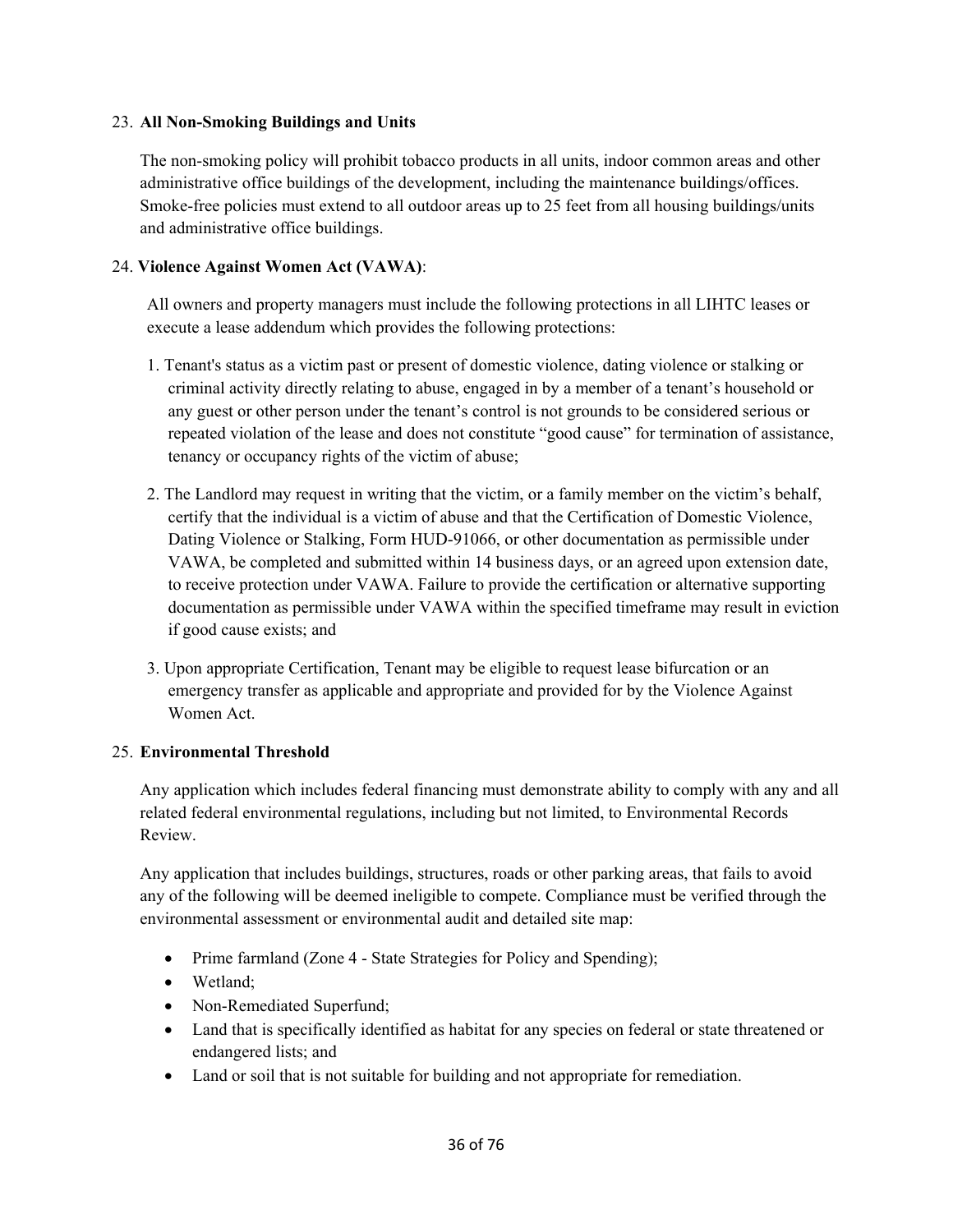## 23. **All Non-Smoking Buildings and Units**

The non-smoking policy will prohibit tobacco products in all units, indoor common areas and other administrative office buildings of the development, including the maintenance buildings/offices. Smoke-free policies must extend to all outdoor areas up to 25 feet from all housing buildings/units and administrative office buildings.

## 24. **Violence Against Women Act (VAWA)**:

All owners and property managers must include the following protections in all LIHTC leases or execute a lease addendum which provides the following protections:

- 1. Tenant's status as a victim past or present of domestic violence, dating violence or stalking or criminal activity directly relating to abuse, engaged in by a member of a tenant's household or any guest or other person under the tenant's control is not grounds to be considered serious or repeated violation of the lease and does not constitute "good cause" for termination of assistance, tenancy or occupancy rights of the victim of abuse;
- 2. The Landlord may request in writing that the victim, or a family member on the victim's behalf, certify that the individual is a victim of abuse and that the Certification of Domestic Violence, Dating Violence or Stalking, Form HUD-91066, or other documentation as permissible under VAWA, be completed and submitted within 14 business days, or an agreed upon extension date, to receive protection under VAWA. Failure to provide the certification or alternative supporting documentation as permissible under VAWA within the specified timeframe may result in eviction if good cause exists; and
- 3. Upon appropriate Certification, Tenant may be eligible to request lease bifurcation or an emergency transfer as applicable and appropriate and provided for by the Violence Against Women Act.

### 25. **Environmental Threshold**

Any application which includes federal financing must demonstrate ability to comply with any and all related federal environmental regulations, including but not limited, to Environmental Records Review.

Any application that includes buildings, structures, roads or other parking areas, that fails to avoid any of the following will be deemed ineligible to compete. Compliance must be verified through the environmental assessment or environmental audit and detailed site map:

- Prime farmland (Zone 4 State Strategies for Policy and Spending);
- Wetland:
- Non-Remediated Superfund;
- Land that is specifically identified as habitat for any species on federal or state threatened or endangered lists; and
- Land or soil that is not suitable for building and not appropriate for remediation.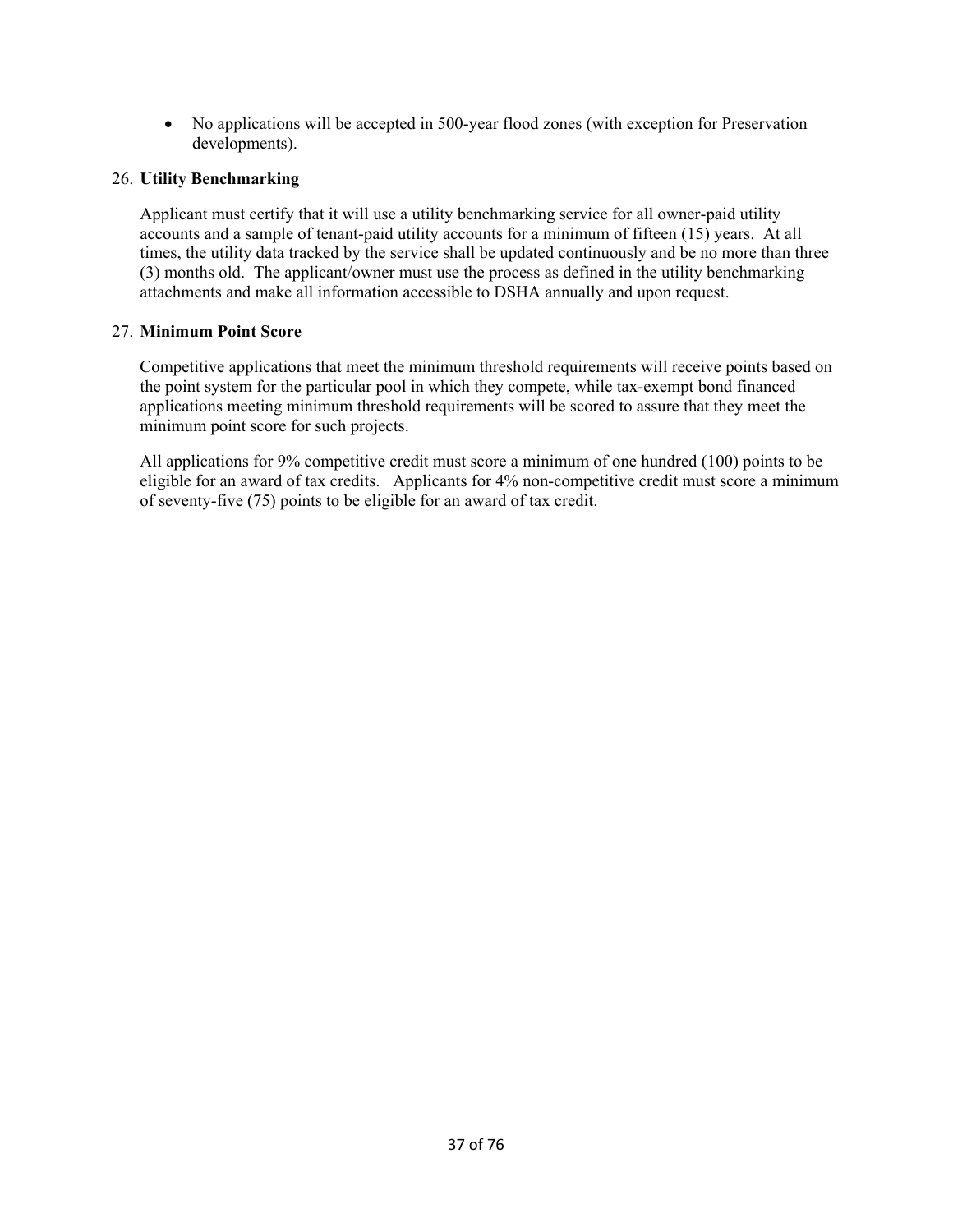No applications will be accepted in 500-year flood zones (with exception for Preservation developments).

### 26. **Utility Benchmarking**

Applicant must certify that it will use a utility benchmarking service for all owner-paid utility accounts and a sample of tenant-paid utility accounts for a minimum of fifteen (15) years. At all times, the utility data tracked by the service shall be updated continuously and be no more than three (3) months old. The applicant/owner must use the process as defined in the utility benchmarking attachments and make all information accessible to DSHA annually and upon request.

## 27. **Minimum Point Score**

Competitive applications that meet the minimum threshold requirements will receive points based on the point system for the particular pool in which they compete, while tax-exempt bond financed applications meeting minimum threshold requirements will be scored to assure that they meet the minimum point score for such projects.

All applications for 9% competitive credit must score a minimum of one hundred (100) points to be eligible for an award of tax credits. Applicants for 4% non-competitive credit must score a minimum of seventy-five (75) points to be eligible for an award of tax credit.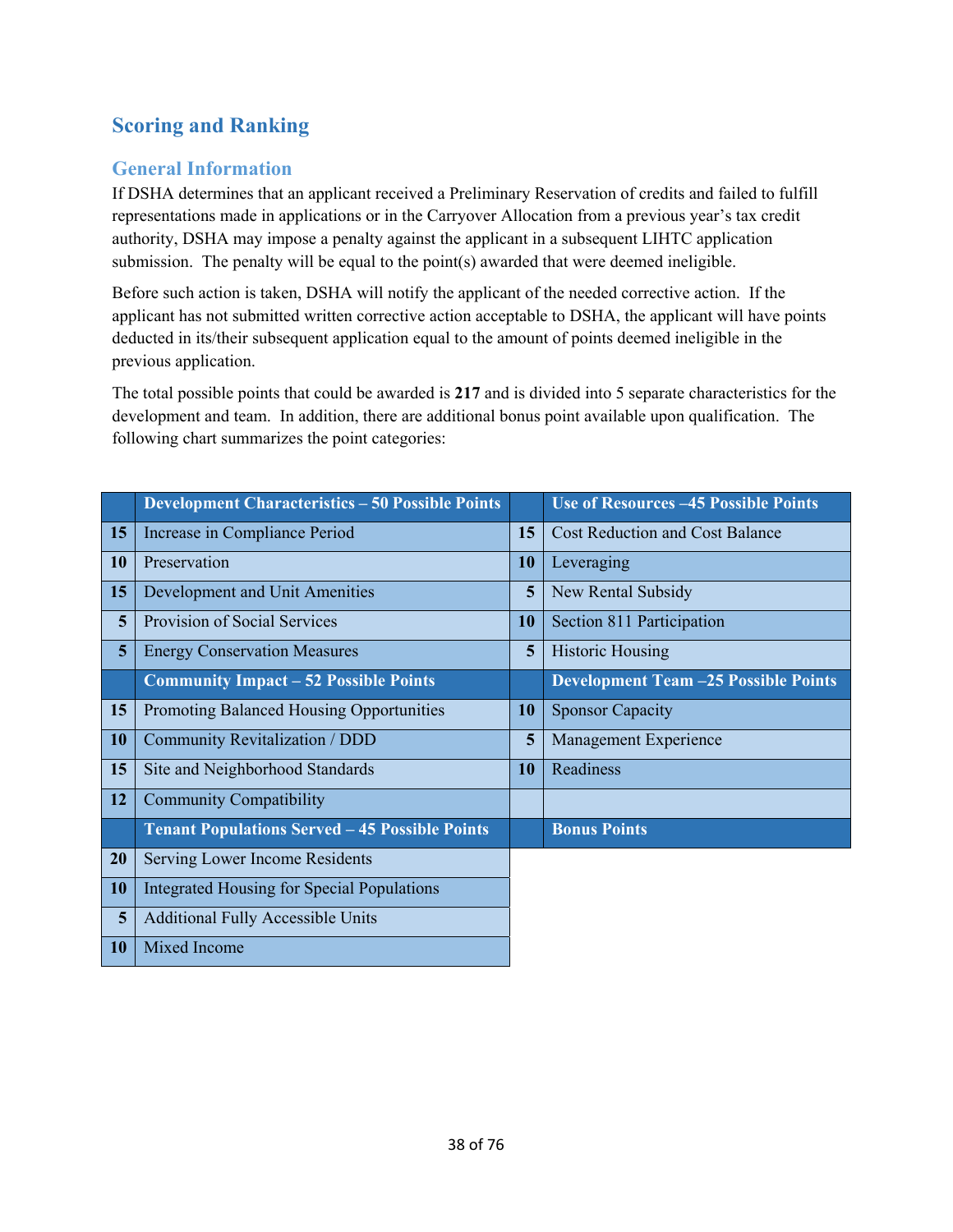# **Scoring and Ranking**

# **General Information**

If DSHA determines that an applicant received a Preliminary Reservation of credits and failed to fulfill representations made in applications or in the Carryover Allocation from a previous year's tax credit authority, DSHA may impose a penalty against the applicant in a subsequent LIHTC application submission. The penalty will be equal to the point(s) awarded that were deemed ineligible.

Before such action is taken, DSHA will notify the applicant of the needed corrective action. If the applicant has not submitted written corrective action acceptable to DSHA, the applicant will have points deducted in its/their subsequent application equal to the amount of points deemed ineligible in the previous application.

The total possible points that could be awarded is **217** and is divided into 5 separate characteristics for the development and team. In addition, there are additional bonus point available upon qualification. The following chart summarizes the point categories:

|           | <b>Development Characteristics - 50 Possible Points</b> |    | <b>Use of Resources -45 Possible Points</b> |
|-----------|---------------------------------------------------------|----|---------------------------------------------|
| 15        | Increase in Compliance Period                           | 15 | <b>Cost Reduction and Cost Balance</b>      |
| <b>10</b> | Preservation                                            | 10 | Leveraging                                  |
| 15        | Development and Unit Amenities                          | 5  | New Rental Subsidy                          |
| 5         | Provision of Social Services                            | 10 | Section 811 Participation                   |
| 5         | <b>Energy Conservation Measures</b>                     | 5  | <b>Historic Housing</b>                     |
|           | <b>Community Impact – 52 Possible Points</b>            |    | <b>Development Team -25 Possible Points</b> |
| 15        | Promoting Balanced Housing Opportunities                | 10 | <b>Sponsor Capacity</b>                     |
| <b>10</b> | Community Revitalization / DDD                          | 5  | Management Experience                       |
| 15        | Site and Neighborhood Standards                         | 10 | Readiness                                   |
| 12        | <b>Community Compatibility</b>                          |    |                                             |
|           | <b>Tenant Populations Served - 45 Possible Points</b>   |    | <b>Bonus Points</b>                         |
| 20        | Serving Lower Income Residents                          |    |                                             |
| <b>10</b> | <b>Integrated Housing for Special Populations</b>       |    |                                             |
| 5         | <b>Additional Fully Accessible Units</b>                |    |                                             |
| 10        | Mixed Income                                            |    |                                             |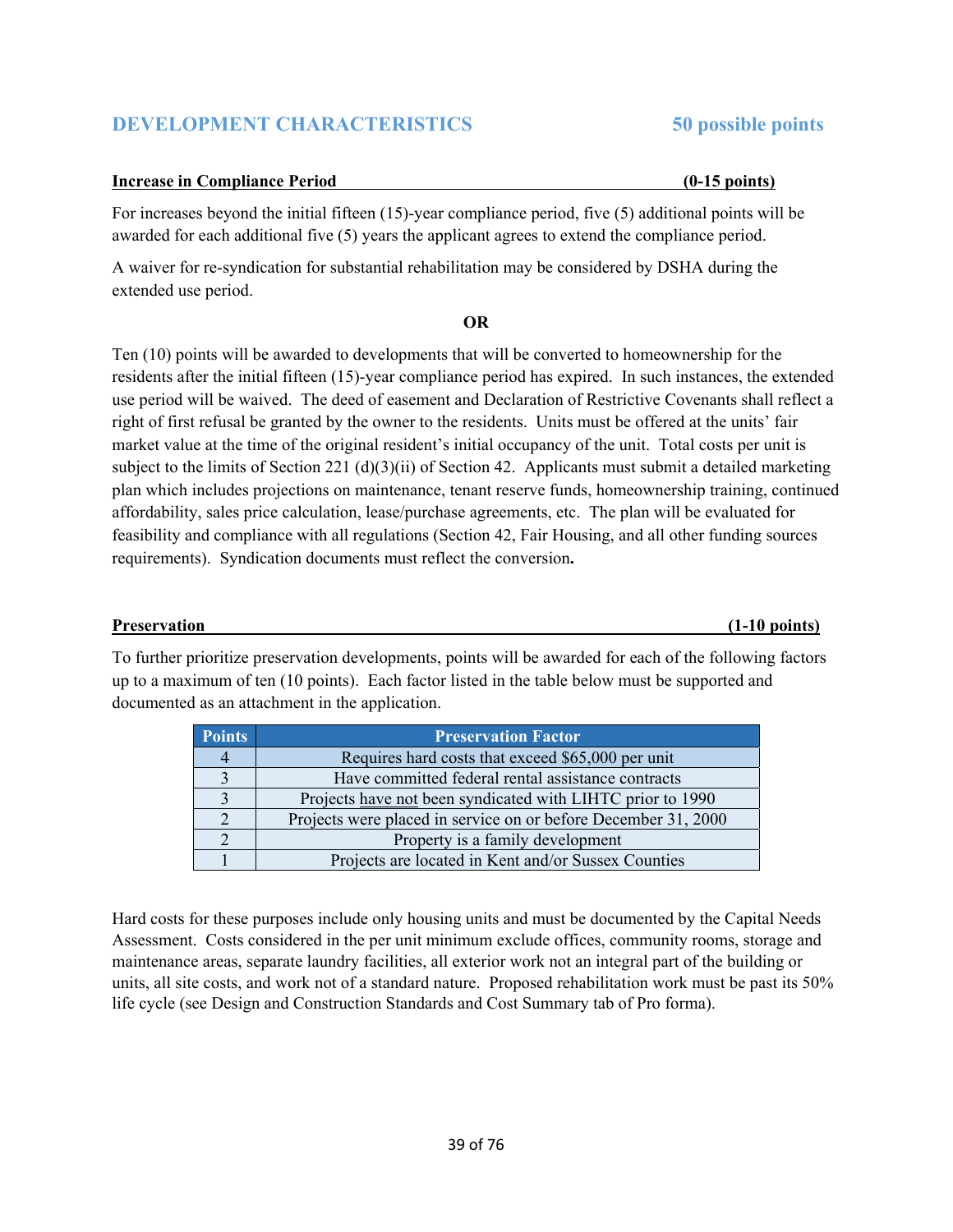## **DEVELOPMENT CHARACTERISTICS 50 possible points**

### **Increase in Compliance Period (0-15 points)**

For increases beyond the initial fifteen (15)-year compliance period, five (5) additional points will be awarded for each additional five (5) years the applicant agrees to extend the compliance period.

A waiver for re-syndication for substantial rehabilitation may be considered by DSHA during the extended use period.

### **OR**

Ten (10) points will be awarded to developments that will be converted to homeownership for the residents after the initial fifteen (15)-year compliance period has expired. In such instances, the extended use period will be waived. The deed of easement and Declaration of Restrictive Covenants shall reflect a right of first refusal be granted by the owner to the residents. Units must be offered at the units' fair market value at the time of the original resident's initial occupancy of the unit. Total costs per unit is subject to the limits of Section 221 (d)(3)(ii) of Section 42. Applicants must submit a detailed marketing plan which includes projections on maintenance, tenant reserve funds, homeownership training, continued affordability, sales price calculation, lease/purchase agreements, etc. The plan will be evaluated for feasibility and compliance with all regulations (Section 42, Fair Housing, and all other funding sources requirements). Syndication documents must reflect the conversion**.** 

#### **Preservation (1-10 points)**

To further prioritize preservation developments, points will be awarded for each of the following factors up to a maximum of ten (10 points). Each factor listed in the table below must be supported and documented as an attachment in the application.

| <b>Points</b> | <b>Preservation Factor</b>                                     |  |  |
|---------------|----------------------------------------------------------------|--|--|
|               | Requires hard costs that exceed \$65,000 per unit              |  |  |
|               | Have committed federal rental assistance contracts             |  |  |
|               | Projects have not been syndicated with LIHTC prior to 1990     |  |  |
|               | Projects were placed in service on or before December 31, 2000 |  |  |
|               | Property is a family development                               |  |  |
|               | Projects are located in Kent and/or Sussex Counties            |  |  |

Hard costs for these purposes include only housing units and must be documented by the Capital Needs Assessment. Costs considered in the per unit minimum exclude offices, community rooms, storage and maintenance areas, separate laundry facilities, all exterior work not an integral part of the building or units, all site costs, and work not of a standard nature. Proposed rehabilitation work must be past its 50% life cycle (see Design and Construction Standards and Cost Summary tab of Pro forma).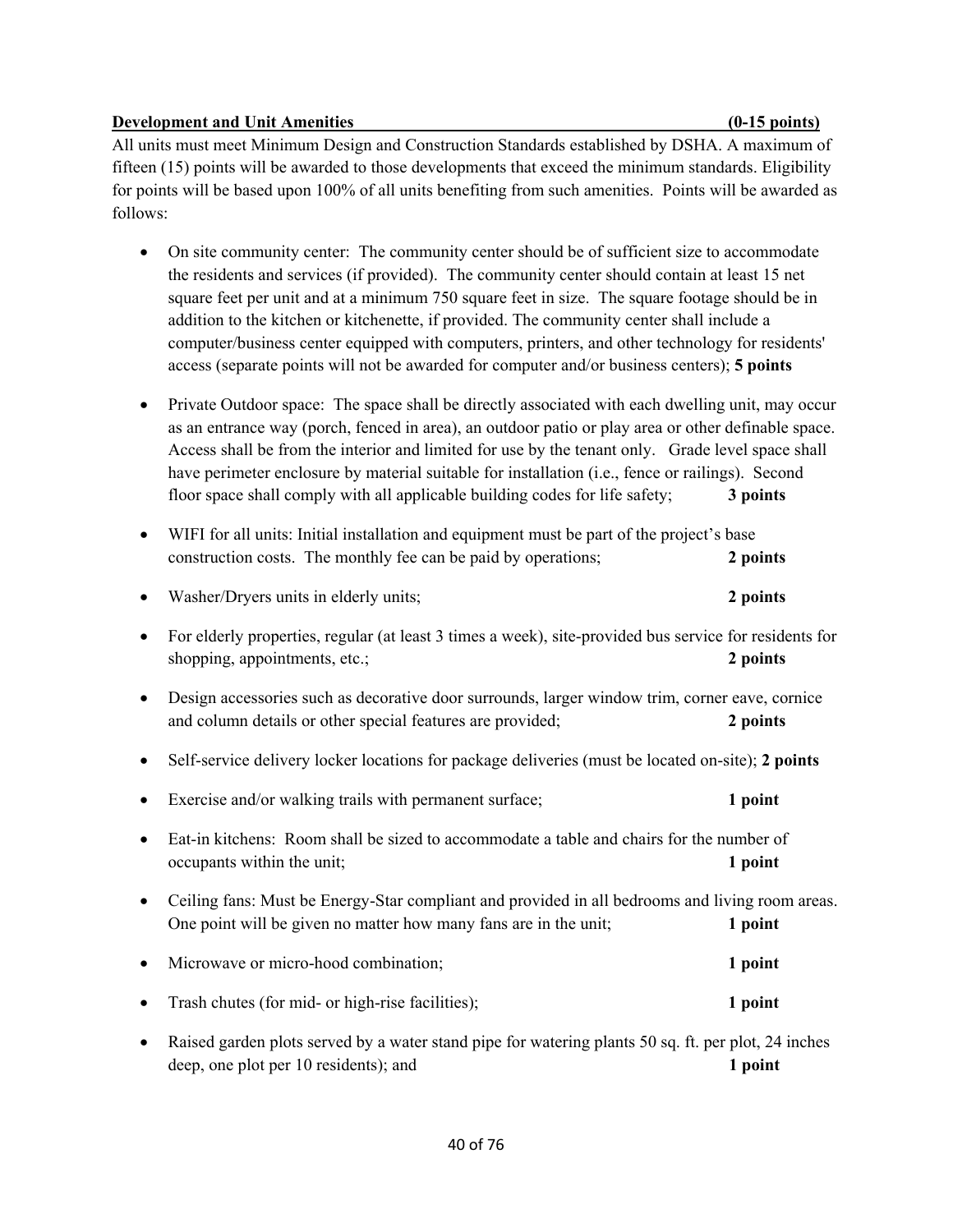## **Development and Unit Amenities (0-15 points)** (0-15 points)

All units must meet Minimum Design and Construction Standards established by DSHA. A maximum of fifteen (15) points will be awarded to those developments that exceed the minimum standards. Eligibility for points will be based upon 100% of all units benefiting from such amenities. Points will be awarded as follows:

- On site community center: The community center should be of sufficient size to accommodate the residents and services (if provided). The community center should contain at least 15 net square feet per unit and at a minimum 750 square feet in size. The square footage should be in addition to the kitchen or kitchenette, if provided. The community center shall include a computer/business center equipped with computers, printers, and other technology for residents' access (separate points will not be awarded for computer and/or business centers); **5 points**
- Private Outdoor space: The space shall be directly associated with each dwelling unit, may occur as an entrance way (porch, fenced in area), an outdoor patio or play area or other definable space. Access shall be from the interior and limited for use by the tenant only. Grade level space shall have perimeter enclosure by material suitable for installation (i.e., fence or railings). Second floor space shall comply with all applicable building codes for life safety; **3 points**

|           | WIFI for all units: Initial installation and equipment must be part of the project's base<br>construction costs. The monthly fee can be paid by operations;         | 2 points |
|-----------|---------------------------------------------------------------------------------------------------------------------------------------------------------------------|----------|
|           | Washer/Dryers units in elderly units;                                                                                                                               | 2 points |
|           | For elderly properties, regular (at least 3 times a week), site-provided bus service for residents for<br>shopping, appointments, etc.;                             | 2 points |
|           | Design accessories such as decorative door surrounds, larger window trim, corner eave, cornice<br>and column details or other special features are provided;        | 2 points |
|           | Self-service delivery locker locations for package deliveries (must be located on-site); 2 points                                                                   |          |
|           | Exercise and/or walking trails with permanent surface;                                                                                                              | 1 point  |
|           | Eat-in kitchens: Room shall be sized to accommodate a table and chairs for the number of<br>occupants within the unit;                                              | 1 point  |
|           | Ceiling fans: Must be Energy-Star compliant and provided in all bedrooms and living room areas.<br>One point will be given no matter how many fans are in the unit; | 1 point  |
|           | Microwave or micro-hood combination;                                                                                                                                | 1 point  |
|           | Trash chutes (for mid- or high-rise facilities);                                                                                                                    | 1 point  |
| $\bullet$ | Raised garden plots served by a water stand pipe for watering plants 50 sq. ft. per plot, 24 inches<br>deep, one plot per 10 residents); and                        | 1 point  |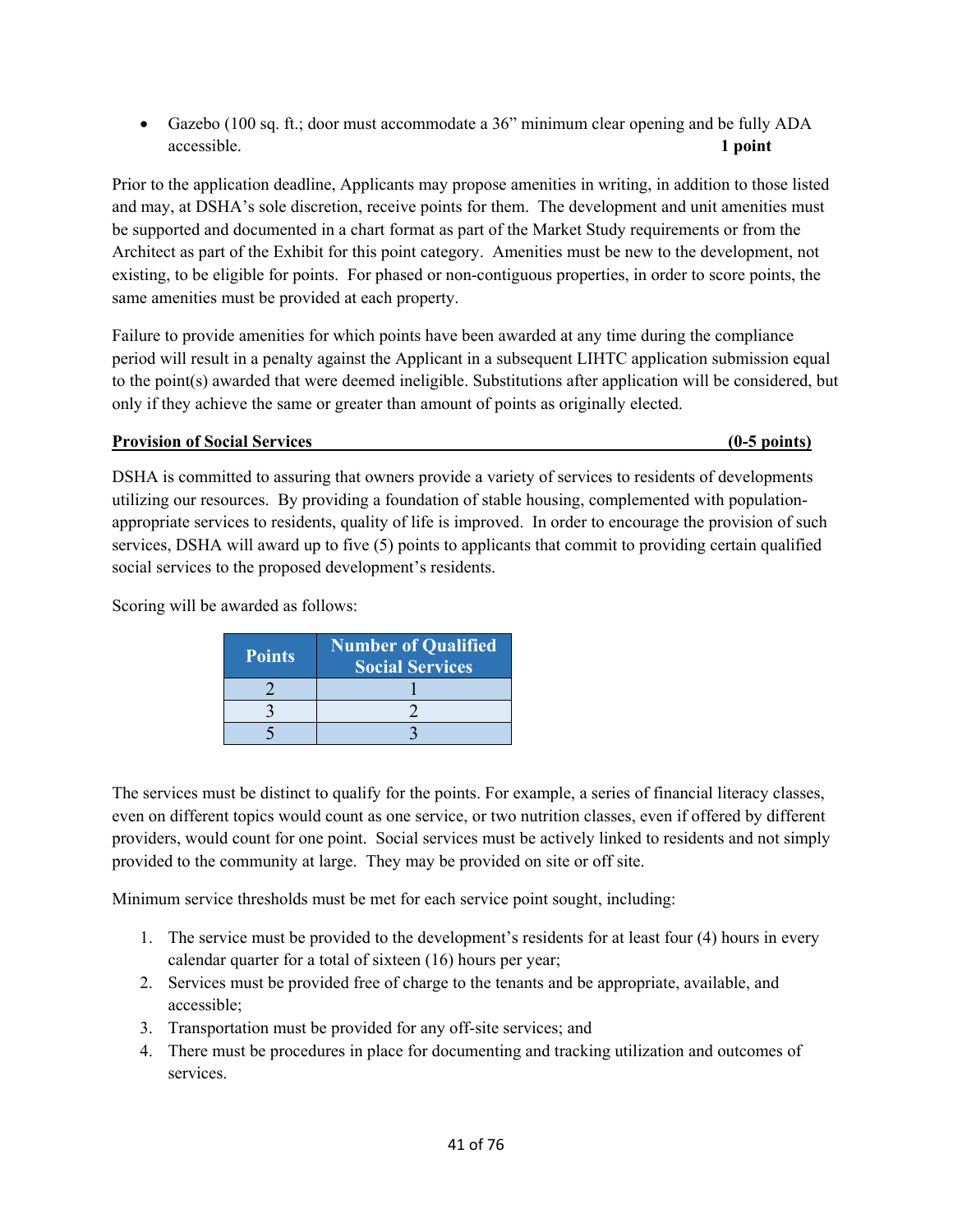Gazebo (100 sq. ft.; door must accommodate a 36" minimum clear opening and be fully ADA accessible. **1 point** 

Prior to the application deadline, Applicants may propose amenities in writing, in addition to those listed and may, at DSHA's sole discretion, receive points for them. The development and unit amenities must be supported and documented in a chart format as part of the Market Study requirements or from the Architect as part of the Exhibit for this point category. Amenities must be new to the development, not existing, to be eligible for points. For phased or non-contiguous properties, in order to score points, the same amenities must be provided at each property.

Failure to provide amenities for which points have been awarded at any time during the compliance period will result in a penalty against the Applicant in a subsequent LIHTC application submission equal to the point(s) awarded that were deemed ineligible. Substitutions after application will be considered, but only if they achieve the same or greater than amount of points as originally elected.

## **Provision of Social Services (0-5 points)**

DSHA is committed to assuring that owners provide a variety of services to residents of developments utilizing our resources. By providing a foundation of stable housing, complemented with populationappropriate services to residents, quality of life is improved. In order to encourage the provision of such services, DSHA will award up to five (5) points to applicants that commit to providing certain qualified social services to the proposed development's residents.

Scoring will be awarded as follows:

| <b>Points</b> | Number of Qualified<br><b>Social Services</b> |
|---------------|-----------------------------------------------|
|               |                                               |
|               |                                               |
|               |                                               |

The services must be distinct to qualify for the points. For example, a series of financial literacy classes, even on different topics would count as one service, or two nutrition classes, even if offered by different providers, would count for one point. Social services must be actively linked to residents and not simply provided to the community at large. They may be provided on site or off site.

Minimum service thresholds must be met for each service point sought, including:

- 1. The service must be provided to the development's residents for at least four (4) hours in every calendar quarter for a total of sixteen (16) hours per year;
- 2. Services must be provided free of charge to the tenants and be appropriate, available, and accessible;
- 3. Transportation must be provided for any off-site services; and
- 4. There must be procedures in place for documenting and tracking utilization and outcomes of services.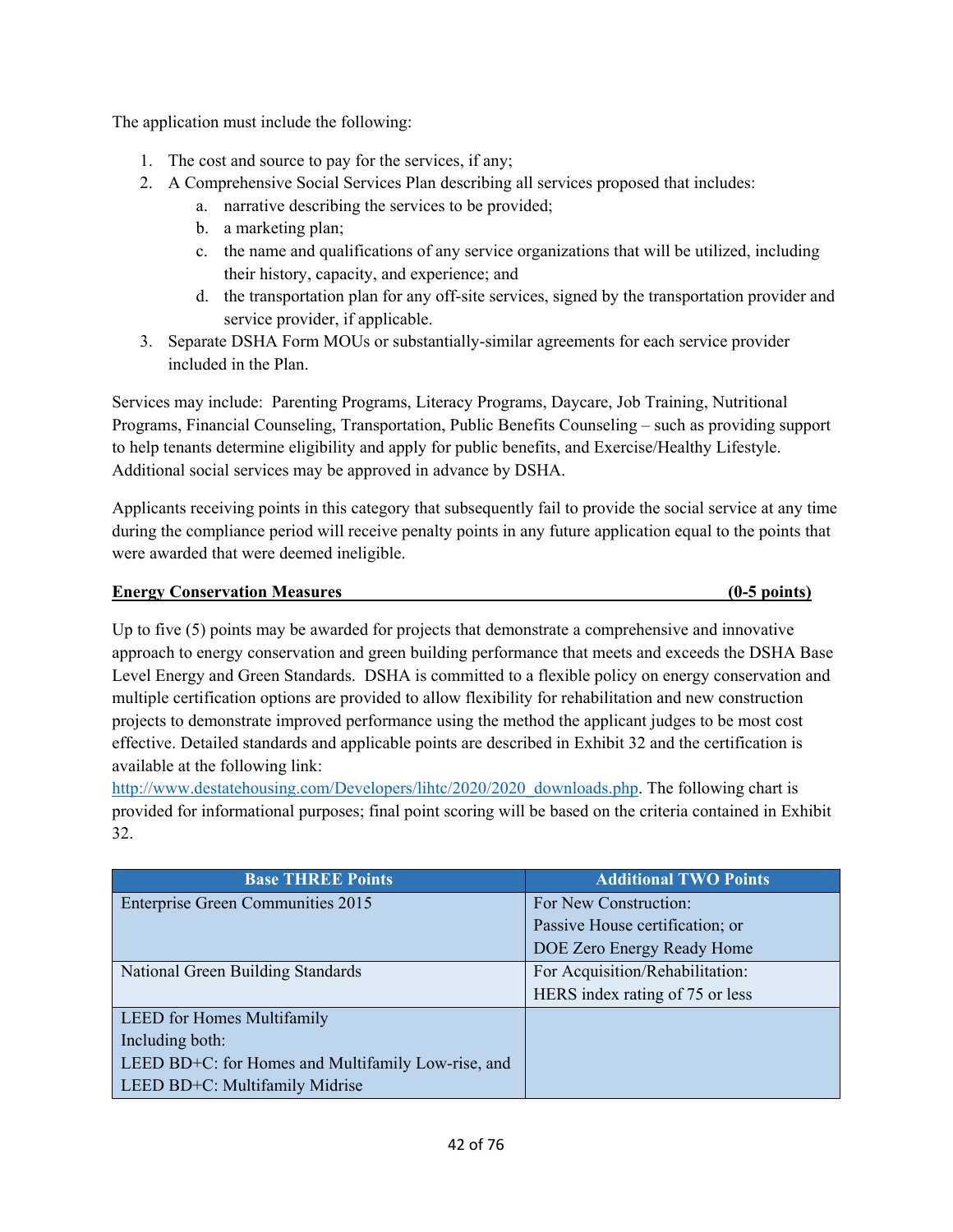The application must include the following:

- 1. The cost and source to pay for the services, if any;
- 2. A Comprehensive Social Services Plan describing all services proposed that includes:
	- a. narrative describing the services to be provided;
	- b. a marketing plan;
	- c. the name and qualifications of any service organizations that will be utilized, including their history, capacity, and experience; and
	- d. the transportation plan for any off-site services, signed by the transportation provider and service provider, if applicable.
- 3. Separate DSHA Form MOUs or substantially-similar agreements for each service provider included in the Plan.

Services may include: Parenting Programs, Literacy Programs, Daycare, Job Training, Nutritional Programs, Financial Counseling, Transportation, Public Benefits Counseling – such as providing support to help tenants determine eligibility and apply for public benefits, and Exercise/Healthy Lifestyle. Additional social services may be approved in advance by DSHA.

Applicants receiving points in this category that subsequently fail to provide the social service at any time during the compliance period will receive penalty points in any future application equal to the points that were awarded that were deemed ineligible.

## **Energy Conservation Measures (0-5 points)**

Up to five (5) points may be awarded for projects that demonstrate a comprehensive and innovative approach to energy conservation and green building performance that meets and exceeds the DSHA Base Level Energy and Green Standards. DSHA is committed to a flexible policy on energy conservation and multiple certification options are provided to allow flexibility for rehabilitation and new construction projects to demonstrate improved performance using the method the applicant judges to be most cost effective. Detailed standards and applicable points are described in Exhibit 32 and the certification is available at the following link:

http://www.destatehousing.com/Developers/lihtc/2020/2020\_downloads.php. The following chart is provided for informational purposes; final point scoring will be based on the criteria contained in Exhibit 32.

| <b>Base THREE Points</b>                           | <b>Additional TWO Points</b>    |
|----------------------------------------------------|---------------------------------|
| Enterprise Green Communities 2015                  | For New Construction:           |
|                                                    | Passive House certification; or |
|                                                    | DOE Zero Energy Ready Home      |
| National Green Building Standards                  | For Acquisition/Rehabilitation: |
|                                                    | HERS index rating of 75 or less |
| <b>LEED</b> for Homes Multifamily                  |                                 |
| Including both:                                    |                                 |
| LEED BD+C: for Homes and Multifamily Low-rise, and |                                 |
| LEED BD+C: Multifamily Midrise                     |                                 |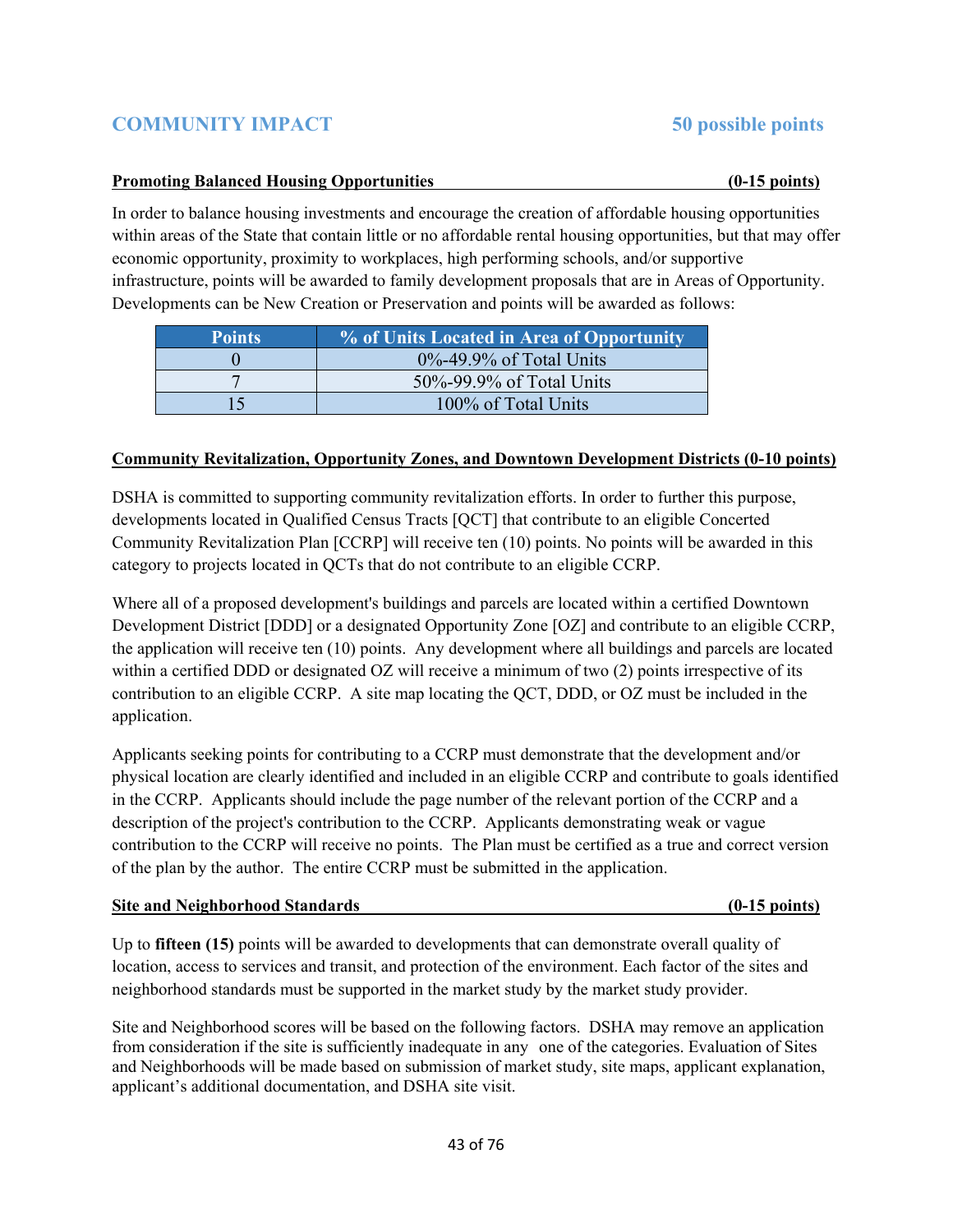# **COMMUNITY IMPACT 50 possible points**

## **Promoting Balanced Housing Opportunities (0-15 points)**

In order to balance housing investments and encourage the creation of affordable housing opportunities within areas of the State that contain little or no affordable rental housing opportunities, but that may offer economic opportunity, proximity to workplaces, high performing schools, and/or supportive infrastructure, points will be awarded to family development proposals that are in Areas of Opportunity. Developments can be New Creation or Preservation and points will be awarded as follows:

| <b>Points</b> | % of Units Located in Area of Opportunity |
|---------------|-------------------------------------------|
|               | $0\% - 49.9\%$ of Total Units             |
|               | 50%-99.9% of Total Units                  |
| 15            | 100% of Total Units                       |

## **Community Revitalization, Opportunity Zones, and Downtown Development Districts (0-10 points)**

DSHA is committed to supporting community revitalization efforts. In order to further this purpose, developments located in Qualified Census Tracts [QCT] that contribute to an eligible Concerted Community Revitalization Plan [CCRP] will receive ten (10) points. No points will be awarded in this category to projects located in QCTs that do not contribute to an eligible CCRP.

Where all of a proposed development's buildings and parcels are located within a certified Downtown Development District [DDD] or a designated Opportunity Zone [OZ] and contribute to an eligible CCRP, the application will receive ten (10) points. Any development where all buildings and parcels are located within a certified DDD or designated OZ will receive a minimum of two (2) points irrespective of its contribution to an eligible CCRP. A site map locating the QCT, DDD, or OZ must be included in the application.

Applicants seeking points for contributing to a CCRP must demonstrate that the development and/or physical location are clearly identified and included in an eligible CCRP and contribute to goals identified in the CCRP. Applicants should include the page number of the relevant portion of the CCRP and a description of the project's contribution to the CCRP. Applicants demonstrating weak or vague contribution to the CCRP will receive no points. The Plan must be certified as a true and correct version of the plan by the author. The entire CCRP must be submitted in the application.

### **Site and Neighborhood Standards (0-15 points)**

Up to **fifteen (15)** points will be awarded to developments that can demonstrate overall quality of location, access to services and transit, and protection of the environment. Each factor of the sites and neighborhood standards must be supported in the market study by the market study provider.

Site and Neighborhood scores will be based on the following factors. DSHA may remove an application from consideration if the site is sufficiently inadequate in any one of the categories. Evaluation of Sites and Neighborhoods will be made based on submission of market study, site maps, applicant explanation, applicant's additional documentation, and DSHA site visit.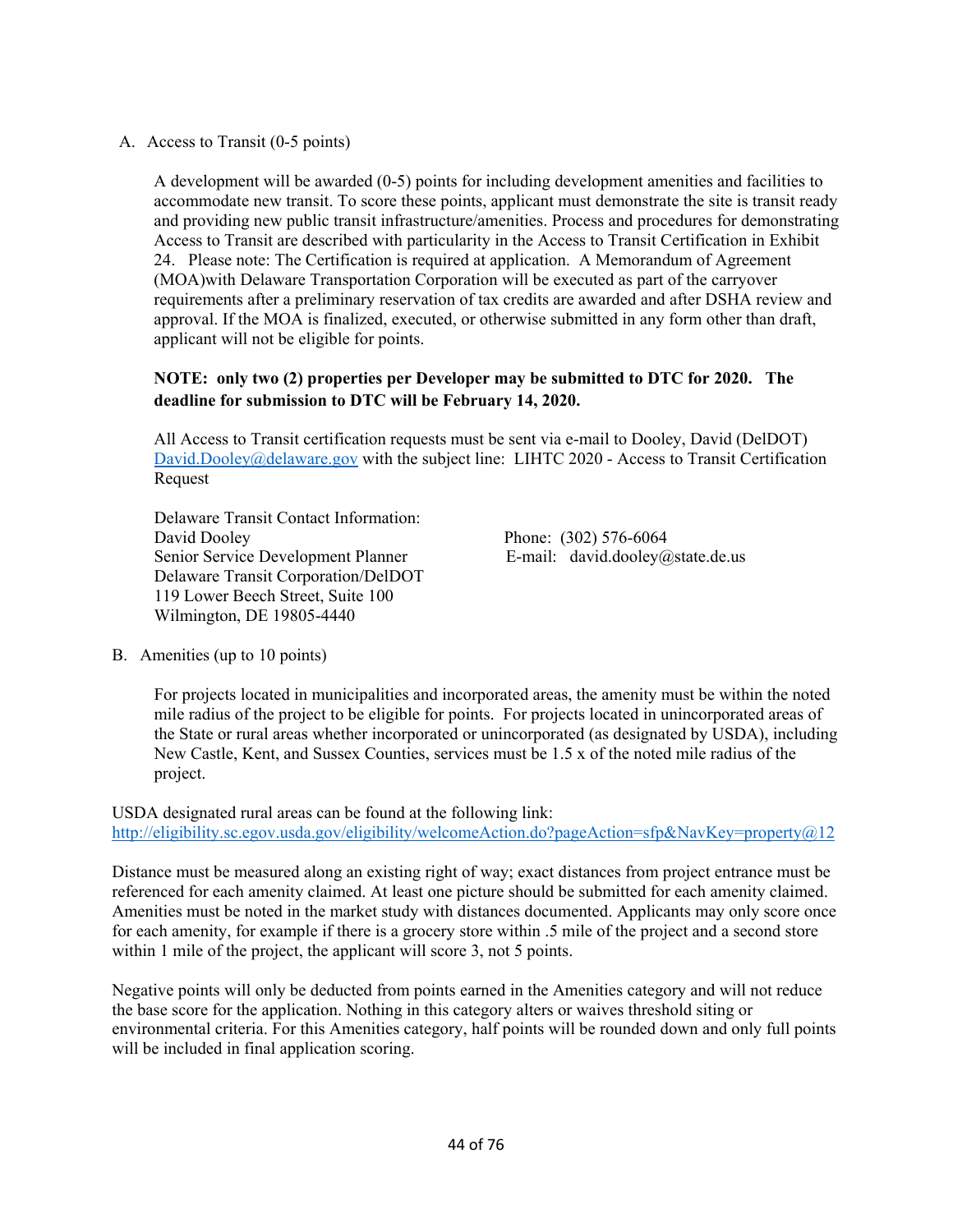A. Access to Transit (0-5 points)

A development will be awarded (0-5) points for including development amenities and facilities to accommodate new transit. To score these points, applicant must demonstrate the site is transit ready and providing new public transit infrastructure/amenities. Process and procedures for demonstrating Access to Transit are described with particularity in the Access to Transit Certification in Exhibit 24. Please note: The Certification is required at application. A Memorandum of Agreement (MOA)with Delaware Transportation Corporation will be executed as part of the carryover requirements after a preliminary reservation of tax credits are awarded and after DSHA review and approval. If the MOA is finalized, executed, or otherwise submitted in any form other than draft, applicant will not be eligible for points.

## **NOTE: only two (2) properties per Developer may be submitted to DTC for 2020. The deadline for submission to DTC will be February 14, 2020.**

All Access to Transit certification requests must be sent via e-mail to Dooley, David (DelDOT) David.Dooley@delaware.gov with the subject line: LIHTC 2020 - Access to Transit Certification Request

Delaware Transit Contact Information: David Dooley Phone: (302) 576-6064 Senior Service Development Planner E-mail: david.dooley@state.de.us Delaware Transit Corporation/DelDOT 119 Lower Beech Street, Suite 100 Wilmington, DE 19805-4440

B. Amenities (up to 10 points)

For projects located in municipalities and incorporated areas, the amenity must be within the noted mile radius of the project to be eligible for points. For projects located in unincorporated areas of the State or rural areas whether incorporated or unincorporated (as designated by USDA), including New Castle, Kent, and Sussex Counties, services must be 1.5 x of the noted mile radius of the project.

USDA designated rural areas can be found at the following link: http://eligibility.sc.egov.usda.gov/eligibility/welcomeAction.do?pageAction=sfp&NavKey=property@12

Distance must be measured along an existing right of way; exact distances from project entrance must be referenced for each amenity claimed. At least one picture should be submitted for each amenity claimed. Amenities must be noted in the market study with distances documented. Applicants may only score once for each amenity, for example if there is a grocery store within .5 mile of the project and a second store within 1 mile of the project, the applicant will score 3, not 5 points.

Negative points will only be deducted from points earned in the Amenities category and will not reduce the base score for the application. Nothing in this category alters or waives threshold siting or environmental criteria. For this Amenities category, half points will be rounded down and only full points will be included in final application scoring.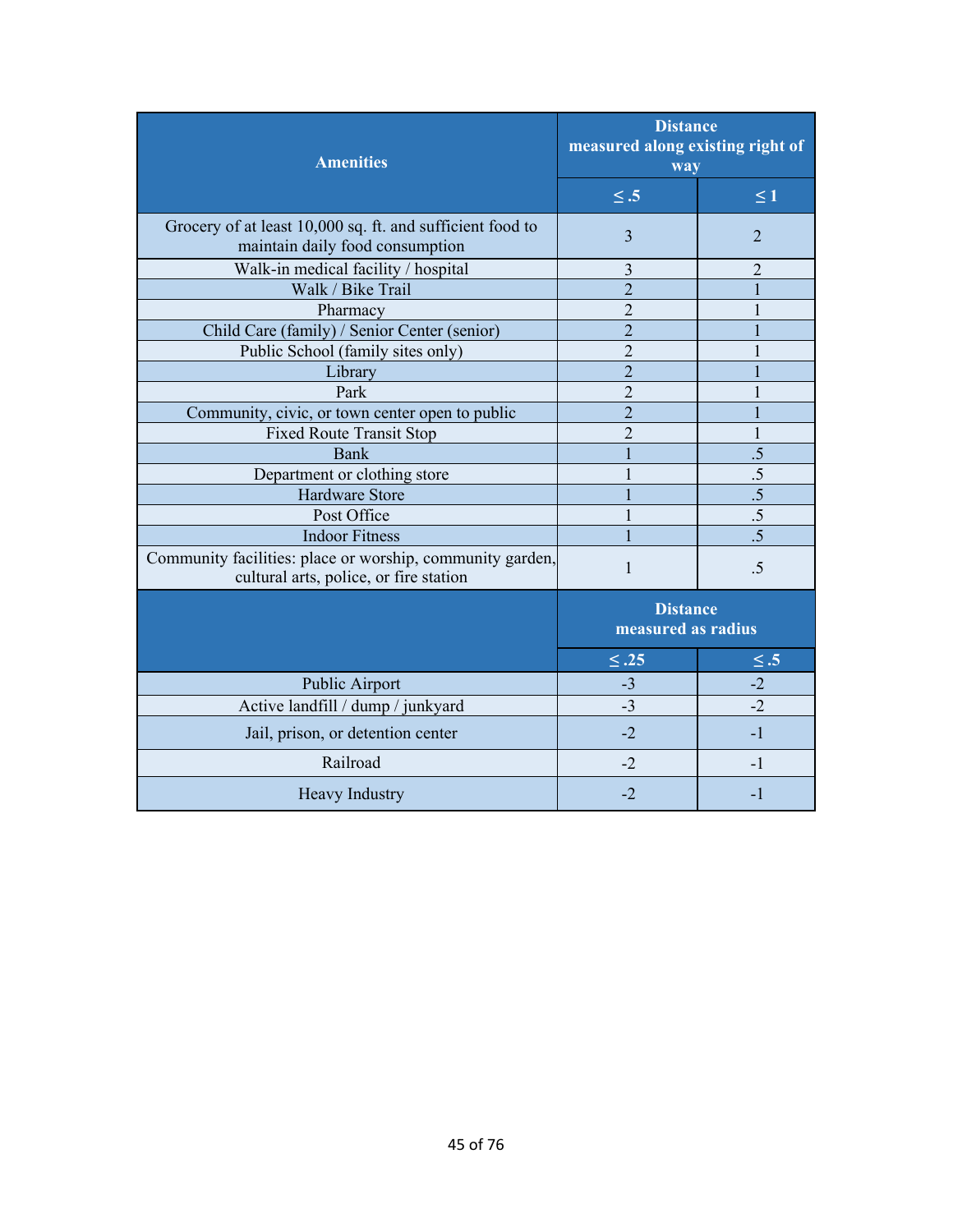| <b>Amenities</b>                                                                                    | <b>Distance</b><br>measured along existing right of<br>way |                 |
|-----------------------------------------------------------------------------------------------------|------------------------------------------------------------|-----------------|
|                                                                                                     | $\leq .5$                                                  | $\leq 1$        |
| Grocery of at least 10,000 sq. ft. and sufficient food to<br>maintain daily food consumption        | $\overline{3}$                                             | $\overline{2}$  |
| Walk-in medical facility / hospital                                                                 | $\overline{3}$                                             | $\overline{2}$  |
| Walk / Bike Trail                                                                                   | $\overline{2}$                                             |                 |
| Pharmacy                                                                                            | $\overline{2}$                                             |                 |
| Child Care (family) / Senior Center (senior)                                                        | $\overline{2}$                                             |                 |
| Public School (family sites only)                                                                   | $\overline{2}$                                             |                 |
| Library                                                                                             | $\overline{2}$                                             |                 |
| Park                                                                                                | $\overline{2}$                                             |                 |
| Community, civic, or town center open to public                                                     | $\overline{2}$                                             |                 |
| Fixed Route Transit Stop                                                                            | $\overline{2}$                                             |                 |
| Bank                                                                                                |                                                            | .5              |
| Department or clothing store                                                                        |                                                            | .5              |
| Hardware Store                                                                                      |                                                            | $\overline{.5}$ |
| Post Office                                                                                         |                                                            | .5              |
| <b>Indoor Fitness</b>                                                                               |                                                            | $\overline{.5}$ |
| Community facilities: place or worship, community garden,<br>cultural arts, police, or fire station | $\mathbf{1}$                                               | .5              |
|                                                                                                     | <b>Distance</b><br>measured as radius                      |                 |
|                                                                                                     | $\leq .25$                                                 | $\leq .5$       |
| Public Airport                                                                                      | $-3$                                                       | $-2$            |
| Active landfill / dump / junkyard                                                                   | $-3$                                                       | $-2$            |
| Jail, prison, or detention center                                                                   | $-2$                                                       | $-1$            |
| Railroad                                                                                            | $-2$                                                       | $-1$            |
| Heavy Industry                                                                                      | $-2$                                                       | $-1$            |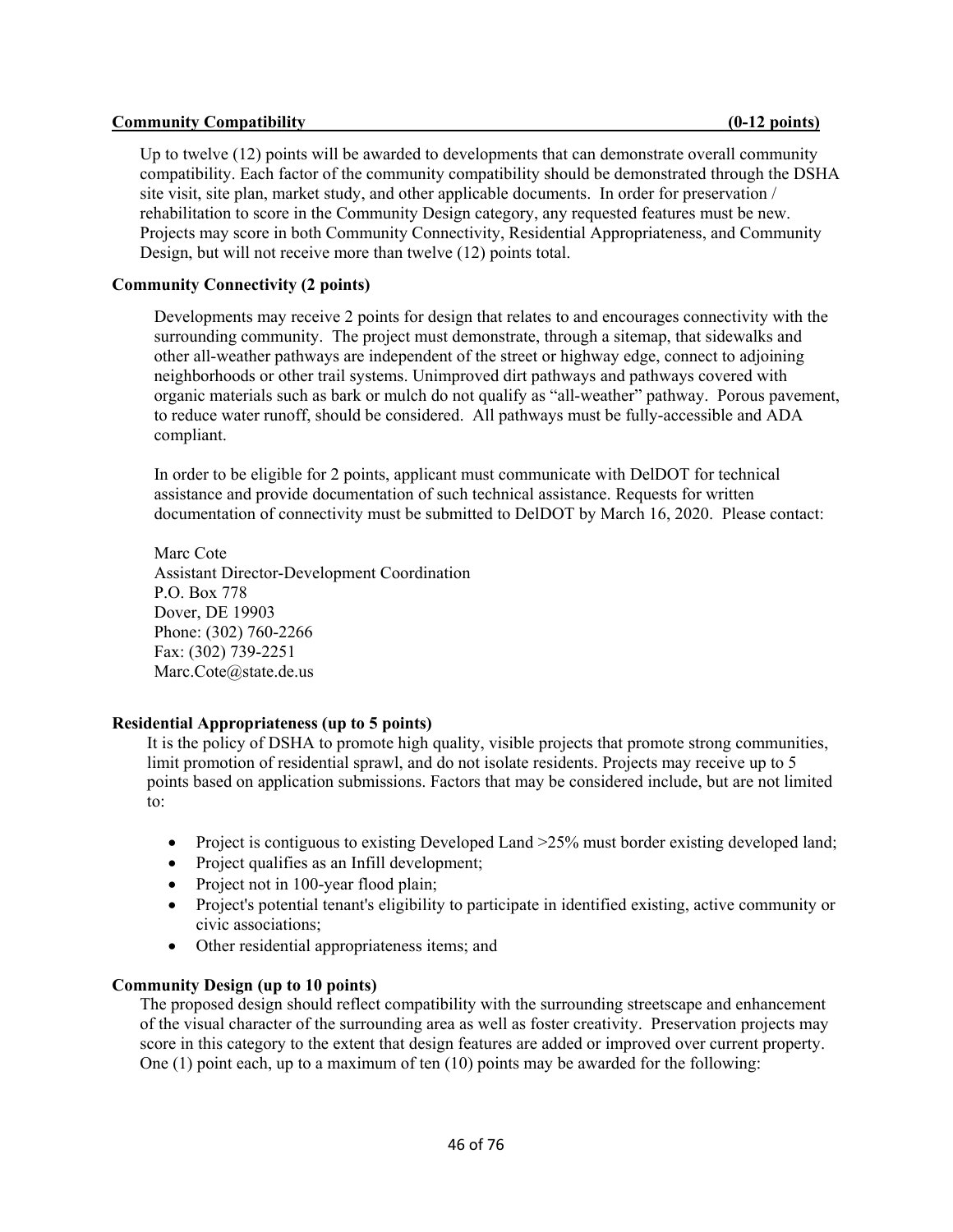#### **Community Compatibility Community Compatibility Community Compatibility Community Community Compatibility**

Up to twelve (12) points will be awarded to developments that can demonstrate overall community compatibility. Each factor of the community compatibility should be demonstrated through the DSHA site visit, site plan, market study, and other applicable documents. In order for preservation / rehabilitation to score in the Community Design category, any requested features must be new. Projects may score in both Community Connectivity, Residential Appropriateness, and Community Design, but will not receive more than twelve (12) points total.

### **Community Connectivity (2 points)**

Developments may receive 2 points for design that relates to and encourages connectivity with the surrounding community. The project must demonstrate, through a sitemap, that sidewalks and other all-weather pathways are independent of the street or highway edge, connect to adjoining neighborhoods or other trail systems. Unimproved dirt pathways and pathways covered with organic materials such as bark or mulch do not qualify as "all-weather" pathway. Porous pavement, to reduce water runoff, should be considered. All pathways must be fully-accessible and ADA compliant.

In order to be eligible for 2 points, applicant must communicate with DelDOT for technical assistance and provide documentation of such technical assistance. Requests for written documentation of connectivity must be submitted to DelDOT by March 16, 2020. Please contact:

Marc Cote Assistant Director-Development Coordination P.O. Box 778 Dover, DE 19903 Phone: (302) 760-2266 Fax: (302) 739-2251 Marc.Cote@state.de.us

### **Residential Appropriateness (up to 5 points)**

It is the policy of DSHA to promote high quality, visible projects that promote strong communities, limit promotion of residential sprawl, and do not isolate residents. Projects may receive up to 5 points based on application submissions. Factors that may be considered include, but are not limited to:

- Project is contiguous to existing Developed Land  $>25\%$  must border existing developed land;
- Project qualifies as an Infill development;
- Project not in 100-year flood plain;
- Project's potential tenant's eligibility to participate in identified existing, active community or civic associations;
- Other residential appropriateness items; and

### **Community Design (up to 10 points)**

The proposed design should reflect compatibility with the surrounding streetscape and enhancement of the visual character of the surrounding area as well as foster creativity. Preservation projects may score in this category to the extent that design features are added or improved over current property. One (1) point each, up to a maximum of ten (10) points may be awarded for the following: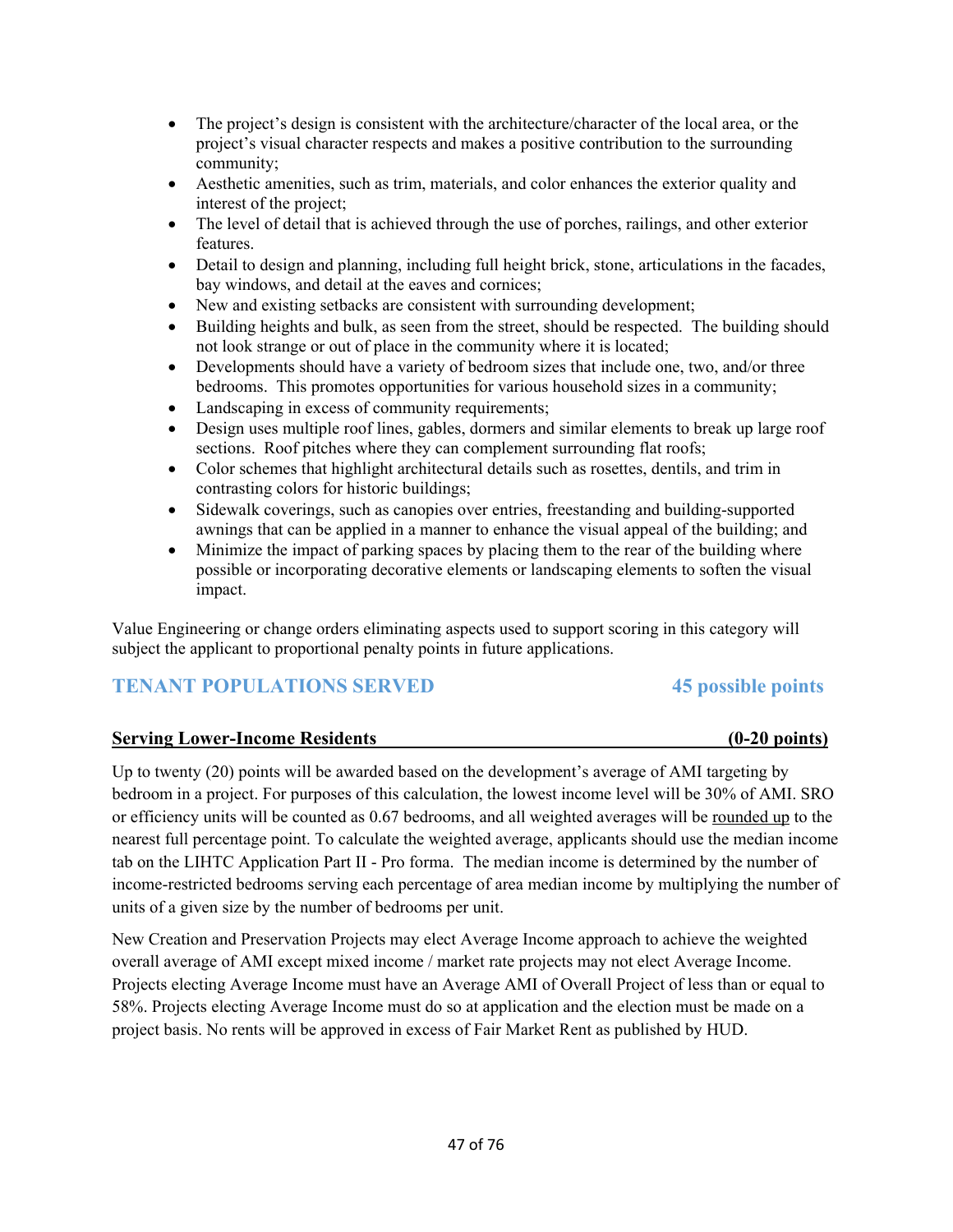- The project's design is consistent with the architecture/character of the local area, or the project's visual character respects and makes a positive contribution to the surrounding community;
- Aesthetic amenities, such as trim, materials, and color enhances the exterior quality and interest of the project;
- The level of detail that is achieved through the use of porches, railings, and other exterior features.
- Detail to design and planning, including full height brick, stone, articulations in the facades, bay windows, and detail at the eaves and cornices;
- New and existing setbacks are consistent with surrounding development;
- Building heights and bulk, as seen from the street, should be respected. The building should not look strange or out of place in the community where it is located;
- Developments should have a variety of bedroom sizes that include one, two, and/or three bedrooms. This promotes opportunities for various household sizes in a community;
- Landscaping in excess of community requirements;
- Design uses multiple roof lines, gables, dormers and similar elements to break up large roof sections. Roof pitches where they can complement surrounding flat roofs;
- Color schemes that highlight architectural details such as rosettes, dentils, and trim in contrasting colors for historic buildings;
- Sidewalk coverings, such as canopies over entries, freestanding and building-supported awnings that can be applied in a manner to enhance the visual appeal of the building; and
- Minimize the impact of parking spaces by placing them to the rear of the building where possible or incorporating decorative elements or landscaping elements to soften the visual impact.

Value Engineering or change orders eliminating aspects used to support scoring in this category will subject the applicant to proportional penalty points in future applications.

## **TENANT POPULATIONS SERVED** 45 possible points

## **Serving Lower-Income Residents (0-20 points)**

Up to twenty (20) points will be awarded based on the development's average of AMI targeting by bedroom in a project. For purposes of this calculation, the lowest income level will be 30% of AMI. SRO or efficiency units will be counted as 0.67 bedrooms, and all weighted averages will be rounded up to the nearest full percentage point. To calculate the weighted average, applicants should use the median income tab on the LIHTC Application Part II - Pro forma. The median income is determined by the number of income-restricted bedrooms serving each percentage of area median income by multiplying the number of units of a given size by the number of bedrooms per unit.

New Creation and Preservation Projects may elect Average Income approach to achieve the weighted overall average of AMI except mixed income / market rate projects may not elect Average Income. Projects electing Average Income must have an Average AMI of Overall Project of less than or equal to 58%. Projects electing Average Income must do so at application and the election must be made on a project basis. No rents will be approved in excess of Fair Market Rent as published by HUD.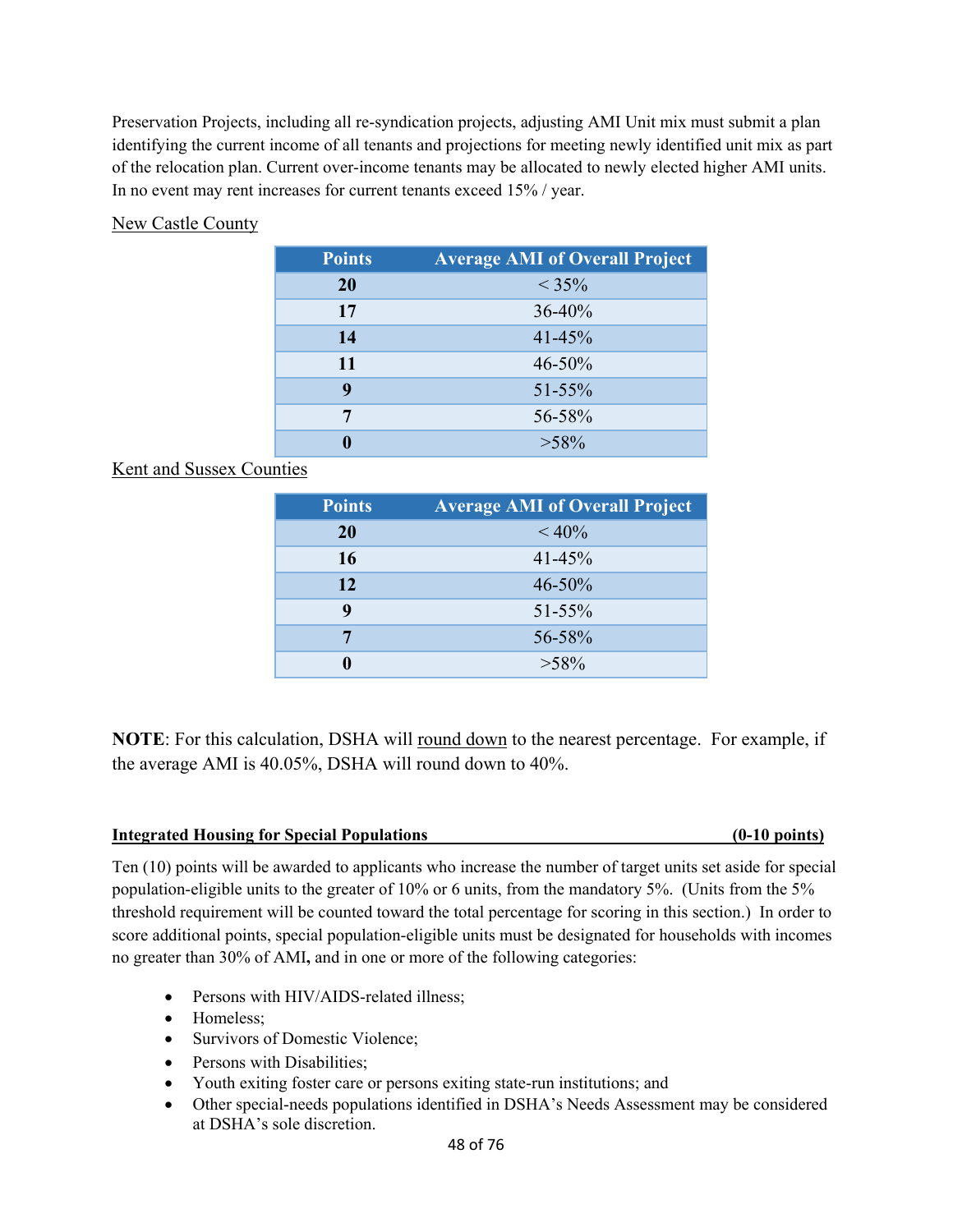Preservation Projects, including all re-syndication projects, adjusting AMI Unit mix must submit a plan identifying the current income of all tenants and projections for meeting newly identified unit mix as part of the relocation plan. Current over-income tenants may be allocated to newly elected higher AMI units. In no event may rent increases for current tenants exceed 15% / year.

## New Castle County

| <b>Points</b> | <b>Average AMI of Overall Project</b> |
|---------------|---------------------------------------|
| <b>20</b>     | $< 35\%$                              |
| 17            | 36-40%                                |
| 14            | $41 - 45%$                            |
| 11            | $46 - 50\%$                           |
| 9             | $51 - 55\%$                           |
| 7             | 56-58%                                |
|               | $>58\%$                               |

## Kent and Sussex Counties

| <b>Points</b> | <b>Average AMI of Overall Project</b> |
|---------------|---------------------------------------|
| 20            | $< 40\%$                              |
| 16            | $41 - 45%$                            |
| 12            | $46 - 50%$                            |
| 9             | $51 - 55\%$                           |
|               | 56-58%                                |
|               | $>58\%$                               |

**NOTE**: For this calculation, DSHA will round down to the nearest percentage. For example, if the average AMI is 40.05%, DSHA will round down to 40%.

### **Integrated Housing for Special Populations (0-10 points)**

Ten (10) points will be awarded to applicants who increase the number of target units set aside for special population-eligible units to the greater of 10% or 6 units, from the mandatory 5%. (Units from the 5% threshold requirement will be counted toward the total percentage for scoring in this section.) In order to score additional points, special population-eligible units must be designated for households with incomes no greater than 30% of AMI**,** and in one or more of the following categories:

- Persons with HIV/AIDS-related illness;
- Homeless;
- Survivors of Domestic Violence:
- Persons with Disabilities;
- Youth exiting foster care or persons exiting state-run institutions; and
- Other special-needs populations identified in DSHA's Needs Assessment may be considered at DSHA's sole discretion.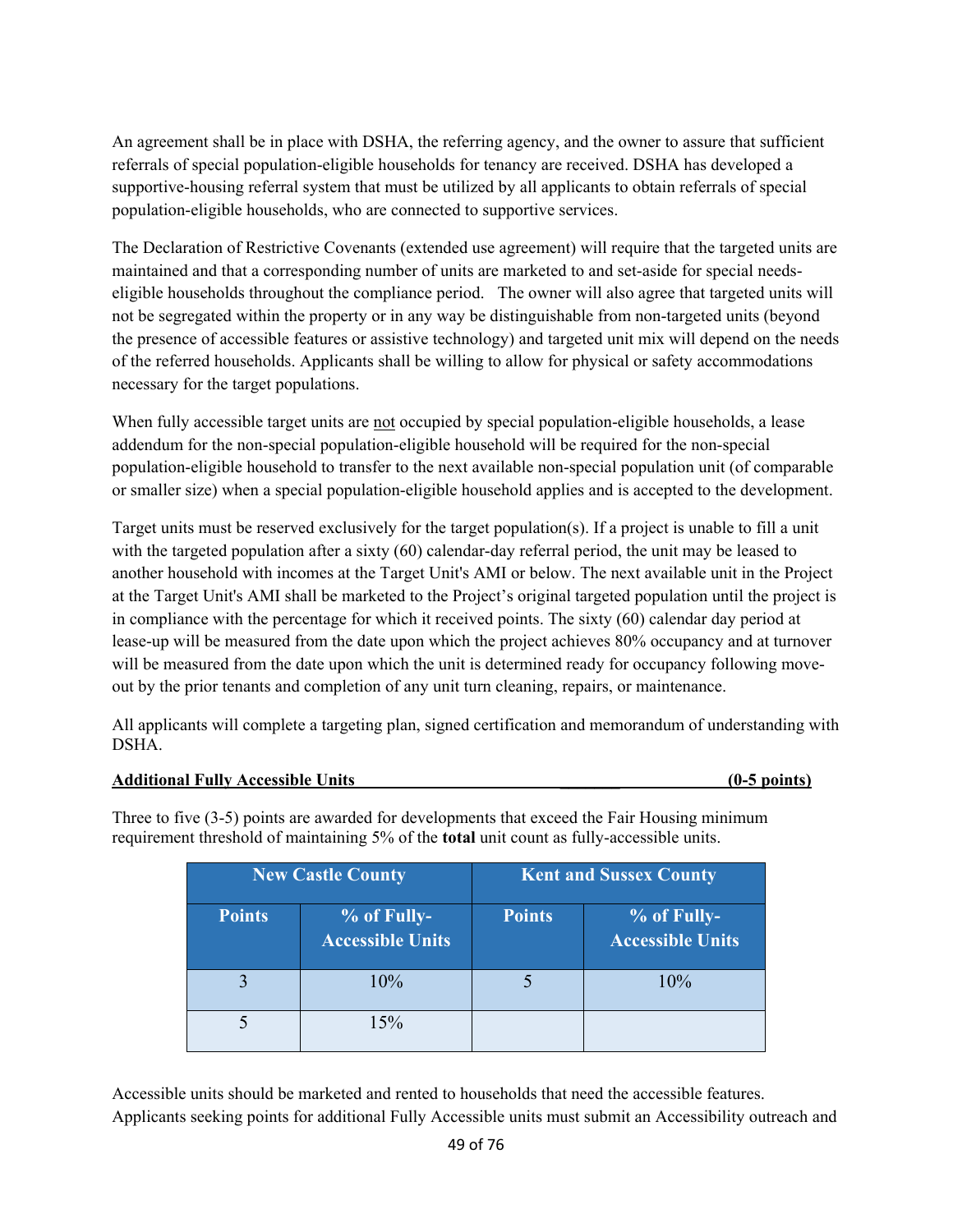An agreement shall be in place with DSHA, the referring agency, and the owner to assure that sufficient referrals of special population-eligible households for tenancy are received. DSHA has developed a supportive-housing referral system that must be utilized by all applicants to obtain referrals of special population-eligible households, who are connected to supportive services.

The Declaration of Restrictive Covenants (extended use agreement) will require that the targeted units are maintained and that a corresponding number of units are marketed to and set-aside for special needseligible households throughout the compliance period. The owner will also agree that targeted units will not be segregated within the property or in any way be distinguishable from non-targeted units (beyond the presence of accessible features or assistive technology) and targeted unit mix will depend on the needs of the referred households. Applicants shall be willing to allow for physical or safety accommodations necessary for the target populations.

When fully accessible target units are not occupied by special population-eligible households, a lease addendum for the non-special population-eligible household will be required for the non-special population-eligible household to transfer to the next available non-special population unit (of comparable or smaller size) when a special population-eligible household applies and is accepted to the development.

Target units must be reserved exclusively for the target population(s). If a project is unable to fill a unit with the targeted population after a sixty (60) calendar-day referral period, the unit may be leased to another household with incomes at the Target Unit's AMI or below. The next available unit in the Project at the Target Unit's AMI shall be marketed to the Project's original targeted population until the project is in compliance with the percentage for which it received points. The sixty (60) calendar day period at lease-up will be measured from the date upon which the project achieves 80% occupancy and at turnover will be measured from the date upon which the unit is determined ready for occupancy following moveout by the prior tenants and completion of any unit turn cleaning, repairs, or maintenance.

All applicants will complete a targeting plan, signed certification and memorandum of understanding with DSHA.

### **Additional Fully Accessible Units \_\_\_\_\_\_\_ (0-5 points)**

Three to five (3-5) points are awarded for developments that exceed the Fair Housing minimum requirement threshold of maintaining 5% of the **total** unit count as fully-accessible units.

| <b>New Castle County</b> |                                        | <b>Kent and Sussex County</b> |                                        |
|--------------------------|----------------------------------------|-------------------------------|----------------------------------------|
| <b>Points</b>            | % of Fully-<br><b>Accessible Units</b> | <b>Points</b>                 | % of Fully-<br><b>Accessible Units</b> |
|                          | 10%                                    |                               | 10%                                    |
|                          | 15%                                    |                               |                                        |

Accessible units should be marketed and rented to households that need the accessible features. Applicants seeking points for additional Fully Accessible units must submit an Accessibility outreach and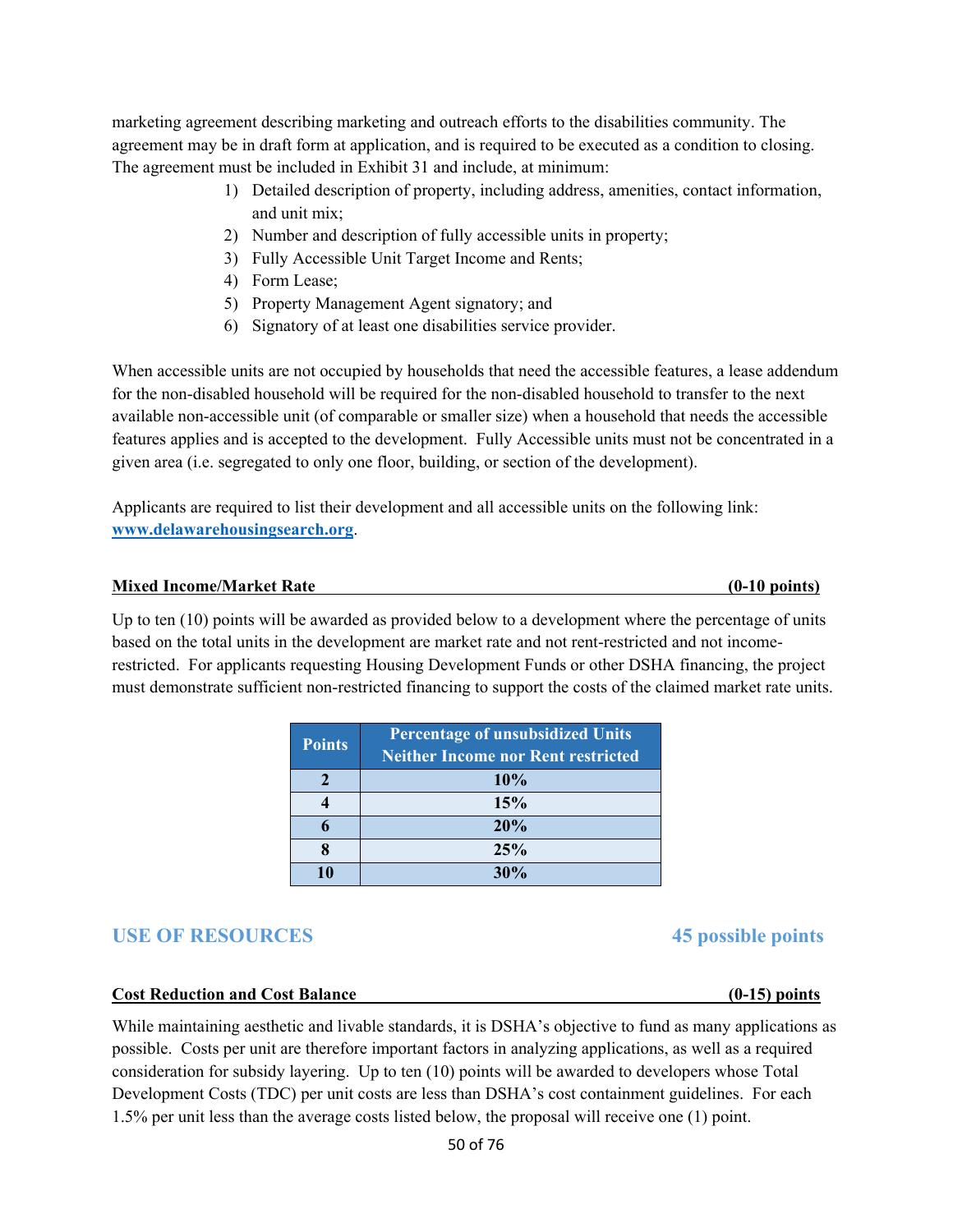marketing agreement describing marketing and outreach efforts to the disabilities community. The agreement may be in draft form at application, and is required to be executed as a condition to closing. The agreement must be included in Exhibit 31 and include, at minimum:

- 1) Detailed description of property, including address, amenities, contact information, and unit mix;
- 2) Number and description of fully accessible units in property;
- 3) Fully Accessible Unit Target Income and Rents;
- 4) Form Lease;
- 5) Property Management Agent signatory; and
- 6) Signatory of at least one disabilities service provider.

When accessible units are not occupied by households that need the accessible features, a lease addendum for the non-disabled household will be required for the non-disabled household to transfer to the next available non-accessible unit (of comparable or smaller size) when a household that needs the accessible features applies and is accepted to the development. Fully Accessible units must not be concentrated in a given area (i.e. segregated to only one floor, building, or section of the development).

Applicants are required to list their development and all accessible units on the following link: **www.delawarehousingsearch.org**.

#### **Mixed Income/Market Rate (0-10 points)**

Up to ten (10) points will be awarded as provided below to a development where the percentage of units based on the total units in the development are market rate and not rent-restricted and not incomerestricted. For applicants requesting Housing Development Funds or other DSHA financing, the project must demonstrate sufficient non-restricted financing to support the costs of the claimed market rate units.

| <b>Points</b> | <b>Percentage of unsubsidized Units</b><br><b>Neither Income nor Rent restricted</b> |
|---------------|--------------------------------------------------------------------------------------|
|               | 10%                                                                                  |
|               | 15%                                                                                  |
|               | 20%                                                                                  |
|               | 25%                                                                                  |
|               | 30%                                                                                  |

## **USE OF RESOURCES 45 possible points**

#### **Cost Reduction and Cost Balance (0-15) points**

While maintaining aesthetic and livable standards, it is DSHA's objective to fund as many applications as possible. Costs per unit are therefore important factors in analyzing applications, as well as a required consideration for subsidy layering. Up to ten (10) points will be awarded to developers whose Total Development Costs (TDC) per unit costs are less than DSHA's cost containment guidelines. For each 1.5% per unit less than the average costs listed below, the proposal will receive one (1) point.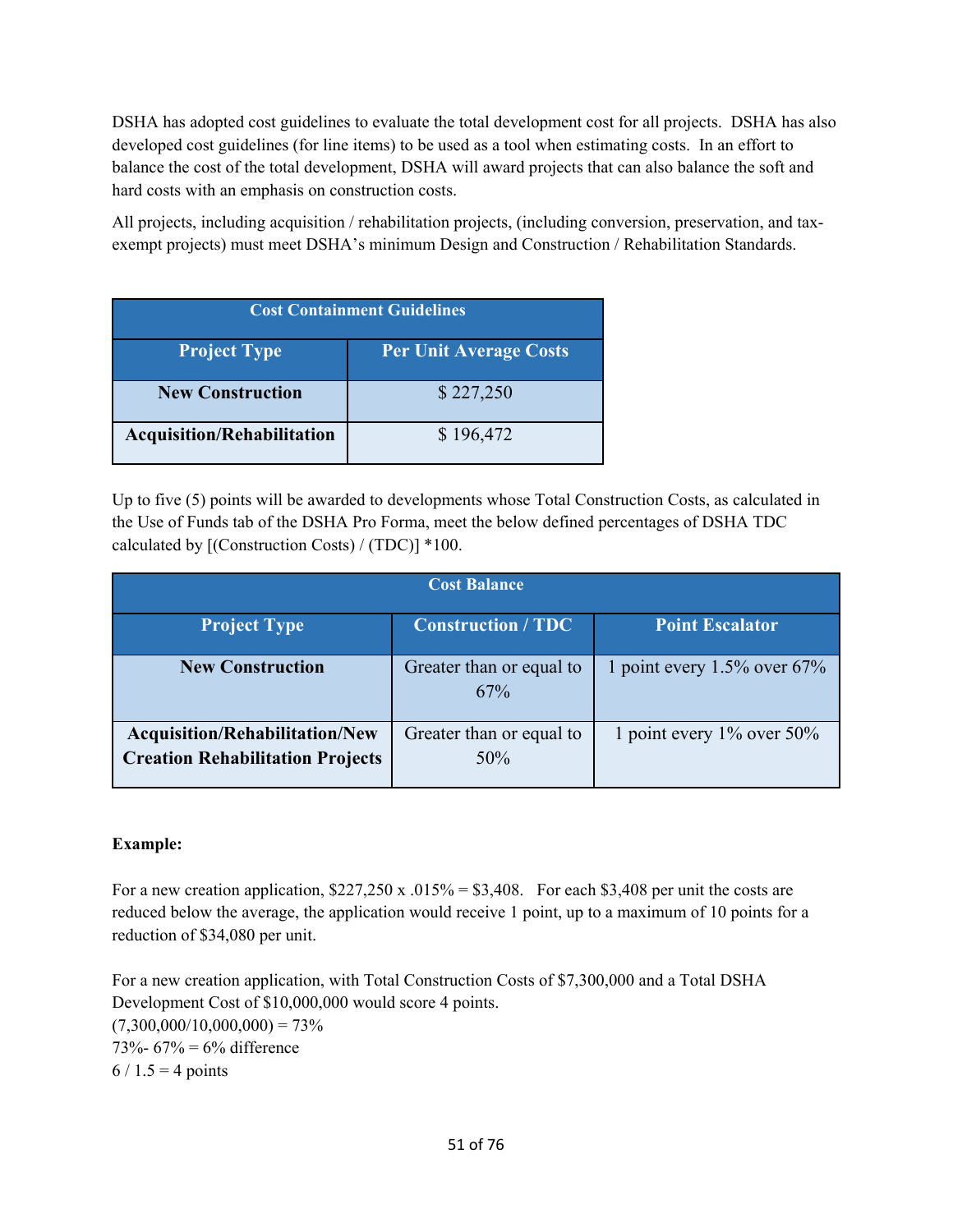DSHA has adopted cost guidelines to evaluate the total development cost for all projects. DSHA has also developed cost guidelines (for line items) to be used as a tool when estimating costs. In an effort to balance the cost of the total development, DSHA will award projects that can also balance the soft and hard costs with an emphasis on construction costs.

All projects, including acquisition / rehabilitation projects, (including conversion, preservation, and taxexempt projects) must meet DSHA's minimum Design and Construction / Rehabilitation Standards.

| <b>Cost Containment Guidelines</b>                   |           |  |
|------------------------------------------------------|-----------|--|
| <b>Project Type</b><br><b>Per Unit Average Costs</b> |           |  |
| <b>New Construction</b>                              | \$227,250 |  |
| <b>Acquisition/Rehabilitation</b>                    | \$196,472 |  |

Up to five (5) points will be awarded to developments whose Total Construction Costs, as calculated in the Use of Funds tab of the DSHA Pro Forma, meet the below defined percentages of DSHA TDC calculated by [(Construction Costs) / (TDC)] \*100.

|                                                                                  | <b>Cost Balance</b>             |                                 |
|----------------------------------------------------------------------------------|---------------------------------|---------------------------------|
| <b>Project Type</b>                                                              | <b>Construction / TDC</b>       | <b>Point Escalator</b>          |
| <b>New Construction</b>                                                          | Greater than or equal to<br>67% | 1 point every $1.5\%$ over 67%  |
| <b>Acquisition/Rehabilitation/New</b><br><b>Creation Rehabilitation Projects</b> | Greater than or equal to<br>50% | 1 point every $1\%$ over $50\%$ |

## **Example:**

For a new creation application,  $$227,250 \times .015\% = $3,408$ . For each \$3,408 per unit the costs are reduced below the average, the application would receive 1 point, up to a maximum of 10 points for a reduction of \$34,080 per unit.

For a new creation application, with Total Construction Costs of \$7,300,000 and a Total DSHA Development Cost of \$10,000,000 would score 4 points.  $(7,300,000/10,000,000) = 73%$ 73%-  $67% = 6%$  difference  $6 / 1.5 = 4$  points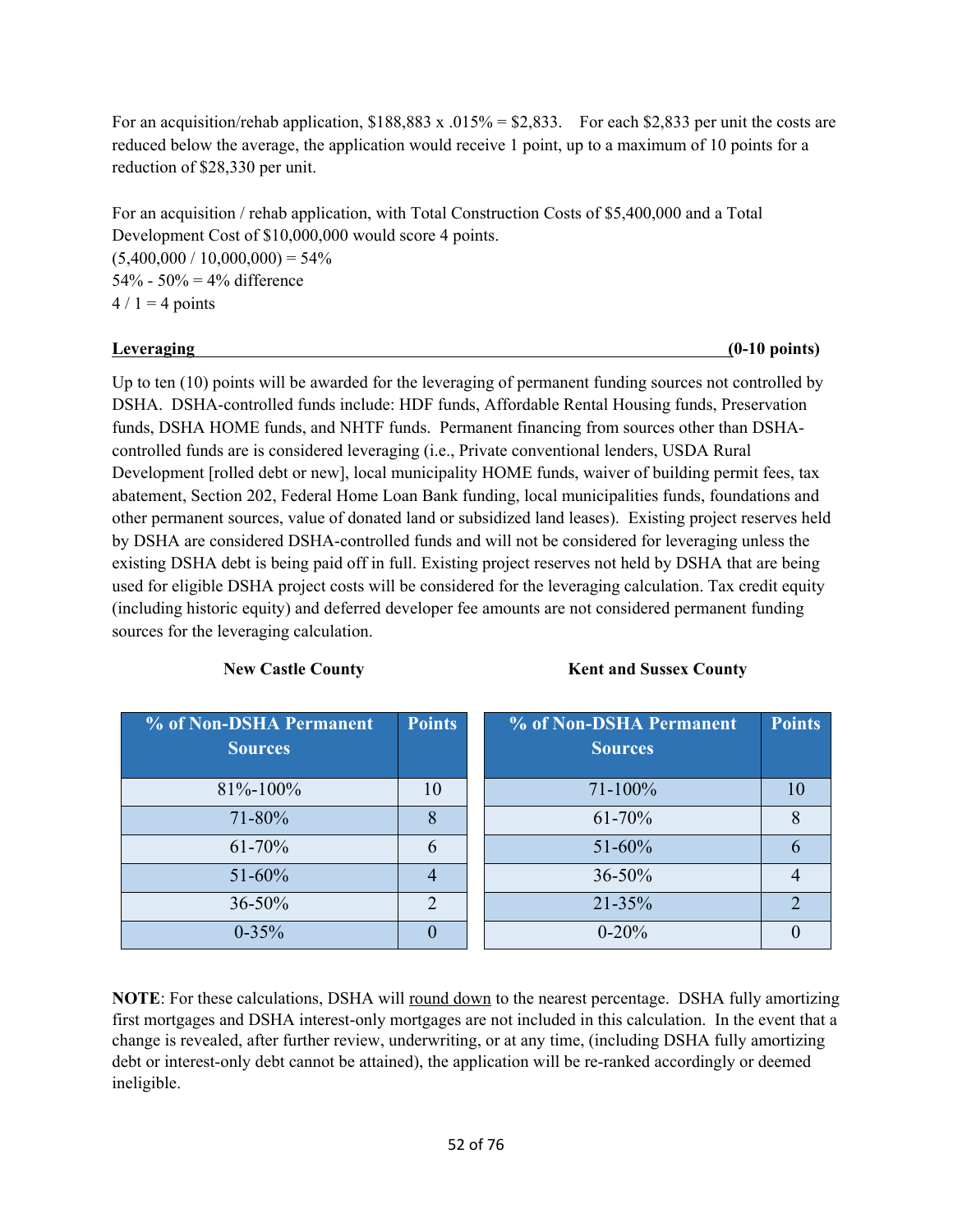For an acquisition/rehab application,  $$188,883 \times .015\% = $2,833$ . For each \$2,833 per unit the costs are reduced below the average, the application would receive 1 point, up to a maximum of 10 points for a reduction of \$28,330 per unit.

For an acquisition / rehab application, with Total Construction Costs of \$5,400,000 and a Total Development Cost of \$10,000,000 would score 4 points.  $(5,400,000 / 10,000,000) = 54\%$ 54% - 50% = 4% difference  $4/1 = 4$  points

### **Leveraging (0-10 points)**

Up to ten (10) points will be awarded for the leveraging of permanent funding sources not controlled by DSHA. DSHA-controlled funds include: HDF funds, Affordable Rental Housing funds, Preservation funds, DSHA HOME funds, and NHTF funds. Permanent financing from sources other than DSHAcontrolled funds are is considered leveraging (i.e., Private conventional lenders, USDA Rural Development [rolled debt or new], local municipality HOME funds, waiver of building permit fees, tax abatement, Section 202, Federal Home Loan Bank funding, local municipalities funds, foundations and other permanent sources, value of donated land or subsidized land leases). Existing project reserves held by DSHA are considered DSHA-controlled funds and will not be considered for leveraging unless the existing DSHA debt is being paid off in full. Existing project reserves not held by DSHA that are being used for eligible DSHA project costs will be considered for the leveraging calculation. Tax credit equity (including historic equity) and deferred developer fee amounts are not considered permanent funding sources for the leveraging calculation.

New Castle County **Kent and Sussex County** 

| % of Non-DSHA Permanent | <b>Points</b> | % of Non-DSHA Permanent | <b>Points</b> |
|-------------------------|---------------|-------------------------|---------------|
| <b>Sources</b>          |               | <b>Sources</b>          |               |
| $81\% - 100\%$          | 10            | $71 - 100\%$            |               |
| 71-80%                  | 8             | $61 - 70%$              |               |
| $61 - 70%$              | 6             | $51 - 60%$              |               |
| 51-60%                  |               | $36 - 50%$              |               |
| 36-50%                  | $\mathcal{D}$ | $21 - 35%$              | ∍             |
| $0 - 35\%$              |               | $0 - 20%$               |               |

**NOTE**: For these calculations, DSHA will round down to the nearest percentage. DSHA fully amortizing first mortgages and DSHA interest-only mortgages are not included in this calculation. In the event that a change is revealed, after further review, underwriting, or at any time, (including DSHA fully amortizing debt or interest-only debt cannot be attained), the application will be re-ranked accordingly or deemed ineligible.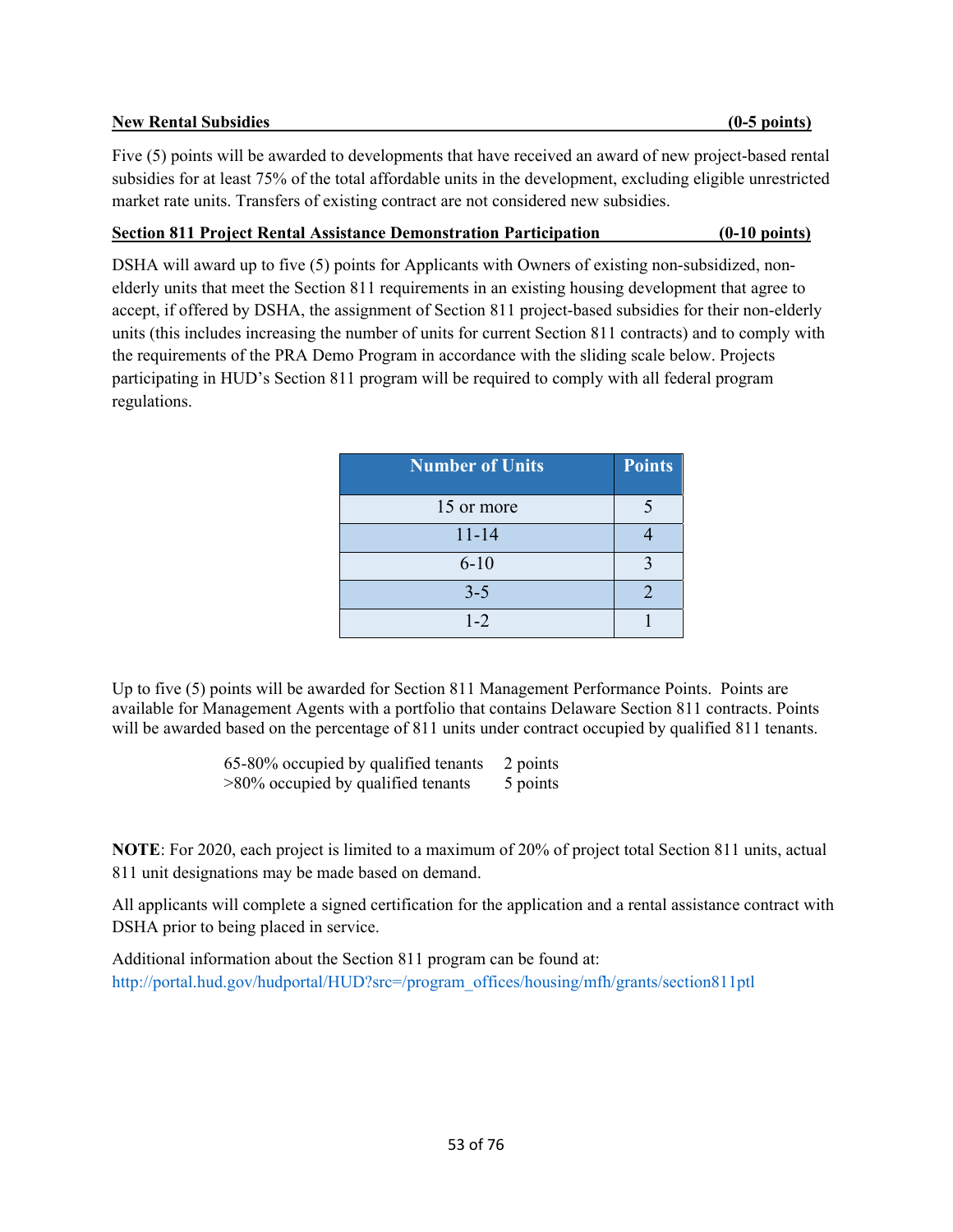### **New Rental Subsidies (0-5 points)**

Five (5) points will be awarded to developments that have received an award of new project-based rental subsidies for at least 75% of the total affordable units in the development, excluding eligible unrestricted market rate units. Transfers of existing contract are not considered new subsidies.

## **Section 811 Project Rental Assistance Demonstration Participation (0-10 points)**

DSHA will award up to five (5) points for Applicants with Owners of existing non-subsidized, nonelderly units that meet the Section 811 requirements in an existing housing development that agree to accept, if offered by DSHA, the assignment of Section 811 project-based subsidies for their non-elderly units (this includes increasing the number of units for current Section 811 contracts) and to comply with the requirements of the PRA Demo Program in accordance with the sliding scale below. Projects participating in HUD's Section 811 program will be required to comply with all federal program regulations.

| <b>Number of Units</b> | <b>Points</b> |
|------------------------|---------------|
| 15 or more             |               |
| $11 - 14$              |               |
| $6 - 10$               |               |
| $3 - 5$                | っ             |
| $1 - 2$                |               |

Up to five (5) points will be awarded for Section 811 Management Performance Points. Points are available for Management Agents with a portfolio that contains Delaware Section 811 contracts. Points will be awarded based on the percentage of 811 units under contract occupied by qualified 811 tenants.

> 65-80% occupied by qualified tenants 2 points  $>80\%$  occupied by qualified tenants 5 points

**NOTE**: For 2020, each project is limited to a maximum of 20% of project total Section 811 units, actual 811 unit designations may be made based on demand.

All applicants will complete a signed certification for the application and a rental assistance contract with DSHA prior to being placed in service.

Additional information about the Section 811 program can be found at: http://portal.hud.gov/hudportal/HUD?src=/program\_offices/housing/mfh/grants/section811ptl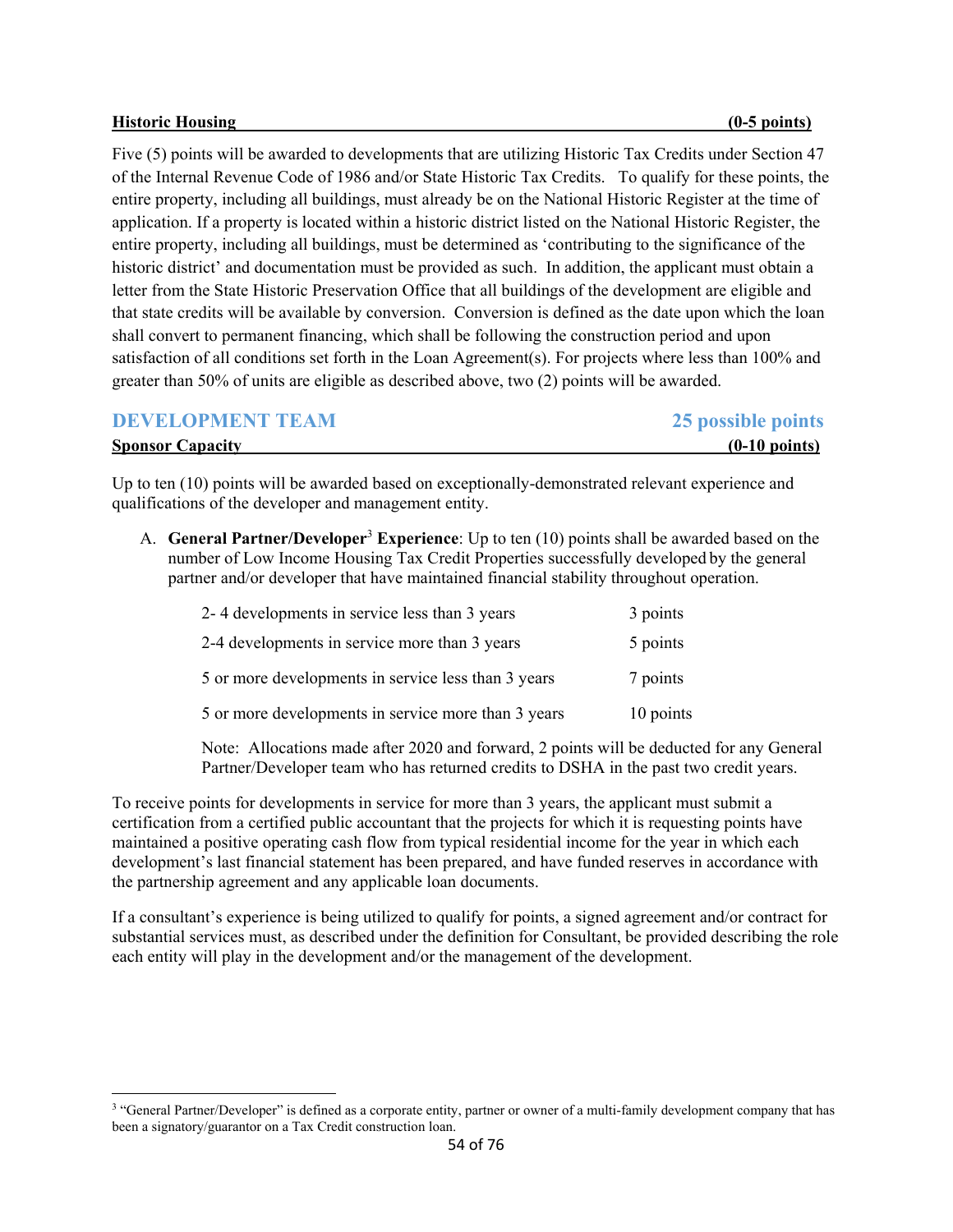#### **Historic Housing (0-5 points)**

Five (5) points will be awarded to developments that are utilizing Historic Tax Credits under Section 47 of the Internal Revenue Code of 1986 and/or State Historic Tax Credits. To qualify for these points, the entire property, including all buildings, must already be on the National Historic Register at the time of application. If a property is located within a historic district listed on the National Historic Register, the entire property, including all buildings, must be determined as 'contributing to the significance of the historic district' and documentation must be provided as such. In addition, the applicant must obtain a letter from the State Historic Preservation Office that all buildings of the development are eligible and that state credits will be available by conversion. Conversion is defined as the date upon which the loan shall convert to permanent financing, which shall be following the construction period and upon satisfaction of all conditions set forth in the Loan Agreement(s). For projects where less than 100% and greater than 50% of units are eligible as described above, two (2) points will be awarded.

| <b>DEVELOPMENT TEAM</b> | 25 possible points      |
|-------------------------|-------------------------|
| <b>Sponsor Capacity</b> | $(0-10 \text{ points})$ |

Up to ten (10) points will be awarded based on exceptionally-demonstrated relevant experience and qualifications of the developer and management entity.

A. **General Partner/Developer<sup>3</sup> Experience**: Up to ten (10) points shall be awarded based on the number of Low Income Housing Tax Credit Properties successfully developed by the general partner and/or developer that have maintained financial stability throughout operation.

| 2-4 developments in service less than 3 years       | 3 points  |
|-----------------------------------------------------|-----------|
| 2-4 developments in service more than 3 years       | 5 points  |
| 5 or more developments in service less than 3 years | 7 points  |
| 5 or more developments in service more than 3 years | 10 points |

Note: Allocations made after 2020 and forward, 2 points will be deducted for any General Partner/Developer team who has returned credits to DSHA in the past two credit years.

To receive points for developments in service for more than 3 years, the applicant must submit a certification from a certified public accountant that the projects for which it is requesting points have maintained a positive operating cash flow from typical residential income for the year in which each development's last financial statement has been prepared, and have funded reserves in accordance with the partnership agreement and any applicable loan documents.

If a consultant's experience is being utilized to qualify for points, a signed agreement and/or contract for substantial services must, as described under the definition for Consultant, be provided describing the role each entity will play in the development and/or the management of the development.

<sup>&</sup>lt;sup>3</sup> "General Partner/Developer" is defined as a corporate entity, partner or owner of a multi-family development company that has been a signatory/guarantor on a Tax Credit construction loan.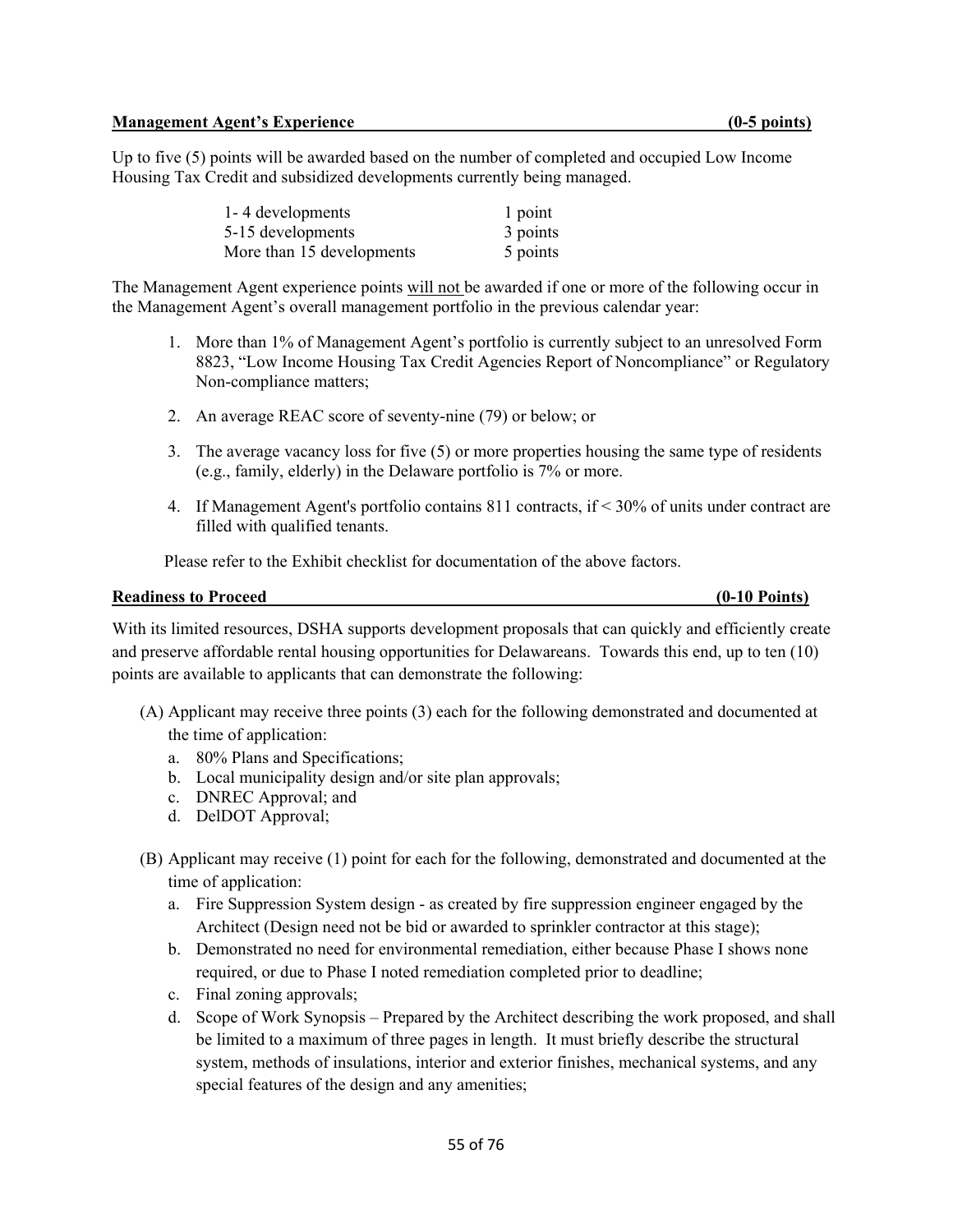Up to five (5) points will be awarded based on the number of completed and occupied Low Income Housing Tax Credit and subsidized developments currently being managed.

| 1-4 developments          | 1 point  |
|---------------------------|----------|
| 5-15 developments         | 3 points |
| More than 15 developments | 5 points |

The Management Agent experience points will not be awarded if one or more of the following occur in the Management Agent's overall management portfolio in the previous calendar year:

- 1. More than 1% of Management Agent's portfolio is currently subject to an unresolved Form 8823, "Low Income Housing Tax Credit Agencies Report of Noncompliance" or Regulatory Non-compliance matters;
- 2. An average REAC score of seventy-nine (79) or below; or
- 3. The average vacancy loss for five (5) or more properties housing the same type of residents (e.g., family, elderly) in the Delaware portfolio is 7% or more.
- 4. If Management Agent's portfolio contains 811 contracts, if < 30% of units under contract are filled with qualified tenants.

Please refer to the Exhibit checklist for documentation of the above factors.

## **Readiness to Proceed (0-10 Points)**

With its limited resources, DSHA supports development proposals that can quickly and efficiently create and preserve affordable rental housing opportunities for Delawareans. Towards this end, up to ten (10) points are available to applicants that can demonstrate the following:

- (A) Applicant may receive three points (3) each for the following demonstrated and documented at the time of application:
	- a. 80% Plans and Specifications;
	- b. Local municipality design and/or site plan approvals;
	- c. DNREC Approval; and
	- d. DelDOT Approval;
- (B) Applicant may receive (1) point for each for the following, demonstrated and documented at the time of application:
	- a. Fire Suppression System design as created by fire suppression engineer engaged by the Architect (Design need not be bid or awarded to sprinkler contractor at this stage);
	- b. Demonstrated no need for environmental remediation, either because Phase I shows none required, or due to Phase I noted remediation completed prior to deadline;
	- c. Final zoning approvals;
	- d. Scope of Work Synopsis Prepared by the Architect describing the work proposed, and shall be limited to a maximum of three pages in length. It must briefly describe the structural system, methods of insulations, interior and exterior finishes, mechanical systems, and any special features of the design and any amenities;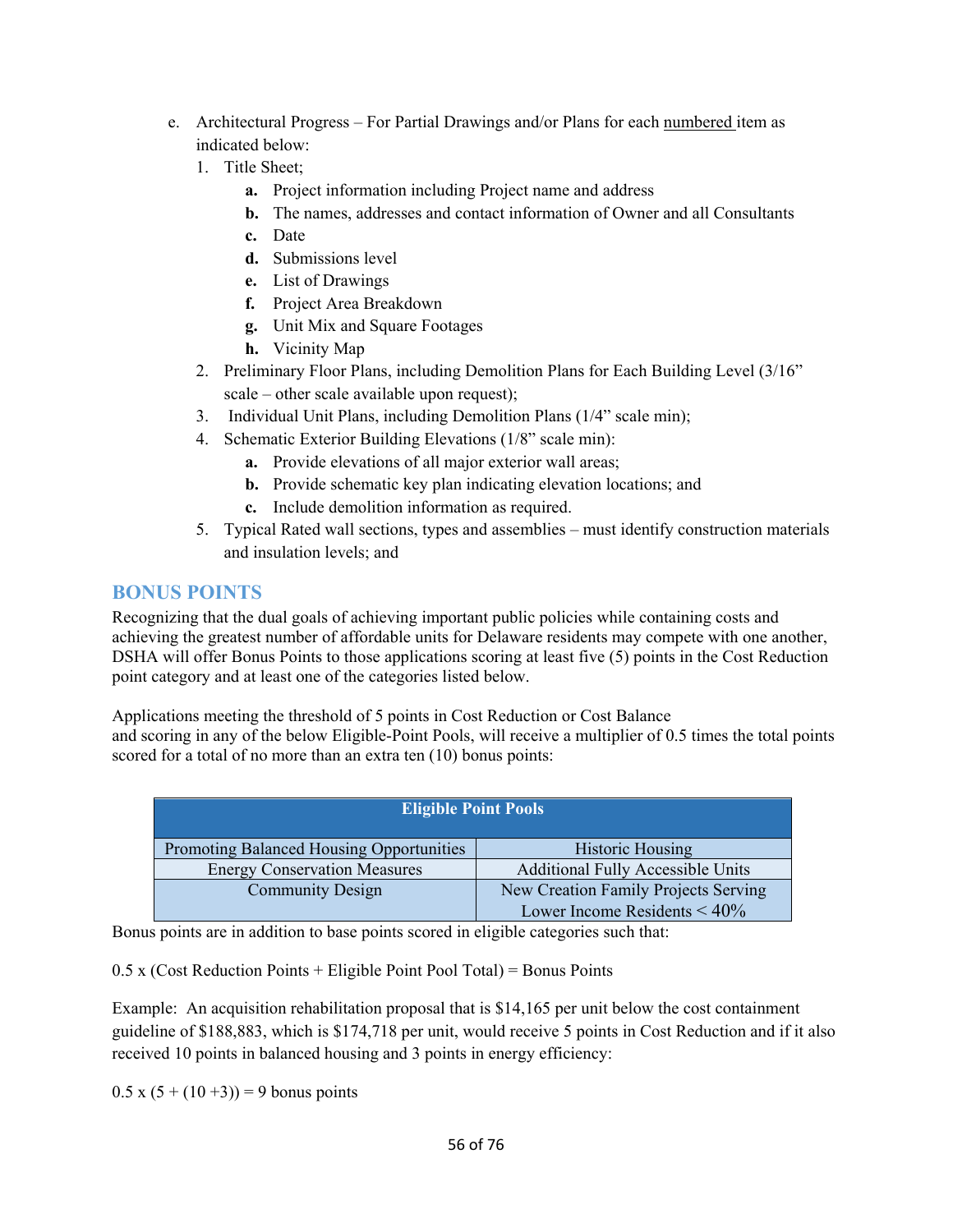- e. Architectural Progress For Partial Drawings and/or Plans for each numbered item as indicated below:
	- 1. Title Sheet;
		- **a.** Project information including Project name and address
		- **b.** The names, addresses and contact information of Owner and all Consultants
		- **c.** Date
		- **d.** Submissions level
		- **e.** List of Drawings
		- **f.** Project Area Breakdown
		- **g.** Unit Mix and Square Footages
		- **h.** Vicinity Map
	- 2. Preliminary Floor Plans, including Demolition Plans for Each Building Level (3/16" scale – other scale available upon request);
	- 3. Individual Unit Plans, including Demolition Plans (1/4" scale min);
	- 4. Schematic Exterior Building Elevations (1/8" scale min):
		- **a.** Provide elevations of all major exterior wall areas;
		- **b.** Provide schematic key plan indicating elevation locations; and
		- **c.** Include demolition information as required.
	- 5. Typical Rated wall sections, types and assemblies must identify construction materials and insulation levels; and

## **BONUS POINTS**

Recognizing that the dual goals of achieving important public policies while containing costs and achieving the greatest number of affordable units for Delaware residents may compete with one another, DSHA will offer Bonus Points to those applications scoring at least five (5) points in the Cost Reduction point category and at least one of the categories listed below.

Applications meeting the threshold of 5 points in Cost Reduction or Cost Balance and scoring in any of the below Eligible-Point Pools, will receive a multiplier of 0.5 times the total points scored for a total of no more than an extra ten (10) bonus points:

| <b>Eligible Point Pools</b>              |                                          |
|------------------------------------------|------------------------------------------|
| Promoting Balanced Housing Opportunities | <b>Historic Housing</b>                  |
| <b>Energy Conservation Measures</b>      | <b>Additional Fully Accessible Units</b> |
| <b>Community Design</b>                  | New Creation Family Projects Serving     |
|                                          | Lower Income Residents $\leq 40\%$       |

Bonus points are in addition to base points scored in eligible categories such that:

 $0.5$  x (Cost Reduction Points + Eligible Point Pool Total) = Bonus Points

Example: An acquisition rehabilitation proposal that is \$14,165 per unit below the cost containment guideline of \$188,883, which is \$174,718 per unit, would receive 5 points in Cost Reduction and if it also received 10 points in balanced housing and 3 points in energy efficiency:

 $0.5 \times (5 + (10 + 3)) = 9$  bonus points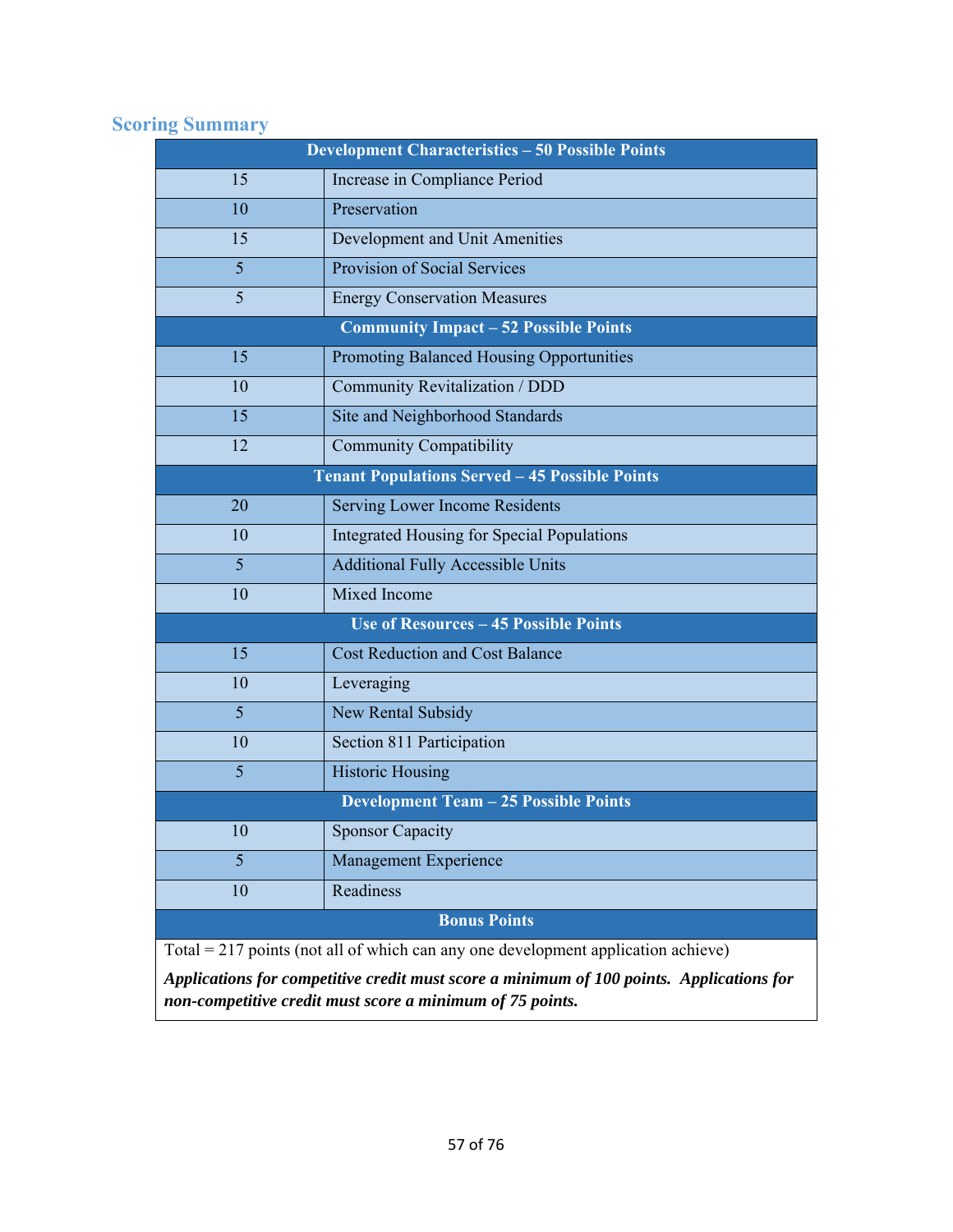# **Scoring Summary**

| <b>Development Characteristics - 50 Possible Points</b> |                                                                                     |
|---------------------------------------------------------|-------------------------------------------------------------------------------------|
| 15                                                      | Increase in Compliance Period                                                       |
| 10                                                      | Preservation                                                                        |
| 15                                                      | Development and Unit Amenities                                                      |
| $\overline{5}$                                          | Provision of Social Services                                                        |
| 5                                                       | <b>Energy Conservation Measures</b>                                                 |
|                                                         | <b>Community Impact - 52 Possible Points</b>                                        |
| 15                                                      | <b>Promoting Balanced Housing Opportunities</b>                                     |
| 10                                                      | Community Revitalization / DDD                                                      |
| 15                                                      | Site and Neighborhood Standards                                                     |
| 12                                                      | <b>Community Compatibility</b>                                                      |
|                                                         | <b>Tenant Populations Served - 45 Possible Points</b>                               |
| 20                                                      | <b>Serving Lower Income Residents</b>                                               |
| 10                                                      | <b>Integrated Housing for Special Populations</b>                                   |
| $\overline{5}$                                          | <b>Additional Fully Accessible Units</b>                                            |
| 10                                                      | Mixed Income                                                                        |
|                                                         | <b>Use of Resources - 45 Possible Points</b>                                        |
| 15                                                      | <b>Cost Reduction and Cost Balance</b>                                              |
| 10                                                      | Leveraging                                                                          |
| $\overline{5}$                                          | New Rental Subsidy                                                                  |
| 10                                                      | Section 811 Participation                                                           |
| $\overline{5}$                                          | <b>Historic Housing</b>                                                             |
|                                                         | <b>Development Team - 25 Possible Points</b>                                        |
| 10                                                      | <b>Sponsor Capacity</b>                                                             |
| 5 <sup>5</sup>                                          | Management Experience                                                               |
| 10                                                      | Readiness                                                                           |
| <b>Bonus Points</b>                                     |                                                                                     |
|                                                         | $Total = 217$ points (not all of which can any one development application achieve) |

*Applications for competitive credit must score a minimum of 100 points. Applications for non-competitive credit must score a minimum of 75 points.*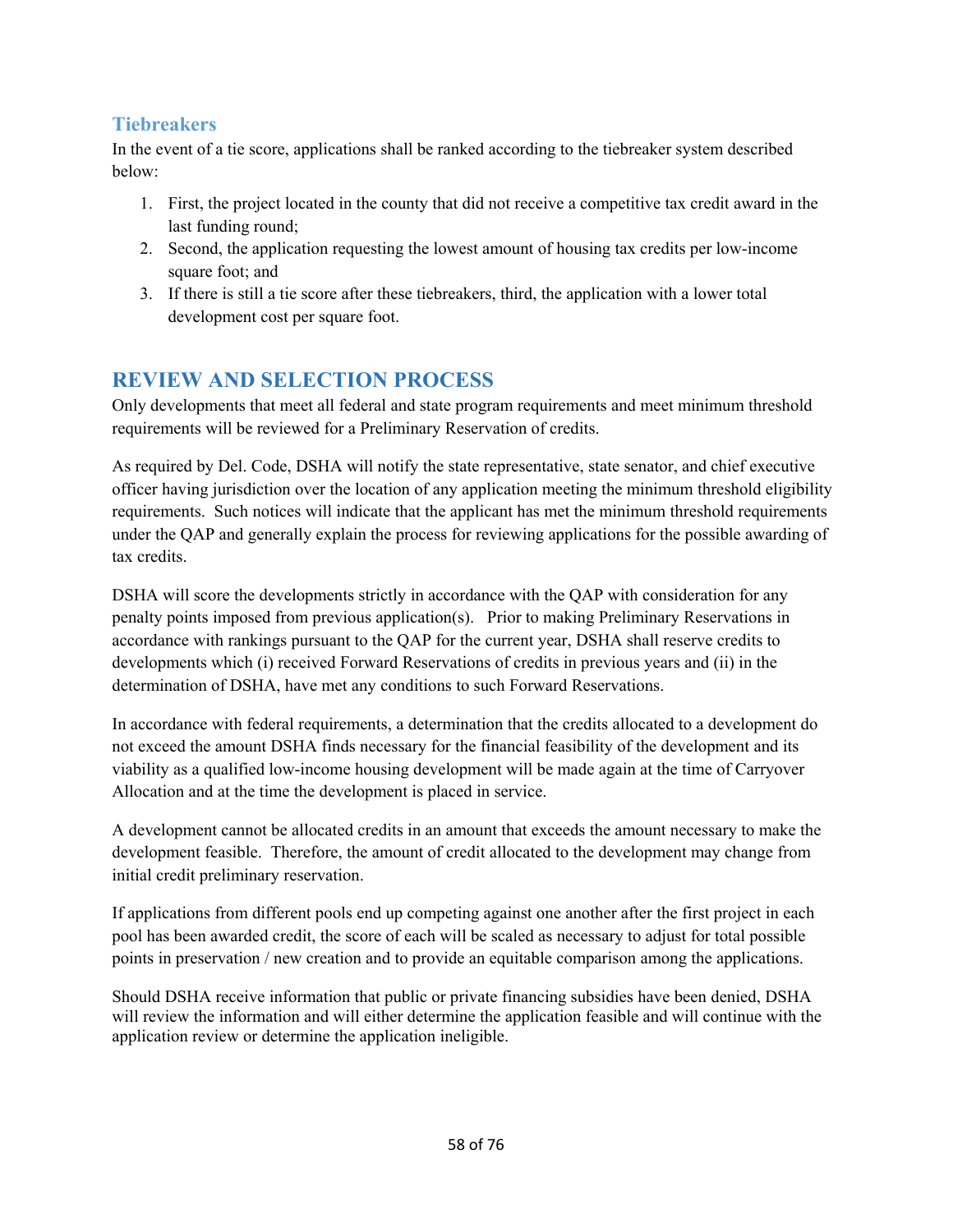# **Tiebreakers**

In the event of a tie score, applications shall be ranked according to the tiebreaker system described below:

- 1. First, the project located in the county that did not receive a competitive tax credit award in the last funding round;
- 2. Second, the application requesting the lowest amount of housing tax credits per low-income square foot; and
- 3. If there is still a tie score after these tiebreakers, third, the application with a lower total development cost per square foot.

# **REVIEW AND SELECTION PROCESS**

Only developments that meet all federal and state program requirements and meet minimum threshold requirements will be reviewed for a Preliminary Reservation of credits.

As required by Del. Code, DSHA will notify the state representative, state senator, and chief executive officer having jurisdiction over the location of any application meeting the minimum threshold eligibility requirements. Such notices will indicate that the applicant has met the minimum threshold requirements under the QAP and generally explain the process for reviewing applications for the possible awarding of tax credits.

DSHA will score the developments strictly in accordance with the QAP with consideration for any penalty points imposed from previous application(s). Prior to making Preliminary Reservations in accordance with rankings pursuant to the QAP for the current year, DSHA shall reserve credits to developments which (i) received Forward Reservations of credits in previous years and (ii) in the determination of DSHA, have met any conditions to such Forward Reservations.

In accordance with federal requirements, a determination that the credits allocated to a development do not exceed the amount DSHA finds necessary for the financial feasibility of the development and its viability as a qualified low-income housing development will be made again at the time of Carryover Allocation and at the time the development is placed in service.

A development cannot be allocated credits in an amount that exceeds the amount necessary to make the development feasible. Therefore, the amount of credit allocated to the development may change from initial credit preliminary reservation.

If applications from different pools end up competing against one another after the first project in each pool has been awarded credit, the score of each will be scaled as necessary to adjust for total possible points in preservation / new creation and to provide an equitable comparison among the applications.

Should DSHA receive information that public or private financing subsidies have been denied, DSHA will review the information and will either determine the application feasible and will continue with the application review or determine the application ineligible.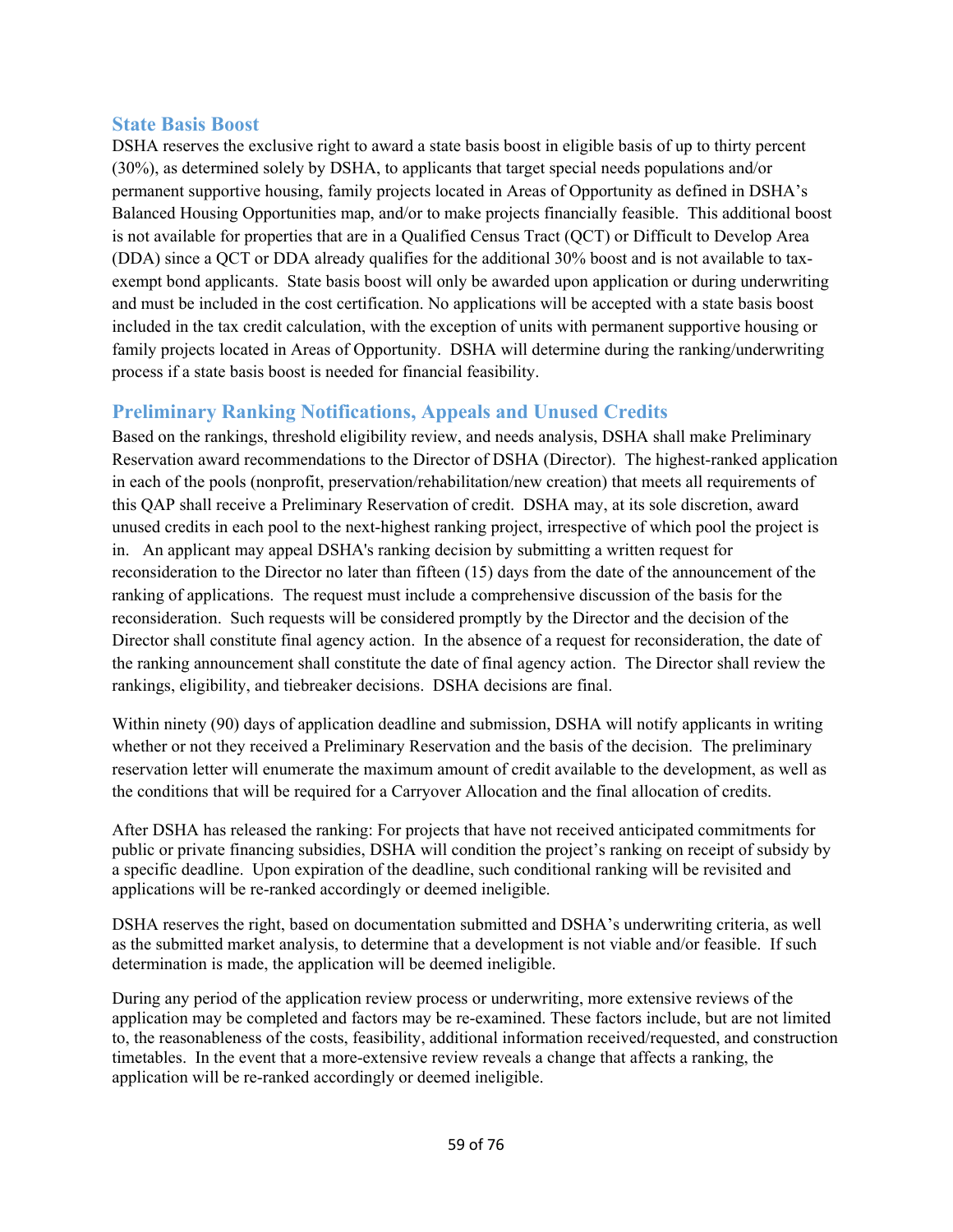## **State Basis Boost**

DSHA reserves the exclusive right to award a state basis boost in eligible basis of up to thirty percent (30%), as determined solely by DSHA, to applicants that target special needs populations and/or permanent supportive housing, family projects located in Areas of Opportunity as defined in DSHA's Balanced Housing Opportunities map, and/or to make projects financially feasible. This additional boost is not available for properties that are in a Qualified Census Tract (QCT) or Difficult to Develop Area (DDA) since a QCT or DDA already qualifies for the additional 30% boost and is not available to taxexempt bond applicants. State basis boost will only be awarded upon application or during underwriting and must be included in the cost certification. No applications will be accepted with a state basis boost included in the tax credit calculation, with the exception of units with permanent supportive housing or family projects located in Areas of Opportunity. DSHA will determine during the ranking/underwriting process if a state basis boost is needed for financial feasibility.

## **Preliminary Ranking Notifications, Appeals and Unused Credits**

Based on the rankings, threshold eligibility review, and needs analysis, DSHA shall make Preliminary Reservation award recommendations to the Director of DSHA (Director). The highest-ranked application in each of the pools (nonprofit, preservation/rehabilitation/new creation) that meets all requirements of this QAP shall receive a Preliminary Reservation of credit. DSHA may, at its sole discretion, award unused credits in each pool to the next-highest ranking project, irrespective of which pool the project is in.An applicant may appeal DSHA's ranking decision by submitting a written request for reconsideration to the Director no later than fifteen (15) days from the date of the announcement of the ranking of applications. The request must include a comprehensive discussion of the basis for the reconsideration. Such requests will be considered promptly by the Director and the decision of the Director shall constitute final agency action. In the absence of a request for reconsideration, the date of the ranking announcement shall constitute the date of final agency action. The Director shall review the rankings, eligibility, and tiebreaker decisions. DSHA decisions are final.

Within ninety (90) days of application deadline and submission, DSHA will notify applicants in writing whether or not they received a Preliminary Reservation and the basis of the decision. The preliminary reservation letter will enumerate the maximum amount of credit available to the development, as well as the conditions that will be required for a Carryover Allocation and the final allocation of credits.

After DSHA has released the ranking: For projects that have not received anticipated commitments for public or private financing subsidies, DSHA will condition the project's ranking on receipt of subsidy by a specific deadline. Upon expiration of the deadline, such conditional ranking will be revisited and applications will be re-ranked accordingly or deemed ineligible.

DSHA reserves the right, based on documentation submitted and DSHA's underwriting criteria, as well as the submitted market analysis, to determine that a development is not viable and/or feasible. If such determination is made, the application will be deemed ineligible.

During any period of the application review process or underwriting, more extensive reviews of the application may be completed and factors may be re-examined. These factors include, but are not limited to, the reasonableness of the costs, feasibility, additional information received/requested, and construction timetables. In the event that a more-extensive review reveals a change that affects a ranking, the application will be re-ranked accordingly or deemed ineligible.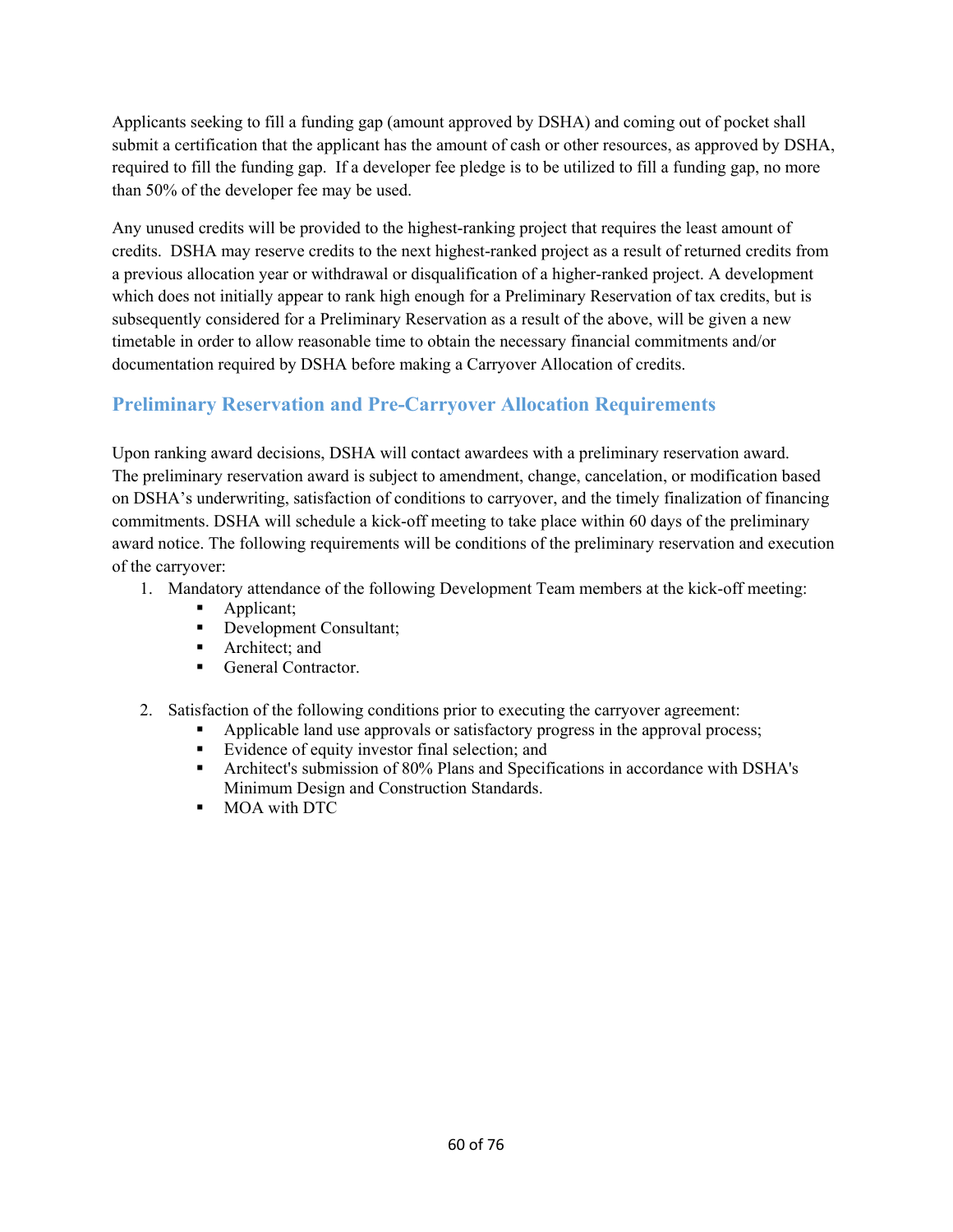Applicants seeking to fill a funding gap (amount approved by DSHA) and coming out of pocket shall submit a certification that the applicant has the amount of cash or other resources, as approved by DSHA, required to fill the funding gap. If a developer fee pledge is to be utilized to fill a funding gap, no more than 50% of the developer fee may be used.

Any unused credits will be provided to the highest-ranking project that requires the least amount of credits. DSHA may reserve credits to the next highest-ranked project as a result of returned credits from a previous allocation year or withdrawal or disqualification of a higher-ranked project. A development which does not initially appear to rank high enough for a Preliminary Reservation of tax credits, but is subsequently considered for a Preliminary Reservation as a result of the above, will be given a new timetable in order to allow reasonable time to obtain the necessary financial commitments and/or documentation required by DSHA before making a Carryover Allocation of credits.

# **Preliminary Reservation and Pre-Carryover Allocation Requirements**

Upon ranking award decisions, DSHA will contact awardees with a preliminary reservation award. The preliminary reservation award is subject to amendment, change, cancelation, or modification based on DSHA's underwriting, satisfaction of conditions to carryover, and the timely finalization of financing commitments. DSHA will schedule a kick-off meeting to take place within 60 days of the preliminary award notice. The following requirements will be conditions of the preliminary reservation and execution of the carryover:

- 1. Mandatory attendance of the following Development Team members at the kick-off meeting:
	- Applicant;
	- Development Consultant;
	- **Architect**: and
	- General Contractor.
- 2. Satisfaction of the following conditions prior to executing the carryover agreement:
	- Applicable land use approvals or satisfactory progress in the approval process;
	- Evidence of equity investor final selection; and
	- Architect's submission of 80% Plans and Specifications in accordance with DSHA's Minimum Design and Construction Standards.
	- **MOA** with DTC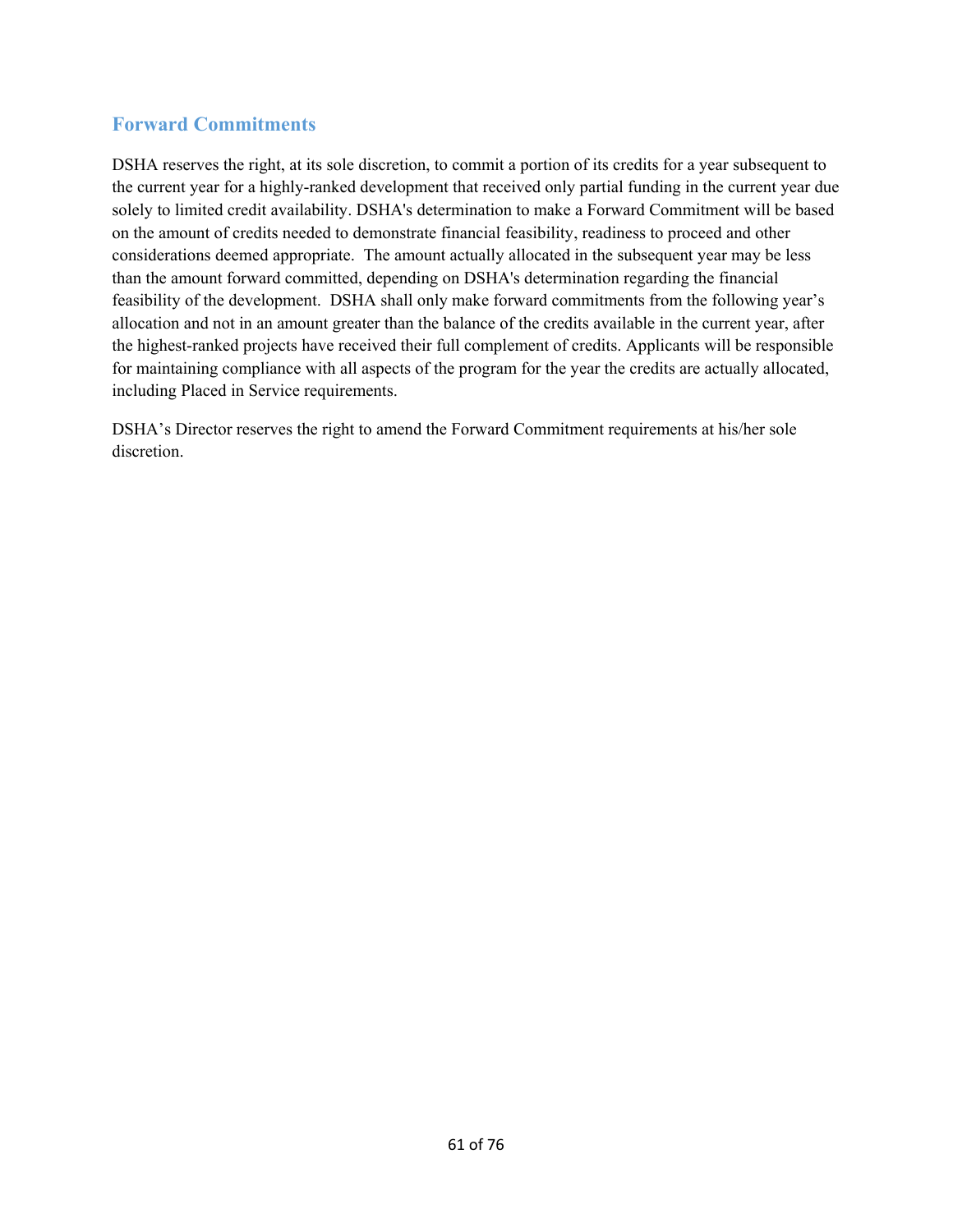# **Forward Commitments**

DSHA reserves the right, at its sole discretion, to commit a portion of its credits for a year subsequent to the current year for a highly-ranked development that received only partial funding in the current year due solely to limited credit availability. DSHA's determination to make a Forward Commitment will be based on the amount of credits needed to demonstrate financial feasibility, readiness to proceed and other considerations deemed appropriate. The amount actually allocated in the subsequent year may be less than the amount forward committed, depending on DSHA's determination regarding the financial feasibility of the development. DSHA shall only make forward commitments from the following year's allocation and not in an amount greater than the balance of the credits available in the current year, after the highest-ranked projects have received their full complement of credits. Applicants will be responsible for maintaining compliance with all aspects of the program for the year the credits are actually allocated, including Placed in Service requirements.

DSHA's Director reserves the right to amend the Forward Commitment requirements at his/her sole discretion.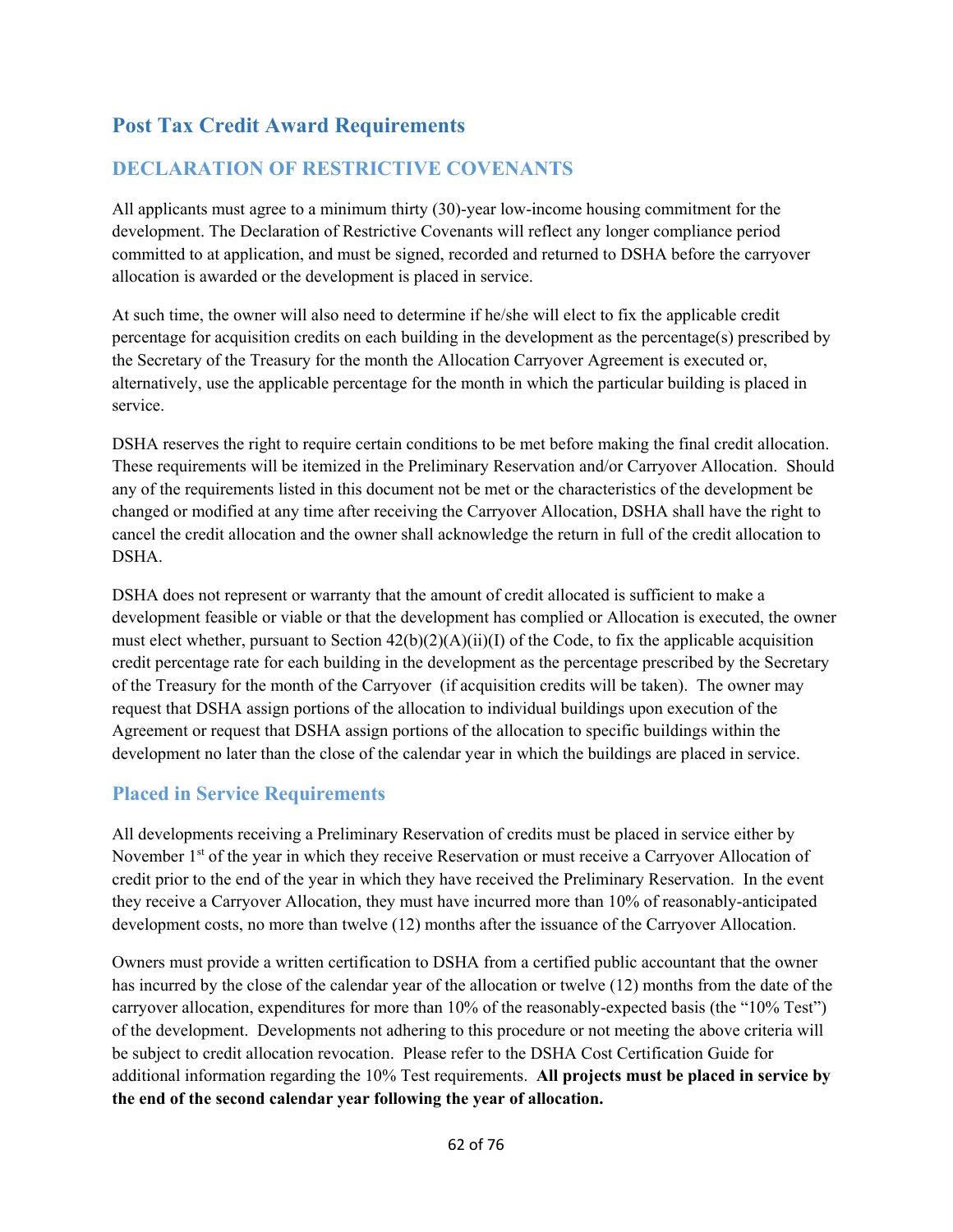# **Post Tax Credit Award Requirements**

# **DECLARATION OF RESTRICTIVE COVENANTS**

All applicants must agree to a minimum thirty (30)-year low-income housing commitment for the development. The Declaration of Restrictive Covenants will reflect any longer compliance period committed to at application, and must be signed, recorded and returned to DSHA before the carryover allocation is awarded or the development is placed in service.

At such time, the owner will also need to determine if he/she will elect to fix the applicable credit percentage for acquisition credits on each building in the development as the percentage(s) prescribed by the Secretary of the Treasury for the month the Allocation Carryover Agreement is executed or, alternatively, use the applicable percentage for the month in which the particular building is placed in service.

DSHA reserves the right to require certain conditions to be met before making the final credit allocation. These requirements will be itemized in the Preliminary Reservation and/or Carryover Allocation. Should any of the requirements listed in this document not be met or the characteristics of the development be changed or modified at any time after receiving the Carryover Allocation, DSHA shall have the right to cancel the credit allocation and the owner shall acknowledge the return in full of the credit allocation to DSHA.

DSHA does not represent or warranty that the amount of credit allocated is sufficient to make a development feasible or viable or that the development has complied or Allocation is executed, the owner must elect whether, pursuant to Section  $42(b)(2)(A)(ii)(I)$  of the Code, to fix the applicable acquisition credit percentage rate for each building in the development as the percentage prescribed by the Secretary of the Treasury for the month of the Carryover (if acquisition credits will be taken). The owner may request that DSHA assign portions of the allocation to individual buildings upon execution of the Agreement or request that DSHA assign portions of the allocation to specific buildings within the development no later than the close of the calendar year in which the buildings are placed in service.

## **Placed in Service Requirements**

All developments receiving a Preliminary Reservation of credits must be placed in service either by November 1<sup>st</sup> of the year in which they receive Reservation or must receive a Carryover Allocation of credit prior to the end of the year in which they have received the Preliminary Reservation. In the event they receive a Carryover Allocation, they must have incurred more than 10% of reasonably-anticipated development costs, no more than twelve (12) months after the issuance of the Carryover Allocation.

Owners must provide a written certification to DSHA from a certified public accountant that the owner has incurred by the close of the calendar year of the allocation or twelve (12) months from the date of the carryover allocation, expenditures for more than 10% of the reasonably-expected basis (the "10% Test") of the development. Developments not adhering to this procedure or not meeting the above criteria will be subject to credit allocation revocation. Please refer to the DSHA Cost Certification Guide for additional information regarding the 10% Test requirements. **All projects must be placed in service by the end of the second calendar year following the year of allocation.**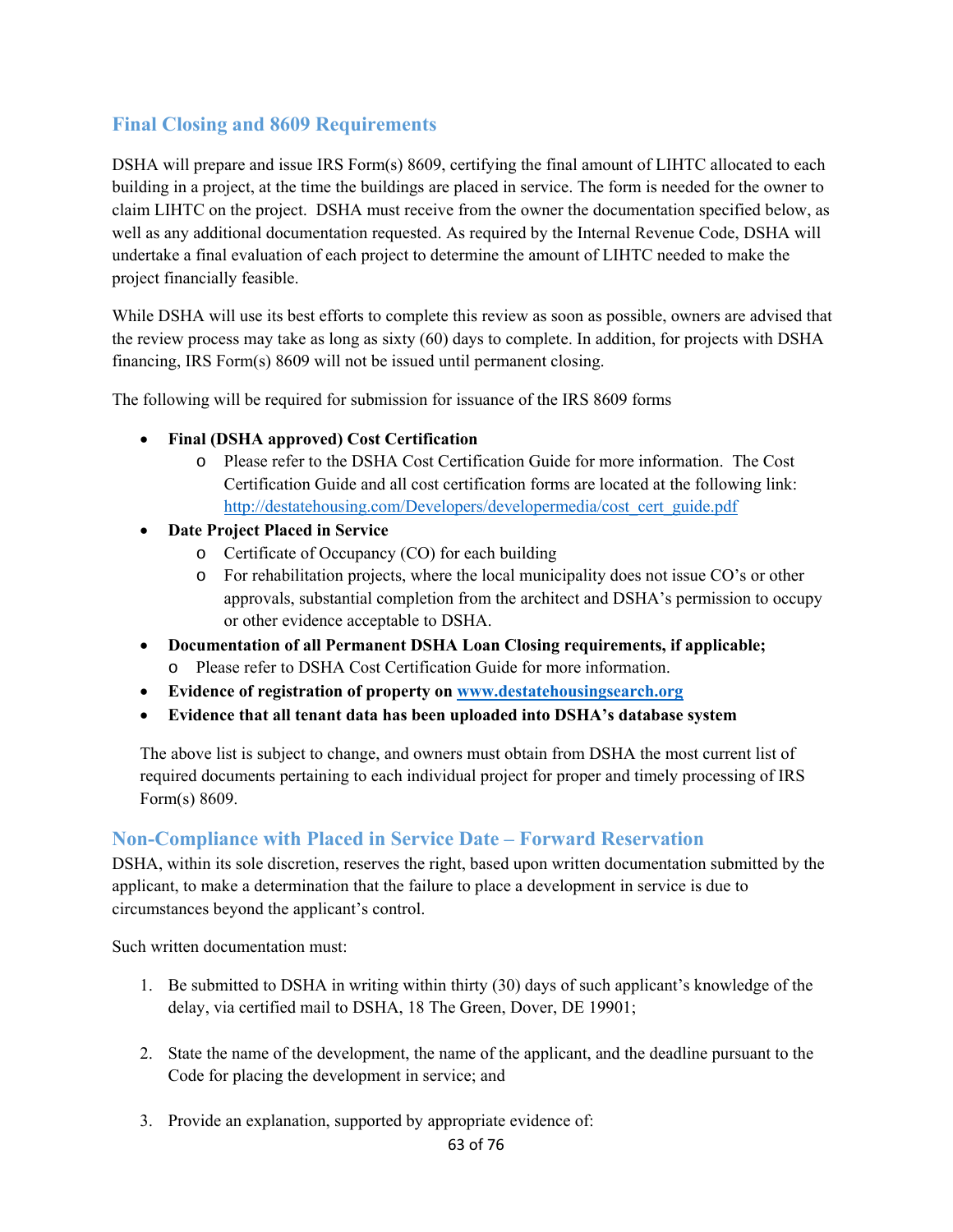# **Final Closing and 8609 Requirements**

DSHA will prepare and issue IRS Form(s) 8609, certifying the final amount of LIHTC allocated to each building in a project, at the time the buildings are placed in service. The form is needed for the owner to claim LIHTC on the project. DSHA must receive from the owner the documentation specified below, as well as any additional documentation requested. As required by the Internal Revenue Code, DSHA will undertake a final evaluation of each project to determine the amount of LIHTC needed to make the project financially feasible.

While DSHA will use its best efforts to complete this review as soon as possible, owners are advised that the review process may take as long as sixty (60) days to complete. In addition, for projects with DSHA financing, IRS Form(s) 8609 will not be issued until permanent closing.

The following will be required for submission for issuance of the IRS 8609 forms

- **Final (DSHA approved) Cost Certification** 
	- o Please refer to the DSHA Cost Certification Guide for more information. The Cost Certification Guide and all cost certification forms are located at the following link: http://destatehousing.com/Developers/developermedia/cost\_cert\_guide.pdf
- **Date Project Placed in Service** 
	- o Certificate of Occupancy (CO) for each building
	- o For rehabilitation projects, where the local municipality does not issue CO's or other approvals, substantial completion from the architect and DSHA's permission to occupy or other evidence acceptable to DSHA.
- **Documentation of all Permanent DSHA Loan Closing requirements, if applicable;** 
	- o Please refer to DSHA Cost Certification Guide for more information.
- **Evidence of registration of property on www.destatehousingsearch.org**
- **Evidence that all tenant data has been uploaded into DSHA's database system**

The above list is subject to change, and owners must obtain from DSHA the most current list of required documents pertaining to each individual project for proper and timely processing of IRS Form(s) 8609.

## **Non-Compliance with Placed in Service Date – Forward Reservation**

DSHA, within its sole discretion, reserves the right, based upon written documentation submitted by the applicant, to make a determination that the failure to place a development in service is due to circumstances beyond the applicant's control.

Such written documentation must:

- 1. Be submitted to DSHA in writing within thirty (30) days of such applicant's knowledge of the delay, via certified mail to DSHA, 18 The Green, Dover, DE 19901;
- 2. State the name of the development, the name of the applicant, and the deadline pursuant to the Code for placing the development in service; and
- 3. Provide an explanation, supported by appropriate evidence of: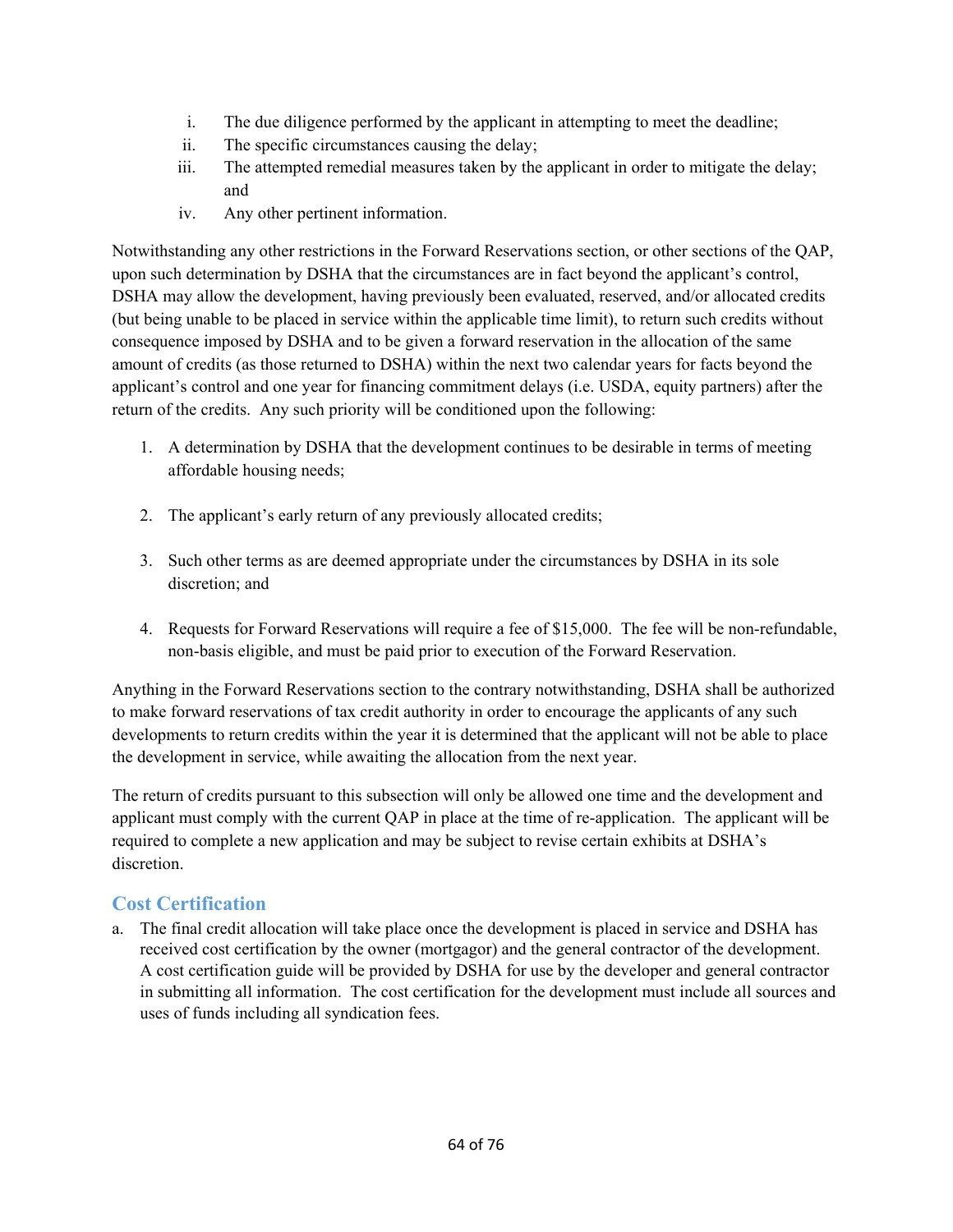- i. The due diligence performed by the applicant in attempting to meet the deadline;
- ii. The specific circumstances causing the delay;
- iii. The attempted remedial measures taken by the applicant in order to mitigate the delay; and
- iv. Any other pertinent information.

Notwithstanding any other restrictions in the Forward Reservations section, or other sections of the QAP, upon such determination by DSHA that the circumstances are in fact beyond the applicant's control, DSHA may allow the development, having previously been evaluated, reserved, and/or allocated credits (but being unable to be placed in service within the applicable time limit), to return such credits without consequence imposed by DSHA and to be given a forward reservation in the allocation of the same amount of credits (as those returned to DSHA) within the next two calendar years for facts beyond the applicant's control and one year for financing commitment delays (i.e. USDA, equity partners) after the return of the credits. Any such priority will be conditioned upon the following:

- 1. A determination by DSHA that the development continues to be desirable in terms of meeting affordable housing needs;
- 2. The applicant's early return of any previously allocated credits;
- 3. Such other terms as are deemed appropriate under the circumstances by DSHA in its sole discretion; and
- 4. Requests for Forward Reservations will require a fee of \$15,000. The fee will be non-refundable, non-basis eligible, and must be paid prior to execution of the Forward Reservation.

Anything in the Forward Reservations section to the contrary notwithstanding, DSHA shall be authorized to make forward reservations of tax credit authority in order to encourage the applicants of any such developments to return credits within the year it is determined that the applicant will not be able to place the development in service, while awaiting the allocation from the next year.

The return of credits pursuant to this subsection will only be allowed one time and the development and applicant must comply with the current QAP in place at the time of re-application. The applicant will be required to complete a new application and may be subject to revise certain exhibits at DSHA's discretion.

# **Cost Certification**

a. The final credit allocation will take place once the development is placed in service and DSHA has received cost certification by the owner (mortgagor) and the general contractor of the development. A cost certification guide will be provided by DSHA for use by the developer and general contractor in submitting all information. The cost certification for the development must include all sources and uses of funds including all syndication fees.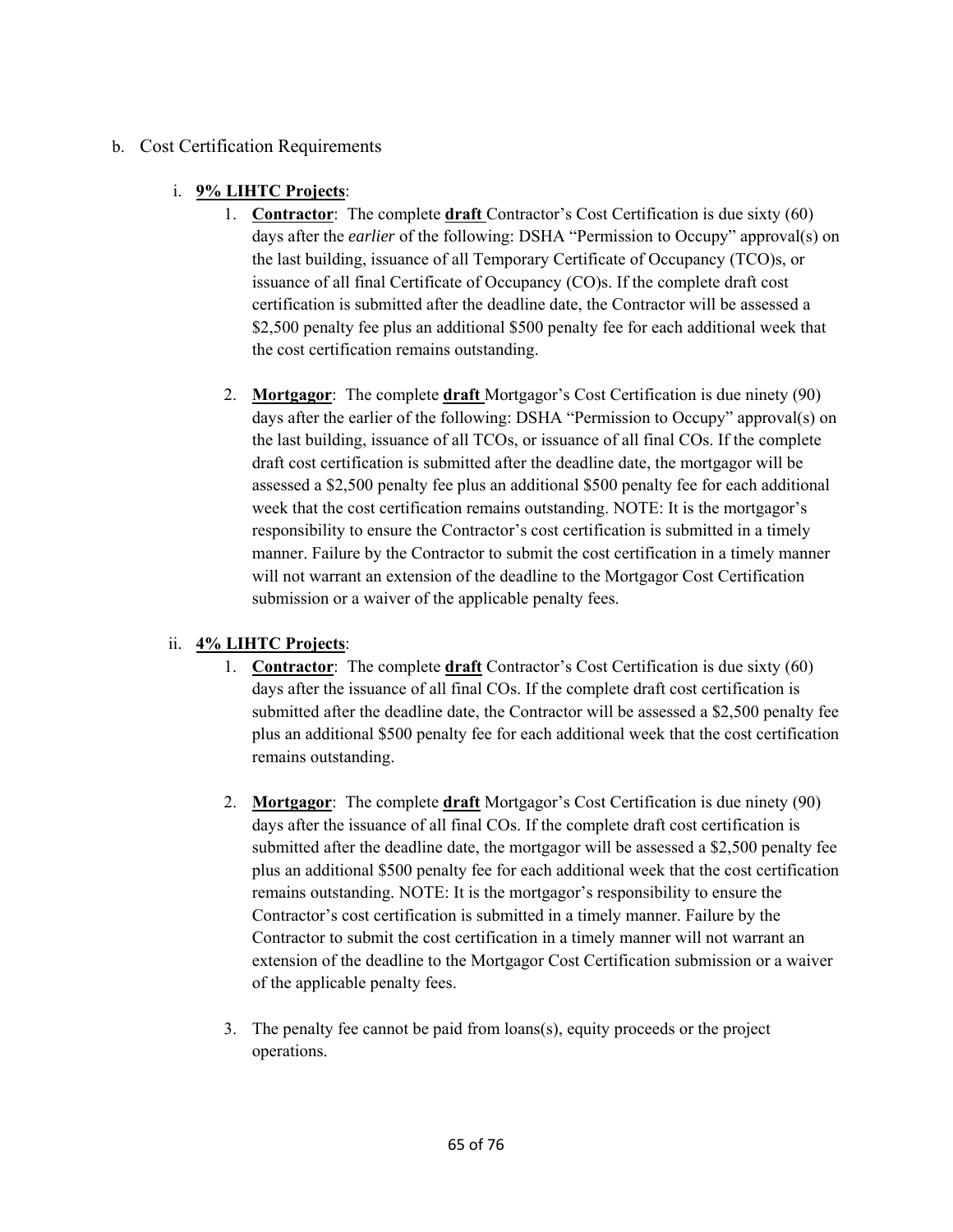## b. Cost Certification Requirements

## i. **9% LIHTC Projects**:

- 1. **Contractor**: The complete **draft** Contractor's Cost Certification is due sixty (60) days after the *earlier* of the following: DSHA "Permission to Occupy" approval(s) on the last building, issuance of all Temporary Certificate of Occupancy (TCO)s, or issuance of all final Certificate of Occupancy (CO)s. If the complete draft cost certification is submitted after the deadline date, the Contractor will be assessed a \$2,500 penalty fee plus an additional \$500 penalty fee for each additional week that the cost certification remains outstanding.
- 2. **Mortgagor**: The complete **draft** Mortgagor's Cost Certification is due ninety (90) days after the earlier of the following: DSHA "Permission to Occupy" approval(s) on the last building, issuance of all TCOs, or issuance of all final COs. If the complete draft cost certification is submitted after the deadline date, the mortgagor will be assessed a \$2,500 penalty fee plus an additional \$500 penalty fee for each additional week that the cost certification remains outstanding. NOTE: It is the mortgagor's responsibility to ensure the Contractor's cost certification is submitted in a timely manner. Failure by the Contractor to submit the cost certification in a timely manner will not warrant an extension of the deadline to the Mortgagor Cost Certification submission or a waiver of the applicable penalty fees.

## ii. **4% LIHTC Projects**:

- 1. **Contractor**: The complete **draft** Contractor's Cost Certification is due sixty (60) days after the issuance of all final COs. If the complete draft cost certification is submitted after the deadline date, the Contractor will be assessed a \$2,500 penalty fee plus an additional \$500 penalty fee for each additional week that the cost certification remains outstanding.
- 2. **Mortgagor**: The complete **draft** Mortgagor's Cost Certification is due ninety (90) days after the issuance of all final COs. If the complete draft cost certification is submitted after the deadline date, the mortgagor will be assessed a \$2,500 penalty fee plus an additional \$500 penalty fee for each additional week that the cost certification remains outstanding. NOTE: It is the mortgagor's responsibility to ensure the Contractor's cost certification is submitted in a timely manner. Failure by the Contractor to submit the cost certification in a timely manner will not warrant an extension of the deadline to the Mortgagor Cost Certification submission or a waiver of the applicable penalty fees.
- 3. The penalty fee cannot be paid from loans(s), equity proceeds or the project operations.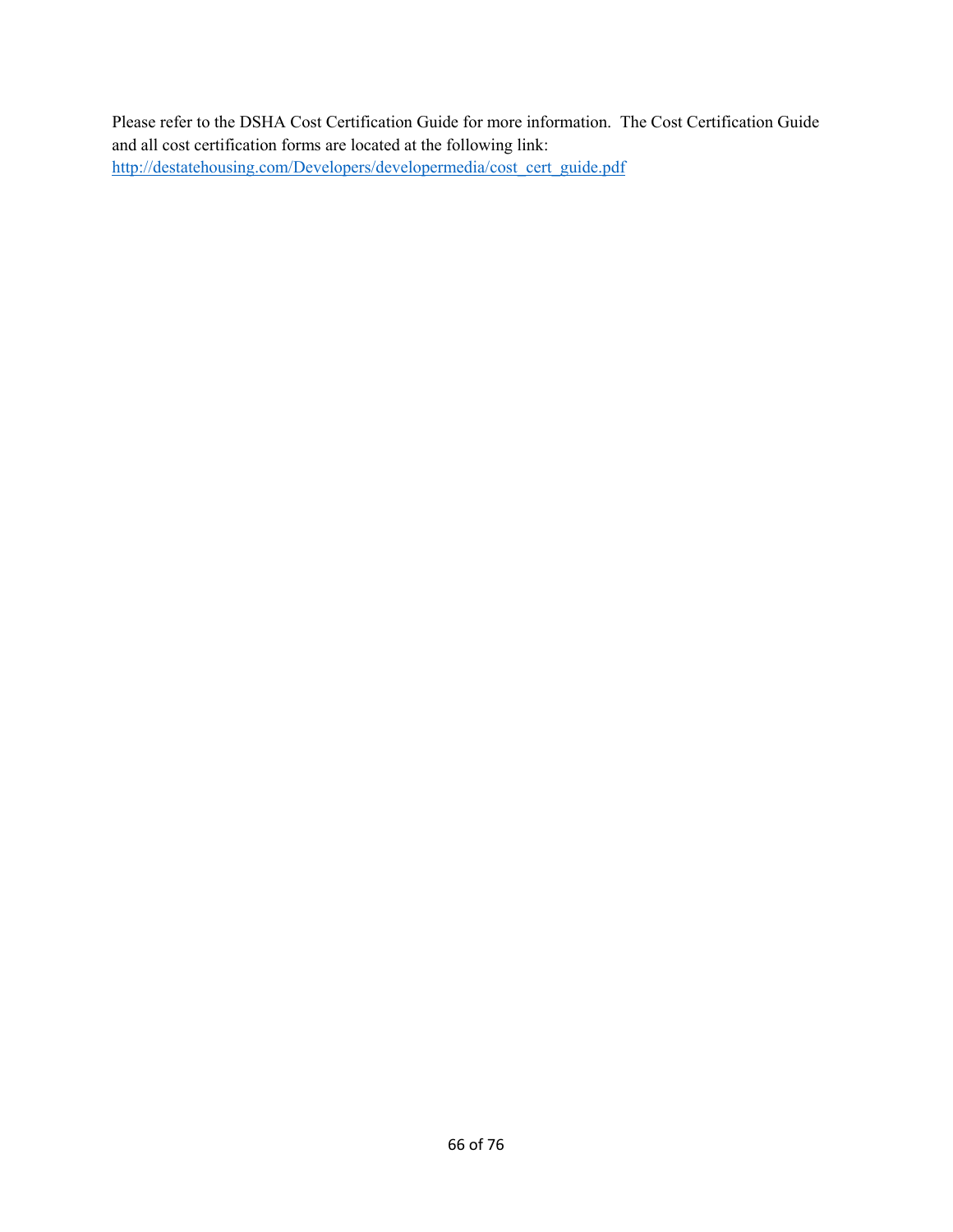Please refer to the DSHA Cost Certification Guide for more information. The Cost Certification Guide and all cost certification forms are located at the following link: http://destatehousing.com/Developers/developermedia/cost\_cert\_guide.pdf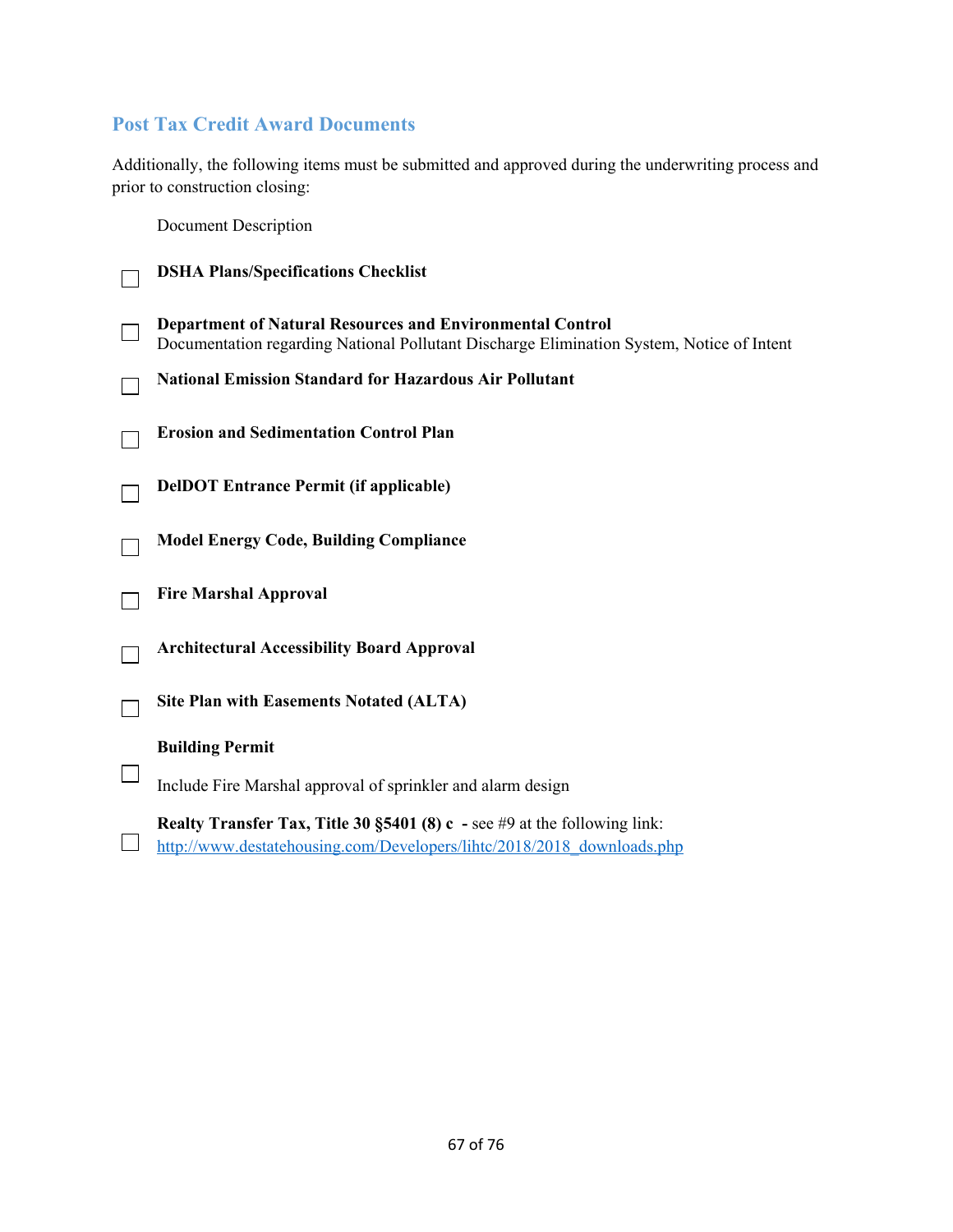# **Post Tax Credit Award Documents**

Additionally, the following items must be submitted and approved during the underwriting process and prior to construction closing:

Document Description

| <b>DSHA Plans/Specifications Checklist</b>                                                                                                                    |
|---------------------------------------------------------------------------------------------------------------------------------------------------------------|
| <b>Department of Natural Resources and Environmental Control</b><br>Documentation regarding National Pollutant Discharge Elimination System, Notice of Intent |
| <b>National Emission Standard for Hazardous Air Pollutant</b>                                                                                                 |
| <b>Erosion and Sedimentation Control Plan</b>                                                                                                                 |
| <b>DelDOT</b> Entrance Permit (if applicable)                                                                                                                 |
| <b>Model Energy Code, Building Compliance</b>                                                                                                                 |
| <b>Fire Marshal Approval</b>                                                                                                                                  |
| <b>Architectural Accessibility Board Approval</b>                                                                                                             |
| <b>Site Plan with Easements Notated (ALTA)</b>                                                                                                                |
| <b>Building Permit</b>                                                                                                                                        |
| Include Fire Marshal approval of sprinkler and alarm design                                                                                                   |
| <b>Realty Transfer Tax, Title 30 §5401 (8) c</b> - see #9 at the following link:<br>http://www.destatehousing.com/Developers/lihtc/2018/2018 downloads.php    |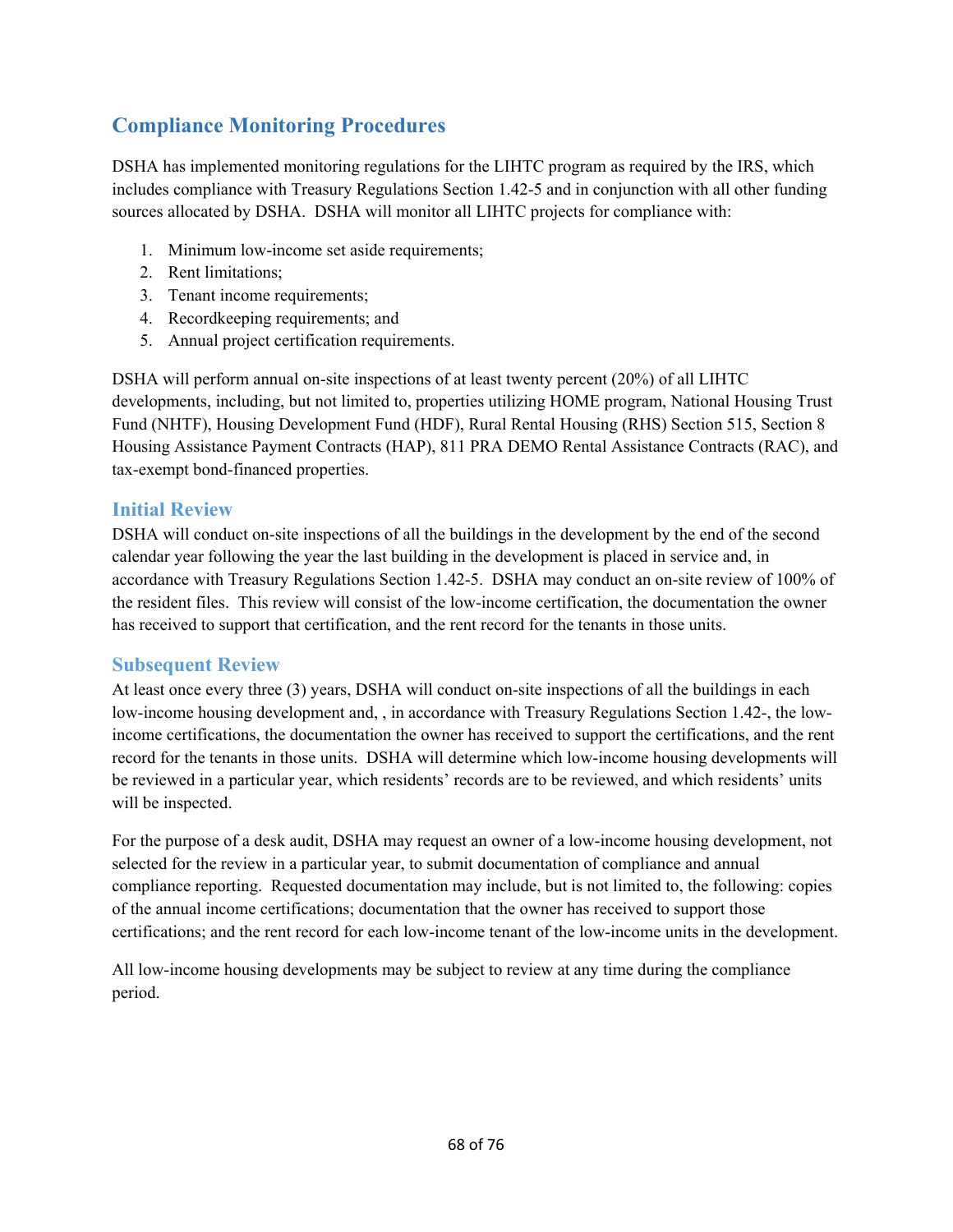# **Compliance Monitoring Procedures**

DSHA has implemented monitoring regulations for the LIHTC program as required by the IRS, which includes compliance with Treasury Regulations Section 1.42-5 and in conjunction with all other funding sources allocated by DSHA. DSHA will monitor all LIHTC projects for compliance with:

- 1. Minimum low-income set aside requirements;
- 2. Rent limitations;
- 3. Tenant income requirements;
- 4. Recordkeeping requirements; and
- 5. Annual project certification requirements.

DSHA will perform annual on-site inspections of at least twenty percent (20%) of all LIHTC developments, including, but not limited to, properties utilizing HOME program, National Housing Trust Fund (NHTF), Housing Development Fund (HDF), Rural Rental Housing (RHS) Section 515, Section 8 Housing Assistance Payment Contracts (HAP), 811 PRA DEMO Rental Assistance Contracts (RAC), and tax-exempt bond-financed properties.

## **Initial Review**

DSHA will conduct on-site inspections of all the buildings in the development by the end of the second calendar year following the year the last building in the development is placed in service and, in accordance with Treasury Regulations Section 1.42-5. DSHA may conduct an on-site review of 100% of the resident files. This review will consist of the low-income certification, the documentation the owner has received to support that certification, and the rent record for the tenants in those units.

## **Subsequent Review**

At least once every three (3) years, DSHA will conduct on-site inspections of all the buildings in each low-income housing development and, , in accordance with Treasury Regulations Section 1.42-, the lowincome certifications, the documentation the owner has received to support the certifications, and the rent record for the tenants in those units. DSHA will determine which low-income housing developments will be reviewed in a particular year, which residents' records are to be reviewed, and which residents' units will be inspected.

For the purpose of a desk audit, DSHA may request an owner of a low-income housing development, not selected for the review in a particular year, to submit documentation of compliance and annual compliance reporting. Requested documentation may include, but is not limited to, the following: copies of the annual income certifications; documentation that the owner has received to support those certifications; and the rent record for each low-income tenant of the low-income units in the development.

All low-income housing developments may be subject to review at any time during the compliance period.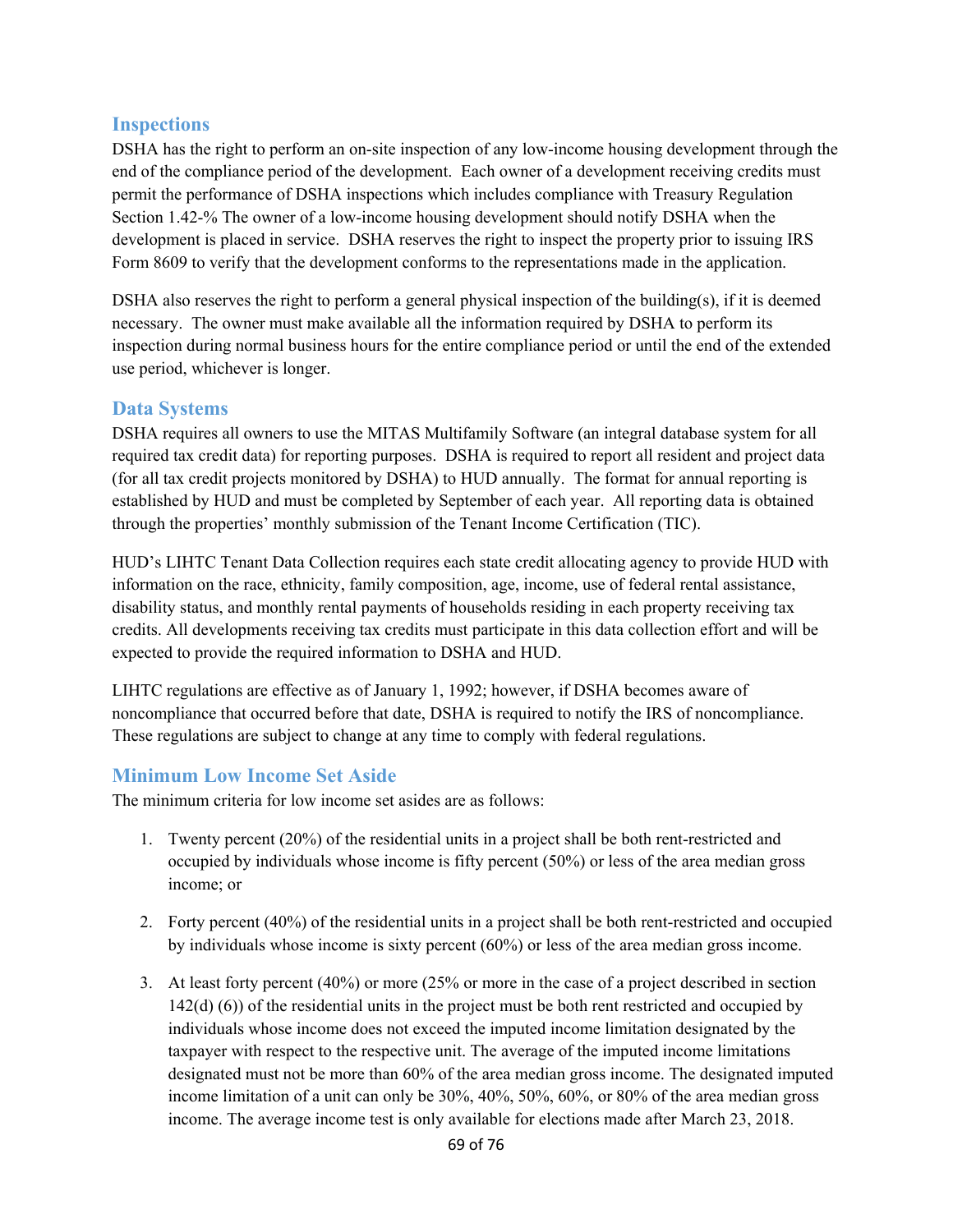## **Inspections**

DSHA has the right to perform an on-site inspection of any low-income housing development through the end of the compliance period of the development. Each owner of a development receiving credits must permit the performance of DSHA inspections which includes compliance with Treasury Regulation Section 1.42-% The owner of a low-income housing development should notify DSHA when the development is placed in service. DSHA reserves the right to inspect the property prior to issuing IRS Form 8609 to verify that the development conforms to the representations made in the application.

DSHA also reserves the right to perform a general physical inspection of the building(s), if it is deemed necessary. The owner must make available all the information required by DSHA to perform its inspection during normal business hours for the entire compliance period or until the end of the extended use period, whichever is longer.

## **Data Systems**

DSHA requires all owners to use the MITAS Multifamily Software (an integral database system for all required tax credit data) for reporting purposes. DSHA is required to report all resident and project data (for all tax credit projects monitored by DSHA) to HUD annually. The format for annual reporting is established by HUD and must be completed by September of each year. All reporting data is obtained through the properties' monthly submission of the Tenant Income Certification (TIC).

HUD's LIHTC Tenant Data Collection requires each state credit allocating agency to provide HUD with information on the race, ethnicity, family composition, age, income, use of federal rental assistance, disability status, and monthly rental payments of households residing in each property receiving tax credits. All developments receiving tax credits must participate in this data collection effort and will be expected to provide the required information to DSHA and HUD.

LIHTC regulations are effective as of January 1, 1992; however, if DSHA becomes aware of noncompliance that occurred before that date, DSHA is required to notify the IRS of noncompliance. These regulations are subject to change at any time to comply with federal regulations.

## **Minimum Low Income Set Aside**

The minimum criteria for low income set asides are as follows:

- 1. Twenty percent (20%) of the residential units in a project shall be both rent-restricted and occupied by individuals whose income is fifty percent (50%) or less of the area median gross income; or
- 2. Forty percent (40%) of the residential units in a project shall be both rent-restricted and occupied by individuals whose income is sixty percent (60%) or less of the area median gross income.
- 3. At least forty percent (40%) or more (25% or more in the case of a project described in section 142(d) (6)) of the residential units in the project must be both rent restricted and occupied by individuals whose income does not exceed the imputed income limitation designated by the taxpayer with respect to the respective unit. The average of the imputed income limitations designated must not be more than 60% of the area median gross income. The designated imputed income limitation of a unit can only be 30%, 40%, 50%, 60%, or 80% of the area median gross income. The average income test is only available for elections made after March 23, 2018.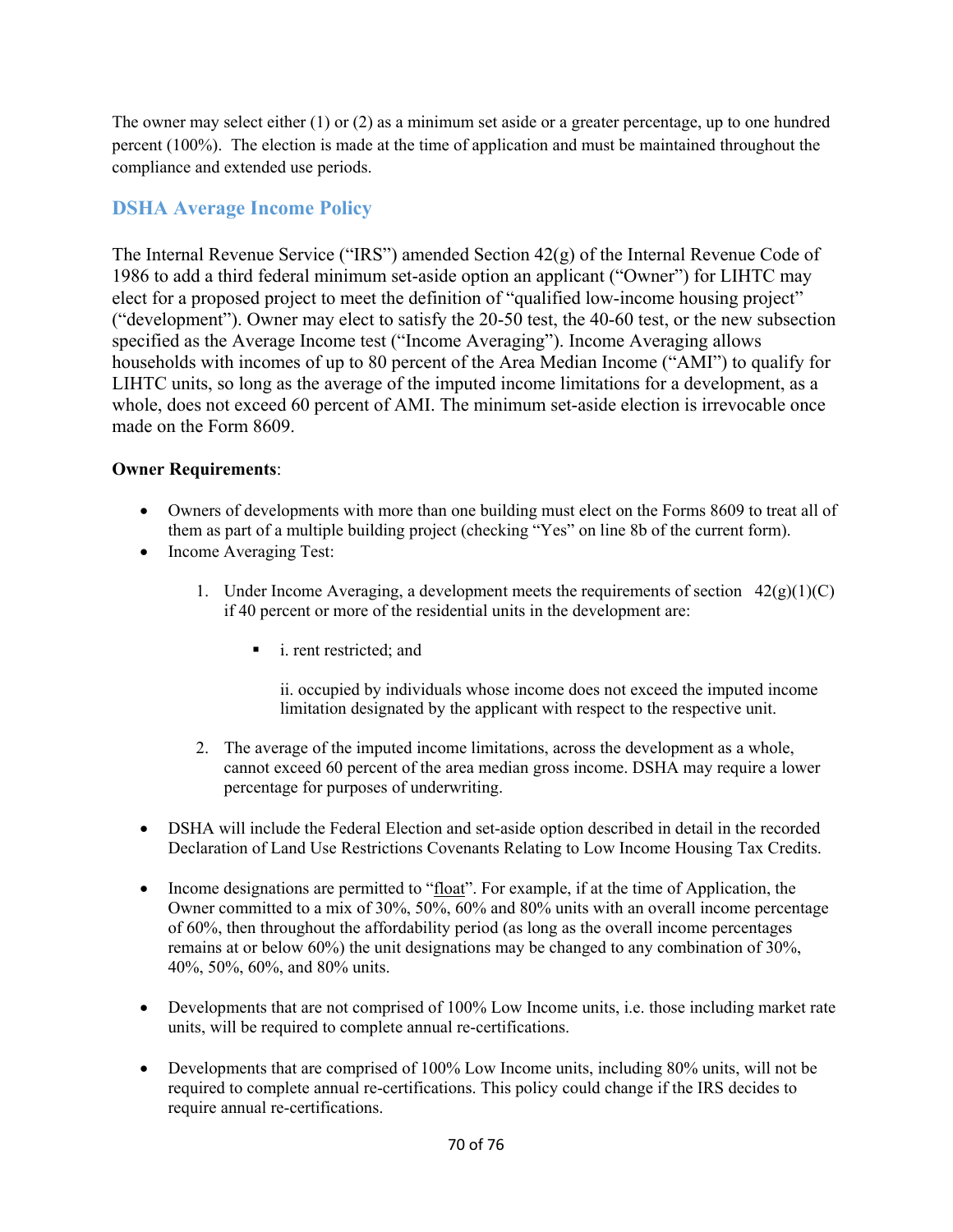The owner may select either (1) or (2) as a minimum set aside or a greater percentage, up to one hundred percent (100%). The election is made at the time of application and must be maintained throughout the compliance and extended use periods.

# **DSHA Average Income Policy**

The Internal Revenue Service ("IRS") amended Section 42(g) of the Internal Revenue Code of 1986 to add a third federal minimum set-aside option an applicant ("Owner") for LIHTC may elect for a proposed project to meet the definition of "qualified low-income housing project" ("development"). Owner may elect to satisfy the 20-50 test, the 40-60 test, or the new subsection specified as the Average Income test ("Income Averaging"). Income Averaging allows households with incomes of up to 80 percent of the Area Median Income ("AMI") to qualify for LIHTC units, so long as the average of the imputed income limitations for a development, as a whole, does not exceed 60 percent of AMI. The minimum set-aside election is irrevocable once made on the Form 8609.

## **Owner Requirements**:

- Owners of developments with more than one building must elect on the Forms 8609 to treat all of them as part of a multiple building project (checking "Yes" on line 8b of the current form).
- Income Averaging Test:
	- 1. Under Income Averaging, a development meets the requirements of section  $42(g)(1)(C)$ if 40 percent or more of the residential units in the development are:
		- i. rent restricted; and

ii. occupied by individuals whose income does not exceed the imputed income limitation designated by the applicant with respect to the respective unit.

- 2. The average of the imputed income limitations, across the development as a whole, cannot exceed 60 percent of the area median gross income. DSHA may require a lower percentage for purposes of underwriting.
- DSHA will include the Federal Election and set-aside option described in detail in the recorded Declaration of Land Use Restrictions Covenants Relating to Low Income Housing Tax Credits.
- Income designations are permitted to "float". For example, if at the time of Application, the Owner committed to a mix of 30%, 50%, 60% and 80% units with an overall income percentage of 60%, then throughout the affordability period (as long as the overall income percentages remains at or below 60%) the unit designations may be changed to any combination of 30%, 40%, 50%, 60%, and 80% units.
- Developments that are not comprised of 100% Low Income units, i.e. those including market rate units, will be required to complete annual re-certifications.
- Developments that are comprised of 100% Low Income units, including 80% units, will not be required to complete annual re-certifications. This policy could change if the IRS decides to require annual re-certifications.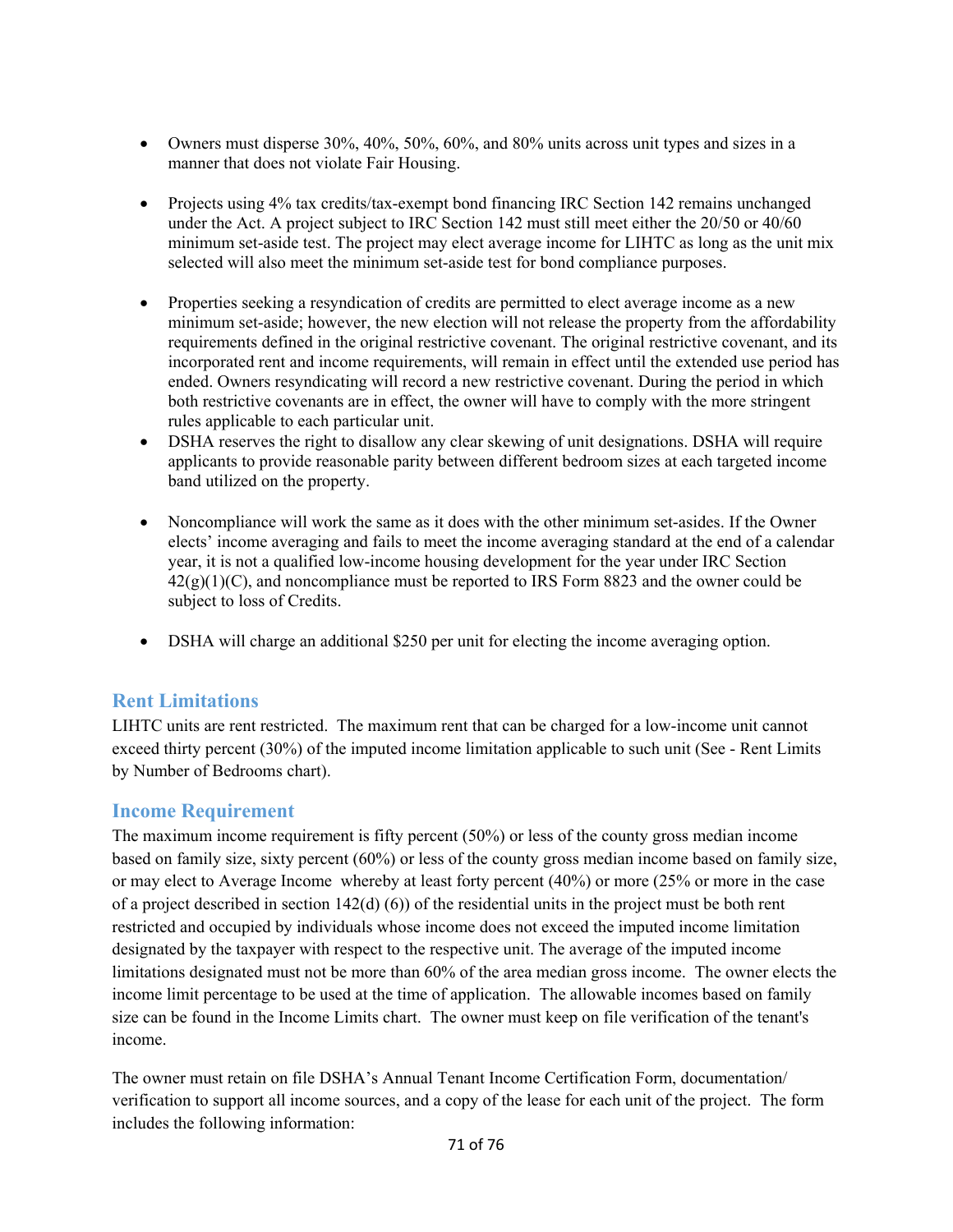- Owners must disperse  $30\%$ ,  $40\%$ ,  $50\%$ ,  $60\%$ , and  $80\%$  units across unit types and sizes in a manner that does not violate Fair Housing.
- Projects using 4% tax credits/tax-exempt bond financing IRC Section 142 remains unchanged under the Act. A project subject to IRC Section 142 must still meet either the 20/50 or 40/60 minimum set-aside test. The project may elect average income for LIHTC as long as the unit mix selected will also meet the minimum set-aside test for bond compliance purposes.
- Properties seeking a resyndication of credits are permitted to elect average income as a new minimum set-aside; however, the new election will not release the property from the affordability requirements defined in the original restrictive covenant. The original restrictive covenant, and its incorporated rent and income requirements, will remain in effect until the extended use period has ended. Owners resyndicating will record a new restrictive covenant. During the period in which both restrictive covenants are in effect, the owner will have to comply with the more stringent rules applicable to each particular unit.
- DSHA reserves the right to disallow any clear skewing of unit designations. DSHA will require applicants to provide reasonable parity between different bedroom sizes at each targeted income band utilized on the property.
- Noncompliance will work the same as it does with the other minimum set-asides. If the Owner elects' income averaging and fails to meet the income averaging standard at the end of a calendar year, it is not a qualified low-income housing development for the year under IRC Section  $42(g)(1)(C)$ , and noncompliance must be reported to IRS Form 8823 and the owner could be subject to loss of Credits.
- DSHA will charge an additional \$250 per unit for electing the income averaging option.

## **Rent Limitations**

LIHTC units are rent restricted. The maximum rent that can be charged for a low-income unit cannot exceed thirty percent (30%) of the imputed income limitation applicable to such unit (See - Rent Limits by Number of Bedrooms chart).

## **Income Requirement**

The maximum income requirement is fifty percent (50%) or less of the county gross median income based on family size, sixty percent (60%) or less of the county gross median income based on family size, or may elect to Average Income whereby at least forty percent (40%) or more (25% or more in the case of a project described in section  $142(d)$  (6)) of the residential units in the project must be both rent restricted and occupied by individuals whose income does not exceed the imputed income limitation designated by the taxpayer with respect to the respective unit. The average of the imputed income limitations designated must not be more than 60% of the area median gross income. The owner elects the income limit percentage to be used at the time of application. The allowable incomes based on family size can be found in the Income Limits chart. The owner must keep on file verification of the tenant's income.

The owner must retain on file DSHA's Annual Tenant Income Certification Form, documentation/ verification to support all income sources, and a copy of the lease for each unit of the project. The form includes the following information: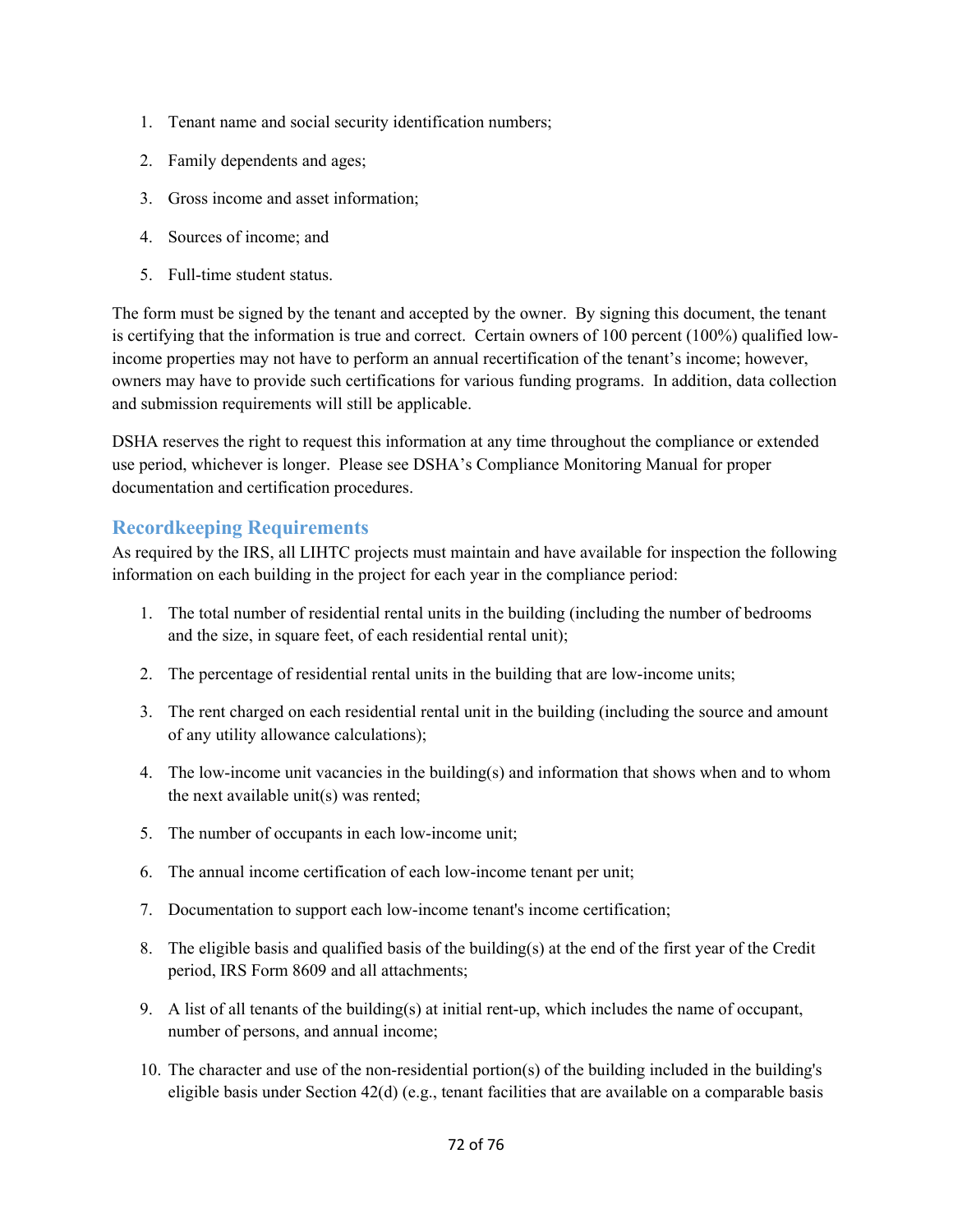- 1. Tenant name and social security identification numbers;
- 2. Family dependents and ages;
- 3. Gross income and asset information;
- 4. Sources of income; and
- 5. Full-time student status.

The form must be signed by the tenant and accepted by the owner. By signing this document, the tenant is certifying that the information is true and correct. Certain owners of 100 percent (100%) qualified lowincome properties may not have to perform an annual recertification of the tenant's income; however, owners may have to provide such certifications for various funding programs. In addition, data collection and submission requirements will still be applicable.

DSHA reserves the right to request this information at any time throughout the compliance or extended use period, whichever is longer. Please see DSHA's Compliance Monitoring Manual for proper documentation and certification procedures.

#### **Recordkeeping Requirements**

As required by the IRS, all LIHTC projects must maintain and have available for inspection the following information on each building in the project for each year in the compliance period:

- 1. The total number of residential rental units in the building (including the number of bedrooms and the size, in square feet, of each residential rental unit);
- 2. The percentage of residential rental units in the building that are low-income units;
- 3. The rent charged on each residential rental unit in the building (including the source and amount of any utility allowance calculations);
- 4. The low-income unit vacancies in the building(s) and information that shows when and to whom the next available unit(s) was rented;
- 5. The number of occupants in each low-income unit;
- 6. The annual income certification of each low-income tenant per unit;
- 7. Documentation to support each low-income tenant's income certification;
- 8. The eligible basis and qualified basis of the building(s) at the end of the first year of the Credit period, IRS Form 8609 and all attachments;
- 9. A list of all tenants of the building(s) at initial rent-up, which includes the name of occupant, number of persons, and annual income;
- 10. The character and use of the non-residential portion(s) of the building included in the building's eligible basis under Section  $42(d)$  (e.g., tenant facilities that are available on a comparable basis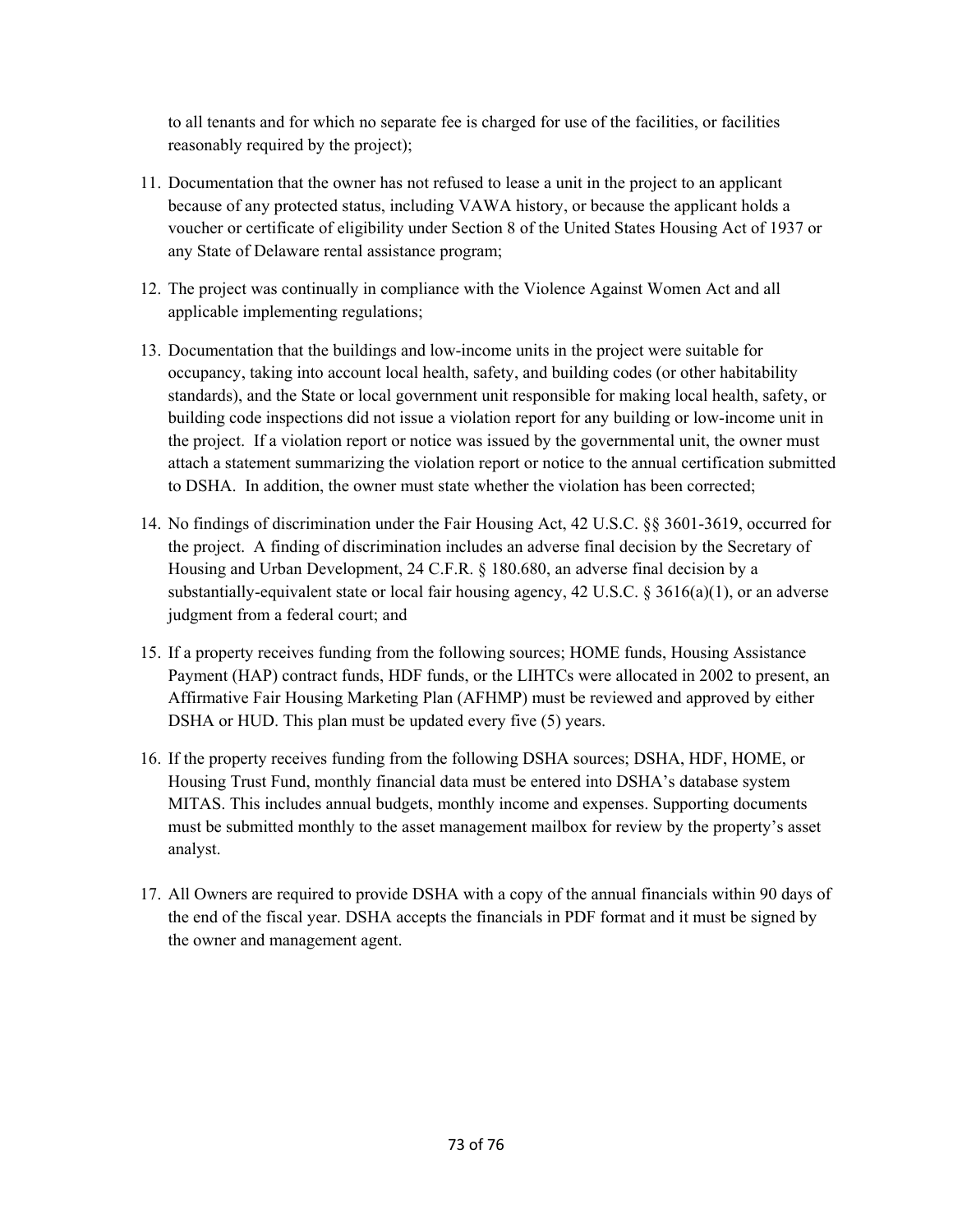to all tenants and for which no separate fee is charged for use of the facilities, or facilities reasonably required by the project);

- 11. Documentation that the owner has not refused to lease a unit in the project to an applicant because of any protected status, including VAWA history, or because the applicant holds a voucher or certificate of eligibility under Section 8 of the United States Housing Act of 1937 or any State of Delaware rental assistance program;
- 12. The project was continually in compliance with the Violence Against Women Act and all applicable implementing regulations;
- 13. Documentation that the buildings and low-income units in the project were suitable for occupancy, taking into account local health, safety, and building codes (or other habitability standards), and the State or local government unit responsible for making local health, safety, or building code inspections did not issue a violation report for any building or low-income unit in the project. If a violation report or notice was issued by the governmental unit, the owner must attach a statement summarizing the violation report or notice to the annual certification submitted to DSHA. In addition, the owner must state whether the violation has been corrected;
- 14. No findings of discrimination under the Fair Housing Act, 42 U.S.C. §§ 3601-3619, occurred for the project. A finding of discrimination includes an adverse final decision by the Secretary of Housing and Urban Development, 24 C.F.R. § 180.680, an adverse final decision by a substantially-equivalent state or local fair housing agency,  $42 \text{ U.S.C.}$   $\S 3616(a)(1)$ , or an adverse judgment from a federal court; and
- 15. If a property receives funding from the following sources; HOME funds, Housing Assistance Payment (HAP) contract funds, HDF funds, or the LIHTCs were allocated in 2002 to present, an Affirmative Fair Housing Marketing Plan (AFHMP) must be reviewed and approved by either DSHA or HUD. This plan must be updated every five (5) years.
- 16. If the property receives funding from the following DSHA sources; DSHA, HDF, HOME, or Housing Trust Fund, monthly financial data must be entered into DSHA's database system MITAS. This includes annual budgets, monthly income and expenses. Supporting documents must be submitted monthly to the asset management mailbox for review by the property's asset analyst.
- 17. All Owners are required to provide DSHA with a copy of the annual financials within 90 days of the end of the fiscal year. DSHA accepts the financials in PDF format and it must be signed by the owner and management agent.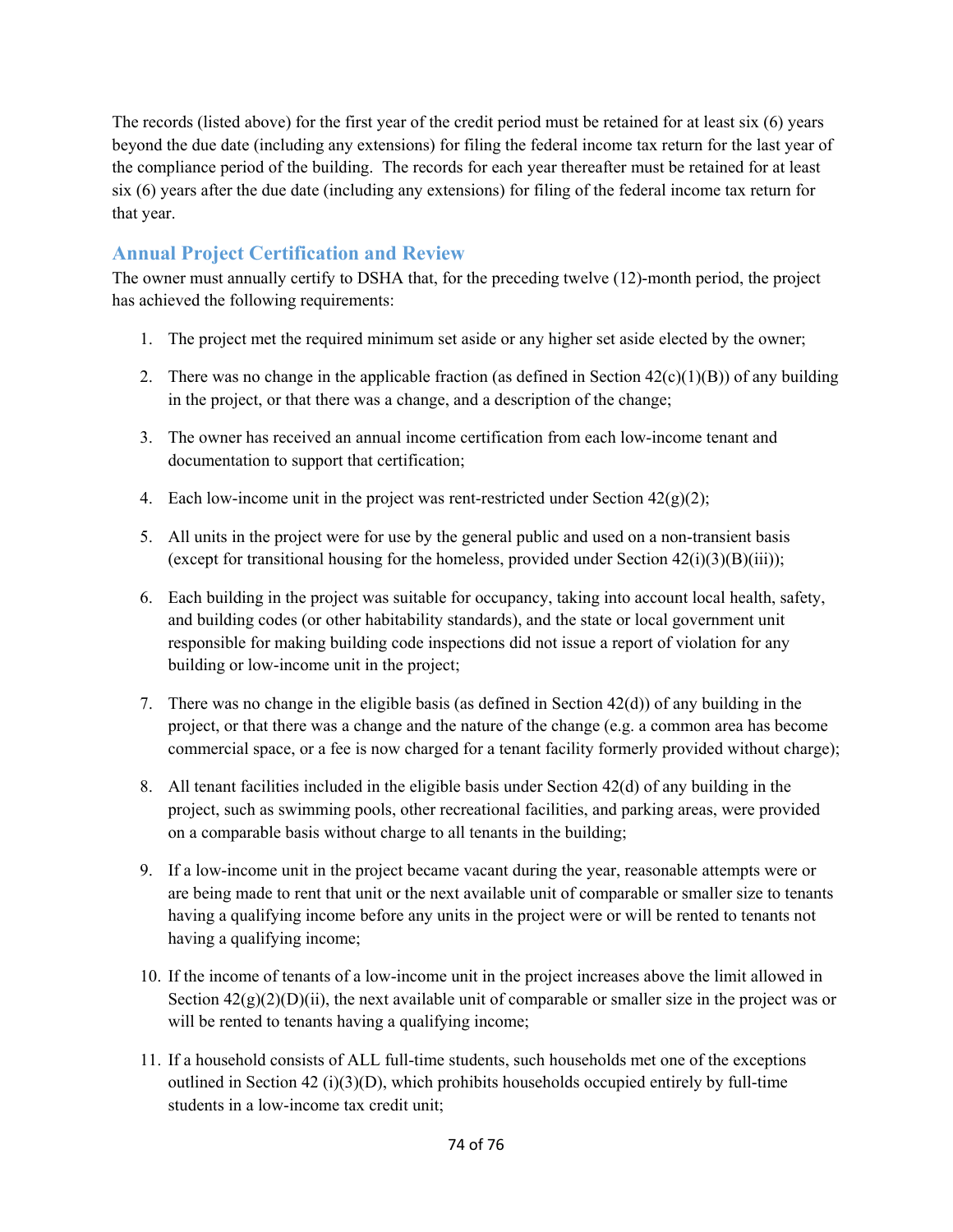The records (listed above) for the first year of the credit period must be retained for at least six (6) years beyond the due date (including any extensions) for filing the federal income tax return for the last year of the compliance period of the building. The records for each year thereafter must be retained for at least six (6) years after the due date (including any extensions) for filing of the federal income tax return for that year.

## **Annual Project Certification and Review**

The owner must annually certify to DSHA that, for the preceding twelve (12)-month period, the project has achieved the following requirements:

- 1. The project met the required minimum set aside or any higher set aside elected by the owner;
- 2. There was no change in the applicable fraction (as defined in Section  $42(c)(1)(B)$ ) of any building in the project, or that there was a change, and a description of the change;
- 3. The owner has received an annual income certification from each low-income tenant and documentation to support that certification;
- 4. Each low-income unit in the project was rent-restricted under Section  $42(g)(2)$ ;
- 5. All units in the project were for use by the general public and used on a non-transient basis (except for transitional housing for the homeless, provided under Section  $42(i)(3)(B)(iii)$ );
- 6. Each building in the project was suitable for occupancy, taking into account local health, safety, and building codes (or other habitability standards), and the state or local government unit responsible for making building code inspections did not issue a report of violation for any building or low-income unit in the project;
- 7. There was no change in the eligible basis (as defined in Section 42(d)) of any building in the project, or that there was a change and the nature of the change (e.g. a common area has become commercial space, or a fee is now charged for a tenant facility formerly provided without charge);
- 8. All tenant facilities included in the eligible basis under Section 42(d) of any building in the project, such as swimming pools, other recreational facilities, and parking areas, were provided on a comparable basis without charge to all tenants in the building;
- 9. If a low-income unit in the project became vacant during the year, reasonable attempts were or are being made to rent that unit or the next available unit of comparable or smaller size to tenants having a qualifying income before any units in the project were or will be rented to tenants not having a qualifying income;
- 10. If the income of tenants of a low-income unit in the project increases above the limit allowed in Section  $42(g)(2)(D)(ii)$ , the next available unit of comparable or smaller size in the project was or will be rented to tenants having a qualifying income;
- 11. If a household consists of ALL full-time students, such households met one of the exceptions outlined in Section 42 (i)(3)(D), which prohibits households occupied entirely by full-time students in a low-income tax credit unit;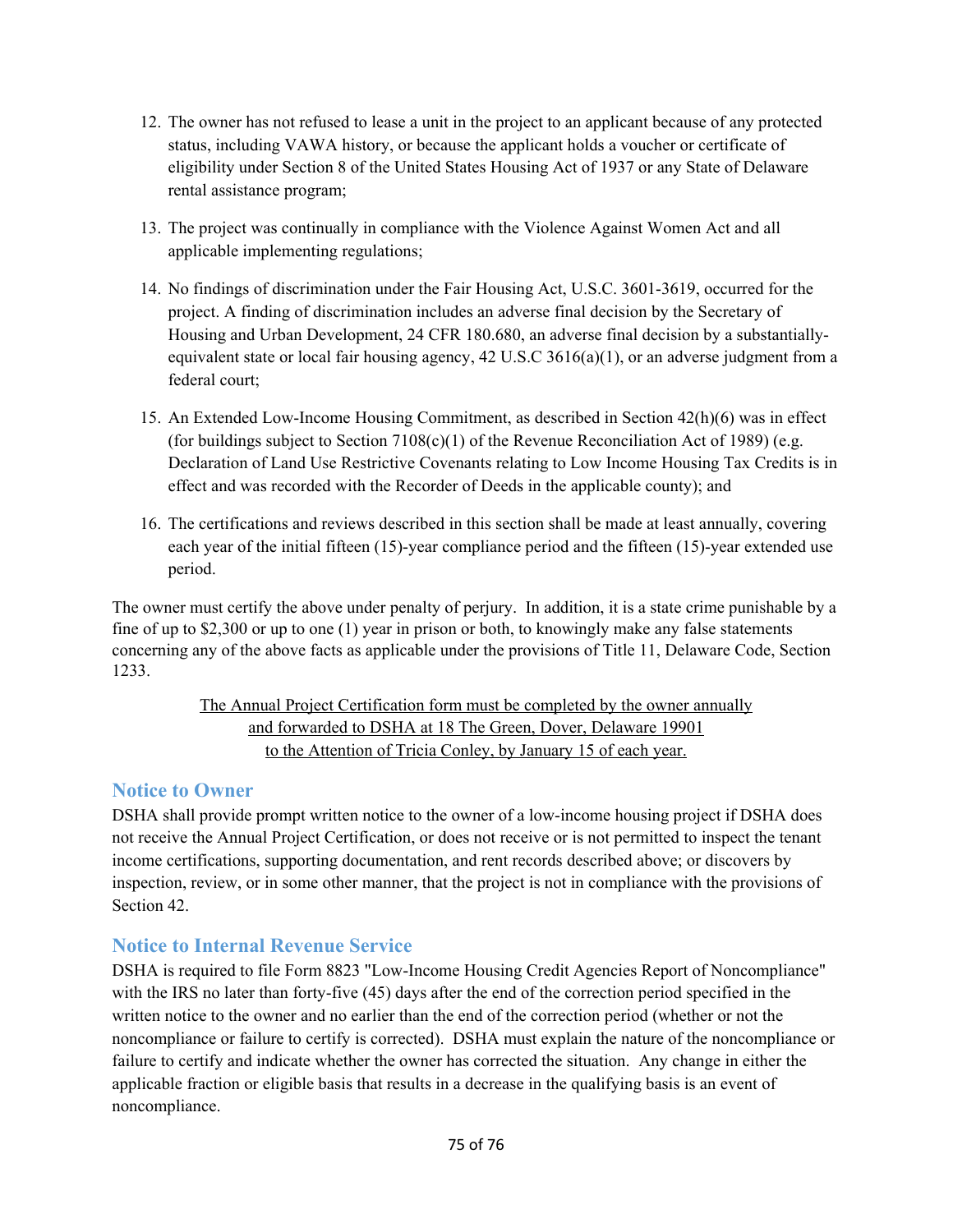- 12. The owner has not refused to lease a unit in the project to an applicant because of any protected status, including VAWA history, or because the applicant holds a voucher or certificate of eligibility under Section 8 of the United States Housing Act of 1937 or any State of Delaware rental assistance program;
- 13. The project was continually in compliance with the Violence Against Women Act and all applicable implementing regulations;
- 14. No findings of discrimination under the Fair Housing Act, U.S.C. 3601-3619, occurred for the project. A finding of discrimination includes an adverse final decision by the Secretary of Housing and Urban Development, 24 CFR 180.680, an adverse final decision by a substantiallyequivalent state or local fair housing agency,  $42 \text{ U.S.C } 3616(a)(1)$ , or an adverse judgment from a federal court;
- 15. An Extended Low-Income Housing Commitment, as described in Section 42(h)(6) was in effect (for buildings subject to Section  $7108(c)(1)$  of the Revenue Reconciliation Act of 1989) (e.g. Declaration of Land Use Restrictive Covenants relating to Low Income Housing Tax Credits is in effect and was recorded with the Recorder of Deeds in the applicable county); and
- 16. The certifications and reviews described in this section shall be made at least annually, covering each year of the initial fifteen (15)-year compliance period and the fifteen (15)-year extended use period.

The owner must certify the above under penalty of perjury. In addition, it is a state crime punishable by a fine of up to \$2,300 or up to one (1) year in prison or both, to knowingly make any false statements concerning any of the above facts as applicable under the provisions of Title 11, Delaware Code, Section 1233.

#### The Annual Project Certification form must be completed by the owner annually and forwarded to DSHA at 18 The Green, Dover, Delaware 19901 to the Attention of Tricia Conley, by January 15 of each year.

## **Notice to Owner**

DSHA shall provide prompt written notice to the owner of a low-income housing project if DSHA does not receive the Annual Project Certification, or does not receive or is not permitted to inspect the tenant income certifications, supporting documentation, and rent records described above; or discovers by inspection, review, or in some other manner, that the project is not in compliance with the provisions of Section 42.

## **Notice to Internal Revenue Service**

DSHA is required to file Form 8823 "Low-Income Housing Credit Agencies Report of Noncompliance" with the IRS no later than forty-five (45) days after the end of the correction period specified in the written notice to the owner and no earlier than the end of the correction period (whether or not the noncompliance or failure to certify is corrected). DSHA must explain the nature of the noncompliance or failure to certify and indicate whether the owner has corrected the situation. Any change in either the applicable fraction or eligible basis that results in a decrease in the qualifying basis is an event of noncompliance.